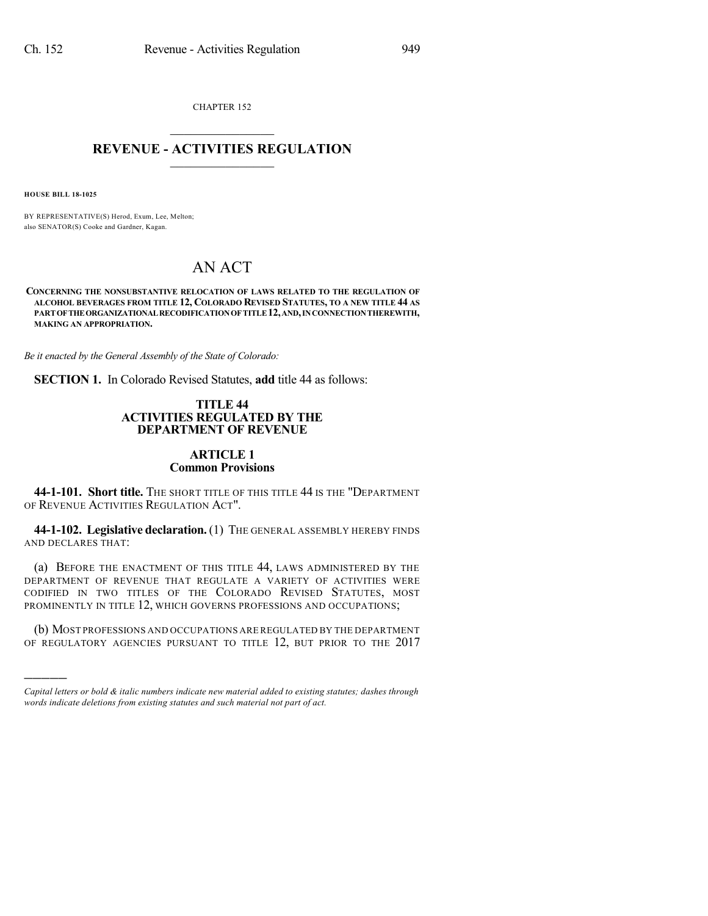CHAPTER 152  $\overline{\phantom{a}}$  . The set of the set of the set of the set of the set of the set of the set of the set of the set of the set of the set of the set of the set of the set of the set of the set of the set of the set of the set o

### **REVENUE - ACTIVITIES REGULATION**  $\_$   $\_$   $\_$   $\_$   $\_$   $\_$   $\_$   $\_$

**HOUSE BILL 18-1025**

)))))

BY REPRESENTATIVE(S) Herod, Exum, Lee, Melton; also SENATOR(S) Cooke and Gardner, Kagan.

# AN ACT

**CONCERNING THE NONSUBSTANTIVE RELOCATION OF LAWS RELATED TO THE REGULATION OF ALCOHOL BEVERAGES FROM TITLE 12, COLORADO REVISED STATUTES, TO A NEW TITLE 44 AS PARTOFTHEORGANIZATIONALRECODIFICATIONOFTITLE12,AND,INCONNECTIONTHEREWITH, MAKING AN APPROPRIATION.**

*Be it enacted by the General Assembly of the State of Colorado:*

**SECTION 1.** In Colorado Revised Statutes, **add** title 44 as follows:

#### **TITLE 44 ACTIVITIES REGULATED BY THE DEPARTMENT OF REVENUE**

# **ARTICLE 1 Common Provisions**

**44-1-101. Short title.** THE SHORT TITLE OF THIS TITLE 44 IS THE "DEPARTMENT OF REVENUE ACTIVITIES REGULATION ACT".

**44-1-102. Legislative declaration.** (1) THE GENERAL ASSEMBLY HEREBY FINDS AND DECLARES THAT:

(a) BEFORE THE ENACTMENT OF THIS TITLE 44, LAWS ADMINISTERED BY THE DEPARTMENT OF REVENUE THAT REGULATE A VARIETY OF ACTIVITIES WERE CODIFIED IN TWO TITLES OF THE COLORADO REVISED STATUTES, MOST PROMINENTLY IN TITLE 12, WHICH GOVERNS PROFESSIONS AND OCCUPATIONS;

(b) MOST PROFESSIONS AND OCCUPATIONS ARE REGULATED BY THE DEPARTMENT OF REGULATORY AGENCIES PURSUANT TO TITLE 12, BUT PRIOR TO THE 2017

*Capital letters or bold & italic numbers indicate new material added to existing statutes; dashes through words indicate deletions from existing statutes and such material not part of act.*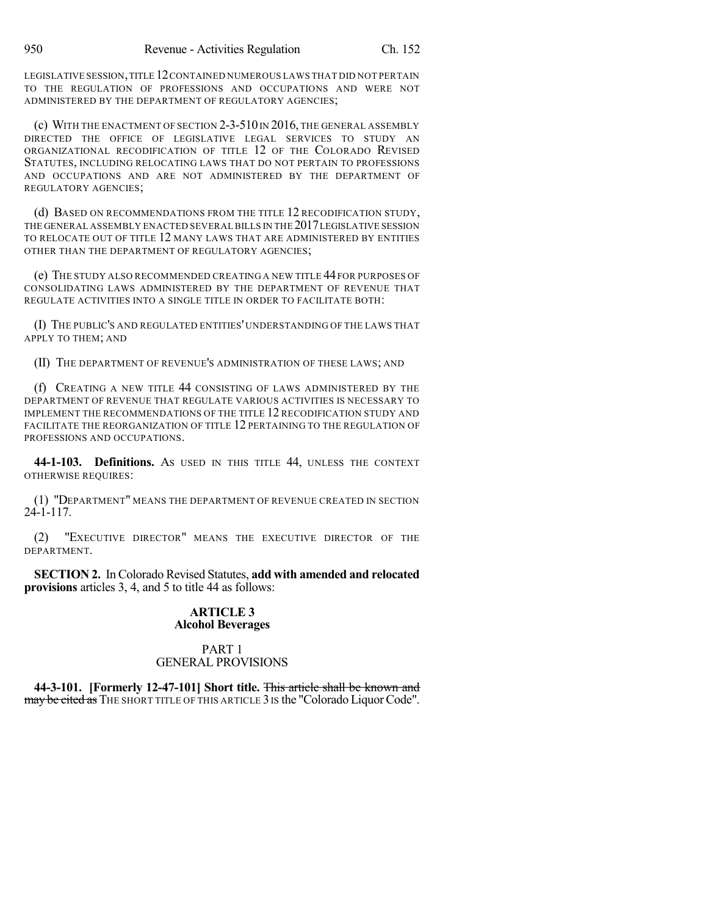LEGISLATIVE SESSION,TITLE 12CONTAINED NUMEROUS LAWS THAT DID NOT PERTAIN TO THE REGULATION OF PROFESSIONS AND OCCUPATIONS AND WERE NOT ADMINISTERED BY THE DEPARTMENT OF REGULATORY AGENCIES;

(c) WITH THE ENACTMENT OF SECTION  $2-3-510$  IN  $2016$ , the General assembly DIRECTED THE OFFICE OF LEGISLATIVE LEGAL SERVICES TO STUDY AN ORGANIZATIONAL RECODIFICATION OF TITLE 12 OF THE COLORADO REVISED STATUTES, INCLUDING RELOCATING LAWS THAT DO NOT PERTAIN TO PROFESSIONS AND OCCUPATIONS AND ARE NOT ADMINISTERED BY THE DEPARTMENT OF REGULATORY AGENCIES;

(d) BASED ON RECOMMENDATIONS FROM THE TITLE 12 RECODIFICATION STUDY, THE GENERAL ASSEMBLY ENACTED SEVERALBILLS IN THE 2017LEGISLATIVE SESSION TO RELOCATE OUT OF TITLE 12 MANY LAWS THAT ARE ADMINISTERED BY ENTITIES OTHER THAN THE DEPARTMENT OF REGULATORY AGENCIES;

(e) THE STUDY ALSO RECOMMENDED CREATING A NEW TITLE 44 FOR PURPOSES OF CONSOLIDATING LAWS ADMINISTERED BY THE DEPARTMENT OF REVENUE THAT REGULATE ACTIVITIES INTO A SINGLE TITLE IN ORDER TO FACILITATE BOTH:

(I) THE PUBLIC'S AND REGULATED ENTITIES' UNDERSTANDING OF THE LAWS THAT APPLY TO THEM; AND

(II) THE DEPARTMENT OF REVENUE'S ADMINISTRATION OF THESE LAWS; AND

(f) CREATING A NEW TITLE 44 CONSISTING OF LAWS ADMINISTERED BY THE DEPARTMENT OF REVENUE THAT REGULATE VARIOUS ACTIVITIES IS NECESSARY TO IMPLEMENT THE RECOMMENDATIONS OF THE TITLE 12 RECODIFICATION STUDY AND FACILITATE THE REORGANIZATION OF TITLE 12 PERTAINING TO THE REGULATION OF PROFESSIONS AND OCCUPATIONS.

**44-1-103. Definitions.** AS USED IN THIS TITLE 44, UNLESS THE CONTEXT OTHERWISE REQUIRES:

(1) "DEPARTMENT" MEANS THE DEPARTMENT OF REVENUE CREATED IN SECTION 24-1-117.

(2) "EXECUTIVE DIRECTOR" MEANS THE EXECUTIVE DIRECTOR OF THE DEPARTMENT.

**SECTION 2.** In Colorado Revised Statutes, **add with amended and relocated provisions** articles 3, 4, and 5 to title 44 as follows:

#### **ARTICLE 3 Alcohol Beverages**

# PART 1 GENERAL PROVISIONS

**44-3-101. [Formerly 12-47-101] Short title.** This article shall be known and may be cited as THE SHORT TITLE OF THIS ARTICLE 3 IS the "Colorado Liquor Code".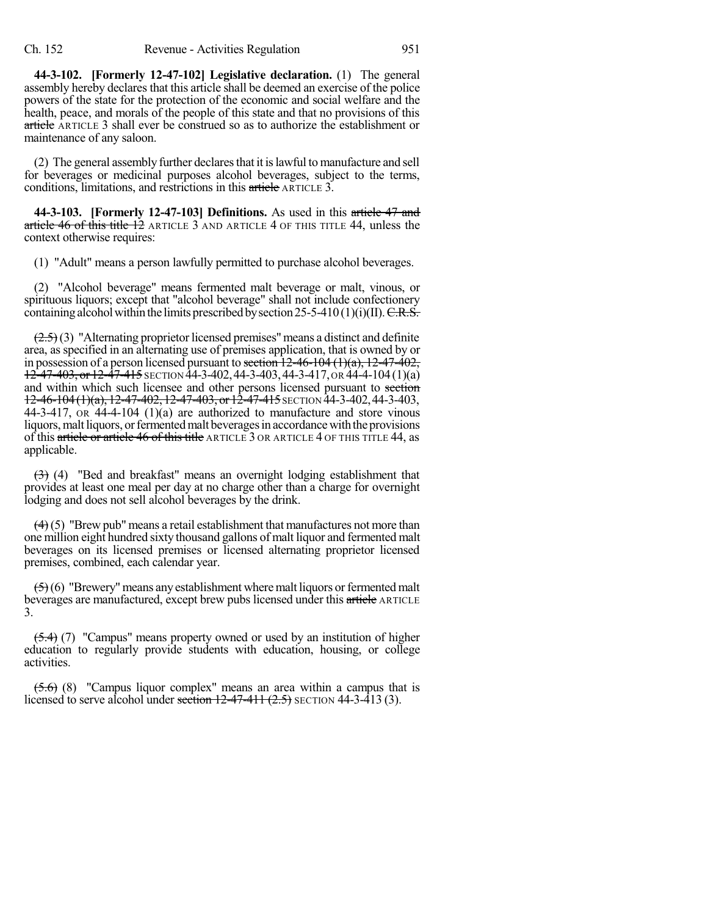**44-3-102. [Formerly 12-47-102] Legislative declaration.** (1) The general assembly hereby declares that this article shall be deemed an exercise of the police powers of the state for the protection of the economic and social welfare and the health, peace, and morals of the people of this state and that no provisions of this article ARTICLE 3 shall ever be construed so as to authorize the establishment or maintenance of any saloon.

(2) The general assembly further declares that it is lawful to manufacture and sell for beverages or medicinal purposes alcohol beverages, subject to the terms, conditions, limitations, and restrictions in this article ARTICLE 3.

**44-3-103. [Formerly 12-47-103] Definitions.** As used in this article 47 and article 46 of this title  $\overline{12}$  ARTICLE  $\overline{3}$  AND ARTICLE 4 OF THIS TITLE 44, unless the context otherwise requires:

(1) "Adult" means a person lawfully permitted to purchase alcohol beverages.

(2) "Alcohol beverage" means fermented malt beverage or malt, vinous, or spirituous liquors; except that "alcohol beverage" shall not include confectionery containing alcohol within the limits prescribed by section 25-5-410 (1)(i)(II).  $C.R.S.$ 

 $(2.5)(3)$  "Alternating proprietor licensed premises" means a distinct and definite area, as specified in an alternating use of premises application, that is owned by or in possession of a person licensed pursuant to section  $12-46-104$   $(1)(a)$ ,  $12-47-402$ ,  $12-47-403$ , or  $12-47-415$  SECTION  $44-3-402$ ,  $44-3-403$ ,  $44-3-417$ , OR  $44-4-104(1)(a)$ and within which such licensee and other persons licensed pursuant to section  $12-46-104(1)(a)$ ,  $12-47-402$ ,  $12-47-403$ , or $12-47-415$  SECTION  $44-3-402$ ,  $44-3-403$ , 44-3-417,  $\overline{OR}$  44-4-104 (1)(a) are authorized to manufacture and store vinous liquors, malt liquors, or fermented malt beverages in accordance with the provisions of this article or article 46 of this title ARTICLE 3 OR ARTICLE 4 OF THIS TITLE 44, as applicable.

(3) (4) "Bed and breakfast" means an overnight lodging establishment that provides at least one meal per day at no charge other than a charge for overnight lodging and does not sell alcohol beverages by the drink.

 $(4)$ (5) "Brew pub" means a retail establishment that manufactures not more than one million eight hundred sixty thousand gallons of malt liquor and fermented malt beverages on its licensed premises or licensed alternating proprietor licensed premises, combined, each calendar year.

 $\left(\frac{1}{2}\right)$ (6) "Brewery" means any establishment where malt liquors or fermented malt beverages are manufactured, except brew pubs licensed under this article ARTICLE 3.

 $(5.4)$  (7) "Campus" means property owned or used by an institution of higher education to regularly provide students with education, housing, or college activities.

 $(5.6)$  (8) "Campus liquor complex" means an area within a campus that is licensed to serve alcohol under section  $12-47-411$   $(2.5)$  SECTION 44-3-413 (3).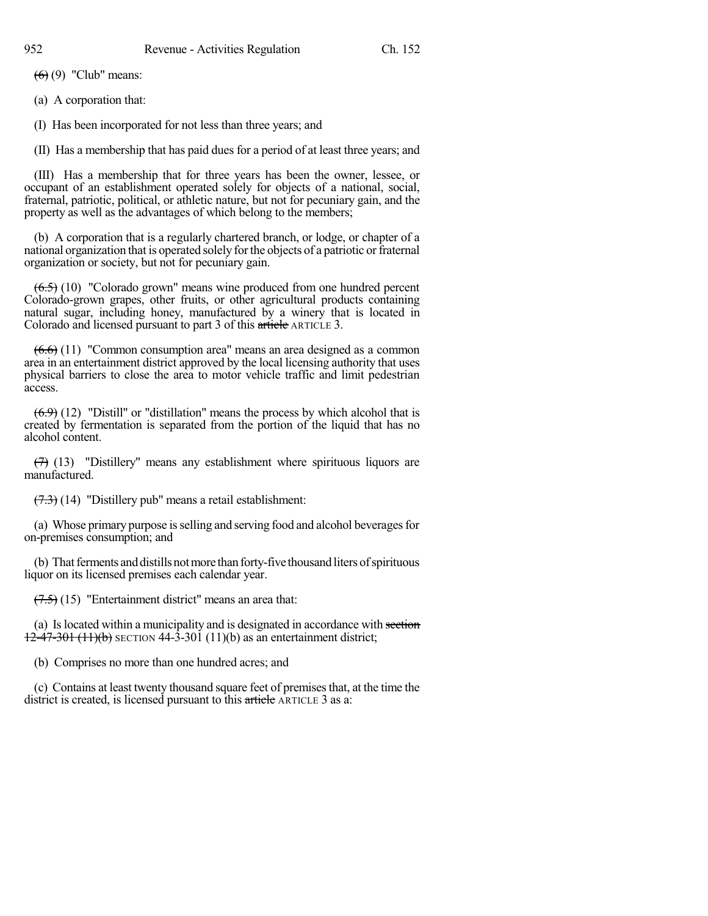$(6)(9)$  "Club" means:

(a) A corporation that:

(I) Has been incorporated for not less than three years; and

(II) Has a membership that has paid dues for a period of at least three years; and

(III) Has a membership that for three years has been the owner, lessee, or occupant of an establishment operated solely for objects of a national, social, fraternal, patriotic, political, or athletic nature, but not for pecuniary gain, and the property as well as the advantages of which belong to the members;

(b) A corporation that is a regularly chartered branch, or lodge, or chapter of a national organization that is operated solely for the objects of a patriotic or fraternal organization or society, but not for pecuniary gain.

 $(6.5)$  (10) "Colorado grown" means wine produced from one hundred percent Colorado-grown grapes, other fruits, or other agricultural products containing natural sugar, including honey, manufactured by a winery that is located in Colorado and licensed pursuant to part 3 of this article ARTICLE 3.

 $(6.6)$  (11) "Common consumption area" means an area designed as a common area in an entertainment district approved by the local licensing authority that uses physical barriers to close the area to motor vehicle traffic and limit pedestrian access.

 $(6.9)$  (12) "Distill" or "distillation" means the process by which alcohol that is created by fermentation is separated from the portion of the liquid that has no alcohol content.

 $(7)$  (13) "Distillery" means any establishment where spirituous liquors are manufactured.

 $(7.3)$  (14) "Distillery pub" means a retail establishment:

(a) Whose primary purpose is selling and serving food and alcohol beverages for on-premises consumption; and

(b) That ferments and distills not more than forty-five thousand liters of spirituous liquor on its licensed premises each calendar year.

 $(7.5)$  (15) "Entertainment district" means an area that:

(a) Is located within a municipality and is designated in accordance with section 12-47-301 (11)(b) SECTION 44-3-301 (11)(b) as an entertainment district;

(b) Comprises no more than one hundred acres; and

(c) Contains at least twenty thousand square feet of premisesthat, at the time the district is created, is licensed pursuant to this article ARTICLE 3 as a: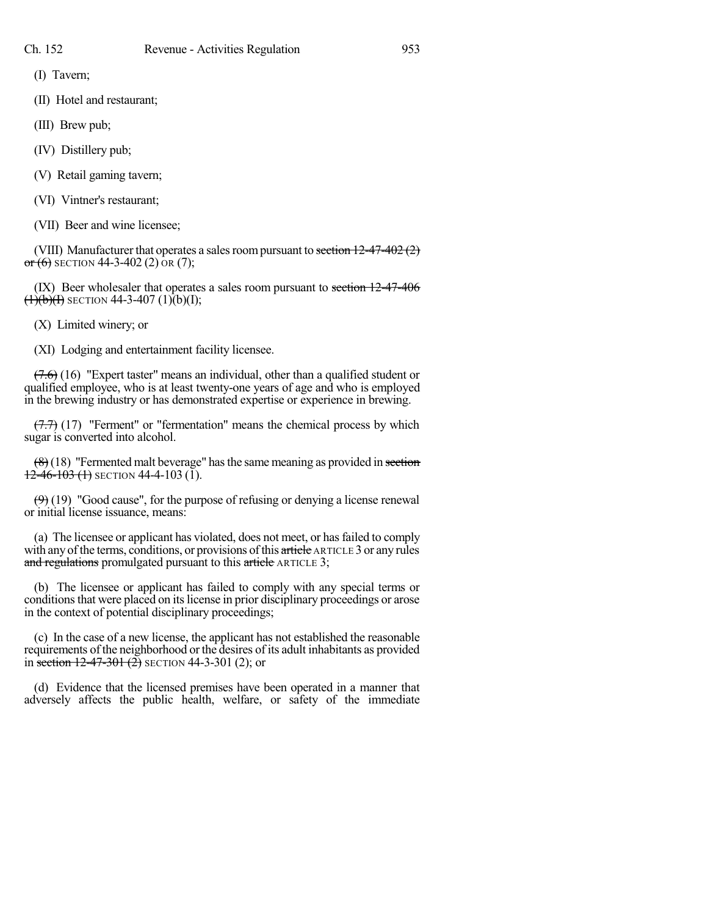(I) Tavern;

(II) Hotel and restaurant;

(III) Brew pub;

- (IV) Distillery pub;
- (V) Retail gaming tavern;
- (VI) Vintner's restaurant;
- (VII) Beer and wine licensee;

(VIII) Manufacturer that operates a sales room pursuant to section  $12-47-402(2)$  $or (6)$  SECTION 44-3-402 (2) OR (7);

(IX) Beer wholesaler that operates a sales room pursuant to section 12-47-406  $\overline{(1)(b)(1)}$  SECTION 44-3-407 (1)(b)(I);

(X) Limited winery; or

(XI) Lodging and entertainment facility licensee.

 $(7.6)$  (16) "Expert taster" means an individual, other than a qualified student or qualified employee, who is at least twenty-one years of age and who is employed in the brewing industry or has demonstrated expertise or experience in brewing.

 $(7.7)$  (17) "Ferment" or "fermentation" means the chemical process by which sugar is converted into alcohol.

 $(8)(18)$  "Fermented malt beverage" has the same meaning as provided in section  $12-46-103(1)$  SECTION 44-4-103(1).

 $(9)$  (19) "Good cause", for the purpose of refusing or denying a license renewal or initial license issuance, means:

(a) The licensee or applicant has violated, does not meet, or hasfailed to comply with any of the terms, conditions, or provisions of this article ARTICLE 3 or any rules and regulations promulgated pursuant to this article ARTICLE 3;

(b) The licensee or applicant has failed to comply with any special terms or conditions that were placed on its license in prior disciplinary proceedings or arose in the context of potential disciplinary proceedings;

(c) In the case of a new license, the applicant has not established the reasonable requirements of the neighborhood orthe desires of its adult inhabitants as provided in section  $12-47-301(2)$  SECTION 44-3-301 (2); or

(d) Evidence that the licensed premises have been operated in a manner that adversely affects the public health, welfare, or safety of the immediate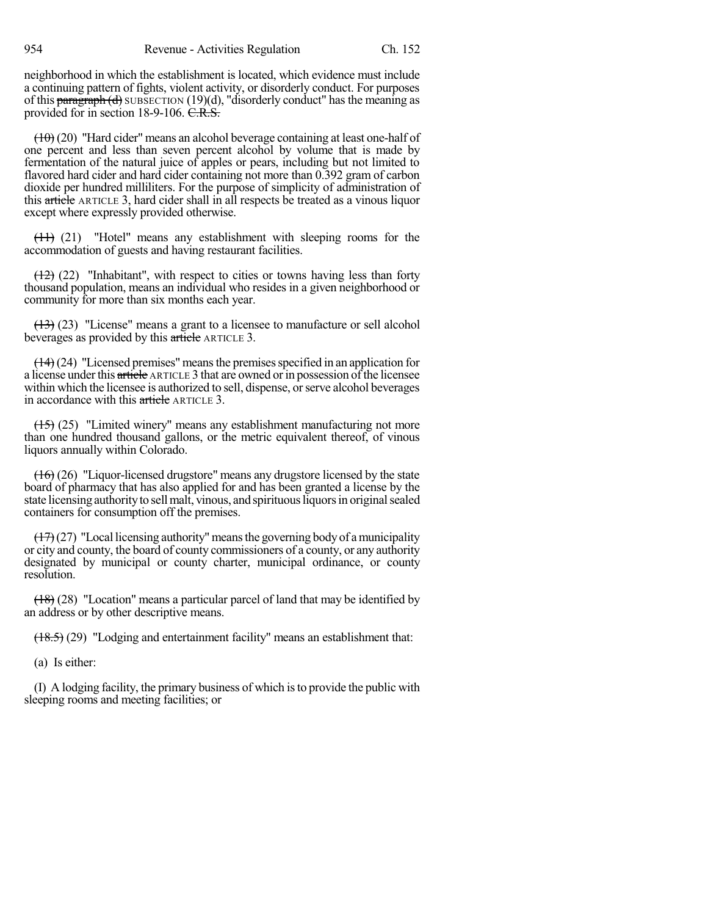neighborhood in which the establishment is located, which evidence must include a continuing pattern of fights, violent activity, or disorderly conduct. For purposes of this  $\frac{\text{parameter of}}{\text{softmax}}$  SUBSECTION (19)(d), "disorderly conduct" has the meaning as provided for in section 18-9-106. C.R.S.

 $(10)(20)$  "Hard cider" means an alcohol beverage containing at least one-half of one percent and less than seven percent alcohol by volume that is made by fermentation of the natural juice of apples or pears, including but not limited to flavored hard cider and hard cider containing not more than 0.392 gram of carbon dioxide per hundred milliliters. For the purpose of simplicity of administration of this article ARTICLE 3, hard cider shall in all respects be treated as a vinous liquor except where expressly provided otherwise.

 $(11)$  (21) "Hotel" means any establishment with sleeping rooms for the accommodation of guests and having restaurant facilities.

 $(12)$  (22) "Inhabitant", with respect to cities or towns having less than forty thousand population, means an individual who resides in a given neighborhood or community for more than six months each year.

 $(13)$  (23) "License" means a grant to a licensee to manufacture or sell alcohol beverages as provided by this article ARTICLE 3.

 $(14)(24)$  "Licensed premises" means the premises specified in an application for a license under this article ARTICLE 3 that are owned or in possession of the licensee within which the licensee is authorized to sell, dispense, or serve alcohol beverages in accordance with this article ARTICLE 3.

 $(15)$  (25) "Limited winery" means any establishment manufacturing not more than one hundred thousand gallons, or the metric equivalent thereof, of vinous liquors annually within Colorado.

(16) (26) "Liquor-licensed drugstore" means any drugstore licensed by the state board of pharmacy that has also applied for and has been granted a license by the state licensing authority to sell malt, vinous, and spirituous liquors in original sealed containers for consumption off the premises.

 $(17)(27)$  "Local licensing authority" means the governing body of a municipality or city and county, the board of county commissioners of a county, or any authority designated by municipal or county charter, municipal ordinance, or county resolution.

(18) (28) "Location" means a particular parcel of land that may be identified by an address or by other descriptive means.

(18.5) (29) "Lodging and entertainment facility" means an establishment that:

(a) Is either:

(I) A lodging facility, the primary business of which isto provide the public with sleeping rooms and meeting facilities; or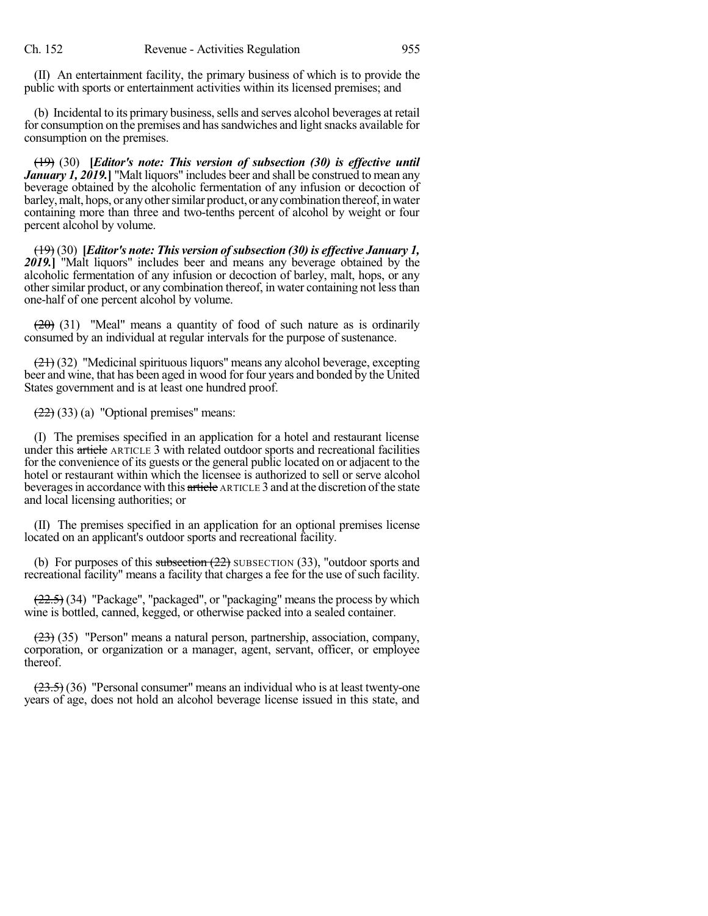(II) An entertainment facility, the primary business of which is to provide the public with sports or entertainment activities within its licensed premises; and

(b) Incidental to its primary business, sells and serves alcohol beverages at retail for consumption on the premises and has sandwiches and light snacks available for consumption on the premises.

(19) (30) **[***Editor's note: This version of subsection (30) is effective until January 1, 2019.***]** "Malt liquors" includes beer and shall be construed to mean any beverage obtained by the alcoholic fermentation of any infusion or decoction of barley, malt, hops, or any other similar product, or any combination thereof, in water containing more than three and two-tenths percent of alcohol by weight or four percent alcohol by volume.

(19) (30) **[***Editor's note: This version ofsubsection (30) is effective January 1, 2019.***]** "Malt liquors" includes beer and means any beverage obtained by the alcoholic fermentation of any infusion or decoction of barley, malt, hops, or any other similar product, or any combination thereof, in water containing not less than one-half of one percent alcohol by volume.

 $(20)$  (31) "Meal" means a quantity of food of such nature as is ordinarily consumed by an individual at regular intervals for the purpose of sustenance.

(21) (32) "Medicinal spirituous liquors" means any alcohol beverage, excepting beer and wine, that has been aged in wood for four years and bonded by the United States government and is at least one hundred proof.

 $(22)$  (33) (a) "Optional premises" means:

(I) The premises specified in an application for a hotel and restaurant license under this article ARTICLE 3 with related outdoor sports and recreational facilities for the convenience of its guests or the general public located on or adjacent to the hotel or restaurant within which the licensee is authorized to sell or serve alcohol beverages in accordance with this article ARTICLE 3 and at the discretion of the state and local licensing authorities; or

(II) The premises specified in an application for an optional premises license located on an applicant's outdoor sports and recreational facility.

(b) For purposes of this subsection  $(22)$  SUBSECTION  $(33)$ , "outdoor sports and recreational facility" means a facility that charges a fee for the use of such facility.

 $(22.5)$  (34) "Package", "packaged", or "packaging" means the process by which wine is bottled, canned, kegged, or otherwise packed into a sealed container.

(23) (35) "Person" means a natural person, partnership, association, company, corporation, or organization or a manager, agent, servant, officer, or employee thereof.

 $(23.5)$  (36) "Personal consumer" means an individual who is at least twenty-one years of age, does not hold an alcohol beverage license issued in this state, and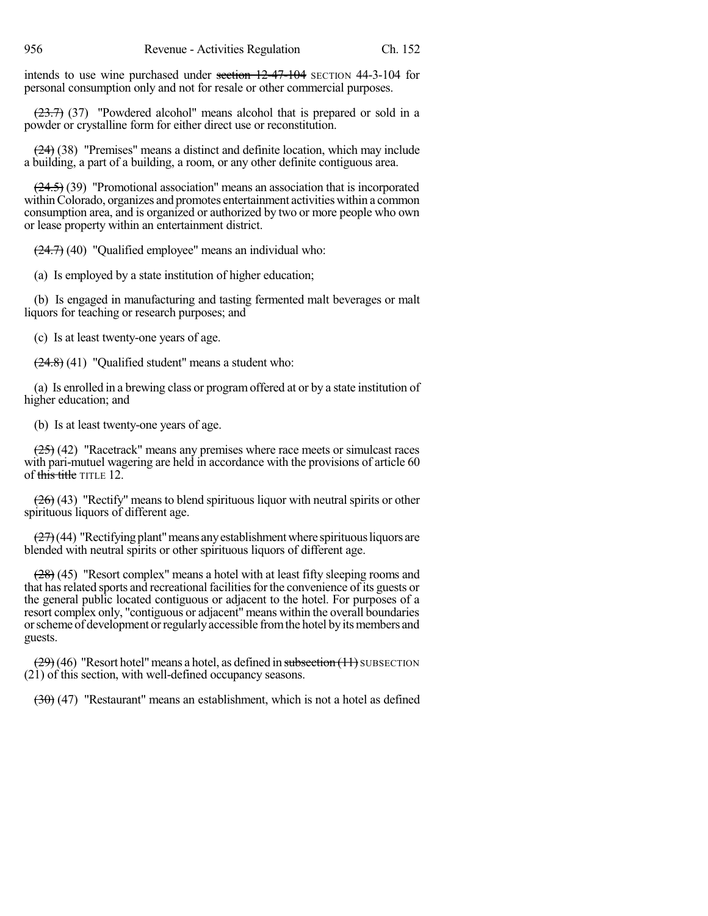intends to use wine purchased under section 12-47-104 SECTION 44-3-104 for personal consumption only and not for resale or other commercial purposes.

 $(23.7)$  (37) "Powdered alcohol" means alcohol that is prepared or sold in a powder or crystalline form for either direct use or reconstitution.

 $(24)$  (38) "Premises" means a distinct and definite location, which may include a building, a part of a building, a room, or any other definite contiguous area.

 $(24.5)$  (39) "Promotional association" means an association that is incorporated withinColorado, organizes and promotes entertainment activities within a common consumption area, and is organized or authorized by two or more people who own or lease property within an entertainment district.

 $(24.7)$  (40) "Qualified employee" means an individual who:

(a) Is employed by a state institution of higher education;

(b) Is engaged in manufacturing and tasting fermented malt beverages or malt liquors for teaching or research purposes; and

(c) Is at least twenty-one years of age.

 $(24.8)$  (41) "Qualified student" means a student who:

(a) Is enrolled in a brewing class or programoffered at or by a state institution of higher education; and

(b) Is at least twenty-one years of age.

 $(25)$  (42) "Racetrack" means any premises where race meets or simulcast races with pari-mutuel wagering are held in accordance with the provisions of article 60 of this title TITLE 12.

 $(26)$  (43) "Rectify" means to blend spirituous liquor with neutral spirits or other spirituous liquors of different age.

 $(27)(44)$  "Rectifying plant" means any establishment where spirituous liquors are blended with neutral spirits or other spirituous liquors of different age.

(28) (45) "Resort complex" means a hotel with at least fifty sleeping rooms and that has related sports and recreational facilities for the convenience of its guests or the general public located contiguous or adjacent to the hotel. For purposes of a resort complex only, "contiguous or adjacent" means within the overall boundaries or scheme of development or regularly accessible from the hotel by its members and guests.

 $(29)(46)$  "Resort hotel" means a hotel, as defined in subsection  $(11)$  SUBSECTION (21) of this section, with well-defined occupancy seasons.

(30) (47) "Restaurant" means an establishment, which is not a hotel as defined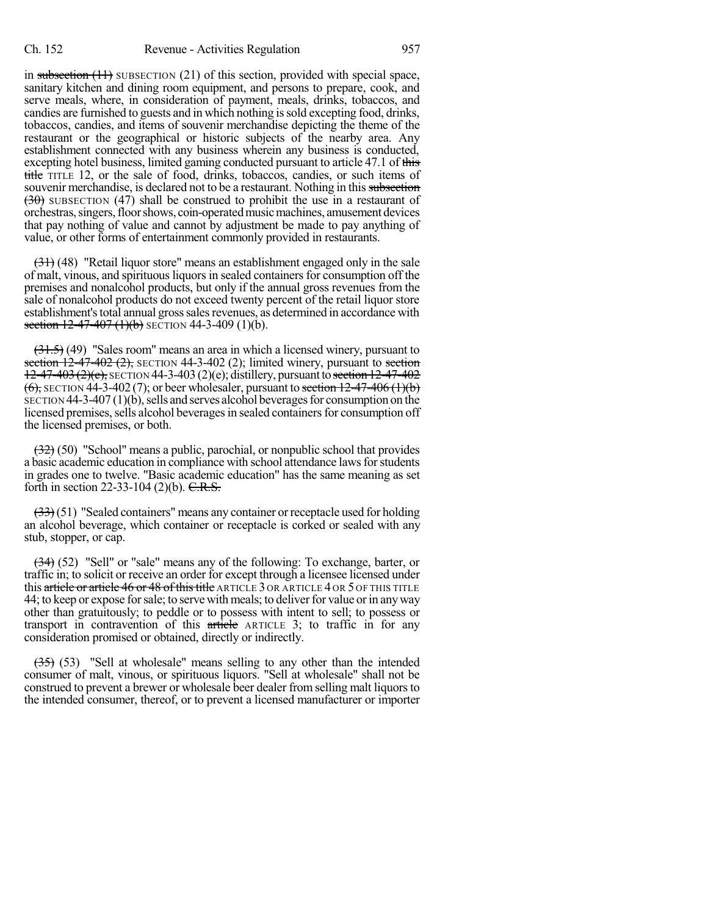in subsection (11) SUBSECTION (21) of this section, provided with special space, sanitary kitchen and dining room equipment, and persons to prepare, cook, and serve meals, where, in consideration of payment, meals, drinks, tobaccos, and candies are furnished to guests and in which nothing issold excepting food, drinks, tobaccos, candies, and items of souvenir merchandise depicting the theme of the restaurant or the geographical or historic subjects of the nearby area. Any establishment connected with any business wherein any business is conducted, excepting hotel business, limited gaming conducted pursuant to article 47.1 of this title TITLE 12, or the sale of food, drinks, tobaccos, candies, or such items of souvenir merchandise, is declared not to be a restaurant. Nothing in this subsection  $(30)$  SUBSECTION (47) shall be construed to prohibit the use in a restaurant of orchestras,singers,floorshows, coin-operatedmusicmachines, amusement devices that pay nothing of value and cannot by adjustment be made to pay anything of value, or other forms of entertainment commonly provided in restaurants.

(31) (48) "Retail liquor store" means an establishment engaged only in the sale of malt, vinous, and spirituous liquors in sealed containers for consumption off the premises and nonalcohol products, but only if the annual gross revenues from the sale of nonalcohol products do not exceed twenty percent of the retail liquor store establishment's total annual gross sales revenues, as determined in accordance with section  $12-47-407$  (1)(b) SECTION 44-3-409 (1)(b).

 $(31.5)$  (49) "Sales room" means an area in which a licensed winery, pursuant to section  $12-47-402$  (2), SECTION 44-3-402 (2); limited winery, pursuant to section  $12-47-403$  (2)(e), SECTION 44-3-403 (2)(e); distillery, pursuant to section  $12-47-402$  $(6)$ , SECTION 44-3-402 (7); or beer wholesaler, pursuant to section 12-47-406 (1)(b)  $SECTON 44-3-407(1)(b)$ , sells and serves alcohol beverages for consumption on the licensed premises, sells alcohol beverages in sealed containers for consumption off the licensed premises, or both.

(32) (50) "School" means a public, parochial, or nonpublic school that provides a basic academic education in compliance with school attendance lawsforstudents in grades one to twelve. "Basic academic education" has the same meaning as set forth in section 22-33-104 (2)(b).  $C.R.S.$ 

 $(33)(51)$  "Sealed containers" means any container or receptacle used for holding an alcohol beverage, which container or receptacle is corked or sealed with any stub, stopper, or cap.

 $(34)$  (52) "Sell" or "sale" means any of the following: To exchange, barter, or traffic in; to solicit or receive an order for except through a licensee licensed under this article or article 46 or 48 of this title ARTICLE 3 OR ARTICLE 4 OR 5 OF THIS TITLE 44; to keep or expose for sale; to serve with meals; to deliver for value or in any way other than gratuitously; to peddle or to possess with intent to sell; to possess or transport in contravention of this article ARTICLE 3; to traffic in for any consideration promised or obtained, directly or indirectly.

 $(35)$  (53) "Sell at wholesale" means selling to any other than the intended consumer of malt, vinous, or spirituous liquors. "Sell at wholesale" shall not be construed to prevent a brewer or wholesale beer dealer from selling malt liquors to the intended consumer, thereof, or to prevent a licensed manufacturer or importer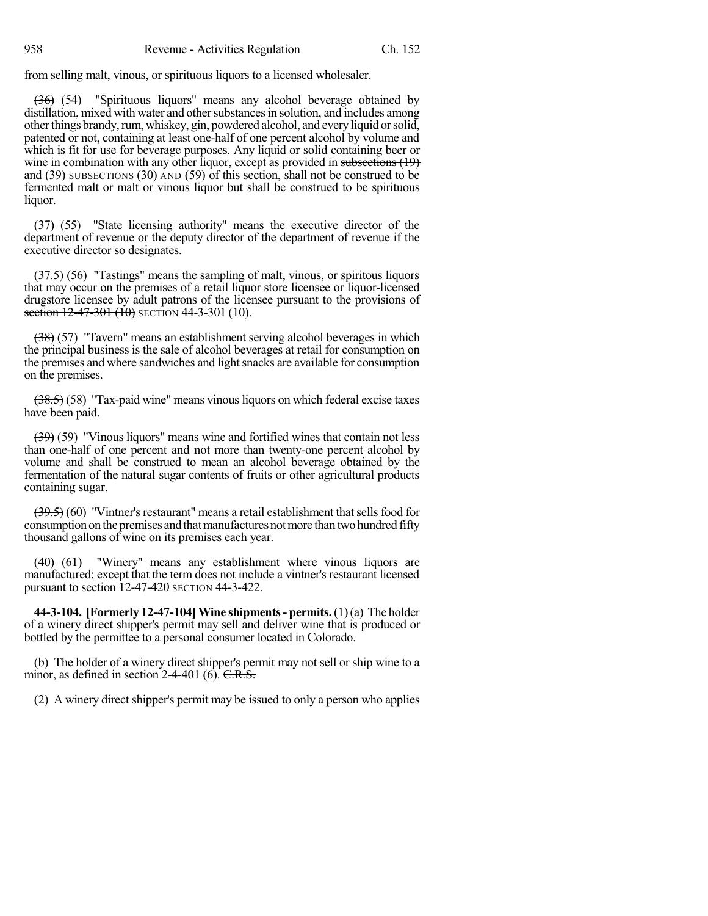from selling malt, vinous, or spirituous liquors to a licensed wholesaler.

(36) (54) "Spirituous liquors" means any alcohol beverage obtained by distillation, mixed with water and other substances in solution, and includes among other things brandy, rum, whiskey, gin, powdered alcohol, and every liquid or solid, patented or not, containing at least one-half of one percent alcohol by volume and which is fit for use for beverage purposes. Any liquid or solid containing beer or wine in combination with any other liquor, except as provided in subsections (19) and  $(39)$  SUBSECTIONS  $(30)$  AND  $(59)$  of this section, shall not be construed to be fermented malt or malt or vinous liquor but shall be construed to be spirituous liquor.

(37) (55) "State licensing authority" means the executive director of the department of revenue or the deputy director of the department of revenue if the executive director so designates.

 $(37.5)$  (56) "Tastings" means the sampling of malt, vinous, or spiritous liquors that may occur on the premises of a retail liquor store licensee or liquor-licensed drugstore licensee by adult patrons of the licensee pursuant to the provisions of section  $12-47-301$  (10) SECTION 44-3-301 (10).

(38) (57) "Tavern" means an establishment serving alcohol beverages in which the principal business is the sale of alcohol beverages at retail for consumption on the premises and where sandwiches and light snacks are available for consumption on the premises.

 $(38.5)$  (58) "Tax-paid wine" means vinous liquors on which federal excise taxes have been paid.

(39) (59) "Vinous liquors" means wine and fortified wines that contain not less than one-half of one percent and not more than twenty-one percent alcohol by volume and shall be construed to mean an alcohol beverage obtained by the fermentation of the natural sugar contents of fruits or other agricultural products containing sugar.

 $(39.5)$  (60) "Vintner's restaurant" means a retail establishment that sells food for consumption on the premises and that manufactures not more than two hundred fifty thousand gallons of wine on its premises each year.

 $(40)$  (61) "Winery" means any establishment where vinous liquors are manufactured; except that the term does not include a vintner's restaurant licensed pursuant to section  $\frac{12-47-420}{2}$  SECTION 44-3-422.

**44-3-104. [Formerly 12-47-104]Wine shipments- permits.**(1)(a) The holder of a winery direct shipper's permit may sell and deliver wine that is produced or bottled by the permittee to a personal consumer located in Colorado.

(b) The holder of a winery direct shipper's permit may not sell or ship wine to a minor, as defined in section  $2-4-401$  (6). C.R.S.

(2) A winery direct shipper's permit may be issued to only a person who applies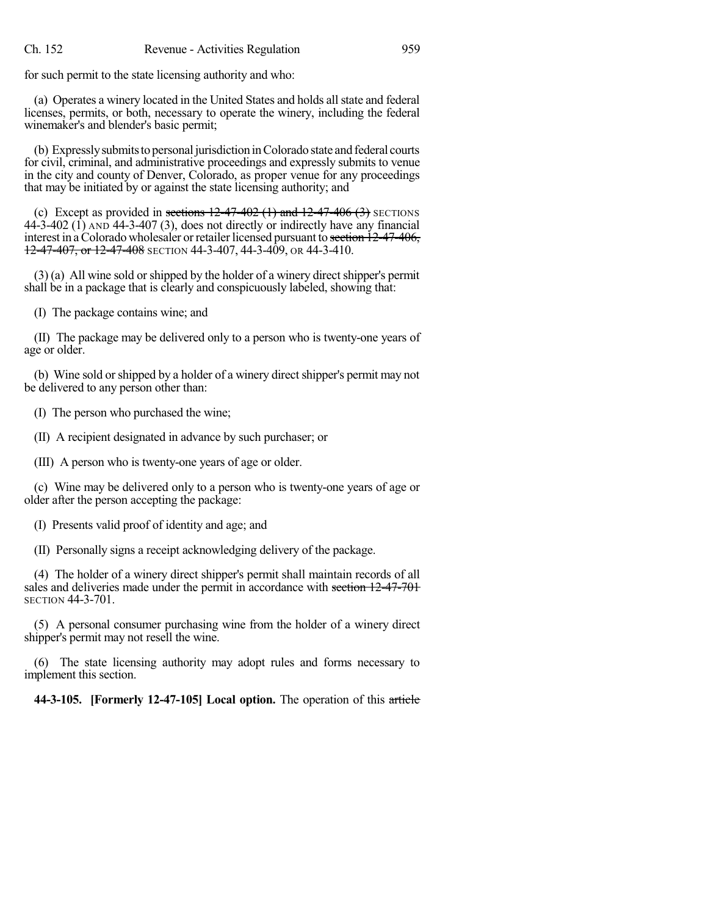for such permit to the state licensing authority and who:

(a) Operates a winery located in the United States and holds allstate and federal licenses, permits, or both, necessary to operate the winery, including the federal winemaker's and blender's basic permit;

(b) Expressly submits to personal jurisdiction in Colorado state and federal courts for civil, criminal, and administrative proceedings and expressly submits to venue in the city and county of Denver, Colorado, as proper venue for any proceedings that may be initiated by or against the state licensing authority; and

(c) Except as provided in sections  $12-47-402$  (1) and  $12-47-406$  (3) SECTIONS  $44-\overline{3}-402$  (1) AND  $44-\overline{3}-407$  (3), does not directly or indirectly have any financial interest in a Colorado wholesaler or retailer licensed pursuant to section  $12-47-406$ ,  $12-47-407$ , or  $12-47-408$  SECTION 44-3-407, 44-3-409, OR 44-3-410.

 $(3)$  (a) All wine sold or shipped by the holder of a winery direct shipper's permit shall be in a package that is clearly and conspicuously labeled, showing that:

(I) The package contains wine; and

(II) The package may be delivered only to a person who is twenty-one years of age or older.

(b) Wine sold or shipped by a holder of a winery direct shipper's permit may not be delivered to any person other than:

(I) The person who purchased the wine;

(II) A recipient designated in advance by such purchaser; or

(III) A person who is twenty-one years of age or older.

(c) Wine may be delivered only to a person who is twenty-one years of age or older after the person accepting the package:

(I) Presents valid proof of identity and age; and

(II) Personally signs a receipt acknowledging delivery of the package.

(4) The holder of a winery direct shipper's permit shall maintain records of all sales and deliveries made under the permit in accordance with section 12-47-701 SECTION 44-3-701.

(5) A personal consumer purchasing wine from the holder of a winery direct shipper's permit may not resell the wine.

(6) The state licensing authority may adopt rules and forms necessary to implement this section.

**44-3-105. [Formerly 12-47-105] Local option.** The operation of this article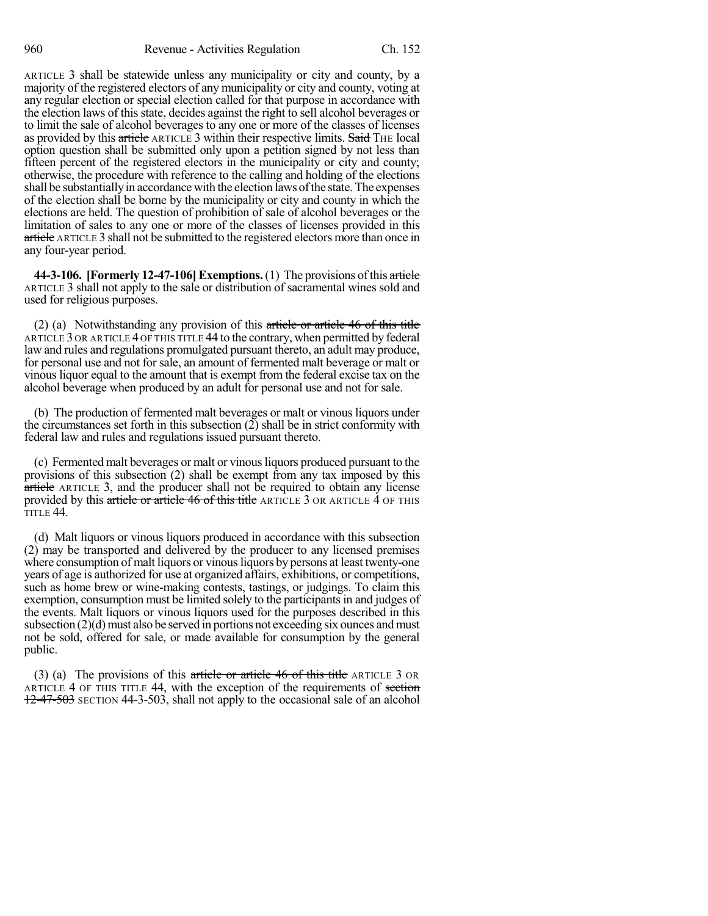ARTICLE 3 shall be statewide unless any municipality or city and county, by a majority of the registered electors of any municipality or city and county, voting at any regular election or special election called for that purpose in accordance with the election laws of this state, decides against the right to sell alcohol beverages or to limit the sale of alcohol beverages to any one or more of the classes of licenses as provided by this article ARTICLE 3 within their respective limits. Said THE local option question shall be submitted only upon a petition signed by not less than fifteen percent of the registered electors in the municipality or city and county; otherwise, the procedure with reference to the calling and holding of the elections shall be substantially in accordance with the election laws of the state. The expenses of the election shall be borne by the municipality or city and county in which the elections are held. The question of prohibition of sale of alcohol beverages or the limitation of sales to any one or more of the classes of licenses provided in this article ARTICLE 3 shall not be submitted to the registered electors more than once in any four-year period.

**44-3-106. [Formerly 12-47-106]Exemptions.**(1) The provisions ofthis article ARTICLE 3 shall not apply to the sale or distribution of sacramental wines sold and used for religious purposes.

(2) (a) Notwithstanding any provision of this article or article 46 of this title ARTICLE 3 OR ARTICLE 4 OF THIS TITLE 44 to the contrary, when permitted by federal law and rules and regulations promulgated pursuant thereto, an adult may produce, for personal use and not for sale, an amount of fermented malt beverage or malt or vinous liquor equal to the amount that is exempt from the federal excise tax on the alcohol beverage when produced by an adult for personal use and not for sale.

(b) The production of fermented malt beverages or malt or vinous liquors under the circumstances set forth in this subsection (2) shall be in strict conformity with federal law and rules and regulations issued pursuant thereto.

(c) Fermented malt beverages or malt or vinousliquors produced pursuant to the provisions of this subsection (2) shall be exempt from any tax imposed by this article ARTICLE 3, and the producer shall not be required to obtain any license provided by this article or article 46 of this title ARTICLE 3 OR ARTICLE 4 OF THIS TITLE 44.

(d) Malt liquors or vinous liquors produced in accordance with this subsection (2) may be transported and delivered by the producer to any licensed premises where consumption of malt liquors or vinous liquors by persons at least twenty-one years of age is authorized for use at organized affairs, exhibitions, or competitions, such as home brew or wine-making contests, tastings, or judgings. To claim this exemption, consumption must be limited solely to the participants in and judges of the events. Malt liquors or vinous liquors used for the purposes described in this subsection  $(2)(d)$  must also be served in portions not exceeding six ounces and must not be sold, offered for sale, or made available for consumption by the general public.

(3) (a) The provisions of this article or article  $46$  of this title ARTICLE 3 OR ARTICLE 4 OF THIS TITLE 44, with the exception of the requirements of section 12-47-503 SECTION 44-3-503, shall not apply to the occasional sale of an alcohol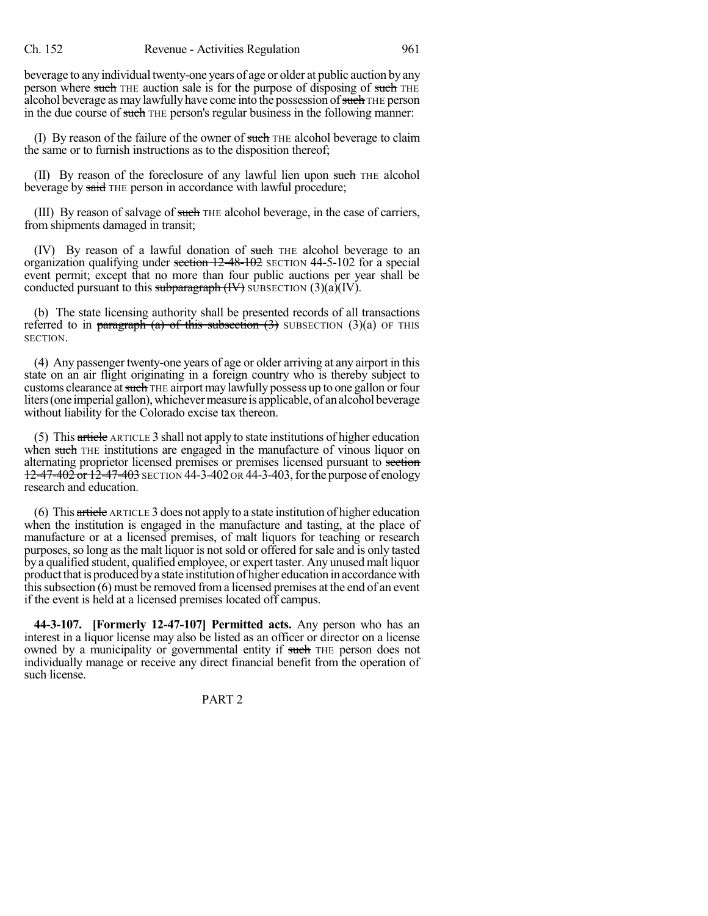beverage to any individual twenty-one years of age or older at public auction by any person where such THE auction sale is for the purpose of disposing of such THE alcohol beverage as may lawfully have come into the possession of such THE person in the due course of such THE person's regular business in the following manner:

(I) By reason of the failure of the owner of such THE alcohol beverage to claim the same or to furnish instructions as to the disposition thereof;

(II) By reason of the foreclosure of any lawful lien upon such THE alcohol beverage by said THE person in accordance with lawful procedure;

(III) By reason of salvage of such THE alcohol beverage, in the case of carriers, from shipments damaged in transit;

(IV) By reason of a lawful donation of such THE alcohol beverage to an organization qualifying under section  $12-48-102$  SECTION 44-5-102 for a special event permit; except that no more than four public auctions per year shall be conducted pursuant to this subparagraph  $(W)$  SUBSECTION  $(3)(a)(IV)$ .

(b) The state licensing authority shall be presented records of all transactions referred to in paragraph (a) of this subsection  $(3)$  SUBSECTION  $(3)(a)$  OF THIS SECTION.

(4) Any passenger twenty-one years of age or older arriving at any airport in this state on an air flight originating in a foreign country who is thereby subject to customs clearance at such THE airport may lawfully possess up to one gallon or four liters (one imperial gallon), whichever measure is applicable, of an alcohol beverage without liability for the Colorado excise tax thereon.

(5) This article ARTICLE 3 shall not apply to state institutions of higher education when such THE institutions are engaged in the manufacture of vinous liquor on alternating proprietor licensed premises or premises licensed pursuant to section 12-47-402 or 12-47-403 SECTION 44-3-402 OR 44-3-403, for the purpose of enology research and education.

(6) This article ARTICLE 3 does not apply to a state institution of higher education when the institution is engaged in the manufacture and tasting, at the place of manufacture or at a licensed premises, of malt liquors for teaching or research purposes, so long as the malt liquor is not sold or offered for sale and is only tasted by a qualified student, qualified employee, or expert taster. Any unused malt liquor product that is produced by a state institution of higher education in accordance with this subsection  $(6)$  must be removed from a licensed premises at the end of an event if the event is held at a licensed premises located off campus.

**44-3-107. [Formerly 12-47-107] Permitted acts.** Any person who has an interest in a liquor license may also be listed as an officer or director on a license owned by a municipality or governmental entity if such THE person does not individually manage or receive any direct financial benefit from the operation of such license.

PART 2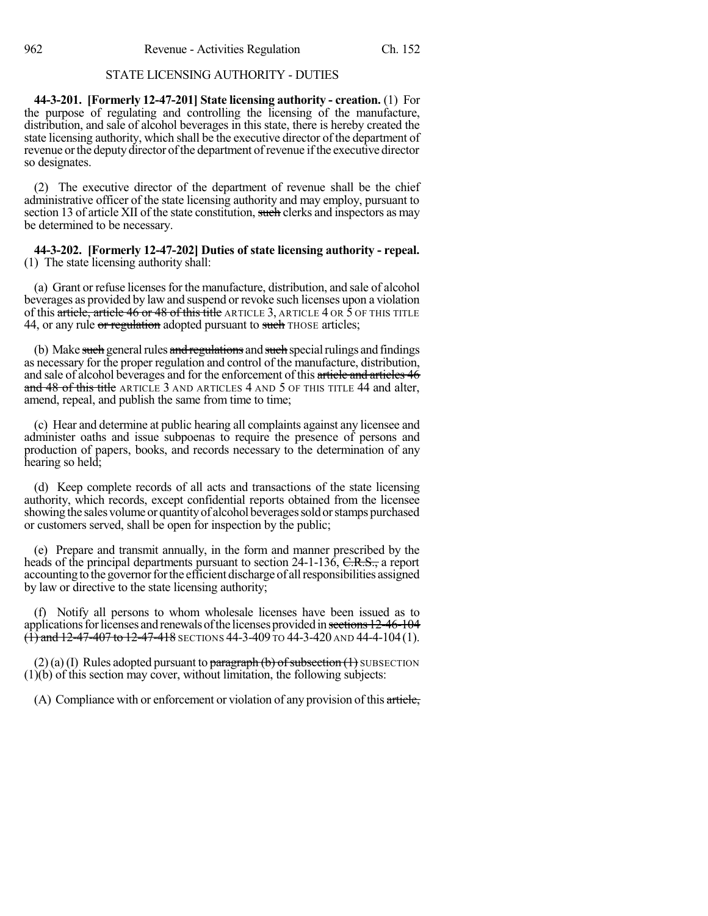# STATE LICENSING AUTHORITY - DUTIES

**44-3-201. [Formerly 12-47-201] State licensing authority - creation.** (1) For the purpose of regulating and controlling the licensing of the manufacture, distribution, and sale of alcohol beverages in this state, there is hereby created the state licensing authority, which shall be the executive director of the department of revenue or the deputy director of the department of revenue if the executive director so designates.

(2) The executive director of the department of revenue shall be the chief administrative officer of the state licensing authority and may employ, pursuant to section 13 of article XII of the state constitution, such clerks and inspectors as may be determined to be necessary.

**44-3-202. [Formerly 12-47-202] Duties of state licensing authority - repeal.** (1) The state licensing authority shall:

(a) Grant or refuse licenses for the manufacture, distribution, and sale of alcohol beverages as provided by law and suspend or revoke such licenses upon a violation of this article, article 46 or 48 of this title ARTICLE 3, ARTICLE 4 OR  $\bar{5}$  OF THIS TITLE 44, or any rule or regulation adopted pursuant to such THOSE articles;

(b) Make such general rules and regulations and such special rulings and findings as necessary for the proper regulation and control of the manufacture, distribution, and sale of alcohol beverages and for the enforcement of this article and articles 46 and 48 of this title ARTICLE 3 AND ARTICLES 4 AND 5 OF THIS TITLE 44 and alter, amend, repeal, and publish the same from time to time;

(c) Hear and determine at public hearing all complaints against any licensee and administer oaths and issue subpoenas to require the presence of persons and production of papers, books, and records necessary to the determination of any hearing so held;

(d) Keep complete records of all acts and transactions of the state licensing authority, which records, except confidential reports obtained from the licensee showing the sales volume or quantity of alcohol beverages sold or stamps purchased or customers served, shall be open for inspection by the public;

(e) Prepare and transmit annually, in the form and manner prescribed by the heads of the principal departments pursuant to section 24-1-136, C.R.S., a report accounting to the governor for the efficient discharge of all responsibilities assigned by law or directive to the state licensing authority;

(f) Notify all persons to whom wholesale licenses have been issued as to applications for licenses and renewals of the licenses provided in sections 12-46-104  $\overrightarrow{(1)}$  and 12-47-407 to 12-47-418 SECTIONS 44-3-409 TO 44-3-420 AND 44-4-104 (1).

 $(2)$  (a) (I) Rules adopted pursuant to paragraph (b) of subsection (1) SUBSECTION (1)(b) of this section may cover, without limitation, the following subjects:

(A) Compliance with or enforcement or violation of any provision of this article,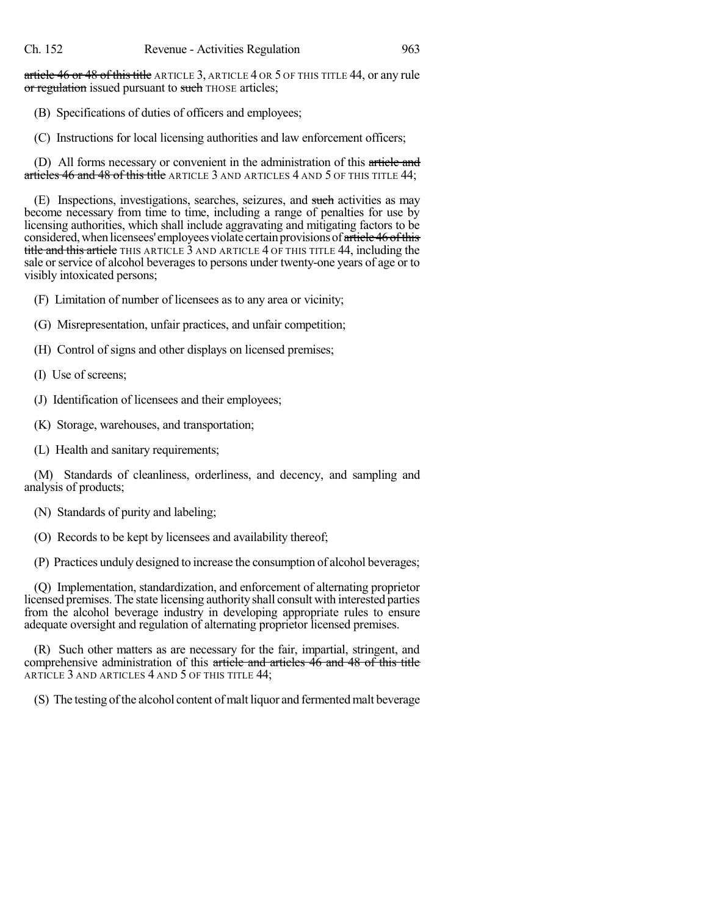article 46 or 48 of this title ARTICLE 3, ARTICLE 4 OR 5 OF THIS TITLE 44, or any rule or regulation issued pursuant to such THOSE articles;

(B) Specifications of duties of officers and employees;

(C) Instructions for local licensing authorities and law enforcement officers;

(D) All forms necessary or convenient in the administration of this article and articles 46 and 48 of this title ARTICLE 3 AND ARTICLES 4 AND 5 OF THIS TITLE 44;

(E) Inspections, investigations, searches, seizures, and such activities as may become necessary from time to time, including a range of penalties for use by licensing authorities, which shall include aggravating and mitigating factors to be considered, when licensees' employees violate certain provisions of article 46 of this title and this article THIS ARTICLE 3 AND ARTICLE 4 OF THIS TITLE 44, including the sale or service of alcohol beverages to persons under twenty-one years of age or to visibly intoxicated persons;

(F) Limitation of number of licensees as to any area or vicinity;

(G) Misrepresentation, unfair practices, and unfair competition;

- (H) Control of signs and other displays on licensed premises;
- (I) Use of screens;
- (J) Identification of licensees and their employees;
- (K) Storage, warehouses, and transportation;
- (L) Health and sanitary requirements;

(M) Standards of cleanliness, orderliness, and decency, and sampling and analysis of products;

(N) Standards of purity and labeling;

(O) Records to be kept by licensees and availability thereof;

(P) Practices unduly designed to increase the consumption of alcohol beverages;

(Q) Implementation, standardization, and enforcement of alternating proprietor licensed premises. The state licensing authority shall consult with interested parties from the alcohol beverage industry in developing appropriate rules to ensure adequate oversight and regulation of alternating proprietor licensed premises.

(R) Such other matters as are necessary for the fair, impartial, stringent, and comprehensive administration of this article and articles 46 and 48 of this title ARTICLE 3 AND ARTICLES 4 AND 5 OF THIS TITLE 44;

(S) The testing of the alcohol content of malt liquor and fermented malt beverage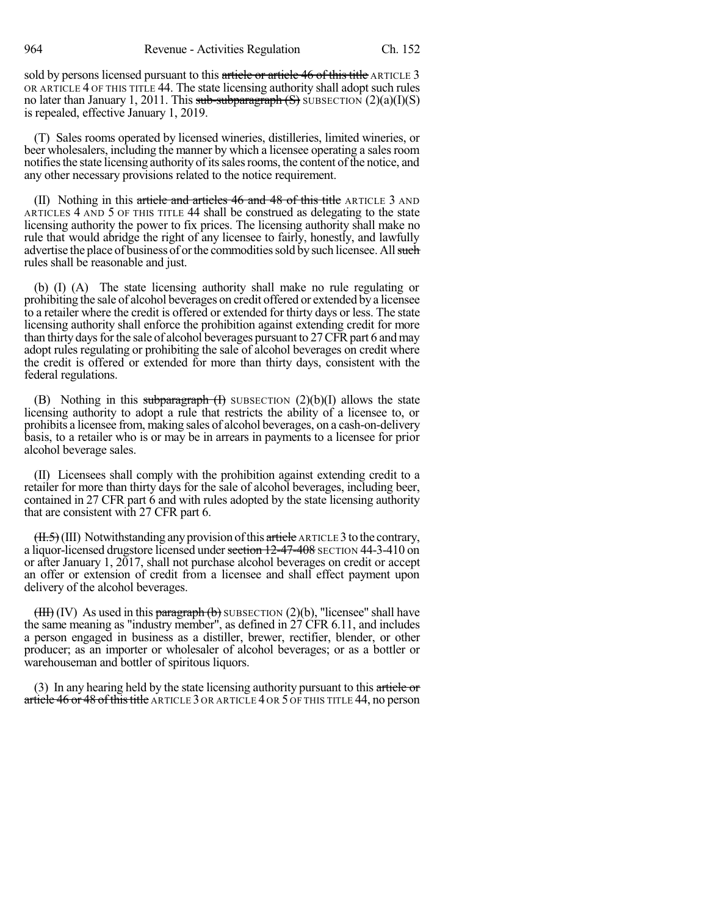sold by persons licensed pursuant to this article or article 46 of this title ARTICLE 3 OR ARTICLE 4 OF THIS TITLE 44. The state licensing authority shall adopt such rules no later than January 1, 2011. This sub-subparagraph  $(S)$  SUBSECTION  $(2)(a)(I)(S)$ is repealed, effective January 1, 2019.

(T) Sales rooms operated by licensed wineries, distilleries, limited wineries, or beer wholesalers, including the manner by which a licensee operating a sales room notifies the state licensing authority of its sales rooms, the content of the notice, and any other necessary provisions related to the notice requirement.

(II) Nothing in this article and articles  $46$  and  $48$  of this title ARTICLE 3 AND ARTICLES 4 AND 5 OF THIS TITLE 44 shall be construed as delegating to the state licensing authority the power to fix prices. The licensing authority shall make no rule that would abridge the right of any licensee to fairly, honestly, and lawfully advertise the place of business of or the commodities sold by such licensee. All such rules shall be reasonable and just.

(b) (I) (A) The state licensing authority shall make no rule regulating or prohibiting the sale of alcohol beverages on credit offered or extended by a licensee to a retailer where the credit is offered or extended for thirty days or less. The state licensing authority shall enforce the prohibition against extending credit for more than thirty days for the sale of alcohol beverages pursuant to 27 CFR part 6 and may adopt rules regulating or prohibiting the sale of alcohol beverages on credit where the credit is offered or extended for more than thirty days, consistent with the federal regulations.

(B) Nothing in this subparagraph  $(H)$  SUBSECTION  $(2)(b)(I)$  allows the state licensing authority to adopt a rule that restricts the ability of a licensee to, or prohibits a licensee from, making sales of alcohol beverages, on a cash-on-delivery basis, to a retailer who is or may be in arrears in payments to a licensee for prior alcohol beverage sales.

(II) Licensees shall comply with the prohibition against extending credit to a retailer for more than thirty days for the sale of alcohol beverages, including beer, contained in 27 CFR part 6 and with rules adopted by the state licensing authority that are consistent with 27 CFR part 6.

 $(H.5)(III)$  Notwithstanding any provision of this article ARTICLE 3 to the contrary, a liquor-licensed drugstore licensed under section 12-47-408 SECTION 44-3-410 on or after January 1, 2017, shall not purchase alcohol beverages on credit or accept an offer or extension of credit from a licensee and shall effect payment upon delivery of the alcohol beverages.

 $(HH)(IV)$  As used in this paragraph (b) SUBSECTION (2)(b), "licensee" shall have the same meaning as "industry member", as defined in 27 CFR 6.11, and includes a person engaged in business as a distiller, brewer, rectifier, blender, or other producer; as an importer or wholesaler of alcohol beverages; or as a bottler or warehouseman and bottler of spiritous liquors.

(3) In any hearing held by the state licensing authority pursuant to this article or article 46 or 48 of this title ARTICLE 3 OR ARTICLE 4 OR 5 OF THIS TITLE 44, no person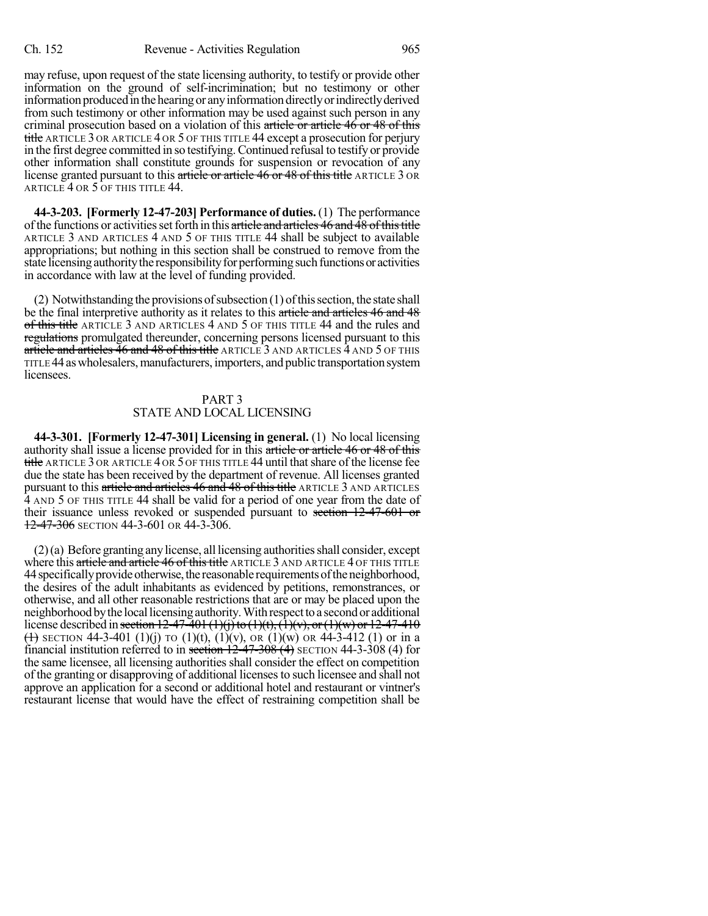may refuse, upon request of the state licensing authority, to testify or provide other information on the ground of self-incrimination; but no testimony or other information produced in the hearing or any information directly or indirectly derived from such testimony or other information may be used against such person in any criminal prosecution based on a violation of this article or article 46 or 48 of this title ARTICLE 3 OR ARTICLE 4 OR 5 OF THIS TITLE 44 except a prosecution for perjury in the first degree committed in so testifying.Continued refusal to testify or provide other information shall constitute grounds for suspension or revocation of any license granted pursuant to this article or article 46 or 48 of this title ARTICLE 3 OR ARTICLE 4 OR 5 OF THIS TITLE 44.

**44-3-203. [Formerly 12-47-203] Performance of duties.** (1) The performance of the functions or activities set forth in this article and articles 46 and 48 of this title ARTICLE 3 AND ARTICLES 4 AND 5 OF THIS TITLE 44 shall be subject to available appropriations; but nothing in this section shall be construed to remove from the state licensing authority the responsibility for performing such functions or activities in accordance with law at the level of funding provided.

 $(2)$  Notwithstanding the provisions of subsection  $(1)$  of this section, the state shall be the final interpretive authority as it relates to this article and articles 46 and 48 of this title ARTICLE 3 AND ARTICLES 4 AND 5 OF THIS TITLE 44 and the rules and regulations promulgated thereunder, concerning persons licensed pursuant to this article and articles  $46$  and  $48$  of this title ARTICLE 3 AND ARTICLES  $\overline{4}$  AND  $\overline{5}$  OF THIS TITLE 44 aswholesalers,manufacturers, importers, and public transportationsystem licensees.

#### PART 3 STATE AND LOCAL LICENSING

**44-3-301. [Formerly 12-47-301] Licensing in general.** (1) No local licensing authority shall issue a license provided for in this article or article 46 or 48 of this title ARTICLE 3 OR ARTICLE 4 OR 5 OF THIS TITLE 44 until that share of the license fee due the state has been received by the department of revenue. All licenses granted pursuant to this article and articles 46 and 48 of this title ARTICLE 3 AND ARTICLES 4 AND 5 OF THIS TITLE 44 shall be valid for a period of one year from the date of their issuance unless revoked or suspended pursuant to section 12-47-601 or 12-47-306 SECTION 44-3-601 OR 44-3-306.

 $(2)(a)$  Before granting any license, all licensing authorities shall consider, except where this article and article 46 of this title ARTICLE 3 AND ARTICLE 4 OF THIS TITLE 44 specifically provide otherwise, the reasonable requirements of the neighborhood, the desires of the adult inhabitants as evidenced by petitions, remonstrances, or otherwise, and all other reasonable restrictions that are or may be placed upon the neighborhood by the local licensing authority. With respect to a second or additional license described in <del>section 12-47-401 (1)(j) to (1)(t), (1)(v), or (1)(w) or 12-47-410</del> (A) SECTION 44-3-401 (1)(j) TO (1)(t), (1)(y), OR (1)(w) OR 44-3-412 (1) or in a financial institution referred to in section  $12-47-308(4)$  SECTION 44-3-308 (4) for the same licensee, all licensing authorities shall consider the effect on competition of the granting or disapproving of additional licensesto such licensee and shall not approve an application for a second or additional hotel and restaurant or vintner's restaurant license that would have the effect of restraining competition shall be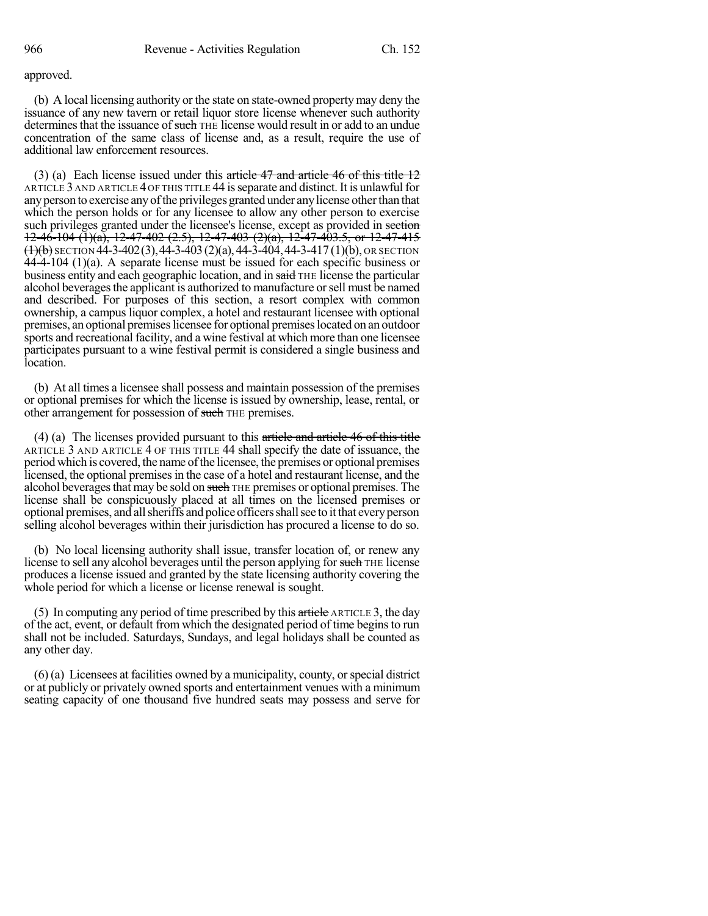#### approved.

(b) A local licensing authority or the state on state-owned propertymay deny the issuance of any new tavern or retail liquor store license whenever such authority determines that the issuance of such THE license would result in or add to an undue concentration of the same class of license and, as a result, require the use of additional law enforcement resources.

(3) (a) Each license issued under this article  $47$  and article  $46$  of this title  $12$ ARTICLE 3 AND ARTICLE 4 OF THIS TITLE 44 isseparate and distinct. It is unlawful for anyperson to exercise anyofthe privileges granted under anylicense otherthan that which the person holds or for any licensee to allow any other person to exercise such privileges granted under the licensee's license, except as provided in section  $12-46-104$  (1)(a), 12-47-402 (2.5), 12-47-403 (2)(a), 12-47-403.5, or 12-47-415  $(1)(b)$  SECTION 44-3-402(3), 44-3-403 (2)(a), 44-3-404, 44-3-417 (1)(b), OR SECTION 44-4-104 (1)(a). A separate license must be issued for each specific business or business entity and each geographic location, and in said THE license the particular alcohol beverages the applicant is authorized to manufacture or sell must be named and described. For purposes of this section, a resort complex with common ownership, a campus liquor complex, a hotel and restaurant licensee with optional premises, an optional premiseslicensee for optional premiseslocated on an outdoor sports and recreational facility, and a wine festival at which more than one licensee participates pursuant to a wine festival permit is considered a single business and location.

(b) At all times a licensee shall possess and maintain possession of the premises or optional premises for which the license is issued by ownership, lease, rental, or other arrangement for possession of such THE premises.

(4) (a) The licenses provided pursuant to this article and article 46 of this title ARTICLE 3 AND ARTICLE 4 OF THIS TITLE 44 shall specify the date of issuance, the period which is covered, the name ofthe licensee, the premises or optional premises licensed, the optional premises in the case of a hotel and restaurant license, and the alcohol beverages that may be sold on such THE premises or optional premises. The license shall be conspicuously placed at all times on the licensed premises or optional premises, and allsheriffs and police officersshallsee to it that everyperson selling alcohol beverages within their jurisdiction has procured a license to do so.

(b) No local licensing authority shall issue, transfer location of, or renew any license to sell any alcohol beverages until the person applying for such THE license produces a license issued and granted by the state licensing authority covering the whole period for which a license or license renewal is sought.

(5) In computing any period of time prescribed by this article ARTICLE 3, the day of the act, event, or default from which the designated period of time beginsto run shall not be included. Saturdays, Sundays, and legal holidays shall be counted as any other day.

 $(6)$  (a) Licensees at facilities owned by a municipality, county, or special district or at publicly or privately owned sports and entertainment venues with a minimum seating capacity of one thousand five hundred seats may possess and serve for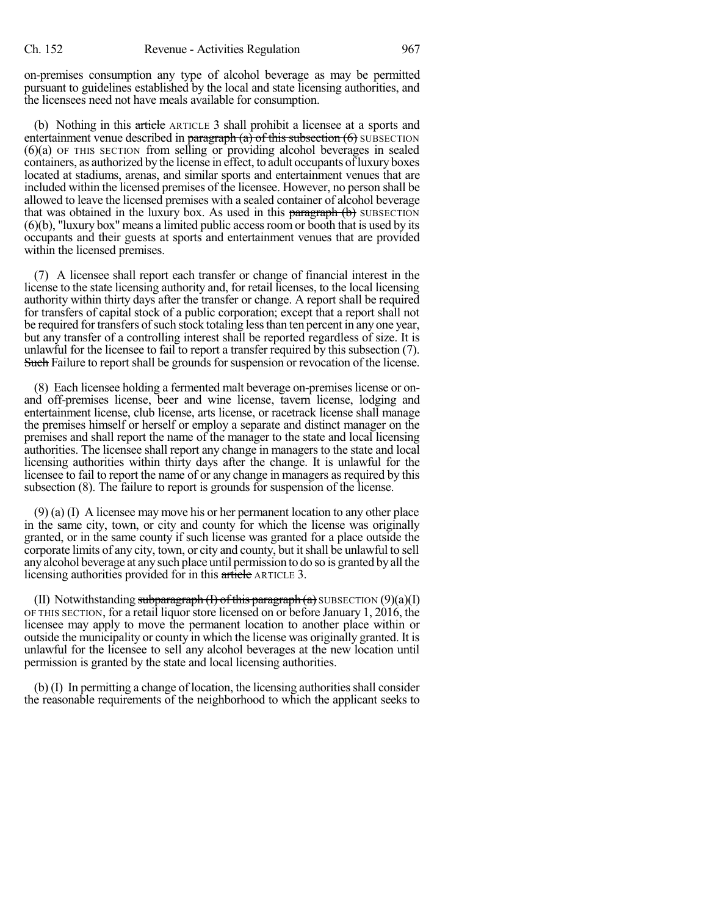on-premises consumption any type of alcohol beverage as may be permitted pursuant to guidelines established by the local and state licensing authorities, and the licensees need not have meals available for consumption.

(b) Nothing in this article ARTICLE 3 shall prohibit a licensee at a sports and entertainment venue described in  $\frac{\text{parameter of}}{\text{mean}}$  (a) of this subsection (6) SUBSECTION (6)(a) OF THIS SECTION from selling or providing alcohol beverages in sealed containers, as authorized by the license in effect, to adult occupants of luxury boxes located at stadiums, arenas, and similar sports and entertainment venues that are included within the licensed premises of the licensee. However, no person shall be allowed to leave the licensed premises with a sealed container of alcohol beverage that was obtained in the luxury box. As used in this  $\frac{\text{parameter of}}{\text{mean}}$  (b) SUBSECTION  $(6)(b)$ , "luxury box" means a limited public access room or booth that is used by its occupants and their guests at sports and entertainment venues that are provided within the licensed premises.

(7) A licensee shall report each transfer or change of financial interest in the license to the state licensing authority and, for retail licenses, to the local licensing authority within thirty days after the transfer or change. A report shall be required for transfers of capital stock of a public corporation; except that a report shall not be required for transfers of such stock totaling less than ten percent in any one year, but any transfer of a controlling interest shall be reported regardless of size. It is unlawful for the licensee to fail to report a transfer required by this subsection (7). Such Failure to report shall be grounds for suspension or revocation of the license.

(8) Each licensee holding a fermented malt beverage on-premiseslicense or onand off-premises license, beer and wine license, tavern license, lodging and entertainment license, club license, arts license, or racetrack license shall manage the premises himself or herself or employ a separate and distinct manager on the premises and shall report the name of the manager to the state and local licensing authorities. The licensee shall report any change in managers to the state and local licensing authorities within thirty days after the change. It is unlawful for the licensee to fail to report the name of or any change in managers as required by this subsection (8). The failure to report is grounds for suspension of the license.

(9) (a) (I) A licensee may move his or her permanent location to any other place in the same city, town, or city and county for which the license was originally granted, or in the same county if such license was granted for a place outside the corporate limits of any city, town, or city and county, but it shall be unlawful to sell anyalcohol beverage at anysuch place until permission to do so is granted byall the licensing authorities provided for in this article ARTICLE 3.

(II) Notwithstanding subparagraph  $(I)$  of this paragraph  $(a)$  SUBSECTION  $(9)(a)(I)$ OF THIS SECTION, for a retail liquor store licensed on or before January 1, 2016, the licensee may apply to move the permanent location to another place within or outside the municipality or county in which the license was originally granted. It is unlawful for the licensee to sell any alcohol beverages at the new location until permission is granted by the state and local licensing authorities.

 $(b)$  (I) In permitting a change of location, the licensing authorities shall consider the reasonable requirements of the neighborhood to which the applicant seeks to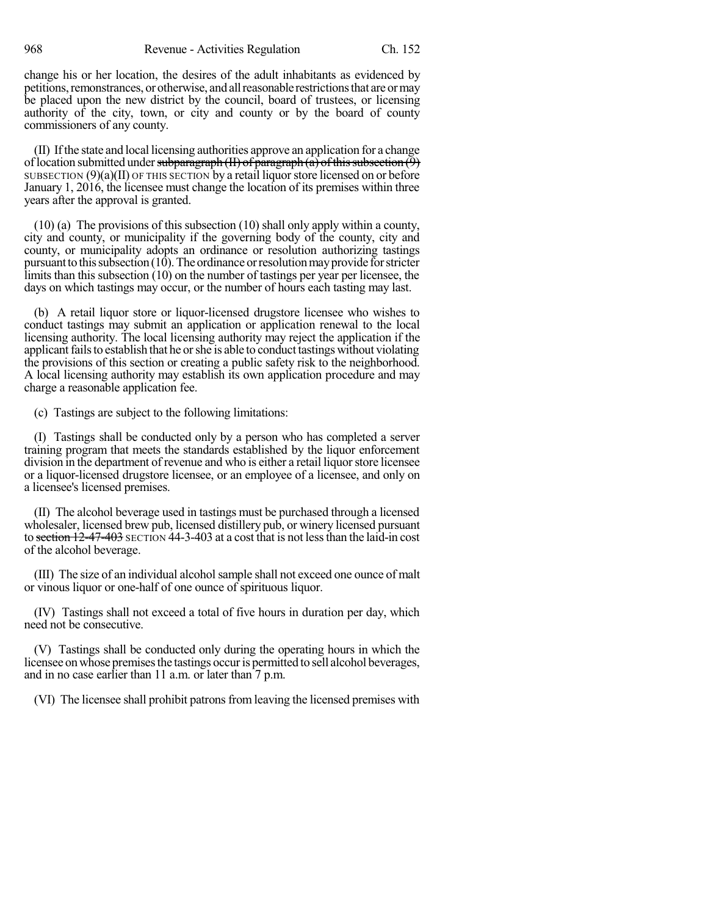change his or her location, the desires of the adult inhabitants as evidenced by petitions, remonstrances, or otherwise, and all reasonable restrictions that are or may be placed upon the new district by the council, board of trustees, or licensing authority of the city, town, or city and county or by the board of county commissioners of any county.

(II) Ifthe state and local licensing authorities approve an application for a change of location submitted under subparagraph (II) of paragraph (a) of this subsection  $(9)$ SUBSECTION  $(9)(a)(II)$  OF THIS SECTION by a retail liquor store licensed on or before January 1, 2016, the licensee must change the location of its premises within three years after the approval is granted.

(10) (a) The provisions of this subsection (10) shall only apply within a county, city and county, or municipality if the governing body of the county, city and county, or municipality adopts an ordinance or resolution authorizing tastings pursuant to this subsection  $(10)$ . The ordinance or resolution may provide for stricter limits than this subsection (10) on the number of tastings per year per licensee, the days on which tastings may occur, or the number of hours each tasting may last.

(b) A retail liquor store or liquor-licensed drugstore licensee who wishes to conduct tastings may submit an application or application renewal to the local licensing authority. The local licensing authority may reject the application if the applicant fails to establish that he or she is able to conduct tastings without violating the provisions of this section or creating a public safety risk to the neighborhood. A local licensing authority may establish its own application procedure and may charge a reasonable application fee.

(c) Tastings are subject to the following limitations:

(I) Tastings shall be conducted only by a person who has completed a server training program that meets the standards established by the liquor enforcement division in the department of revenue and who is either a retail liquor store licensee or a liquor-licensed drugstore licensee, or an employee of a licensee, and only on a licensee's licensed premises.

(II) The alcohol beverage used in tastings must be purchased through a licensed wholesaler, licensed brew pub, licensed distillery pub, or winery licensed pursuant to section 12-47-403 SECTION 44-3-403 at a cost that is not lessthan the laid-in cost of the alcohol beverage.

(III) The size of an individual alcohol sample shall not exceed one ounce of malt or vinous liquor or one-half of one ounce of spirituous liquor.

(IV) Tastings shall not exceed a total of five hours in duration per day, which need not be consecutive.

(V) Tastings shall be conducted only during the operating hours in which the licensee on whose premises the tastings occur is permitted to sell alcohol beverages, and in no case earlier than 11 a.m. or later than 7 p.m.

(VI) The licensee shall prohibit patronsfrom leaving the licensed premises with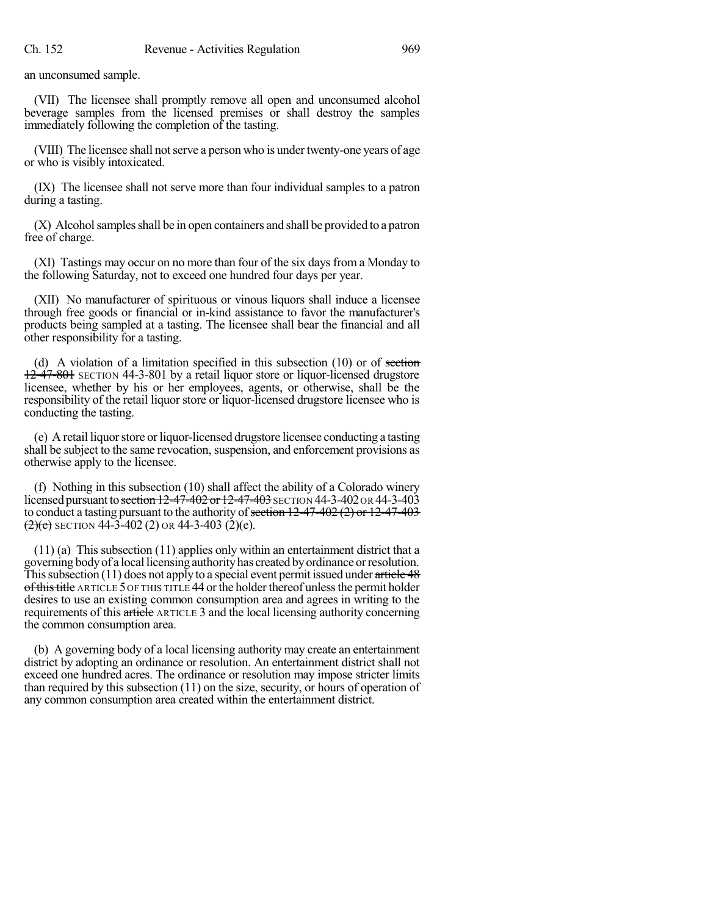an unconsumed sample.

(VII) The licensee shall promptly remove all open and unconsumed alcohol beverage samples from the licensed premises or shall destroy the samples immediately following the completion of the tasting.

(VIII) The licensee shall not serve a person who is under twenty-one years of age or who is visibly intoxicated.

(IX) The licensee shall not serve more than four individual samples to a patron during a tasting.

(X) Alcoholsamplesshall be in open containers and shall be provided to a patron free of charge.

(XI) Tastings may occur on no more than four of the six days from a Monday to the following Saturday, not to exceed one hundred four days per year.

(XII) No manufacturer of spirituous or vinous liquors shall induce a licensee through free goods or financial or in-kind assistance to favor the manufacturer's products being sampled at a tasting. The licensee shall bear the financial and all other responsibility for a tasting.

(d) A violation of a limitation specified in this subsection  $(10)$  or of section 12-47-801 SECTION 44-3-801 by a retail liquor store or liquor-licensed drugstore licensee, whether by his or her employees, agents, or otherwise, shall be the responsibility of the retail liquor store or liquor-licensed drugstore licensee who is conducting the tasting.

(e) A retail liquor store or liquor-licensed drugstore licensee conducting a tasting shall be subject to the same revocation, suspension, and enforcement provisions as otherwise apply to the licensee.

(f) Nothing in this subsection (10) shall affect the ability of a Colorado winery licensed pursuant to section  $12-47-402$  or  $12-47-403$  SECTION 44-3-402 OR 44-3-403 to conduct a tasting pursuant to the authority of section  $12-47-402$  (2) or  $12-47-403$  $\left(\frac{2}{e}\right)$  SECTION 44-3-402 (2) OR 44-3-403 (2)(e).

(11) (a) This subsection (11) applies only within an entertainment district that a governing bodyof a locallicensing authorityhas created byordinance orresolution. This subsection (11) does not apply to a special event permit issued under article  $48$ of this title ARTICLE 5 OF THIS TITLE 44 or the holder thereof unless the permit holder desires to use an existing common consumption area and agrees in writing to the requirements of this article ARTICLE 3 and the local licensing authority concerning the common consumption area.

(b) A governing body of a local licensing authority may create an entertainment district by adopting an ordinance or resolution. An entertainment district shall not exceed one hundred acres. The ordinance or resolution may impose stricter limits than required by this subsection (11) on the size, security, or hours of operation of any common consumption area created within the entertainment district.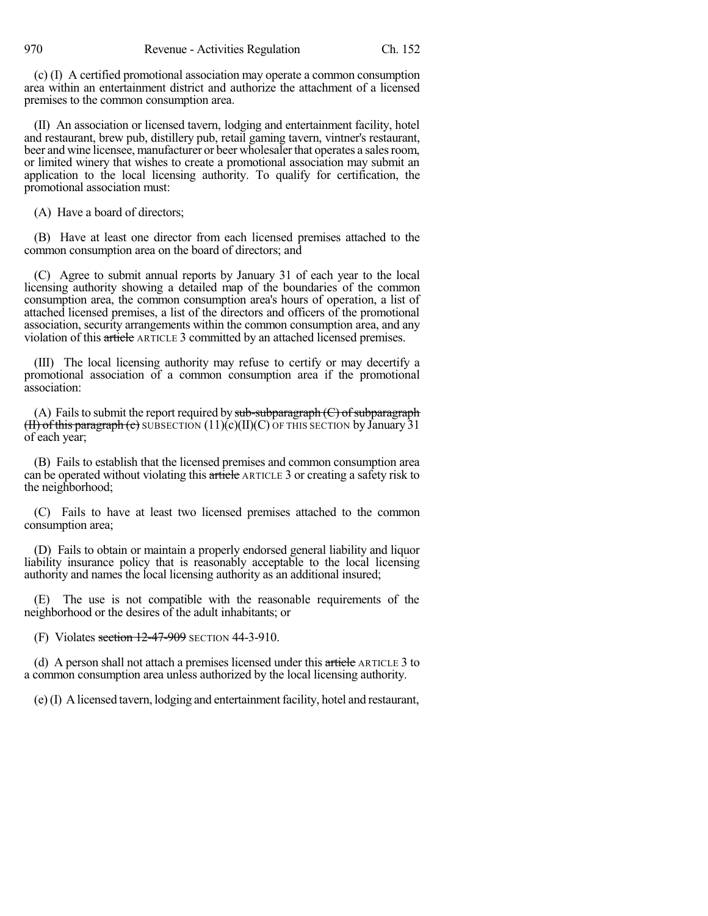(c) (I) A certified promotional association may operate a common consumption area within an entertainment district and authorize the attachment of a licensed premises to the common consumption area.

(II) An association or licensed tavern, lodging and entertainment facility, hotel and restaurant, brew pub, distillery pub, retail gaming tavern, vintner's restaurant, beer and wine licensee, manufacturer or beer wholesaler that operates a sales room, or limited winery that wishes to create a promotional association may submit an application to the local licensing authority. To qualify for certification, the promotional association must:

(A) Have a board of directors;

(B) Have at least one director from each licensed premises attached to the common consumption area on the board of directors; and

(C) Agree to submit annual reports by January 31 of each year to the local licensing authority showing a detailed map of the boundaries of the common consumption area, the common consumption area's hours of operation, a list of attached licensed premises, a list of the directors and officers of the promotional association, security arrangements within the common consumption area, and any violation of this article ARTICLE 3 committed by an attached licensed premises.

(III) The local licensing authority may refuse to certify or may decertify a promotional association of a common consumption area if the promotional association:

(A) Fails to submit the report required by  $sub-subparagraph$  (C) of subparagraph (II) of this paragraph (e) SUBSECTION  $(11)(c)(II)(C)$  OF THIS SECTION by January 31 of each year;

(B) Fails to establish that the licensed premises and common consumption area can be operated without violating this article ARTICLE 3 or creating a safety risk to the neighborhood;

(C) Fails to have at least two licensed premises attached to the common consumption area;

(D) Fails to obtain or maintain a properly endorsed general liability and liquor liability insurance policy that is reasonably acceptable to the local licensing authority and names the local licensing authority as an additional insured;

(E) The use is not compatible with the reasonable requirements of the neighborhood or the desires of the adult inhabitants; or

(F) Violates section 12-47-909 SECTION 44-3-910.

(d) A person shall not attach a premises licensed under this  $\frac{a}{a + b}$  ARTICLE 3 to a common consumption area unless authorized by the local licensing authority.

(e) (I) A licensed tavern, lodging and entertainment facility, hotel and restaurant,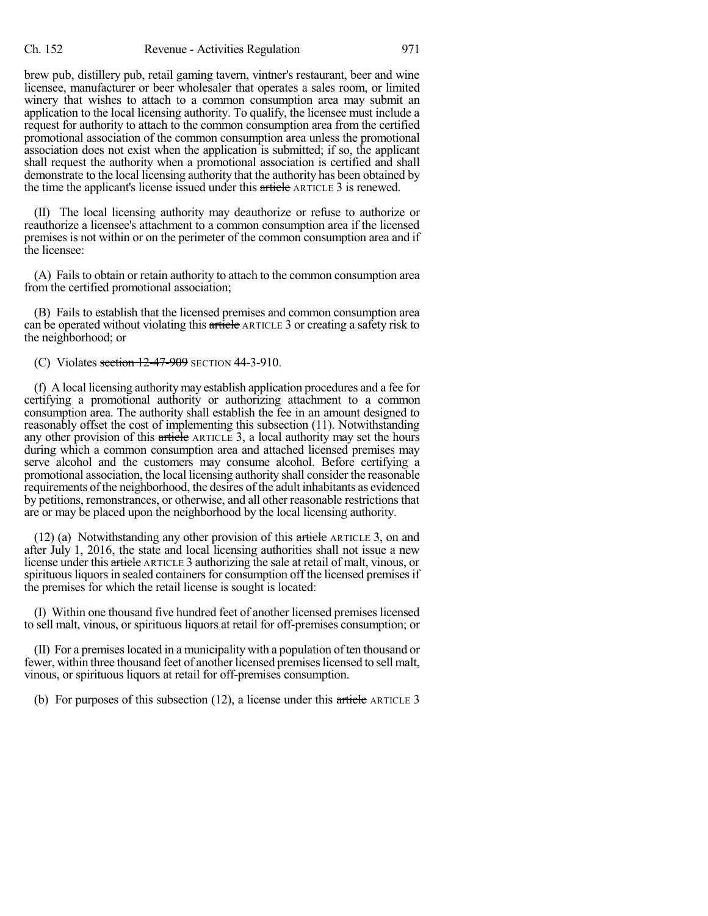brew pub, distillery pub, retail gaming tavern, vintner's restaurant, beer and wine licensee, manufacturer or beer wholesaler that operates a sales room, or limited winery that wishes to attach to a common consumption area may submit an application to the local licensing authority. To qualify, the licensee must include a request for authority to attach to the common consumption area from the certified promotional association of the common consumption area unless the promotional association does not exist when the application is submitted; if so, the applicant shall request the authority when a promotional association is certified and shall demonstrate to the local licensing authority that the authority has been obtained by the time the applicant's license issued under this article ARTICLE 3 is renewed.

(II) The local licensing authority may deauthorize or refuse to authorize or reauthorize a licensee's attachment to a common consumption area if the licensed premises is not within or on the perimeter of the common consumption area and if the licensee:

(A) Fails to obtain or retain authority to attach to the common consumption area from the certified promotional association;

(B) Fails to establish that the licensed premises and common consumption area can be operated without violating this article ARTICLE 3 or creating a safety risk to the neighborhood; or

(C) Violates section  $12-47-909$  SECTION 44-3-910.

(f) A local licensing authoritymay establish application procedures and a fee for certifying a promotional authority or authorizing attachment to a common consumption area. The authority shall establish the fee in an amount designed to reasonably offset the cost of implementing this subsection (11). Notwithstanding any other provision of this article ARTICLE 3, a local authority may set the hours during which a common consumption area and attached licensed premises may serve alcohol and the customers may consume alcohol. Before certifying a promotional association, the local licensing authority shall consider the reasonable requirements ofthe neighborhood, the desires of the adult inhabitants as evidenced by petitions, remonstrances, or otherwise, and all other reasonable restrictions that are or may be placed upon the neighborhood by the local licensing authority.

(12) (a) Notwithstanding any other provision of this article ARTICLE 3, on and after July 1, 2016, the state and local licensing authorities shall not issue a new license under this article ARTICLE 3 authorizing the sale at retail of malt, vinous, or spirituous liquors in sealed containers for consumption off the licensed premises if the premises for which the retail license is sought is located:

(I) Within one thousand five hundred feet of another licensed premises licensed to sell malt, vinous, or spirituous liquors at retail for off-premises consumption; or

(II) For a premiseslocated in a municipality with a population often thousand or fewer, within three thousand feet of another licensed premises licensed to sell malt, vinous, or spirituous liquors at retail for off-premises consumption.

(b) For purposes of this subsection (12), a license under this article ARTICLE 3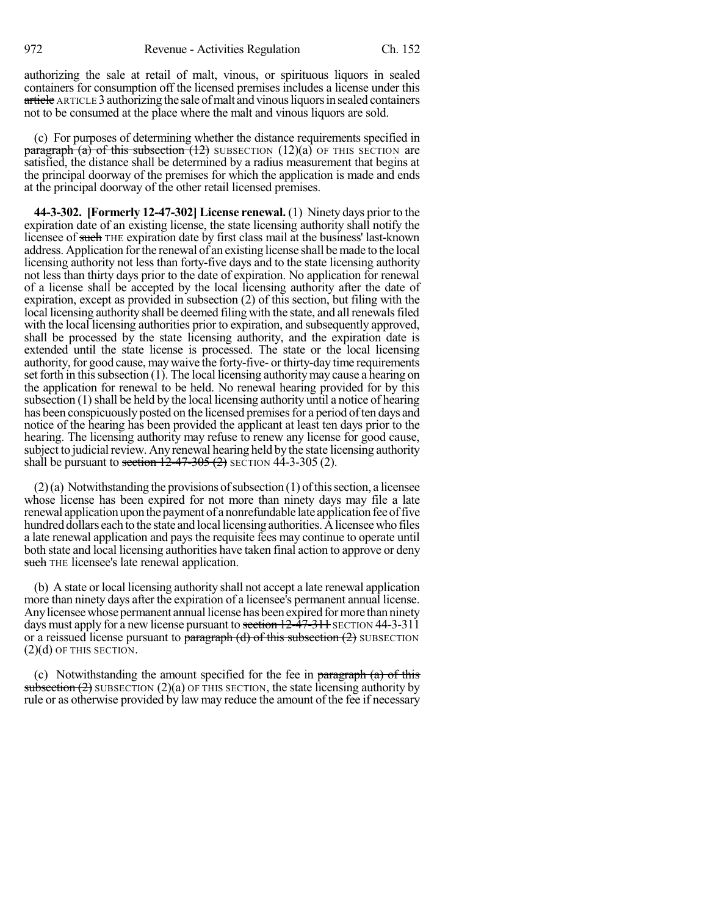authorizing the sale at retail of malt, vinous, or spirituous liquors in sealed containers for consumption off the licensed premises includes a license under this article ARTICLE 3 authorizing the sale of malt and vinous liquors in sealed containers not to be consumed at the place where the malt and vinous liquors are sold.

(c) For purposes of determining whether the distance requirements specified in **paragraph** (a) of this subsection  $(12)$  SUBSECTION  $(12)(a)$  OF THIS SECTION are satisfied, the distance shall be determined by a radius measurement that begins at the principal doorway of the premises for which the application is made and ends at the principal doorway of the other retail licensed premises.

**44-3-302. [Formerly 12-47-302] License renewal.** (1) Ninety days prior to the expiration date of an existing license, the state licensing authority shall notify the licensee of such THE expiration date by first class mail at the business' last-known address. Application forthe renewal of an existing license shall bemade to the local licensing authority not less than forty-five days and to the state licensing authority not less than thirty days prior to the date of expiration. No application for renewal of a license shall be accepted by the local licensing authority after the date of expiration, except as provided in subsection (2) of this section, but filing with the local licensing authority shall be deemed filing with the state, and all renewals filed with the local licensing authorities prior to expiration, and subsequently approved, shall be processed by the state licensing authority, and the expiration date is extended until the state license is processed. The state or the local licensing authority, for good cause, may waive the forty-five- or thirty-day time requirements set forth in this subsection  $(1)$ . The local licensing authority may cause a hearing on the application for renewal to be held. No renewal hearing provided for by this subsection  $(1)$  shall be held by the local licensing authority until a notice of hearing has been conspicuously posted on the licensed premises for a period of ten days and notice of the hearing has been provided the applicant at least ten days prior to the hearing. The licensing authority may refuse to renew any license for good cause, subject to judicial review. Any renewal hearing held by the state licensing authority shall be pursuant to section  $12-47-305(2)$  SECTION 44-3-305 (2).

 $(2)$ (a) Notwithstanding the provisions of subsection (1) of this section, a licensee whose license has been expired for not more than ninety days may file a late renewal application upon the payment of a nonrefundable late application fee of five hundred dollars each to the state and local licensing authorities. A licensee who files a late renewal application and pays the requisite fees may continue to operate until both state and local licensing authorities have taken final action to approve or deny such THE licensee's late renewal application.

(b) A state or local licensing authority shall not accept a late renewal application more than ninety days after the expiration of a licensee's permanent annual license. Any licensee whose permanent annual license has been expired for more than ninety days must apply for a new license pursuant to section  $12-47-311$  SECTION  $44-3-311$ or a reissued license pursuant to paragraph (d) of this subsection  $(2)$  SUBSECTION  $(2)(d)$  OF THIS SECTION.

(c) Notwithstanding the amount specified for the fee in  $\frac{\text{parameter of}}{\text{mean}}$ subsection  $(2)$  SUBSECTION  $(2)(a)$  OF THIS SECTION, the state licensing authority by rule or as otherwise provided by law may reduce the amount of the fee if necessary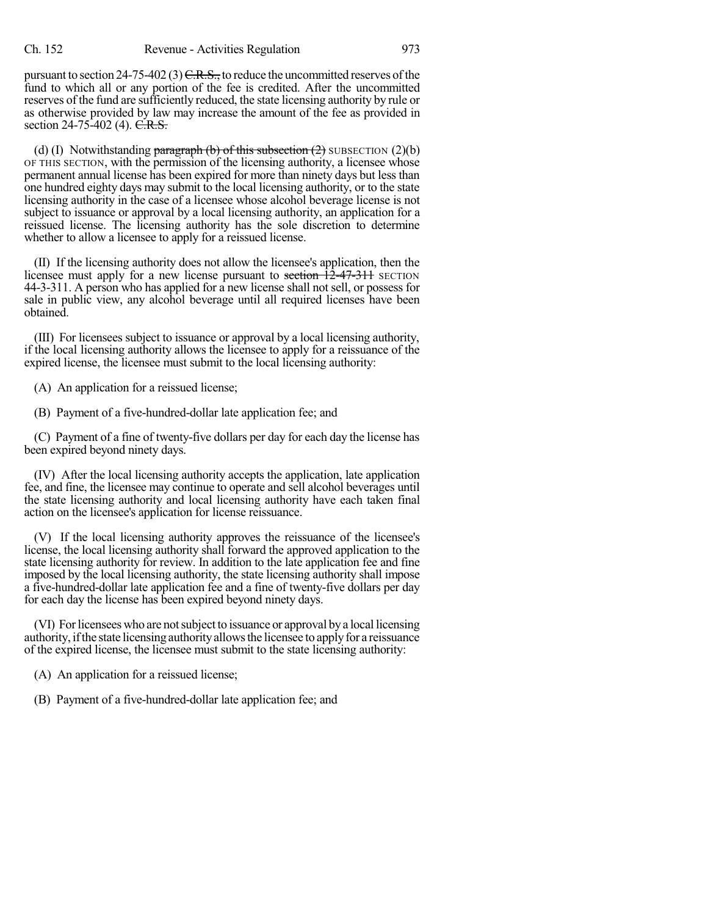pursuant to section 24-75-402 (3)  $C.R.S.,$  to reduce the uncommitted reserves of the fund to which all or any portion of the fee is credited. After the uncommitted reserves of the fund are sufficiently reduced, the state licensing authority by rule or as otherwise provided by law may increase the amount of the fee as provided in section 24-75-402 (4). C.R.S.

(d) (I) Notwithstanding paragraph (b) of this subsection  $(2)$  SUBSECTION  $(2)(b)$ OF THIS SECTION, with the permission of the licensing authority, a licensee whose permanent annual license has been expired for more than ninety days but less than one hundred eighty days may submit to the local licensing authority, or to the state licensing authority in the case of a licensee whose alcohol beverage license is not subject to issuance or approval by a local licensing authority, an application for a reissued license. The licensing authority has the sole discretion to determine whether to allow a licensee to apply for a reissued license.

(II) If the licensing authority does not allow the licensee's application, then the licensee must apply for a new license pursuant to section  $\frac{12-47-311}{2}$  SECTION 44-3-311. A person who has applied for a new license shall not sell, or possess for sale in public view, any alcohol beverage until all required licenses have been obtained.

(III) For licensees subject to issuance or approval by a local licensing authority, if the local licensing authority allows the licensee to apply for a reissuance of the expired license, the licensee must submit to the local licensing authority:

(A) An application for a reissued license;

(B) Payment of a five-hundred-dollar late application fee; and

(C) Payment of a fine of twenty-five dollars per day for each day the license has been expired beyond ninety days.

(IV) After the local licensing authority accepts the application, late application fee, and fine, the licensee may continue to operate and sell alcohol beverages until the state licensing authority and local licensing authority have each taken final action on the licensee's application for license reissuance.

(V) If the local licensing authority approves the reissuance of the licensee's license, the local licensing authority shall forward the approved application to the state licensing authority for review. In addition to the late application fee and fine imposed by the local licensing authority, the state licensing authority shall impose a five-hundred-dollar late application fee and a fine of twenty-five dollars per day for each day the license has been expired beyond ninety days.

(VI) Forlicensees who are notsubject to issuance or approval bya local licensing authority, if the state licensing authority allows the licensee to apply for a reissuance of the expired license, the licensee must submit to the state licensing authority:

(A) An application for a reissued license;

(B) Payment of a five-hundred-dollar late application fee; and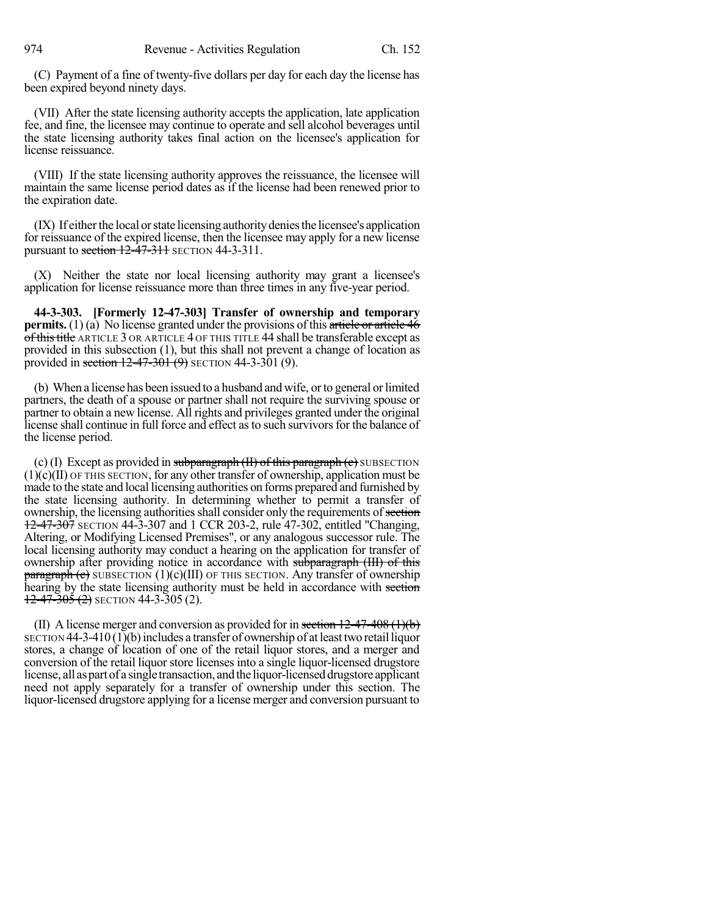(C) Payment of a fine of twenty-five dollars per day for each day the license has been expired beyond ninety days.

(VII) After the state licensing authority accepts the application, late application fee, and fine, the licensee may continue to operate and sell alcohol beverages until the state licensing authority takes final action on the licensee's application for license reissuance.

(VIII) If the state licensing authority approves the reissuance, the licensee will maintain the same license period dates as if the license had been renewed prior to the expiration date.

 $(IX)$  If either the local or state licensing authority denies the licensee's application for reissuance of the expired license, then the licensee may apply for a new license pursuant to section  $12-47-311$  SECTION 44-3-311.

(X) Neither the state nor local licensing authority may grant a licensee's application for license reissuance more than three times in any five-year period.

**44-3-303. [Formerly 12-47-303] Transfer of ownership and temporary permits.** (1) (a) No license granted under the provisions of this article or article 46 of this title ARTICLE 3 OR ARTICLE 4 OF THIS TITLE 44 shall be transferable except as provided in this subsection (1), but this shall not prevent a change of location as provided in section  $12-47-301(9)$  SECTION 44-3-301 (9).

(b) When a license has been issued to a husband and wife, or to general or limited partners, the death of a spouse or partner shall not require the surviving spouse or partner to obtain a new license. All rights and privileges granted under the original license shall continue in full force and effect as to such survivors for the balance of the license period.

(c) (I) Except as provided in subparagraph  $(H)$  of this paragraph  $(c)$  SUBSECTION (1)(c)(II) OF THIS SECTION, for any other transfer of ownership, application must be made to the state and local licensing authorities on forms prepared and furnished by the state licensing authority. In determining whether to permit a transfer of ownership, the licensing authorities shall consider only the requirements of section 12-47-307 SECTION 44-3-307 and 1 CCR 203-2, rule 47-302, entitled "Changing, Altering, or Modifying Licensed Premises", or any analogous successor rule. The local licensing authority may conduct a hearing on the application for transfer of ownership after providing notice in accordance with subparagraph (III) of this  $\frac{\text{parameter of}}{\text{parameter of}}$  SUBSECTION (1)(c)(III) OF THIS SECTION. Any transfer of ownership hearing by the state licensing authority must be held in accordance with section  $12-47-305(2)$  SECTION 44-3-305 (2).

(II) A license merger and conversion as provided for in section  $12-47-408$  (1)(b)  $S_{\text{ECTION}}$  44-3-410 (1)(b) includes a transfer of ownership of at least two retail liquor stores, a change of location of one of the retail liquor stores, and a merger and conversion of the retail liquor store licenses into a single liquor-licensed drugstore license, all as part of a single transaction, and the liquor-licensed drugstore applicant need not apply separately for a transfer of ownership under this section. The liquor-licensed drugstore applying for a license merger and conversion pursuant to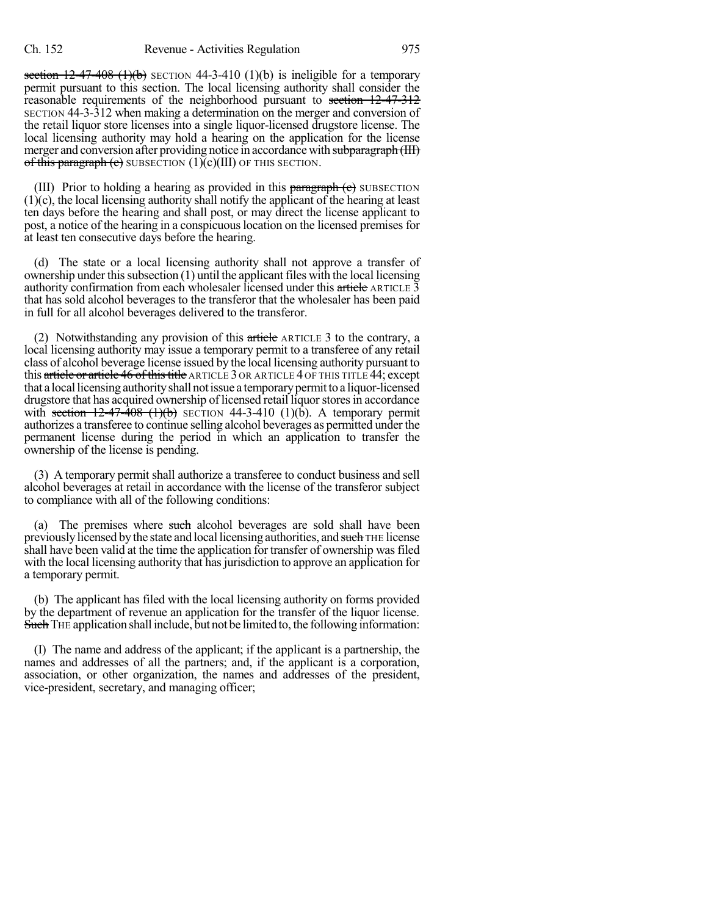section  $12-47-408$  (1)(b) SECTION 44-3-410 (1)(b) is ineligible for a temporary permit pursuant to this section. The local licensing authority shall consider the reasonable requirements of the neighborhood pursuant to section 12-47-312 SECTION 44-3-312 when making a determination on the merger and conversion of the retail liquor store licenses into a single liquor-licensed drugstore license. The local licensing authority may hold a hearing on the application for the license merger and conversion after providing notice in accordance with subparagraph (III) of this paragraph (e) SUBSECTION  $(1)(c)(III)$  OF THIS SECTION.

(III) Prior to holding a hearing as provided in this  $\frac{1}{2}$  paragraph (c) SUBSECTION (1)(c), the local licensing authority shall notify the applicant of the hearing at least ten days before the hearing and shall post, or may direct the license applicant to post, a notice of the hearing in a conspicuouslocation on the licensed premises for at least ten consecutive days before the hearing.

(d) The state or a local licensing authority shall not approve a transfer of ownership under this subsection  $(1)$  until the applicant files with the local licensing authority confirmation from each wholesaler licensed under this article ARTICLE  $\bar{3}$ that has sold alcohol beverages to the transferor that the wholesaler has been paid in full for all alcohol beverages delivered to the transferor.

(2) Notwithstanding any provision of this  $\alpha$  article ARTICLE 3 to the contrary, a local licensing authority may issue a temporary permit to a transferee of any retail class of alcohol beverage license issued by the local licensing authority pursuant to this article or article 46 of this title ARTICLE 3 OR ARTICLE 4 OF THIS TITLE 44; except that a local licensing authority shall not issue a temporary permit to a liquor-licensed drugstore that has acquired ownership of licensed retail liquor stores in accordance with section  $12-47-408$  (1)(b) SECTION 44-3-410 (1)(b). A temporary permit authorizes a transferee to continue selling alcohol beverages as permitted under the permanent license during the period in which an application to transfer the ownership of the license is pending.

(3) A temporary permit shall authorize a transferee to conduct business and sell alcohol beverages at retail in accordance with the license of the transferor subject to compliance with all of the following conditions:

(a) The premises where such alcohol beverages are sold shall have been previously licensed by the state and local licensing authorities, and such THE license shall have been valid at the time the application for transfer of ownership was filed with the local licensing authority that has jurisdiction to approve an application for a temporary permit.

(b) The applicant has filed with the local licensing authority on forms provided by the department of revenue an application for the transfer of the liquor license. Such THE application shall include, but not be limited to, the following information:

(I) The name and address of the applicant; if the applicant is a partnership, the names and addresses of all the partners; and, if the applicant is a corporation, association, or other organization, the names and addresses of the president, vice-president, secretary, and managing officer;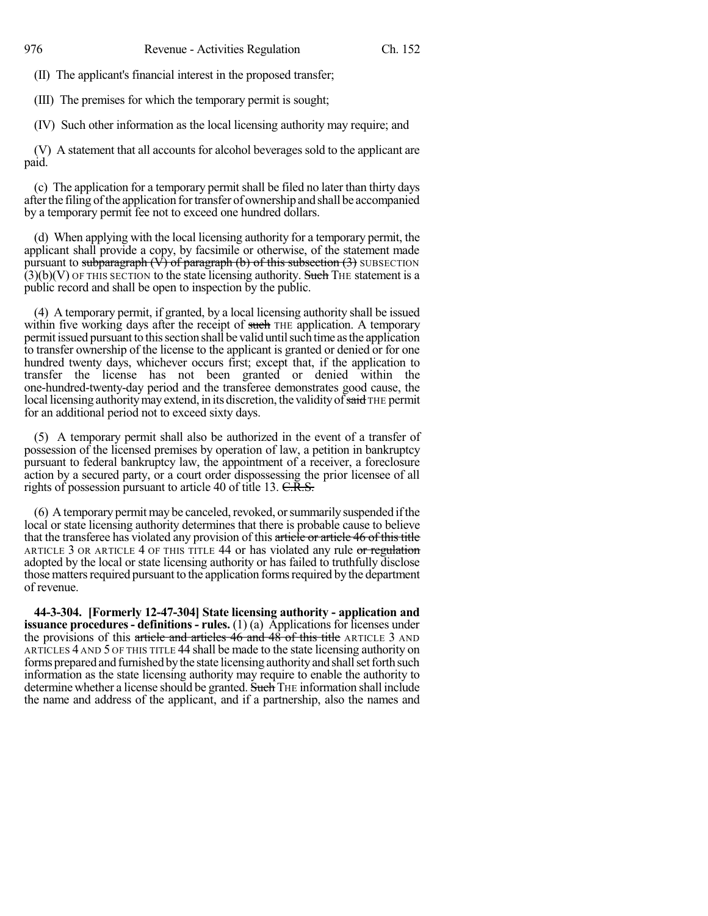(II) The applicant's financial interest in the proposed transfer;

(III) The premises for which the temporary permit is sought;

(IV) Such other information as the local licensing authority may require; and

(V) A statement that all accounts for alcohol beverages sold to the applicant are paid.

(c) The application for a temporary permit shall be filed no later than thirty days after the filing of the application for transfer of ownership and shall be accompanied by a temporary permit fee not to exceed one hundred dollars.

(d) When applying with the local licensing authority for a temporary permit, the applicant shall provide a copy, by facsimile or otherwise, of the statement made pursuant to subparagraph  $(\hat{V})$  of paragraph (b) of this subsection (3) SUBSECTION  $(3)(b)(V)$  OF THIS SECTION to the state licensing authority. Such THE statement is a public record and shall be open to inspection by the public.

(4) A temporary permit, if granted, by a local licensing authority shall be issued within five working days after the receipt of such THE application. A temporary permit issued pursuant to this section shall be valid until such time as the application to transfer ownership of the license to the applicant is granted or denied or for one hundred twenty days, whichever occurs first; except that, if the application to transfer the license has not been granted or denied within the one-hundred-twenty-day period and the transferee demonstrates good cause, the local licensing authority may extend, in its discretion, the validity of  $\overline{s}$  and THE permit for an additional period not to exceed sixty days.

(5) A temporary permit shall also be authorized in the event of a transfer of possession of the licensed premises by operation of law, a petition in bankruptcy pursuant to federal bankruptcy law, the appointment of a receiver, a foreclosure action by a secured party, or a court order dispossessing the prior licensee of all rights of possession pursuant to article 40 of title 13. C.R.S.

 $(6)$  A temporary permit may be canceled, revoked, or summarily suspended if the local or state licensing authority determines that there is probable cause to believe that the transferee has violated any provision of this article or article 46 of this title ARTICLE 3 OR ARTICLE 4 OF THIS TITLE 44 or has violated any rule or regulation adopted by the local or state licensing authority or has failed to truthfully disclose those matters required pursuant to the application forms required by the department of revenue.

**44-3-304. [Formerly 12-47-304] State licensing authority - application and issuance procedures- definitions - rules.** (1) (a) Applications for licenses under the provisions of this article and articles 46 and 48 of this title ARTICLE 3 AND ARTICLES 4 AND 5 OF THIS TITLE 44 shall be made to the state licensing authority on forms prepared and furnished by the state licensing authority and shall set forth such information as the state licensing authority may require to enable the authority to determine whether a license should be granted. Such THE information shall include the name and address of the applicant, and if a partnership, also the names and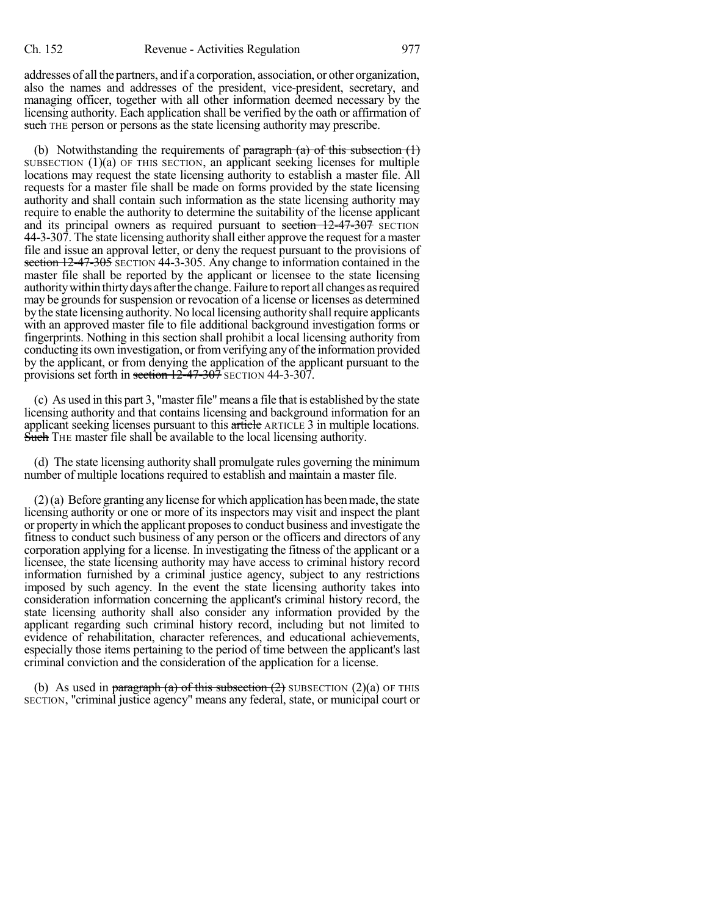addresses of all the partners, and if a corporation, association, or other organization, also the names and addresses of the president, vice-president, secretary, and managing officer, together with all other information deemed necessary by the licensing authority. Each application shall be verified by the oath or affirmation of such THE person or persons as the state licensing authority may prescribe.

(b) Notwithstanding the requirements of  $\frac{\partial}{\partial x}$  paragraph (a) of this subsection (1) SUBSECTION (1)(a) OF THIS SECTION, an applicant seeking licenses for multiple locations may request the state licensing authority to establish a master file. All requests for a master file shall be made on forms provided by the state licensing authority and shall contain such information as the state licensing authority may require to enable the authority to determine the suitability of the license applicant and its principal owners as required pursuant to section  $12-47-307$  SECTION 44-3-307. The state licensing authority shall either approve the request for a master file and issue an approval letter, or deny the request pursuant to the provisions of section 12-47-305 SECTION 44-3-305. Any change to information contained in the master file shall be reported by the applicant or licensee to the state licensing authority within thirty days after the change. Failure to report all changes as required may be grounds for suspension or revocation of a license or licenses as determined by the state licensing authority. No local licensing authority shall require applicants with an approved master file to file additional background investigation forms or fingerprints. Nothing in this section shall prohibit a local licensing authority from conducting its own investigation, or from verifying any of the information provided by the applicant, or from denying the application of the applicant pursuant to the provisions set forth in section 12-47-307 SECTION 44-3-307.

(c) As used in this part 3, "master file" means a file that is established by the state licensing authority and that contains licensing and background information for an applicant seeking licenses pursuant to this article ARTICLE 3 in multiple locations. Such THE master file shall be available to the local licensing authority.

(d) The state licensing authority shall promulgate rules governing the minimum number of multiple locations required to establish and maintain a master file.

(2)(a) Before granting any license for which application has beenmade, the state licensing authority or one or more of its inspectors may visit and inspect the plant or property in which the applicant proposesto conduct business and investigate the fitness to conduct such business of any person or the officers and directors of any corporation applying for a license. In investigating the fitness of the applicant or a licensee, the state licensing authority may have access to criminal history record information furnished by a criminal justice agency, subject to any restrictions imposed by such agency. In the event the state licensing authority takes into consideration information concerning the applicant's criminal history record, the state licensing authority shall also consider any information provided by the applicant regarding such criminal history record, including but not limited to evidence of rehabilitation, character references, and educational achievements, especially those items pertaining to the period of time between the applicant's last criminal conviction and the consideration of the application for a license.

(b) As used in paragraph (a) of this subsection  $(2)$  SUBSECTION  $(2)(a)$  OF THIS SECTION, "criminal justice agency" means any federal, state, or municipal court or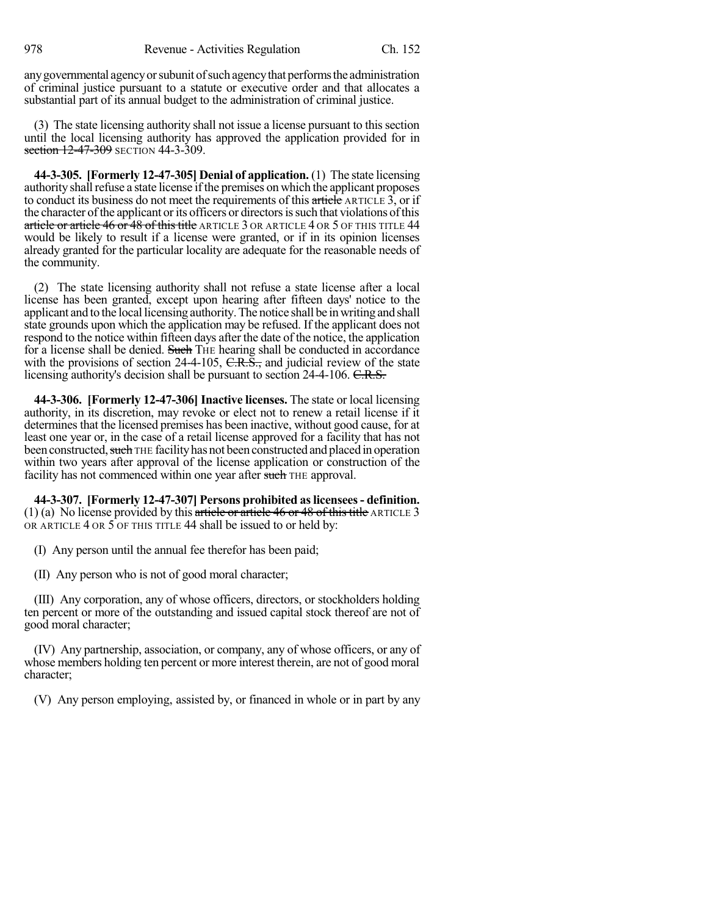any governmental agency or subunit of such agency that performs the administration of criminal justice pursuant to a statute or executive order and that allocates a substantial part of its annual budget to the administration of criminal justice.

(3) The state licensing authority shall not issue a license pursuant to thissection until the local licensing authority has approved the application provided for in section 12-47-309 SECTION 44-3-309.

**44-3-305. [Formerly 12-47-305] Denial of application.** (1) The state licensing authority shall refuse a state license if the premises on which the applicant proposes to conduct its business do not meet the requirements of this article ARTICLE 3, or if the character of the applicant or its officers or directors is such that violations of this article or article 46 or 48 of this title article 3 or article 4 or 5 of this title 44 would be likely to result if a license were granted, or if in its opinion licenses already granted for the particular locality are adequate for the reasonable needs of the community.

(2) The state licensing authority shall not refuse a state license after a local license has been granted, except upon hearing after fifteen days' notice to the applicant and to the local licensing authority.The notice shall be inwriting and shall state grounds upon which the application may be refused. If the applicant does not respond to the notice within fifteen days after the date of the notice, the application for a license shall be denied. Such THE hearing shall be conducted in accordance with the provisions of section 24-4-105,  $C.R.S.,$  and judicial review of the state licensing authority's decision shall be pursuant to section 24-4-106. C.R.S.

**44-3-306. [Formerly 12-47-306] Inactive licenses.** The state or local licensing authority, in its discretion, may revoke or elect not to renew a retail license if it determines that the licensed premises has been inactive, without good cause, for at least one year or, in the case of a retail license approved for a facility that has not been constructed, such THE facility has not been constructed and placed in operation within two years after approval of the license application or construction of the facility has not commenced within one year after such THE approval.

**44-3-307. [Formerly 12-47-307] Persons prohibited aslicensees- definition.** (1) (a) No license provided by this article or article 46 or 48 of this title ARTICLE 3 OR ARTICLE 4 OR 5 OF THIS TITLE 44 shall be issued to or held by:

(I) Any person until the annual fee therefor has been paid;

(II) Any person who is not of good moral character;

(III) Any corporation, any of whose officers, directors, or stockholders holding ten percent or more of the outstanding and issued capital stock thereof are not of good moral character;

(IV) Any partnership, association, or company, any of whose officers, or any of whose members holding ten percent or more interest therein, are not of good moral character;

(V) Any person employing, assisted by, or financed in whole or in part by any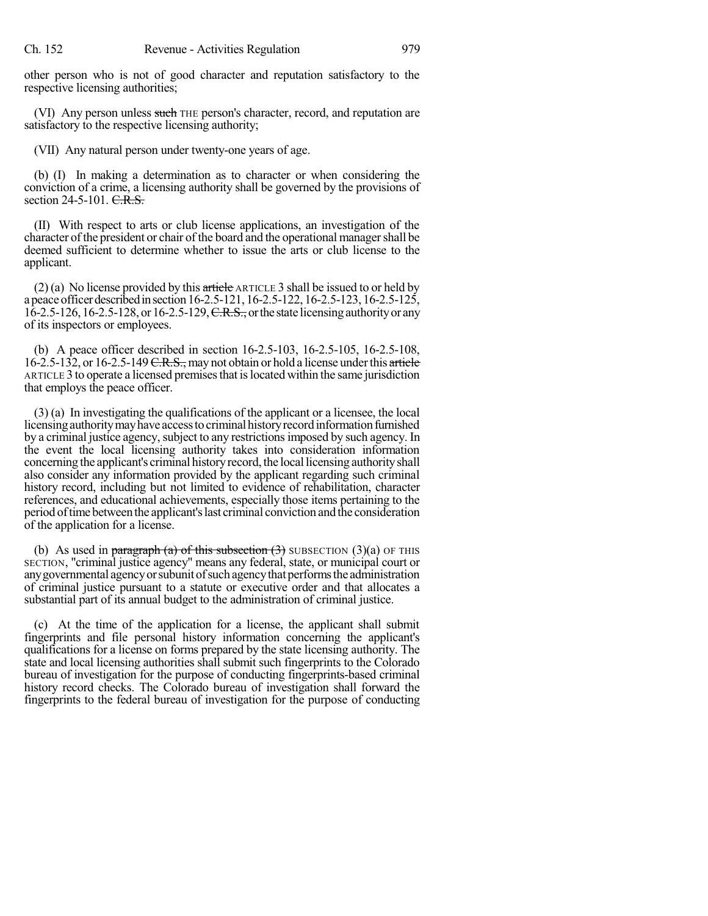other person who is not of good character and reputation satisfactory to the respective licensing authorities;

(VI) Any person unless such THE person's character, record, and reputation are satisfactory to the respective licensing authority;

(VII) Any natural person under twenty-one years of age.

(b) (I) In making a determination as to character or when considering the conviction of a crime, a licensing authority shall be governed by the provisions of section 24-5-101. C.R.S.

(II) With respect to arts or club license applications, an investigation of the character ofthe president or chair of the board and the operational managershall be deemed sufficient to determine whether to issue the arts or club license to the applicant.

(2) (a) No license provided by this article ARTICLE 3 shall be issued to or held by a peace officer described in section 16-2.5-121, 16-2.5-122, 16-2.5-123, 16-2.5-125,  $16-2.5-126$ ,  $16-2.5-128$ , or  $16-2.5-129$ ,  $C.R.S.,$  or the state licensing authority or any of its inspectors or employees.

(b) A peace officer described in section 16-2.5-103, 16-2.5-105, 16-2.5-108, 16-2.5-132, or 16-2.5-149  $C.R.S.,$  may not obtain or hold a license under this article ARTICLE 3 to operate a licensed premisesthat islocated within the same jurisdiction that employs the peace officer.

(3) (a) In investigating the qualifications of the applicant or a licensee, the local licensing authority may have access to criminal history record information furnished by a criminal justice agency, subject to any restrictions imposed by such agency. In the event the local licensing authority takes into consideration information concerning the applicant's criminal history record, the local licensing authority shall also consider any information provided by the applicant regarding such criminal history record, including but not limited to evidence of rehabilitation, character references, and educational achievements, especially those items pertaining to the period oftimebetweenthe applicant'slast criminal conviction and the consideration of the application for a license.

(b) As used in paragraph (a) of this subsection  $(3)$  SUBSECTION  $(3)(a)$  OF THIS SECTION, "criminal justice agency" means any federal, state, or municipal court or any governmental agency or subunit of such agency that performs the administration of criminal justice pursuant to a statute or executive order and that allocates a substantial part of its annual budget to the administration of criminal justice.

(c) At the time of the application for a license, the applicant shall submit fingerprints and file personal history information concerning the applicant's qualifications for a license on forms prepared by the state licensing authority. The state and local licensing authorities shall submit such fingerprints to the Colorado bureau of investigation for the purpose of conducting fingerprints-based criminal history record checks. The Colorado bureau of investigation shall forward the fingerprints to the federal bureau of investigation for the purpose of conducting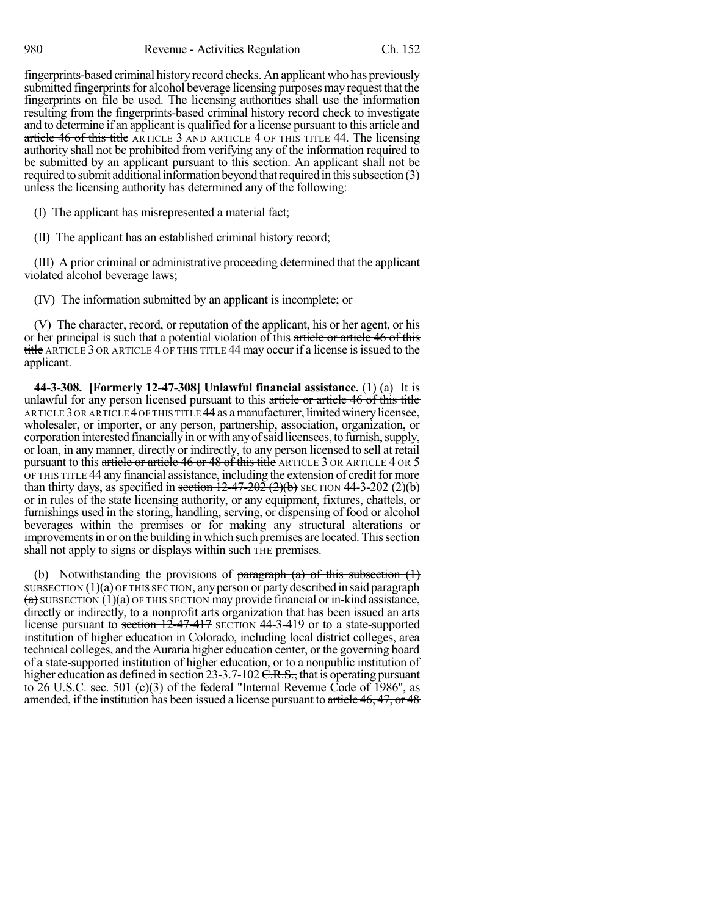fingerprints-based criminal history record checks. An applicant who has previously submitted fingerprints for alcohol beverage licensing purposes may request that the fingerprints on file be used. The licensing authorities shall use the information resulting from the fingerprints-based criminal history record check to investigate and to determine if an applicant is qualified for a license pursuant to this article and article 46 of this title ARTICLE 3 AND ARTICLE 4 OF THIS TITLE 44. The licensing authority shall not be prohibited from verifying any of the information required to be submitted by an applicant pursuant to this section. An applicant shall not be required to submit additional information beyond that required in this subsection (3) unless the licensing authority has determined any of the following:

(I) The applicant has misrepresented a material fact;

(II) The applicant has an established criminal history record;

(III) A prior criminal or administrative proceeding determined that the applicant violated alcohol beverage laws;

(IV) The information submitted by an applicant is incomplete; or

(V) The character, record, or reputation of the applicant, his or her agent, or his or her principal is such that a potential violation of this article or article 46 of this title ARTICLE 3 OR ARTICLE 4 OF THIS TITLE 44 may occur if a license is issued to the applicant.

**44-3-308. [Formerly 12-47-308] Unlawful financial assistance.** (1) (a) It is unlawful for any person licensed pursuant to this article or article 46 of this title ARTICLE 3 OR ARTICLE 4 OF THIS TITLE 44 as a manufacturer, limited winery licensee, wholesaler, or importer, or any person, partnership, association, organization, or corporation interested financially in or with any of said licensees, to furnish, supply, or loan, in any manner, directly or indirectly, to any person licensed to sell at retail pursuant to this article or article 46 or 48 of this title ARTICLE 3 OR ARTICLE 4 OR 5 OF THIS TITLE 44 any financial assistance, including the extension of creditfor more than thirty days, as specified in section  $12-47-202$   $(2)(b)$  SECTION 44-3-202  $(2)(b)$ or in rules of the state licensing authority, or any equipment, fixtures, chattels, or furnishings used in the storing, handling, serving, or dispensing of food or alcohol beverages within the premises or for making any structural alterations or improvements in or on the building in which such premises are located. This section shall not apply to signs or displays within such THE premises.

(b) Notwithstanding the provisions of paragraph  $(a)$  of this subsection  $(1)$ SUBSECTION  $(1)(a)$  OF THIS SECTION, any person or party described in said paragraph  $(a)$  SUBSECTION (1)(a) OF THIS SECTION may provide financial or in-kind assistance, directly or indirectly, to a nonprofit arts organization that has been issued an arts license pursuant to section 12-47-417 SECTION 44-3-419 or to a state-supported institution of higher education in Colorado, including local district colleges, area technical colleges, and the Auraria higher education center, or the governing board of a state-supported institution of higher education, or to a nonpublic institution of higher education as defined in section 23-3.7-102  $C.R.S.,$  that is operating pursuant to 26 U.S.C. sec. 501 (c)(3) of the federal "Internal Revenue Code of 1986", as amended, if the institution has been issued a license pursuant to article 46, 47, or 48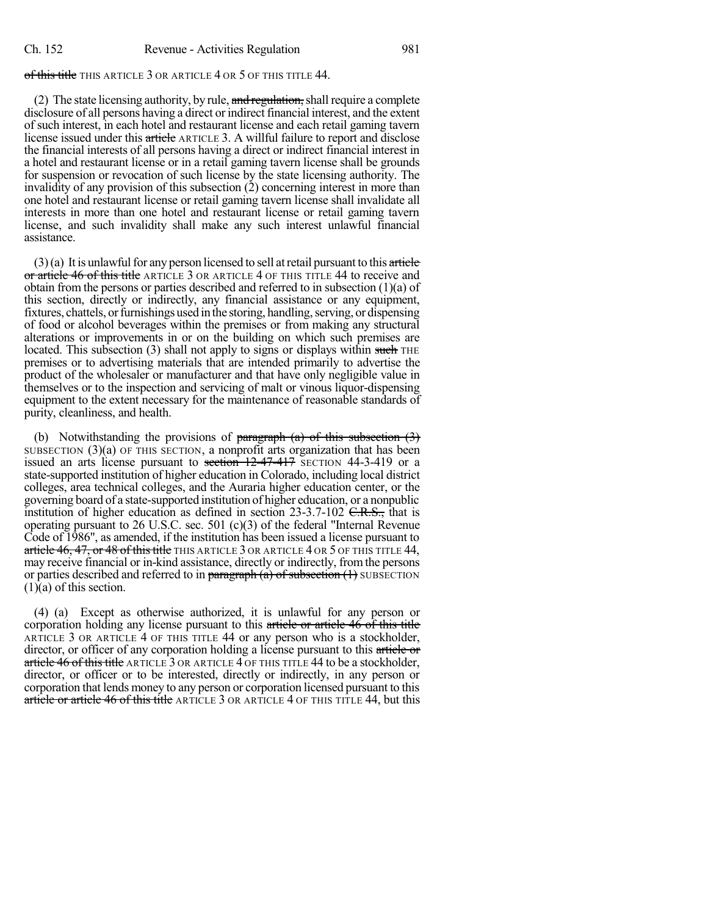# of this title THIS ARTICLE 3 OR ARTICLE 4 OR 5 OF THIS TITLE 44.

(2) The state licensing authority, by rule,  $\frac{and \text{ regularization}}{and \text{ radial require a complete}}$ disclosure of all persons having a direct or indirect financial interest, and the extent of such interest, in each hotel and restaurant license and each retail gaming tavern license issued under this article ARTICLE 3. A willful failure to report and disclose the financial interests of all persons having a direct or indirect financial interest in a hotel and restaurant license or in a retail gaming tavern license shall be grounds for suspension or revocation of such license by the state licensing authority. The invalidity of any provision of this subsection (2) concerning interest in more than one hotel and restaurant license or retail gaming tavern license shall invalidate all interests in more than one hotel and restaurant license or retail gaming tavern license, and such invalidity shall make any such interest unlawful financial assistance.

 $(3)$ (a) It is unlawful for any person licensed to sell at retail pursuant to this article or article 46 of this title ARTICLE 3 OR ARTICLE 4 OF THIS TITLE 44 to receive and obtain from the persons or parties described and referred to in subsection (1)(a) of this section, directly or indirectly, any financial assistance or any equipment, fixtures, chattels, or furnishings used in the storing, handling, serving, or dispensing of food or alcohol beverages within the premises or from making any structural alterations or improvements in or on the building on which such premises are located. This subsection  $(3)$  shall not apply to signs or displays within such THE premises or to advertising materials that are intended primarily to advertise the product of the wholesaler or manufacturer and that have only negligible value in themselves or to the inspection and servicing of malt or vinous liquor-dispensing equipment to the extent necessary for the maintenance of reasonable standards of purity, cleanliness, and health.

(b) Notwithstanding the provisions of paragraph  $(a)$  of this subsection  $(3)$ SUBSECTION  $(3)(a)$  OF THIS SECTION, a nonprofit arts organization that has been issued an arts license pursuant to section 12-47-417 SECTION 44-3-419 or a state-supported institution of higher education in Colorado, including local district colleges, area technical colleges, and the Auraria higher education center, or the governing board of a state-supported institution of higher education, or a nonpublic institution of higher education as defined in section  $23-3.7-102$  C.R.S., that is operating pursuant to 26 U.S.C. sec. 501 (c)(3) of the federal "Internal Revenue Code of 1986", as amended, if the institution has been issued a license pursuant to article 46, 47, or 48 of this title THIS ARTICLE 3 OR ARTICLE 4 OR 5 OF THIS TITLE 44, may receive financial or in-kind assistance, directly or indirectly, from the persons or parties described and referred to in paragraph  $(a)$  of subsection  $(1)$  SUBSECTION (1)(a) of this section.

(4) (a) Except as otherwise authorized, it is unlawful for any person or corporation holding any license pursuant to this article or article 46 of this title ARTICLE 3 OR ARTICLE 4 OF THIS TITLE 44 or any person who is a stockholder, director, or officer of any corporation holding a license pursuant to this article or article  $46$  of this title ARTICLE  $3$  OR ARTICLE  $4$  OF THIS TITLE  $44$  to be a stockholder, director, or officer or to be interested, directly or indirectly, in any person or corporation that lends money to any person or corporation licensed pursuant to this article or article 46 of this title ARTICLE 3 OR ARTICLE 4 OF THIS TITLE 44, but this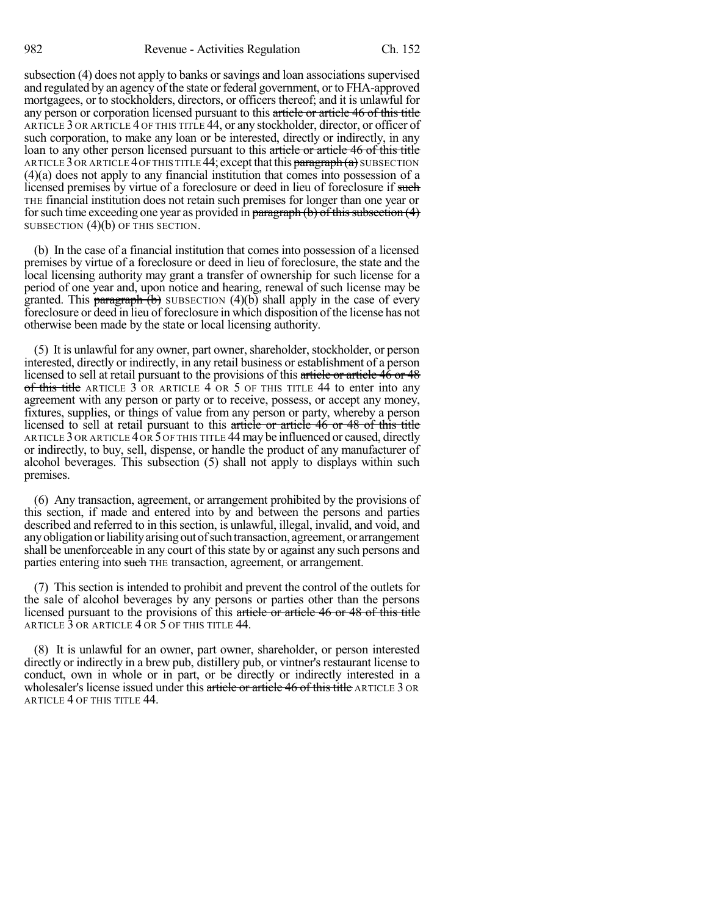subsection (4) does not apply to banks or savings and loan associations supervised and regulated by an agency of the state or federal government, or to FHA-approved mortgagees, or to stockholders, directors, or officers thereof; and it is unlawful for any person or corporation licensed pursuant to this article or article 46 of this title ARTICLE 3 OR ARTICLE 4 OF THIS TITLE 44, or any stockholder, director, or officer of such corporation, to make any loan or be interested, directly or indirectly, in any loan to any other person licensed pursuant to this article or article 46 of this title ARTICLE 3 OR ARTICLE 4 OF THIS TITLE 44; except that this paragraph  $(a)$  subsection (4)(a) does not apply to any financial institution that comes into possession of a licensed premises by virtue of a foreclosure or deed in lieu of foreclosure if such THE financial institution does not retain such premises for longer than one year or for such time exceeding one year as provided in paragraph (b) of this subsection  $(4)$ SUBSECTION (4)(b) OF THIS SECTION.

(b) In the case of a financial institution that comes into possession of a licensed premises by virtue of a foreclosure or deed in lieu of foreclosure, the state and the local licensing authority may grant a transfer of ownership for such license for a period of one year and, upon notice and hearing, renewal of such license may be granted. This **paragraph**  $(b)$  SUBSECTION  $(4)(b)$  shall apply in the case of every foreclosure or deed in lieu of foreclosure in which disposition of the license has not otherwise been made by the state or local licensing authority.

(5) It is unlawful for any owner, part owner, shareholder, stockholder, or person interested, directly or indirectly, in any retail business or establishment of a person licensed to sell at retail pursuant to the provisions of this article or article 46 or 48 of this title ARTICLE  $3$  OR ARTICLE  $4$  OR  $5$  OF THIS TITLE  $44$  to enter into any agreement with any person or party or to receive, possess, or accept any money, fixtures, supplies, or things of value from any person or party, whereby a person licensed to sell at retail pursuant to this article or article 46 or 48 of this title ARTICLE 3 OR ARTICLE 4 OR 5 OF THIS TITLE 44 may be influenced or caused, directly or indirectly, to buy, sell, dispense, or handle the product of any manufacturer of alcohol beverages. This subsection (5) shall not apply to displays within such premises.

(6) Any transaction, agreement, or arrangement prohibited by the provisions of this section, if made and entered into by and between the persons and parties described and referred to in this section, is unlawful, illegal, invalid, and void, and any obligation or liability arising out of such transaction, agreement, or arrangement shall be unenforceable in any court of this state by or against any such persons and parties entering into such THE transaction, agreement, or arrangement.

(7) This section is intended to prohibit and prevent the control of the outlets for the sale of alcohol beverages by any persons or parties other than the persons licensed pursuant to the provisions of this article or article 46 or 48 of this title ARTICLE 3 OR ARTICLE 4 OR 5 OF THIS TITLE 44.

(8) It is unlawful for an owner, part owner, shareholder, or person interested directly or indirectly in a brew pub, distillery pub, or vintner's restaurant license to conduct, own in whole or in part, or be directly or indirectly interested in a wholesaler's license issued under this article or article 46 of this title ARTICLE 3 OR ARTICLE 4 OF THIS TITLE 44.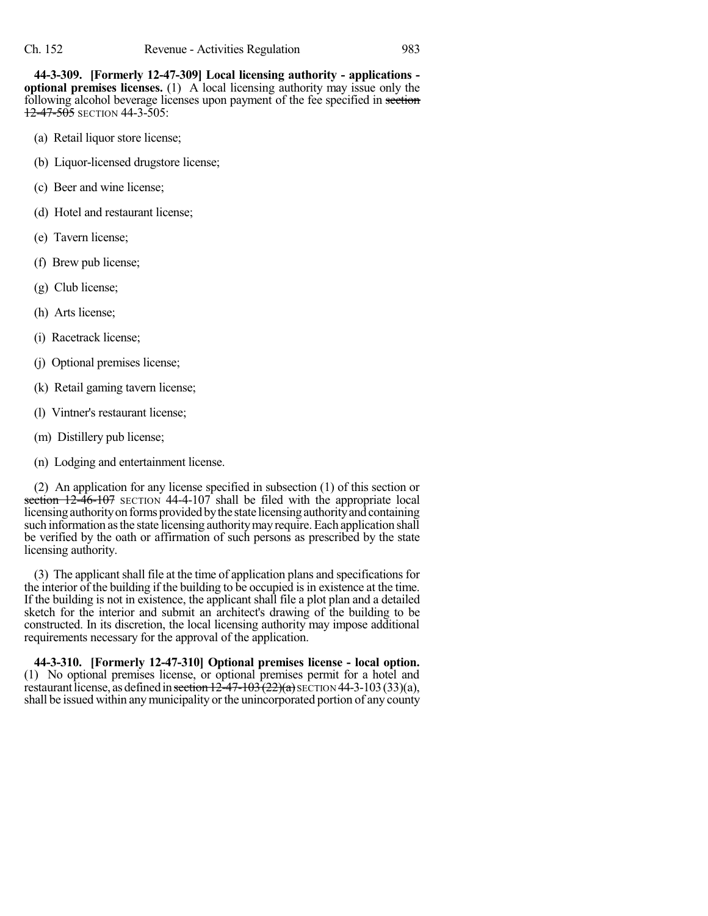**44-3-309. [Formerly 12-47-309] Local licensing authority - applications optional premises licenses.** (1) A local licensing authority may issue only the following alcohol beverage licenses upon payment of the fee specified in section 12-47-505 SECTION 44-3-505:

- (a) Retail liquor store license;
- (b) Liquor-licensed drugstore license;
- (c) Beer and wine license;
- (d) Hotel and restaurant license;
- (e) Tavern license;
- (f) Brew pub license;
- (g) Club license;
- (h) Arts license;
- (i) Racetrack license;
- (j) Optional premises license;
- (k) Retail gaming tavern license;
- (l) Vintner's restaurant license;
- (m) Distillery pub license;
- (n) Lodging and entertainment license.

(2) An application for any license specified in subsection (1) of this section or section  $12\overline{-46}$ -107 SECTION 44-4-107 shall be filed with the appropriate local licensing authority on forms provided by the state licensing authority and containing such information asthe state licensing authoritymayrequire.Each application shall be verified by the oath or affirmation of such persons as prescribed by the state licensing authority.

(3) The applicant shall file at the time of application plans and specifications for the interior of the building if the building to be occupied is in existence at the time. If the building is not in existence, the applicant shall file a plot plan and a detailed sketch for the interior and submit an architect's drawing of the building to be constructed. In its discretion, the local licensing authority may impose additional requirements necessary for the approval of the application.

**44-3-310. [Formerly 12-47-310] Optional premises license - local option.** (1) No optional premises license, or optional premises permit for a hotel and restaurant license, as defined in section  $12\overline{-47-103(22)}$ (a) SECTION 44-3-103(33)(a), shall be issued within anymunicipality or the unincorporated portion of any county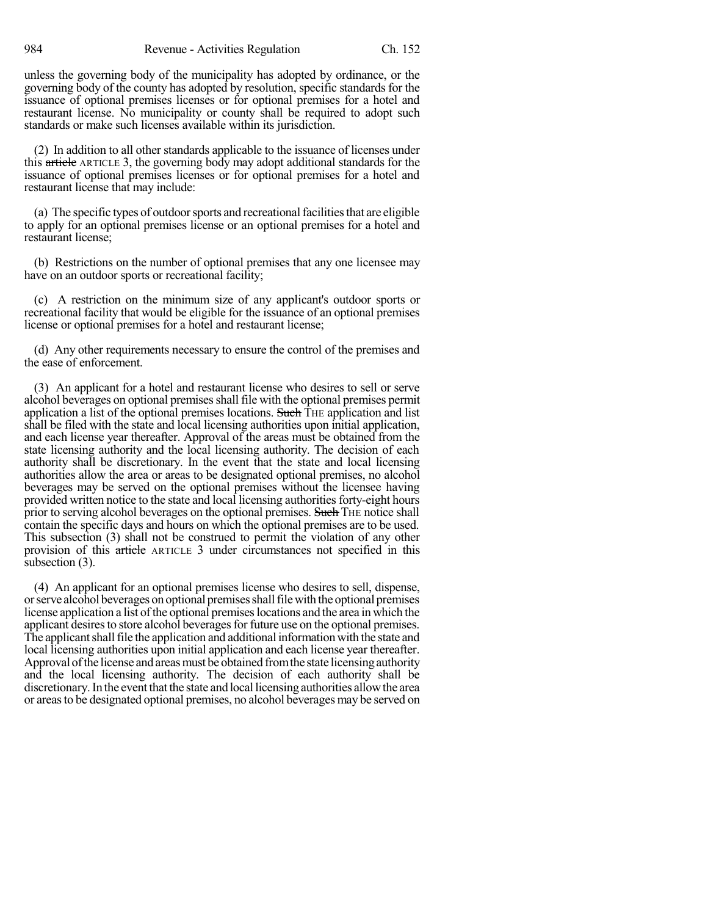unless the governing body of the municipality has adopted by ordinance, or the governing body of the county has adopted by resolution, specific standards for the issuance of optional premises licenses or for optional premises for a hotel and restaurant license. No municipality or county shall be required to adopt such standards or make such licenses available within its jurisdiction.

(2) In addition to all other standards applicable to the issuance of licenses under this article ARTICLE 3, the governing body may adopt additional standards for the issuance of optional premises licenses or for optional premises for a hotel and restaurant license that may include:

(a) The specific types of outdoorsports and recreationalfacilitiesthat are eligible to apply for an optional premises license or an optional premises for a hotel and restaurant license;

(b) Restrictions on the number of optional premises that any one licensee may have on an outdoor sports or recreational facility;

(c) A restriction on the minimum size of any applicant's outdoor sports or recreational facility that would be eligible for the issuance of an optional premises license or optional premises for a hotel and restaurant license;

(d) Any other requirements necessary to ensure the control of the premises and the ease of enforcement.

(3) An applicant for a hotel and restaurant license who desires to sell or serve alcohol beverages on optional premises shall file with the optional premises permit application a list of the optional premises locations. Such THE application and list shall be filed with the state and local licensing authorities upon initial application, and each license year thereafter. Approval of the areas must be obtained from the state licensing authority and the local licensing authority. The decision of each authority shall be discretionary. In the event that the state and local licensing authorities allow the area or areas to be designated optional premises, no alcohol beverages may be served on the optional premises without the licensee having provided written notice to the state and local licensing authorities forty-eight hours prior to serving alcohol beverages on the optional premises. Such THE notice shall contain the specific days and hours on which the optional premises are to be used. This subsection (3) shall not be construed to permit the violation of any other provision of this article ARTICLE 3 under circumstances not specified in this subsection (3).

(4) An applicant for an optional premises license who desires to sell, dispense, or serve alcohol beverages on optional premises shall file with the optional premises license application a list of the optional premises locations and the area in which the applicant desires to store alcohol beverages for future use on the optional premises. The applicant shall file the application and additional information with the state and local licensing authorities upon initial application and each license year thereafter. Approval of the license and areas must be obtained from the state licensing authority and the local licensing authority. The decision of each authority shall be discretionary. In the event that the state and local licensing authorities allow the area or areasto be designated optional premises, no alcohol beverages may be served on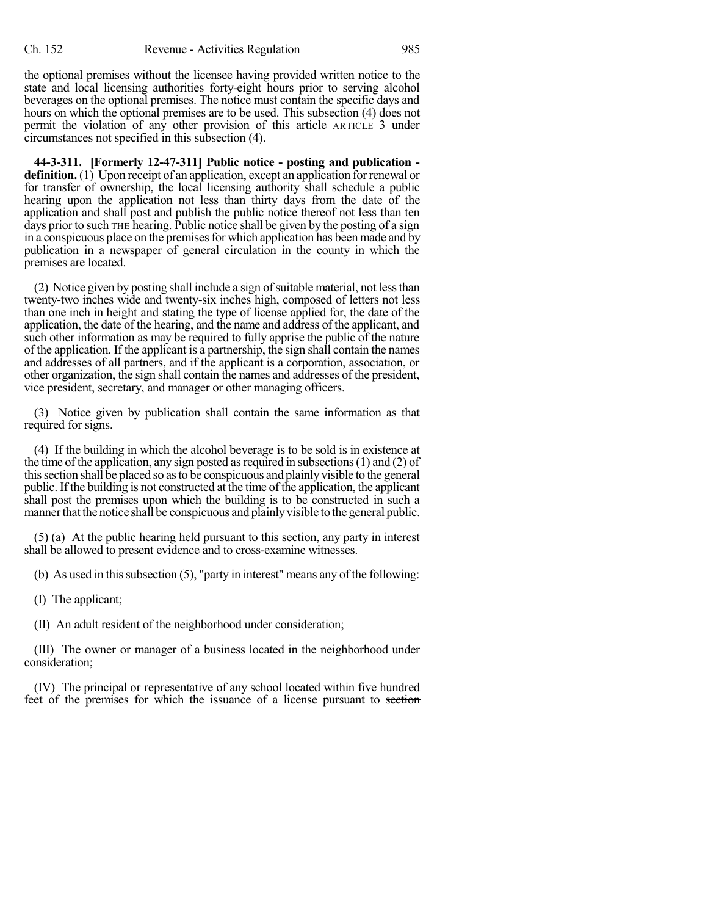the optional premises without the licensee having provided written notice to the state and local licensing authorities forty-eight hours prior to serving alcohol beverages on the optional premises. The notice must contain the specific days and hours on which the optional premises are to be used. This subsection (4) does not permit the violation of any other provision of this article ARTICLE 3 under circumstances not specified in this subsection (4).

**44-3-311. [Formerly 12-47-311] Public notice - posting and publication definition.** (1) Upon receipt of an application, except an application for renewal or for transfer of ownership, the local licensing authority shall schedule a public hearing upon the application not less than thirty days from the date of the application and shall post and publish the public notice thereof not less than ten days prior to such THE hearing. Public notice shall be given by the posting of a sign in a conspicuous place on the premises for which application has been made and by publication in a newspaper of general circulation in the county in which the premises are located.

(2) Notice given by posting shall include a sign of suitable material, not less than twenty-two inches wide and twenty-six inches high, composed of letters not less than one inch in height and stating the type of license applied for, the date of the application, the date of the hearing, and the name and address of the applicant, and such other information as may be required to fully apprise the public of the nature of the application. If the applicant is a partnership, the sign shall contain the names and addresses of all partners, and if the applicant is a corporation, association, or other organization, the sign shall contain the names and addresses of the president, vice president, secretary, and manager or other managing officers.

(3) Notice given by publication shall contain the same information as that required for signs.

(4) If the building in which the alcohol beverage is to be sold is in existence at the time of the application, any sign posted as required in subsections  $(1)$  and  $(2)$  of thissection shall be placed so asto be conspicuous and plainlyvisible to the general public. If the building is not constructed at the time of the application, the applicant shall post the premises upon which the building is to be constructed in such a manner that the notice shall be conspicuous and plainly visible to the general public.

(5) (a) At the public hearing held pursuant to this section, any party in interest shall be allowed to present evidence and to cross-examine witnesses.

(b) As used in this subsection  $(5)$ , "party in interest" means any of the following:

(I) The applicant;

(II) An adult resident of the neighborhood under consideration;

(III) The owner or manager of a business located in the neighborhood under consideration;

(IV) The principal or representative of any school located within five hundred feet of the premises for which the issuance of a license pursuant to section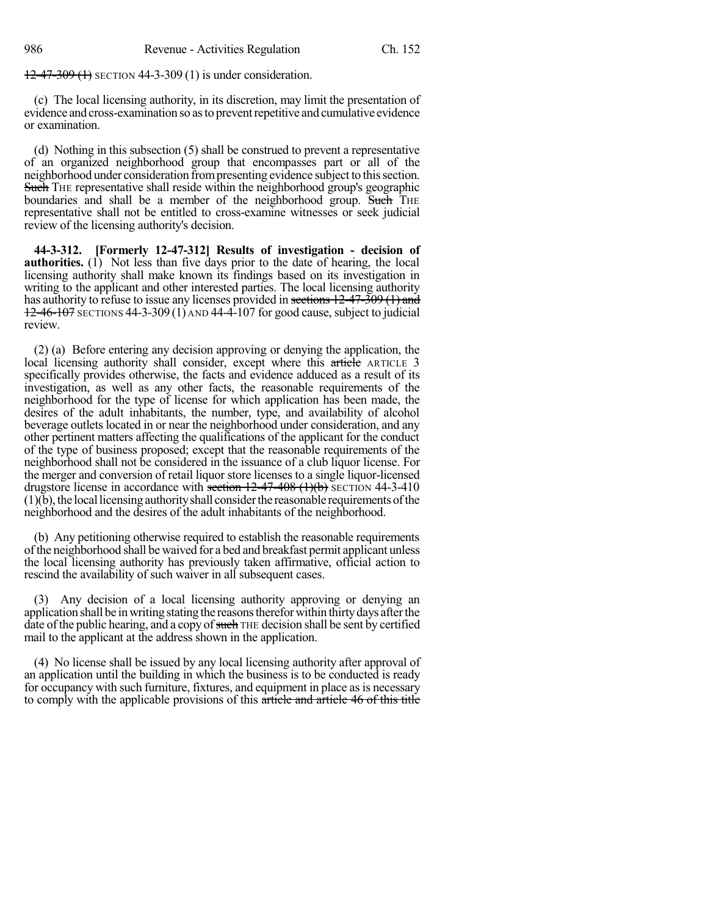12-47-309 (1) SECTION 44-3-309 (1) is under consideration.

(c) The local licensing authority, in its discretion, may limit the presentation of evidence and cross-examination so as to prevent repetitive and cumulative evidence or examination.

(d) Nothing in this subsection (5) shall be construed to prevent a representative of an organized neighborhood group that encompasses part or all of the neighborhood under consideration from presenting evidence subject to this section. Such THE representative shall reside within the neighborhood group's geographic boundaries and shall be a member of the neighborhood group. Such THE representative shall not be entitled to cross-examine witnesses or seek judicial review of the licensing authority's decision.

**44-3-312. [Formerly 12-47-312] Results of investigation - decision of authorities.** (1) Not less than five days prior to the date of hearing, the local licensing authority shall make known its findings based on its investigation in writing to the applicant and other interested parties. The local licensing authority has authority to refuse to issue any licenses provided in sections 12-47-309 (1) and  $12-46-107$  SECTIONS 44-3-309 (1) AND 44-4-107 for good cause, subject to judicial review.

(2) (a) Before entering any decision approving or denying the application, the local licensing authority shall consider, except where this article ARTICLE 3 specifically provides otherwise, the facts and evidence adduced as a result of its investigation, as well as any other facts, the reasonable requirements of the neighborhood for the type of license for which application has been made, the desires of the adult inhabitants, the number, type, and availability of alcohol beverage outlets located in or near the neighborhood under consideration, and any other pertinent matters affecting the qualifications of the applicant for the conduct of the type of business proposed; except that the reasonable requirements of the neighborhood shall not be considered in the issuance of a club liquor license. For the merger and conversion of retail liquor store licenses to a single liquor-licensed drugstore license in accordance with section  $12-47-408$  (1)(b) SECTION 44-3-410  $(1)(b)$ , the local licensing authority shall consider the reasonable requirements of the neighborhood and the desires of the adult inhabitants of the neighborhood.

(b) Any petitioning otherwise required to establish the reasonable requirements ofthe neighborhood shall be waived for a bed and breakfast permit applicant unless the local licensing authority has previously taken affirmative, official action to rescind the availability of such waiver in all subsequent cases.

(3) Any decision of a local licensing authority approving or denying an application shall be in writing stating the reasons therefor within thirty days after the date of the public hearing, and a copy of such THE decision shall be sent by certified mail to the applicant at the address shown in the application.

(4) No license shall be issued by any local licensing authority after approval of an application until the building in which the business is to be conducted is ready for occupancy with such furniture, fixtures, and equipment in place as is necessary to comply with the applicable provisions of this article and article 46 of this title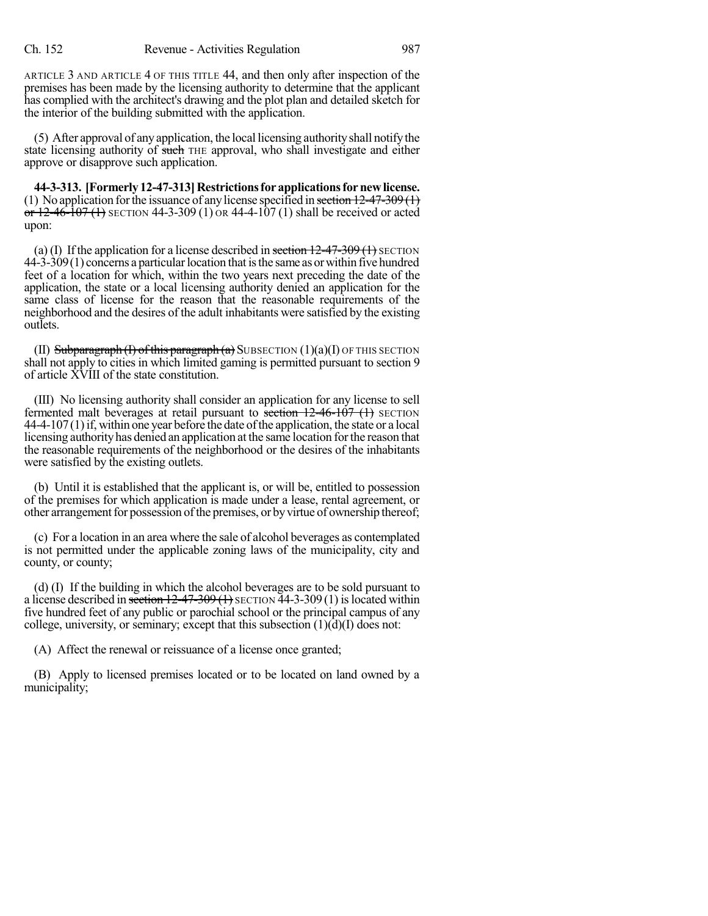ARTICLE 3 AND ARTICLE 4 OF THIS TITLE 44, and then only after inspection of the premises has been made by the licensing authority to determine that the applicant has complied with the architect's drawing and the plot plan and detailed sketch for the interior of the building submitted with the application.

(5) After approval of anyapplication, the local licensing authorityshall notifythe state licensing authority of such THE approval, who shall investigate and either approve or disapprove such application.

**44-3-313. [Formerly12-47-313]Restrictionsforapplicationsfornewlicense.** (1) No application for the issuance of any license specified in section  $12-47-309(1)$ or  $12-46-107$  (1) SECTION 44-3-309 (1) OR 44-4-107 (1) shall be received or acted upon:

(a) (I) If the application for a license described in section  $12-47-309(1)$  SECTION  $44-3-309(1)$  concerns a particular location that is the same as or within five hundred feet of a location for which, within the two years next preceding the date of the application, the state or a local licensing authority denied an application for the same class of license for the reason that the reasonable requirements of the neighborhood and the desires of the adult inhabitants were satisfied by the existing outlets.

(II) Subparagraph (I) of this paragraph  $(a)$  SUBSECTION  $(1)(a)(I)$  OF THIS SECTION shall not apply to cities in which limited gaming is permitted pursuant to section 9 of article XVIII of the state constitution.

(III) No licensing authority shall consider an application for any license to sell fermented malt beverages at retail pursuant to section  $12-46-107$  (1) SECTION  $44-4-107(1)$  if, within one year before the date of the application, the state or a local licensing authorityhas denied an application at the same location forthe reason that the reasonable requirements of the neighborhood or the desires of the inhabitants were satisfied by the existing outlets.

(b) Until it is established that the applicant is, or will be, entitled to possession of the premises for which application is made under a lease, rental agreement, or other arrangement for possession of the premises, or by virtue of ownership thereof;

(c) For a location in an area where the sale of alcohol beverages as contemplated is not permitted under the applicable zoning laws of the municipality, city and county, or county;

(d) (I) If the building in which the alcohol beverages are to be sold pursuant to a license described in section  $12-47-309(1)$  SECTION  $\overline{44}$ -3-309(1) is located within five hundred feet of any public or parochial school or the principal campus of any college, university, or seminary; except that this subsection  $(1)(d)(I)$  does not:

(A) Affect the renewal or reissuance of a license once granted;

(B) Apply to licensed premises located or to be located on land owned by a municipality;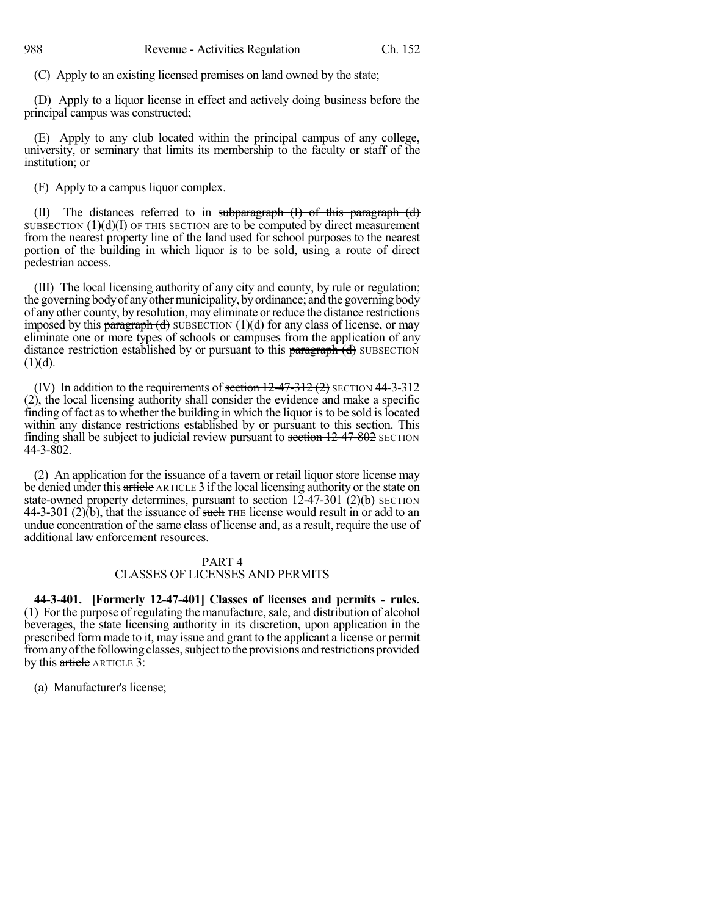(C) Apply to an existing licensed premises on land owned by the state;

(D) Apply to a liquor license in effect and actively doing business before the principal campus was constructed;

(E) Apply to any club located within the principal campus of any college, university, or seminary that limits its membership to the faculty or staff of the institution; or

(F) Apply to a campus liquor complex.

(II) The distances referred to in subparagraph  $(1)$  of this paragraph  $(d)$ SUBSECTION  $(1)(d)(I)$  OF THIS SECTION are to be computed by direct measurement from the nearest property line of the land used for school purposes to the nearest portion of the building in which liquor is to be sold, using a route of direct pedestrian access.

(III) The local licensing authority of any city and county, by rule or regulation; the governing body of any other municipality, by ordinance; and the governing body of any other county, by resolution, may eliminate orreduce the distance restrictions imposed by this paragraph  $(d)$  SUBSECTION (1)(d) for any class of license, or may eliminate one or more types of schools or campuses from the application of any distance restriction established by or pursuant to this  $\frac{\partial f}{\partial x}$  of  $\frac{\partial f}{\partial y}$  SUBSECTION  $(1)(d)$ .

(IV) In addition to the requirements of section  $12-47-312$  (2) SECTION 44-3-312 (2), the local licensing authority shall consider the evidence and make a specific finding of fact as to whether the building in which the liquor is to be sold is located within any distance restrictions established by or pursuant to this section. This finding shall be subject to judicial review pursuant to section  $12-47-802$  SECTION 44-3-802.

(2) An application for the issuance of a tavern or retail liquor store license may be denied under this article ARTICLE 3 if the local licensing authority or the state on state-owned property determines, pursuant to section  $12-47-301$  (2)(b) SECTION 44-3-301 (2)(b), that the issuance of such THE license would result in or add to an undue concentration of the same class of license and, as a result, require the use of additional law enforcement resources.

# PART 4 CLASSES OF LICENSES AND PERMITS

**44-3-401. [Formerly 12-47-401] Classes of licenses and permits - rules.** (1) For the purpose of regulating the manufacture, sale, and distribution of alcohol beverages, the state licensing authority in its discretion, upon application in the prescribed form made to it, may issue and grant to the applicant a license or permit from any of the following classes, subject to the provisions and restrictions provided by this article ARTICLE 3:

(a) Manufacturer's license;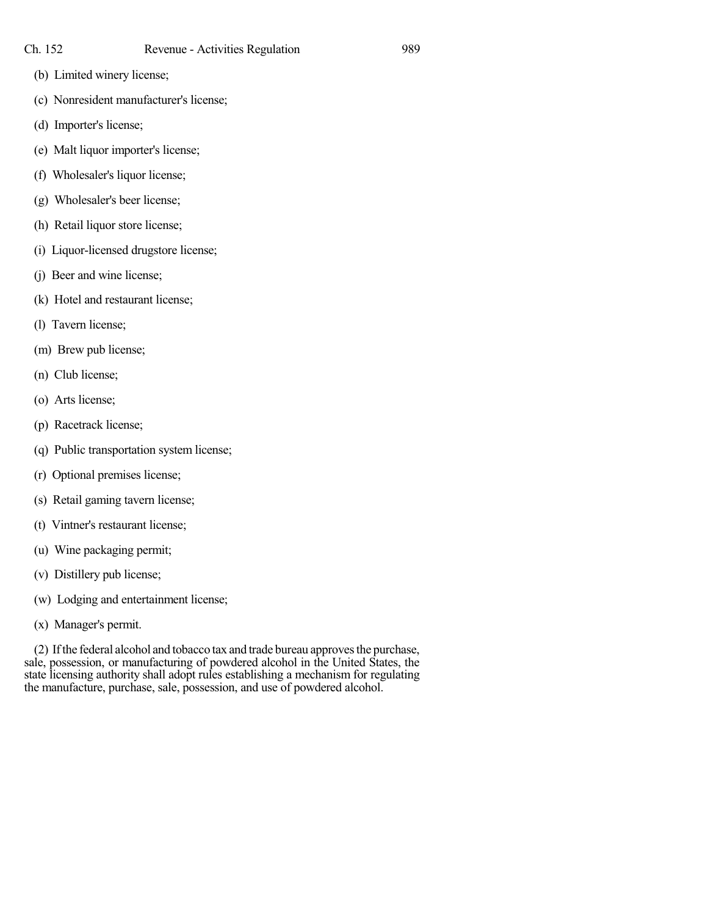- (b) Limited winery license;
- (c) Nonresident manufacturer's license;
- (d) Importer's license;
- (e) Malt liquor importer's license;
- (f) Wholesaler's liquor license;
- (g) Wholesaler's beer license;
- (h) Retail liquor store license;
- (i) Liquor-licensed drugstore license;
- (j) Beer and wine license;
- (k) Hotel and restaurant license;
- (l) Tavern license;
- (m) Brew pub license;
- (n) Club license;
- (o) Arts license;
- (p) Racetrack license;
- (q) Public transportation system license;
- (r) Optional premises license;
- (s) Retail gaming tavern license;
- (t) Vintner's restaurant license;
- (u) Wine packaging permit;
- (v) Distillery pub license;
- (w) Lodging and entertainment license;
- (x) Manager's permit.

(2) Ifthe federal alcohol and tobacco tax and trade bureau approvesthe purchase, sale, possession, or manufacturing of powdered alcohol in the United States, the state licensing authority shall adopt rules establishing a mechanism for regulating the manufacture, purchase, sale, possession, and use of powdered alcohol.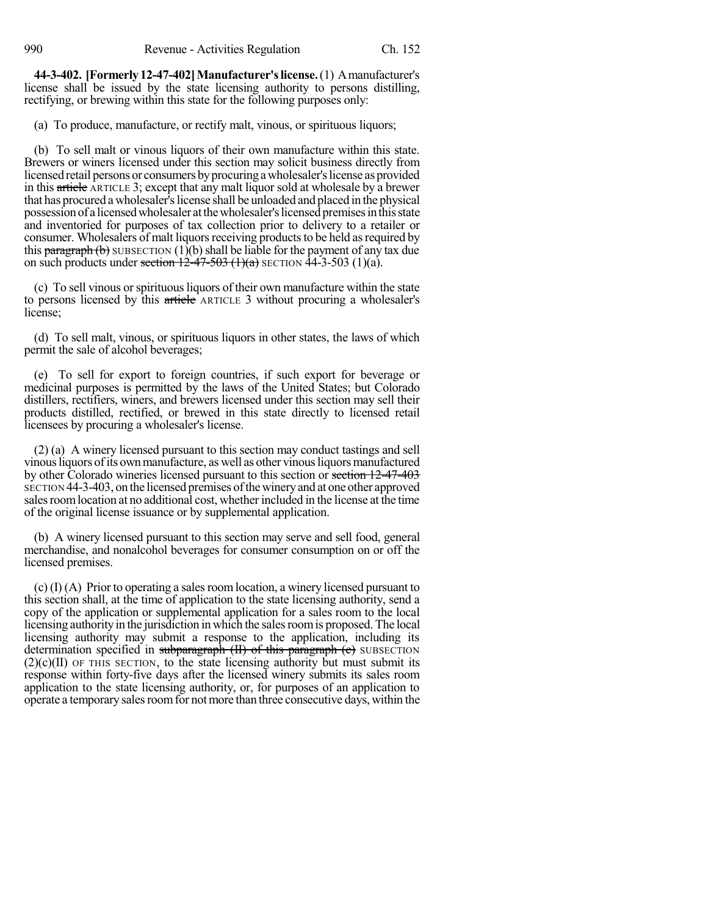**44-3-402. [Formerly12-47-402]Manufacturer'slicense.**(1) Amanufacturer's license shall be issued by the state licensing authority to persons distilling, rectifying, or brewing within this state for the following purposes only:

(a) To produce, manufacture, or rectify malt, vinous, or spirituous liquors;

(b) To sell malt or vinous liquors of their own manufacture within this state. Brewers or winers licensed under this section may solicit business directly from licensed retail persons or consumers by procuring a wholesaler's license as provided in this article ARTICLE 3; except that any malt liquor sold at wholesale by a brewer that has procured a wholesaler's license shall be unloaded and placed in the physical possessionof a licensedwholesaler atthewholesaler'slicensedpremisesinthisstate and inventoried for purposes of tax collection prior to delivery to a retailer or consumer. Wholesalers of malt liquors receiving products to be held as required by this  $\frac{\text{paramal}}{\text{paramal}}$  (b) SUBSECTION (1)(b) shall be liable for the payment of any tax due on such products under section  $12-47-503$  (1)(a) SECTION  $44-3-503$  (1)(a).

(c) To sell vinous orspirituousliquors of their own manufacture within the state to persons licensed by this article ARTICLE 3 without procuring a wholesaler's license;

(d) To sell malt, vinous, or spirituous liquors in other states, the laws of which permit the sale of alcohol beverages;

(e) To sell for export to foreign countries, if such export for beverage or medicinal purposes is permitted by the laws of the United States; but Colorado distillers, rectifiers, winers, and brewers licensed under this section may sell their products distilled, rectified, or brewed in this state directly to licensed retail licensees by procuring a wholesaler's license.

(2) (a) A winery licensed pursuant to this section may conduct tastings and sell vinous liquors of its own manufacture, as well as other vinous liquors manufactured by other Colorado wineries licensed pursuant to this section or section 12-47-403 SECTION 44-3-403, on the licensed premises ofthewineryand at one other approved salesroomlocation at no additional cost, whether included in the license at the time of the original license issuance or by supplemental application.

(b) A winery licensed pursuant to this section may serve and sell food, general merchandise, and nonalcohol beverages for consumer consumption on or off the licensed premises.

 $(c)$  (I) (A) Prior to operating a sales room location, a winery licensed pursuant to this section shall, at the time of application to the state licensing authority, send a copy of the application or supplemental application for a sales room to the local licensing authority in the jurisdiction in which the sales room is proposed. The local licensing authority may submit a response to the application, including its determination specified in subparagraph (II) of this paragraph (c) SUBSECTION  $(2)(c)(II)$  OF THIS SECTION, to the state licensing authority but must submit its response within forty-five days after the licensed winery submits its sales room application to the state licensing authority, or, for purposes of an application to operate a temporary sales room for not more than three consecutive days, within the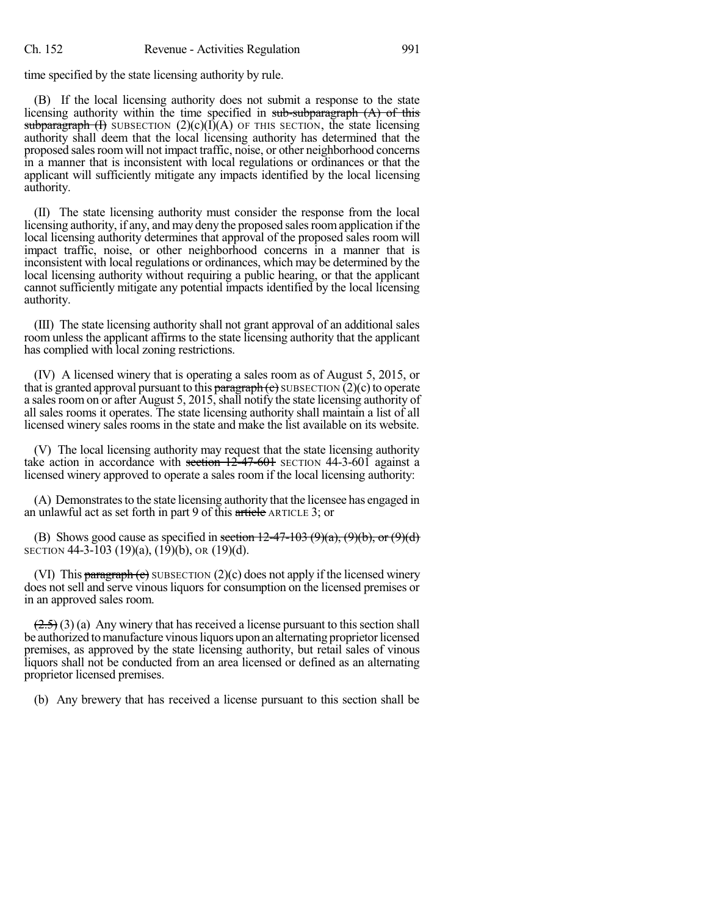time specified by the state licensing authority by rule.

(B) If the local licensing authority does not submit a response to the state licensing authority within the time specified in sub-subparagraph  $(A)$  of this subparagraph  $(I)$  SUBSECTION  $(2)(c)(I)(A)$  OF THIS SECTION, the state licensing authority shall deem that the local licensing authority has determined that the proposed sales room will not impact traffic, noise, or other neighborhood concerns in a manner that is inconsistent with local regulations or ordinances or that the applicant will sufficiently mitigate any impacts identified by the local licensing authority.

(II) The state licensing authority must consider the response from the local licensing authority, if any, and may deny the proposed salesroomapplication if the local licensing authority determines that approval of the proposed sales room will impact traffic, noise, or other neighborhood concerns in a manner that is inconsistent with local regulations or ordinances, which may be determined by the local licensing authority without requiring a public hearing, or that the applicant cannot sufficiently mitigate any potential impacts identified by the local licensing authority.

(III) The state licensing authority shall not grant approval of an additional sales room unless the applicant affirms to the state licensing authority that the applicant has complied with local zoning restrictions.

(IV) A licensed winery that is operating a sales room as of August 5, 2015, or that is granted approval pursuant to this paragraph (c) SUBSECTION  $(2)(c)$  to operate a sales room on or after August 5, 2015, shall notify the state licensing authority of all sales rooms it operates. The state licensing authority shall maintain a list of all licensed winery sales rooms in the state and make the list available on its website.

(V) The local licensing authority may request that the state licensing authority take action in accordance with section  $12\overline{-47\cdot601}$  SECTION 44-3-601 against a licensed winery approved to operate a sales room if the local licensing authority:

(A) Demonstrates to the state licensing authority that the licensee has engaged in an unlawful act as set forth in part 9 of this article ARTICLE 3; or

(B) Shows good cause as specified in section  $12-47-103(9)(a)$ ,  $(9)(b)$ , or  $(9)(d)$ SECTION 44-3-103 (19)(a), (19)(b), OR (19)(d).

(VI) This paragraph (c) SUBSECTION  $(2)(c)$  does not apply if the licensed winery does not sell and serve vinousliquors for consumption on the licensed premises or in an approved sales room.

 $(2.5)$  (3) (a) Any winery that has received a license pursuant to this section shall be authorized to manufacture vinous liquors upon an alternating proprietor licensed premises, as approved by the state licensing authority, but retail sales of vinous liquors shall not be conducted from an area licensed or defined as an alternating proprietor licensed premises.

(b) Any brewery that has received a license pursuant to this section shall be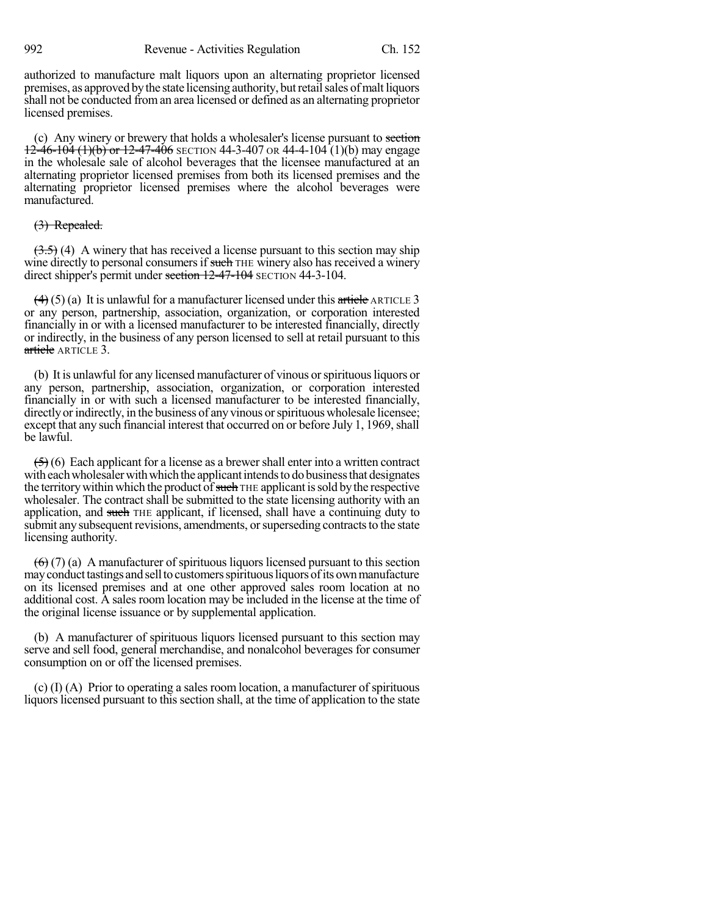authorized to manufacture malt liquors upon an alternating proprietor licensed premises, as approved by the state licensing authority, but retail sales of malt liquors shall not be conducted froman area licensed or defined as an alternating proprietor licensed premises.

(c) Any winery or brewery that holds a wholesaler's license pursuant to section  $12-46-104$  (1)(b) or  $12-47-406$  SECTION 44-3-407 OR 44-4-104 (1)(b) may engage in the wholesale sale of alcohol beverages that the licensee manufactured at an alternating proprietor licensed premises from both its licensed premises and the alternating proprietor licensed premises where the alcohol beverages were manufactured.

# (3) Repealed.

 $(3.5)$  (4) A winery that has received a license pursuant to this section may ship wine directly to personal consumers if such THE winery also has received a winery direct shipper's permit under section 12-47-104 SECTION 44-3-104.

 $(4)$  (5) (a) It is unlawful for a manufacturer licensed under this article ARTICLE 3 or any person, partnership, association, organization, or corporation interested financially in or with a licensed manufacturer to be interested financially, directly or indirectly, in the business of any person licensed to sell at retail pursuant to this article ARTICLE 3.

(b) It is unlawful for any licensed manufacturer of vinous orspirituousliquors or any person, partnership, association, organization, or corporation interested financially in or with such a licensed manufacturer to be interested financially, directly or indirectly, in the business of any vinous or spirituous wholesale licensee; except that any such financial interest that occurred on or before July 1, 1969, shall be lawful.

 $(5)(6)$  Each applicant for a license as a brewer shall enter into a written contract with each wholesaler with which the applicant intends to do business that designates the territory within which the product of such THE applicant is sold by the respective wholesaler. The contract shall be submitted to the state licensing authority with an application, and such THE applicant, if licensed, shall have a continuing duty to submit any subsequent revisions, amendments, or superseding contracts to the state licensing authority.

 $(6)$  (7) (a) A manufacturer of spirituous liquors licensed pursuant to this section may conduct tastings and sell to customers spirituous liquors of its own manufacture on its licensed premises and at one other approved sales room location at no additional cost. A sales room location may be included in the license at the time of the original license issuance or by supplemental application.

(b) A manufacturer of spirituous liquors licensed pursuant to this section may serve and sell food, general merchandise, and nonalcohol beverages for consumer consumption on or off the licensed premises.

(c) (I) (A) Prior to operating a sales room location, a manufacturer of spirituous liquors licensed pursuant to this section shall, at the time of application to the state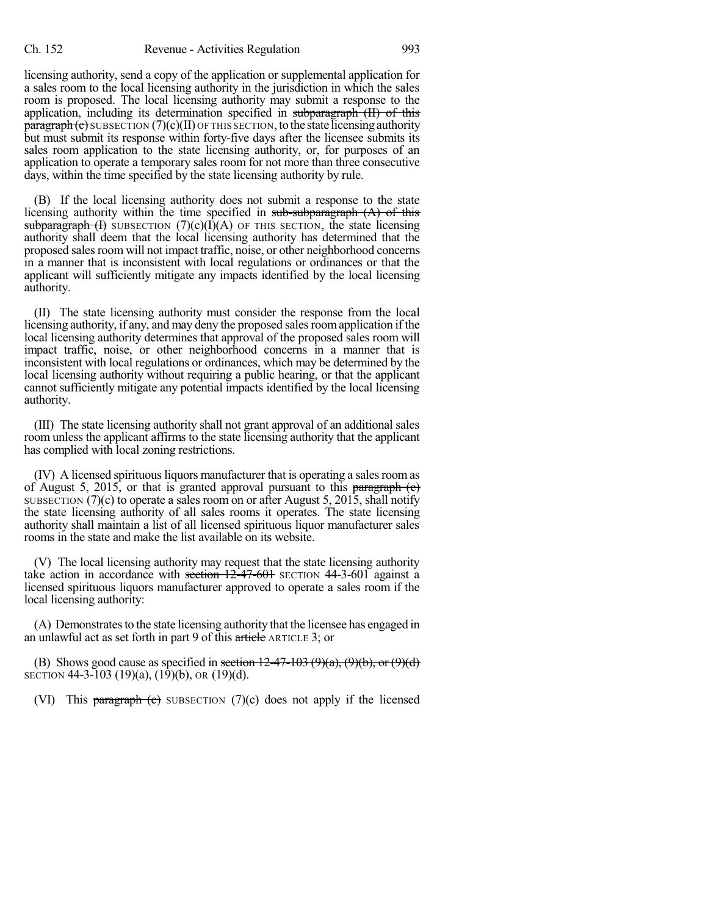licensing authority, send a copy of the application or supplemental application for a sales room to the local licensing authority in the jurisdiction in which the sales room is proposed. The local licensing authority may submit a response to the application, including its determination specified in subparagraph (II) of this  $\frac{\text{param}(\mathbf{c})}{\text{sum}}$  SUBSECTION  $(7)(c)(II)$  OF THIS SECTION, to the state licensing authority but must submit its response within forty-five days after the licensee submits its sales room application to the state licensing authority, or, for purposes of an application to operate a temporary sales room for not more than three consecutive days, within the time specified by the state licensing authority by rule.

(B) If the local licensing authority does not submit a response to the state licensing authority within the time specified in sub-subparagraph  $(A)$  of this subparagraph  $(H)$  SUBSECTION  $(7)(c)(I)(A)$  OF THIS SECTION, the state licensing authority shall deem that the local licensing authority has determined that the proposed sales room will not impact traffic, noise, or other neighborhood concerns in a manner that is inconsistent with local regulations or ordinances or that the applicant will sufficiently mitigate any impacts identified by the local licensing authority.

(II) The state licensing authority must consider the response from the local licensing authority, if any, and may deny the proposed sales room application if the local licensing authority determines that approval of the proposed sales room will impact traffic, noise, or other neighborhood concerns in a manner that is inconsistent with local regulations or ordinances, which may be determined by the local licensing authority without requiring a public hearing, or that the applicant cannot sufficiently mitigate any potential impacts identified by the local licensing authority.

(III) The state licensing authority shall not grant approval of an additional sales room unless the applicant affirms to the state licensing authority that the applicant has complied with local zoning restrictions.

(IV) A licensed spirituousliquors manufacturer that is operating a salesroomas of August 5, 2015, or that is granted approval pursuant to this paragraph  $(e)$ SUBSECTION  $(7)(c)$  to operate a sales room on or after August 5, 2015, shall notify the state licensing authority of all sales rooms it operates. The state licensing authority shall maintain a list of all licensed spirituous liquor manufacturer sales rooms in the state and make the list available on its website.

(V) The local licensing authority may request that the state licensing authority take action in accordance with section  $12-47-601$  SECTION 44-3-601 against a licensed spirituous liquors manufacturer approved to operate a sales room if the local licensing authority:

(A) Demonstrates to the state licensing authority that the licensee has engaged in an unlawful act as set forth in part 9 of this article ARTICLE 3; or

(B) Shows good cause as specified in section  $12-47-103$  (9)(a), (9)(b), or (9)(d) SECTION 44-3-103 (19)(a), (19)(b), OR (19)(d).

(VI) This paragraph  $\left($ c) subsection  $(7)(c)$  does not apply if the licensed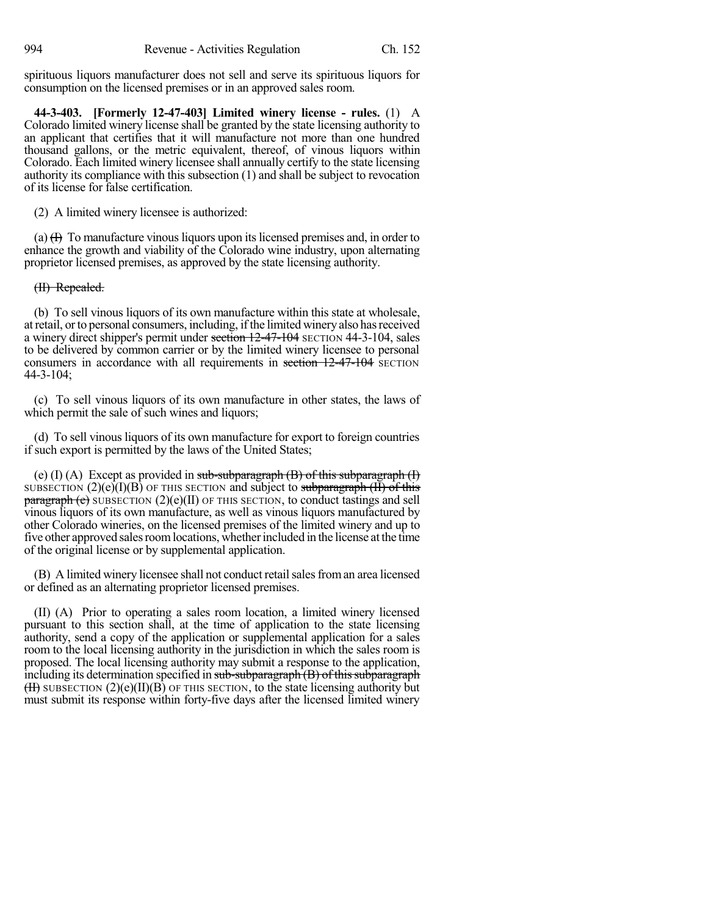spirituous liquors manufacturer does not sell and serve its spirituous liquors for consumption on the licensed premises or in an approved sales room.

**44-3-403. [Formerly 12-47-403] Limited winery license - rules.** (1) A Colorado limited winery license shall be granted by the state licensing authority to an applicant that certifies that it will manufacture not more than one hundred thousand gallons, or the metric equivalent, thereof, of vinous liquors within Colorado. Each limited winery licensee shall annually certify to the state licensing authority its compliance with this subsection (1) and shall be subject to revocation of its license for false certification.

(2) A limited winery licensee is authorized:

(a)  $(H)$  To manufacture vinous liquors upon its licensed premises and, in order to enhance the growth and viability of the Colorado wine industry, upon alternating proprietor licensed premises, as approved by the state licensing authority.

## (II) Repealed.

(b) To sell vinous liquors of its own manufacture within this state at wholesale, atretail, orto personal consumers, including, ifthe limited wineryalso hasreceived a winery direct shipper's permit under section 12-47-104 SECTION 44-3-104, sales to be delivered by common carrier or by the limited winery licensee to personal consumers in accordance with all requirements in section  $12-47-104$  SECTION 44-3-104;

(c) To sell vinous liquors of its own manufacture in other states, the laws of which permit the sale of such wines and liquors;

(d) To sell vinous liquors of its own manufacture for export to foreign countries if such export is permitted by the laws of the United States;

(e) (I) (A) Except as provided in sub-subparagraph  $(B)$  of this subparagraph  $(I)$ SUBSECTION  $(2)(e)(I)(B)$  OF THIS SECTION and subject to subparagraph  $(H)$  of this  $\frac{\text{parameter of}}{\text{parameter of}}$  subsection (2)(e)(II) of this section, to conduct tastings and sell vinous liquors of its own manufacture, as well as vinous liquors manufactured by other Colorado wineries, on the licensed premises of the limited winery and up to five other approved sales room locations, whether included in the license at the time of the original license or by supplemental application.

(B) A limited winery licensee shall not conduct retail sales from an area licensed or defined as an alternating proprietor licensed premises.

(II) (A) Prior to operating a sales room location, a limited winery licensed pursuant to this section shall, at the time of application to the state licensing authority, send a copy of the application or supplemental application for a sales room to the local licensing authority in the jurisdiction in which the sales room is proposed. The local licensing authority may submit a response to the application, including its determination specified in sub-subparagraph  $(B)$  of this subparagraph  $(H)$  SUBSECTION  $(2)(e)(II)(B)$  OF THIS SECTION, to the state licensing authority but must submit its response within forty-five days after the licensed limited winery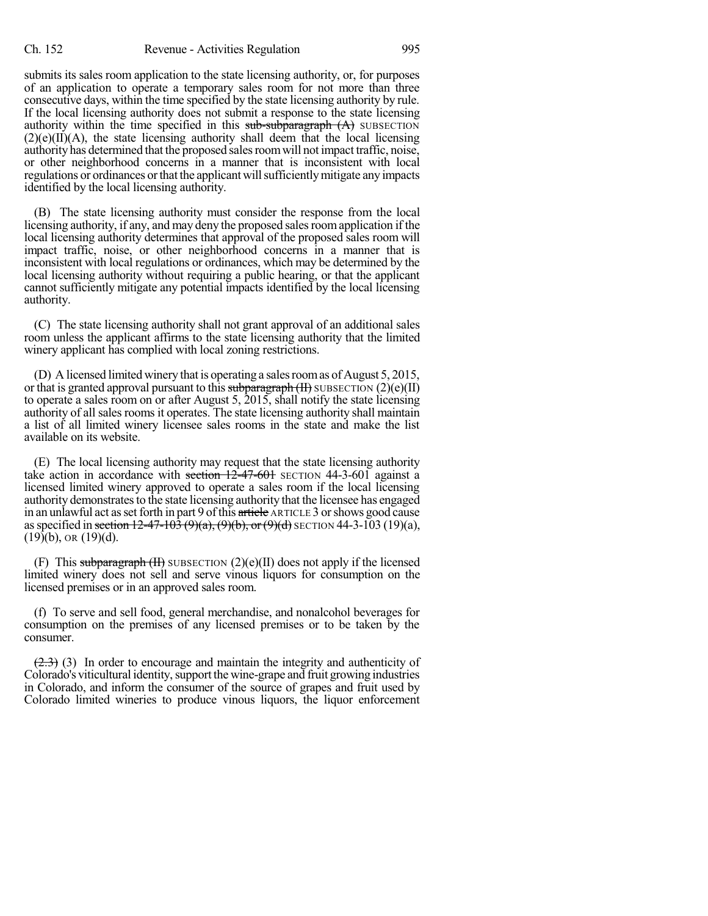submits its sales room application to the state licensing authority, or, for purposes of an application to operate a temporary sales room for not more than three consecutive days, within the time specified by the state licensing authority by rule. If the local licensing authority does not submit a response to the state licensing authority within the time specified in this  $sub-subgraph(A)$  SUBSECTION  $(2)(e)(II)(A)$ , the state licensing authority shall deem that the local licensing authority has determined that the proposed sales room will not impact traffic, noise, or other neighborhood concerns in a manner that is inconsistent with local regulations or ordinances or that the applicant will sufficiently mitigate any impacts identified by the local licensing authority.

(B) The state licensing authority must consider the response from the local licensing authority, if any, and may deny the proposed salesroomapplication if the local licensing authority determines that approval of the proposed sales room will impact traffic, noise, or other neighborhood concerns in a manner that is inconsistent with local regulations or ordinances, which may be determined by the local licensing authority without requiring a public hearing, or that the applicant cannot sufficiently mitigate any potential impacts identified by the local licensing authority.

(C) The state licensing authority shall not grant approval of an additional sales room unless the applicant affirms to the state licensing authority that the limited winery applicant has complied with local zoning restrictions.

(D) A licensed limited winery that is operating a sales room as of August 5, 2015, or that is granted approval pursuant to this subparagraph  $(H)$  SUBSECTION  $(2)(e)(II)$ to operate a sales room on or after August 5, 2015, shall notify the state licensing authority of all sales rooms it operates. The state licensing authority shall maintain a list of all limited winery licensee sales rooms in the state and make the list available on its website.

(E) The local licensing authority may request that the state licensing authority take action in accordance with section  $12-47-601$  SECTION 44-3-601 against a licensed limited winery approved to operate a sales room if the local licensing authority demonstrates to the state licensing authority that the licensee has engaged in an unlawful act as set forth in part 9 of this article ARTICLE 3 or shows good cause as specified in section 12-47-103 (9)(a), (9)(b), or (9)(d) SECTION 44-3-103 (19)(a),  $(19)(b)$ , OR  $(19)(d)$ .

(F) This subparagraph  $(H)$  SUBSECTION  $(2)(e)(H)$  does not apply if the licensed limited winery does not sell and serve vinous liquors for consumption on the licensed premises or in an approved sales room.

(f) To serve and sell food, general merchandise, and nonalcohol beverages for consumption on the premises of any licensed premises or to be taken by the consumer.

 $(2.3)$  (3) In order to encourage and maintain the integrity and authenticity of Colorado's viticultural identity,support the wine-grape and fruit growing industries in Colorado, and inform the consumer of the source of grapes and fruit used by Colorado limited wineries to produce vinous liquors, the liquor enforcement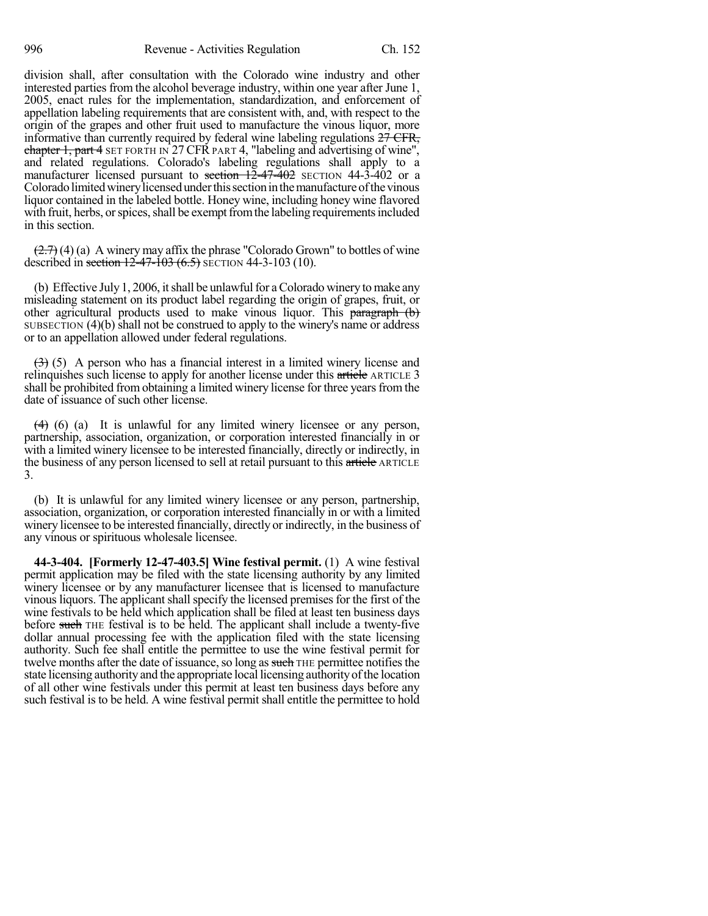division shall, after consultation with the Colorado wine industry and other interested parties from the alcohol beverage industry, within one year after June 1, 2005, enact rules for the implementation, standardization, and enforcement of appellation labeling requirements that are consistent with, and, with respect to the origin of the grapes and other fruit used to manufacture the vinous liquor, more informative than currently required by federal wine labeling regulations  $27 \text{ CFR}$ , chapter 1, part 4 SET FORTH IN 27 CFR PART 4, "labeling and advertising of wine", and related regulations. Colorado's labeling regulations shall apply to a manufacturer licensed pursuant to section 12-47-402 SECTION 44-3-402 or a Colorado limited winery licensed under this section in the manufacture of the vinous liquor contained in the labeled bottle. Honey wine, including honey wine flavored with fruit, herbs, or spices, shall be exempt from the labeling requirements included in this section.

 $(2.7)$  (4) (a) A winery may affix the phrase "Colorado Grown" to bottles of wine described in section  $12-47-103(6.5)$  SECTION 44-3-103 (10).

(b) Effective July 1, 2006, it shall be unlawful for a Colorado winery to make any misleading statement on its product label regarding the origin of grapes, fruit, or other agricultural products used to make vinous liquor. This paragraph (b) SUBSECTION (4)(b) shall not be construed to apply to the winery's name or address or to an appellation allowed under federal regulations.

 $(3)$  (5) A person who has a financial interest in a limited winery license and relinquishes such license to apply for another license under this article ARTICLE 3 shall be prohibited from obtaining a limited winery license for three years from the date of issuance of such other license.

 $(4)$  (6) (a) It is unlawful for any limited winery licensee or any person, partnership, association, organization, or corporation interested financially in or with a limited winery licensee to be interested financially, directly or indirectly, in the business of any person licensed to sell at retail pursuant to this article ARTICLE 3.

(b) It is unlawful for any limited winery licensee or any person, partnership, association, organization, or corporation interested financially in or with a limited winery licensee to be interested financially, directly or indirectly, in the business of any vinous or spirituous wholesale licensee.

**44-3-404. [Formerly 12-47-403.5] Wine festival permit.** (1) A wine festival permit application may be filed with the state licensing authority by any limited winery licensee or by any manufacturer licensee that is licensed to manufacture vinous liquors. The applicant shall specify the licensed premises for the first of the wine festivals to be held which application shall be filed at least ten business days before such THE festival is to be held. The applicant shall include a twenty-five dollar annual processing fee with the application filed with the state licensing authority. Such fee shall entitle the permittee to use the wine festival permit for twelve months after the date of issuance, so long as such THE permittee notifies the state licensing authority and the appropriate local licensing authorityofthe location of all other wine festivals under this permit at least ten business days before any such festival is to be held. A wine festival permit shall entitle the permittee to hold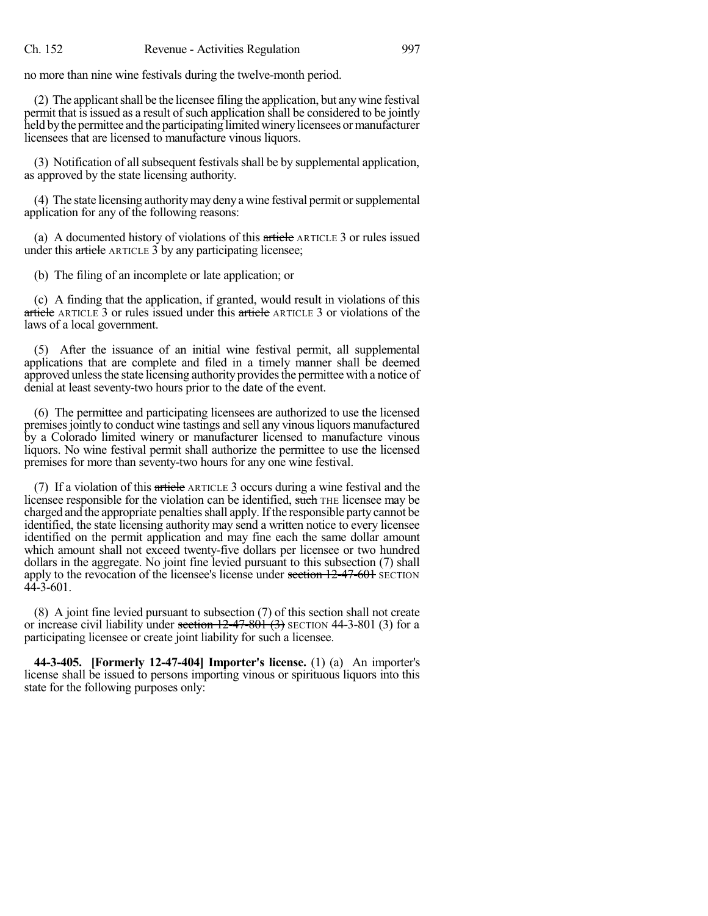no more than nine wine festivals during the twelve-month period.

 $(2)$  The applicant shall be the licensee filing the application, but any wine festival permit that is issued as a result of such application shall be considered to be jointly held by the permittee and the participating limited winery licensees or manufacturer licensees that are licensed to manufacture vinous liquors.

(3) Notification of all subsequent festivals shall be by supplemental application, as approved by the state licensing authority.

(4) The state licensing authoritymay denya wine festival permit orsupplemental application for any of the following reasons:

(a) A documented history of violations of this article ARTICLE 3 or rules issued under this article ARTICLE 3 by any participating licensee;

(b) The filing of an incomplete or late application; or

(c) A finding that the application, if granted, would result in violations of this article ARTICLE 3 or rules issued under this article ARTICLE 3 or violations of the laws of a local government.

(5) After the issuance of an initial wine festival permit, all supplemental applications that are complete and filed in a timely manner shall be deemed approved unless the state licensing authority provides the permittee with a notice of denial at least seventy-two hours prior to the date of the event.

(6) The permittee and participating licensees are authorized to use the licensed premises jointly to conduct wine tastings and sell any vinous liquors manufactured by a Colorado limited winery or manufacturer licensed to manufacture vinous liquors. No wine festival permit shall authorize the permittee to use the licensed premises for more than seventy-two hours for any one wine festival.

(7) If a violation of this article ARTICLE 3 occurs during a wine festival and the licensee responsible for the violation can be identified, such THE licensee may be charged and the appropriate penaltiesshall apply. Ifthe responsible party cannot be identified, the state licensing authority may send a written notice to every licensee identified on the permit application and may fine each the same dollar amount which amount shall not exceed twenty-five dollars per licensee or two hundred dollars in the aggregate. No joint fine levied pursuant to this subsection (7) shall apply to the revocation of the licensee's license under section 12-47-601 SECTION  $44 - 3 - 601$ .

(8) A joint fine levied pursuant to subsection (7) of this section shall not create or increase civil liability under section  $12-47-801$  (3) SECTION 44-3-801 (3) for a participating licensee or create joint liability for such a licensee.

**44-3-405. [Formerly 12-47-404] Importer's license.** (1) (a) An importer's license shall be issued to persons importing vinous or spirituous liquors into this state for the following purposes only: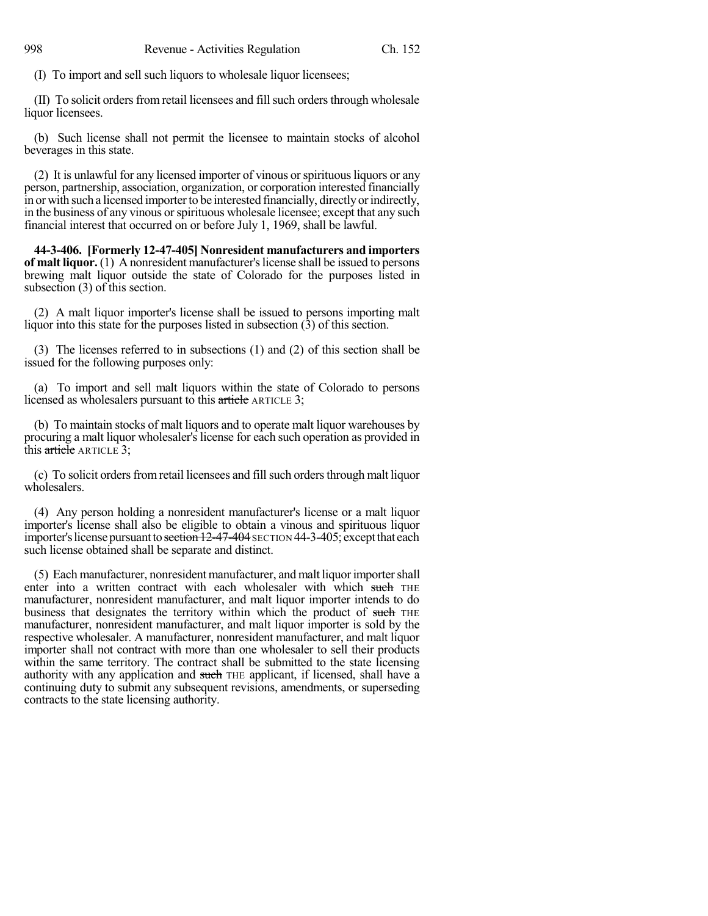(I) To import and sell such liquors to wholesale liquor licensees;

(II) To solicit orders from retail licensees and fill such orders through wholesale liquor licensees.

(b) Such license shall not permit the licensee to maintain stocks of alcohol beverages in this state.

(2) It is unlawful for any licensed importer of vinous orspirituousliquors or any person, partnership, association, organization, or corporation interested financially in or with such a licensed importer to be interested financially, directly or indirectly, in the business of any vinous orspirituous wholesale licensee; except that any such financial interest that occurred on or before July 1, 1969, shall be lawful.

**44-3-406. [Formerly 12-47-405] Nonresident manufacturers and importers of malt liquor.** (1) A nonresident manufacturer'slicense shall be issued to persons brewing malt liquor outside the state of Colorado for the purposes listed in subsection (3) of this section.

(2) A malt liquor importer's license shall be issued to persons importing malt liquor into this state for the purposes listed in subsection (3) of this section.

(3) The licenses referred to in subsections (1) and (2) of this section shall be issued for the following purposes only:

(a) To import and sell malt liquors within the state of Colorado to persons licensed as wholesalers pursuant to this article ARTICLE 3;

(b) To maintain stocks of malt liquors and to operate malt liquor warehouses by procuring a malt liquor wholesaler's license for each such operation as provided in this article ARTICLE 3;

(c) To solicit orders from retail licensees and fill such orders through malt liquor wholesalers.

(4) Any person holding a nonresident manufacturer's license or a malt liquor importer's license shall also be eligible to obtain a vinous and spirituous liquor importer's license pursuant to section 12-47-404 SECTION 44-3-405; except that each such license obtained shall be separate and distinct.

(5) Each manufacturer, nonresident manufacturer, and malt liquorimportershall enter into a written contract with each wholesaler with which such THE manufacturer, nonresident manufacturer, and malt liquor importer intends to do business that designates the territory within which the product of such THE manufacturer, nonresident manufacturer, and malt liquor importer is sold by the respective wholesaler. A manufacturer, nonresident manufacturer, and malt liquor importer shall not contract with more than one wholesaler to sell their products within the same territory. The contract shall be submitted to the state licensing authority with any application and such THE applicant, if licensed, shall have a continuing duty to submit any subsequent revisions, amendments, or superseding contracts to the state licensing authority.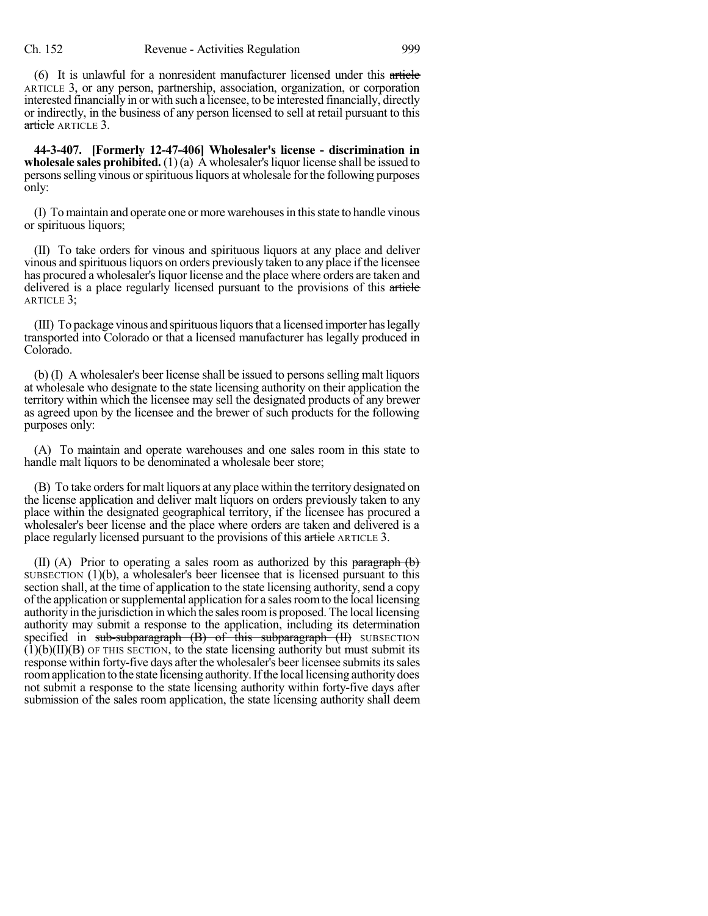(6) It is unlawful for a nonresident manufacturer licensed under this article ARTICLE 3, or any person, partnership, association, organization, or corporation interested financially in or with such a licensee, to be interested financially, directly or indirectly, in the business of any person licensed to sell at retail pursuant to this article ARTICLE 3.

**44-3-407. [Formerly 12-47-406] Wholesaler's license - discrimination in wholesale sales prohibited.** (1)(a) A wholesaler's liquor license shall be issued to personsselling vinous orspirituousliquors at wholesale for the following purposes only:

(I) Tomaintain and operate one or more warehousesin thisstate to handle vinous or spirituous liquors;

(II) To take orders for vinous and spirituous liquors at any place and deliver vinous and spirituous liquors on orders previously taken to any place if the licensee has procured a wholesaler's liquor license and the place where orders are taken and delivered is a place regularly licensed pursuant to the provisions of this article ARTICLE 3;

(III) To package vinous and spirituousliquorsthat a licensed importer haslegally transported into Colorado or that a licensed manufacturer has legally produced in Colorado.

(b) (I) A wholesaler's beer license shall be issued to persons selling malt liquors at wholesale who designate to the state licensing authority on their application the territory within which the licensee may sell the designated products of any brewer as agreed upon by the licensee and the brewer of such products for the following purposes only:

(A) To maintain and operate warehouses and one sales room in this state to handle malt liquors to be denominated a wholesale beer store;

(B) To take orders for malt liquors at any place within the territory designated on the license application and deliver malt liquors on orders previously taken to any place within the designated geographical territory, if the licensee has procured a wholesaler's beer license and the place where orders are taken and delivered is a place regularly licensed pursuant to the provisions of this article ARTICLE 3.

(II) (A) Prior to operating a sales room as authorized by this paragraph  $(b)$ SUBSECTION (1)(b), a wholesaler's beer licensee that is licensed pursuant to this section shall, at the time of application to the state licensing authority, send a copy ofthe application orsupplemental application for a salesroomto the local licensing authorityin the jurisdiction in which the salesroomis proposed. The local licensing authority may submit a response to the application, including its determination specified in  $sub-subgraph$  (B) of this subparagraph (II) SUBSECTION  $(1)(b)(II)(B)$  of this section, to the state licensing authority but must submit its response within forty-five days after the wholesaler's beer licensee submits its sales room application to the state licensing authority. If the local licensing authority does not submit a response to the state licensing authority within forty-five days after submission of the sales room application, the state licensing authority shall deem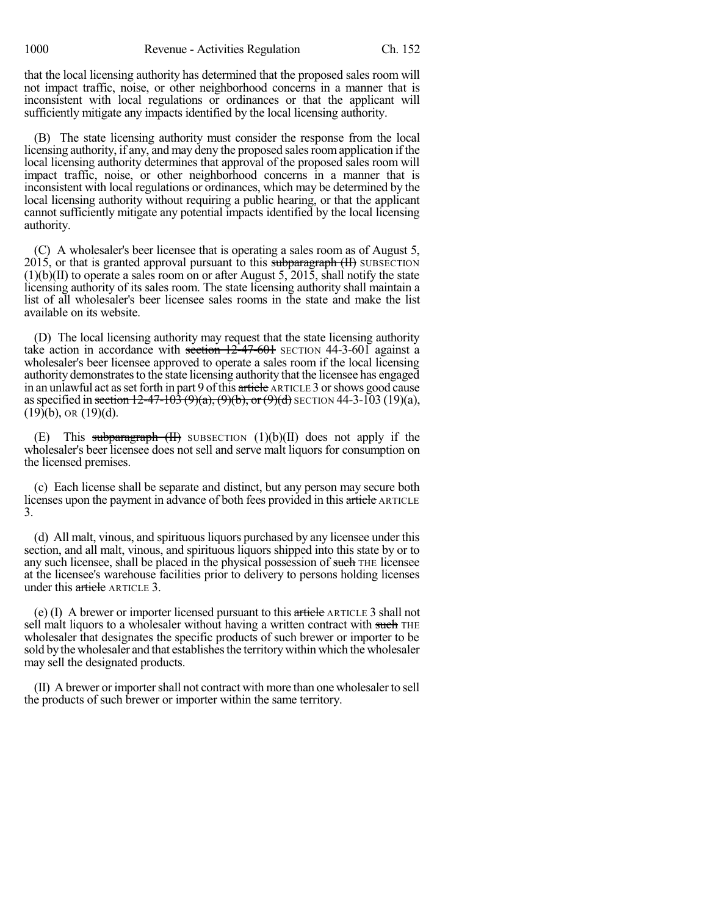that the local licensing authority has determined that the proposed sales room will not impact traffic, noise, or other neighborhood concerns in a manner that is inconsistent with local regulations or ordinances or that the applicant will sufficiently mitigate any impacts identified by the local licensing authority.

(B) The state licensing authority must consider the response from the local licensing authority, if any, and may deny the proposed sales room application if the local licensing authority determines that approval of the proposed sales room will impact traffic, noise, or other neighborhood concerns in a manner that is inconsistent with local regulations or ordinances, which may be determined by the local licensing authority without requiring a public hearing, or that the applicant cannot sufficiently mitigate any potential impacts identified by the local licensing authority.

(C) A wholesaler's beer licensee that is operating a sales room as of August 5,  $2015$ , or that is granted approval pursuant to this subparagraph  $(H)$  SUBSECTION (1)(b)(II) to operate a sales room on or after August 5, 2015, shall notify the state licensing authority of its sales room. The state licensing authority shall maintain a list of all wholesaler's beer licensee sales rooms in the state and make the list available on its website.

(D) The local licensing authority may request that the state licensing authority take action in accordance with section  $12-47-601$  SECTION  $44-3-601$  against a wholesaler's beer licensee approved to operate a sales room if the local licensing authority demonstrates to the state licensing authority that the licensee has engaged in an unlawful act as set forth in part 9 of this article ARTICLE 3 or shows good cause as specified in section  $12-47-103(9)(a)$ ,  $(9)(b)$ , or  $(9)(d)$  SECTION 44-3-103 (19)(a),  $(19)(b)$ , OR  $(19)(d)$ .

This subparagraph  $(H)$  SUBSECTION  $(1)(b)(II)$  does not apply if the wholesaler's beer licensee does not sell and serve malt liquors for consumption on the licensed premises.

(c) Each license shall be separate and distinct, but any person may secure both licenses upon the payment in advance of both fees provided in this article ARTICLE 3.

(d) All malt, vinous, and spirituous liquors purchased by any licensee under this section, and all malt, vinous, and spirituous liquors shipped into this state by or to any such licensee, shall be placed in the physical possession of such THE licensee at the licensee's warehouse facilities prior to delivery to persons holding licenses under this article ARTICLE 3.

(e) (I) A brewer or importer licensed pursuant to this article ARTICLE 3 shall not sell malt liquors to a wholesaler without having a written contract with such THE wholesaler that designates the specific products of such brewer or importer to be sold by the wholesaler and that establishes the territory within which the wholesaler may sell the designated products.

(II) A brewer or importershall not contract with more than one wholesalerto sell the products of such brewer or importer within the same territory.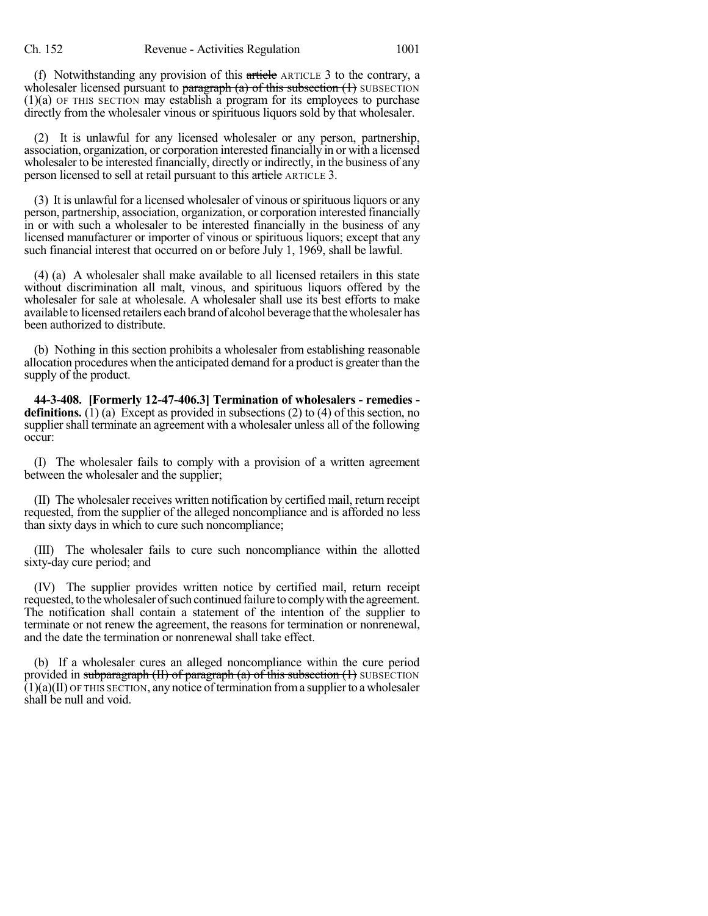(f) Notwithstanding any provision of this article ARTICLE 3 to the contrary, a wholesaler licensed pursuant to paragraph  $(a)$  of this subsection  $(1)$  SUBSECTION (1)(a) OF THIS SECTION may establish a program for its employees to purchase directly from the wholesaler vinous or spirituous liquors sold by that wholesaler.

(2) It is unlawful for any licensed wholesaler or any person, partnership, association, organization, or corporation interested financially in or with a licensed wholesaler to be interested financially, directly or indirectly, in the business of any person licensed to sell at retail pursuant to this article ARTICLE 3.

(3) It is unlawful for a licensed wholesaler of vinous orspirituousliquors or any person, partnership, association, organization, or corporation interested financially in or with such a wholesaler to be interested financially in the business of any licensed manufacturer or importer of vinous or spirituous liquors; except that any such financial interest that occurred on or before July 1, 1969, shall be lawful.

(4) (a) A wholesaler shall make available to all licensed retailers in this state without discrimination all malt, vinous, and spirituous liquors offered by the wholesaler for sale at wholesale. A wholesaler shall use its best efforts to make available to licensed retailers each brand of alcohol beverage that the wholesaler has been authorized to distribute.

(b) Nothing in this section prohibits a wholesaler from establishing reasonable allocation procedures when the anticipated demand for a product is greaterthan the supply of the product.

**44-3-408. [Formerly 12-47-406.3] Termination of wholesalers - remedies definitions.** (1) (a) Except as provided in subsections (2) to (4) of this section, no supplier shall terminate an agreement with a wholesaler unless all of the following occur:

(I) The wholesaler fails to comply with a provision of a written agreement between the wholesaler and the supplier;

(II) The wholesaler receives written notification by certified mail, return receipt requested, from the supplier of the alleged noncompliance and is afforded no less than sixty days in which to cure such noncompliance;

(III) The wholesaler fails to cure such noncompliance within the allotted sixty-day cure period; and

(IV) The supplier provides written notice by certified mail, return receipt requested, to the wholesaler of such continued failure to comply with the agreement. The notification shall contain a statement of the intention of the supplier to terminate or not renew the agreement, the reasons for termination or nonrenewal, and the date the termination or nonrenewal shall take effect.

(b) If a wholesaler cures an alleged noncompliance within the cure period provided in subparagraph  $(H)$  of paragraph  $(a)$  of this subsection  $(H)$  SUBSECTION  $(1)(a)(II)$  OF THIS SECTION, any notice of termination from a supplier to a wholesaler shall be null and void.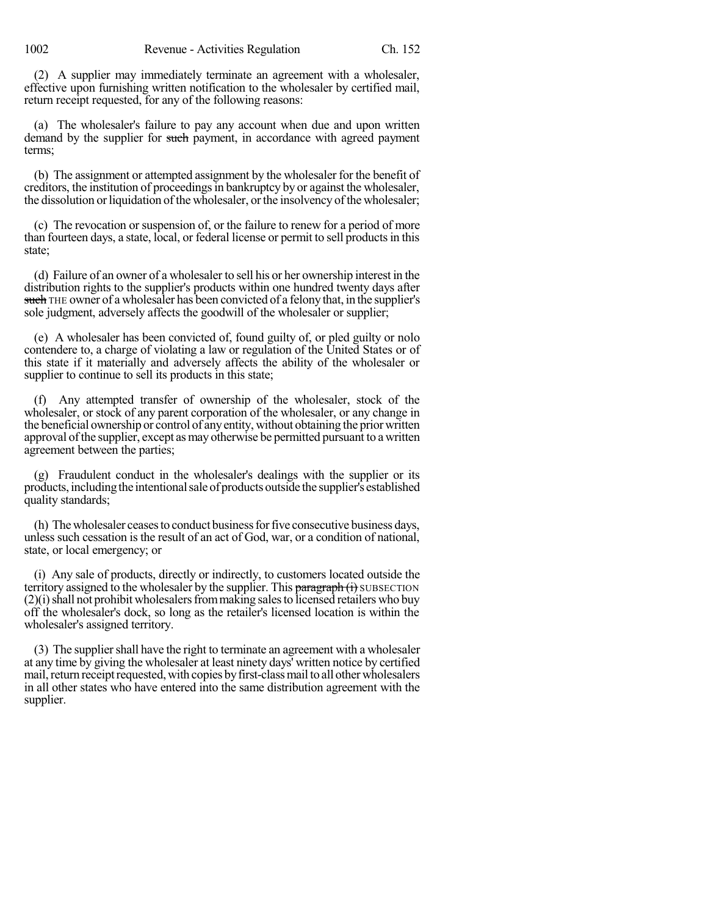(2) A supplier may immediately terminate an agreement with a wholesaler, effective upon furnishing written notification to the wholesaler by certified mail, return receipt requested, for any of the following reasons:

(a) The wholesaler's failure to pay any account when due and upon written demand by the supplier for such payment, in accordance with agreed payment terms;

(b) The assignment or attempted assignment by the wholesaler for the benefit of creditors, the institution of proceedings in bankruptcy by or against the wholesaler, the dissolution or liquidation of the wholesaler, or the insolvency of the wholesaler;

(c) The revocation or suspension of, or the failure to renew for a period of more than fourteen days, a state, local, or federal license or permit to sell productsin this state;

(d) Failure of an owner of a wholesaler to sell his or her ownership interest in the distribution rights to the supplier's products within one hundred twenty days after such THE owner of a wholesaler has been convicted of a felony that, in the supplier's sole judgment, adversely affects the goodwill of the wholesaler or supplier;

(e) A wholesaler has been convicted of, found guilty of, or pled guilty or nolo contendere to, a charge of violating a law or regulation of the United States or of this state if it materially and adversely affects the ability of the wholesaler or supplier to continue to sell its products in this state;

(f) Any attempted transfer of ownership of the wholesaler, stock of the wholesaler, or stock of any parent corporation of the wholesaler, or any change in the beneficial ownership or control of anyentity, without obtaining the priorwritten approval of the supplier, except as may otherwise be permitted pursuant to a written agreement between the parties;

(g) Fraudulent conduct in the wholesaler's dealings with the supplier or its products,includingthe intentionalsaleof productsoutside the supplier's established quality standards;

(h) Thewholesaler ceasesto conduct businessforfive consecutive business days, unless such cessation is the result of an act of God, war, or a condition of national, state, or local emergency; or

(i) Any sale of products, directly or indirectly, to customers located outside the territory assigned to the wholesaler by the supplier. This paragraph (i) SUBSECTION  $(2)(i)$  shall not prohibit wholesalers from making sales to licensed retailers who buy off the wholesaler's dock, so long as the retailer's licensed location is within the wholesaler's assigned territory.

(3) The suppliershall have the right to terminate an agreement with a wholesaler at any time by giving the wholesaler at least ninety days' written notice by certified mail, return receipt requested, with copies by first-class mail to all other wholesalers in all other states who have entered into the same distribution agreement with the supplier.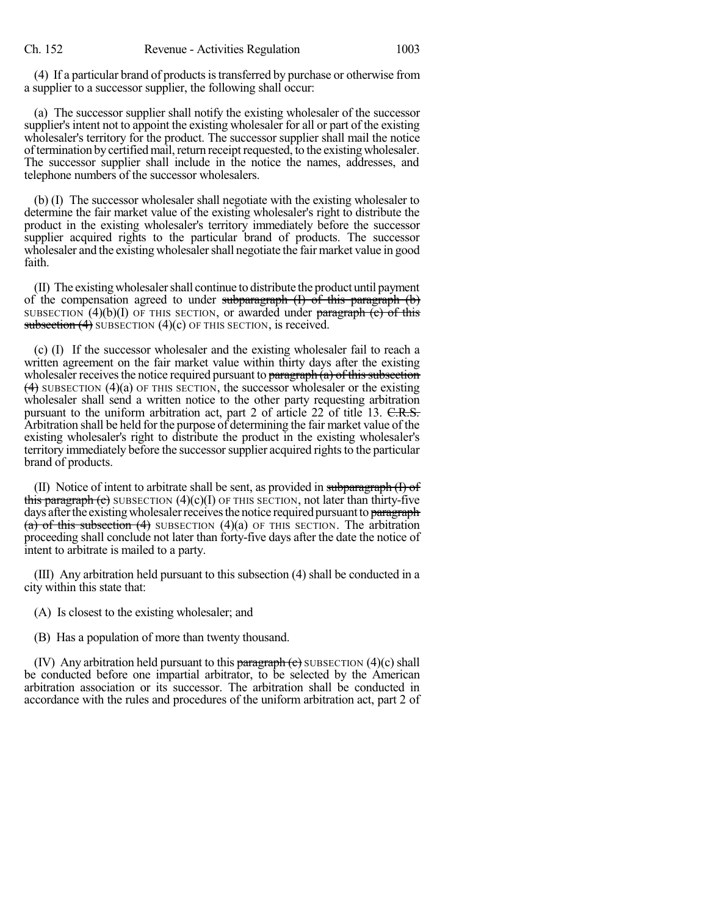(4) If a particular brand of products is transferred by purchase or otherwise from a supplier to a successor supplier, the following shall occur:

(a) The successor supplier shall notify the existing wholesaler of the successor supplier's intent not to appoint the existing wholesaler for all or part of the existing wholesaler's territory for the product. The successor supplier shall mail the notice of termination by certified mail, return receipt requested, to the existing wholesaler. The successor supplier shall include in the notice the names, addresses, and telephone numbers of the successor wholesalers.

(b) (I) The successor wholesaler shall negotiate with the existing wholesaler to determine the fair market value of the existing wholesaler's right to distribute the product in the existing wholesaler's territory immediately before the successor supplier acquired rights to the particular brand of products. The successor wholesaler and the existing wholesaler shall negotiate the fair market value in good faith.

(II) The existing wholesalershall continue to distribute the product until payment of the compensation agreed to under subparagraph  $(I)$  of this paragraph  $(b)$ SUBSECTION  $(4)(b)(I)$  OF THIS SECTION, or awarded under paragraph  $(c)$  of this subsection  $(4)$  SUBSECTION  $(4)(c)$  OF THIS SECTION, is received.

(c) (I) If the successor wholesaler and the existing wholesaler fail to reach a written agreement on the fair market value within thirty days after the existing wholesaler receives the notice required pursuant to  $\frac{\partial}{\partial x}$  (a) of this subsection  $(4)$  SUBSECTION  $(4)(a)$  OF THIS SECTION, the successor wholesaler or the existing wholesaler shall send a written notice to the other party requesting arbitration pursuant to the uniform arbitration act, part 2 of article 22 of title 13. C.R.S. Arbitration shall be held for the purpose of determining the fair market value of the existing wholesaler's right to distribute the product in the existing wholesaler's territory immediately before the successor supplier acquired rights to the particular brand of products.

(II) Notice of intent to arbitrate shall be sent, as provided in subparagraph  $(I)$  of this paragraph (c) SUBSECTION  $(4)(c)(I)$  OF THIS SECTION, not later than thirty-five days after the existing wholesaler receives the notice required pursuant to paragraph (a) of this subsection (4) SUBSECTION  $(4)(a)$  OF THIS SECTION. The arbitration proceeding shall conclude not later than forty-five days after the date the notice of intent to arbitrate is mailed to a party.

(III) Any arbitration held pursuant to this subsection (4) shall be conducted in a city within this state that:

- (A) Is closest to the existing wholesaler; and
- (B) Has a population of more than twenty thousand.

(IV) Any arbitration held pursuant to this  $\frac{\frac{1}{2}}{\frac{1}{2}}$  subsection (4)(c) shall be conducted before one impartial arbitrator, to be selected by the American arbitration association or its successor. The arbitration shall be conducted in accordance with the rules and procedures of the uniform arbitration act, part 2 of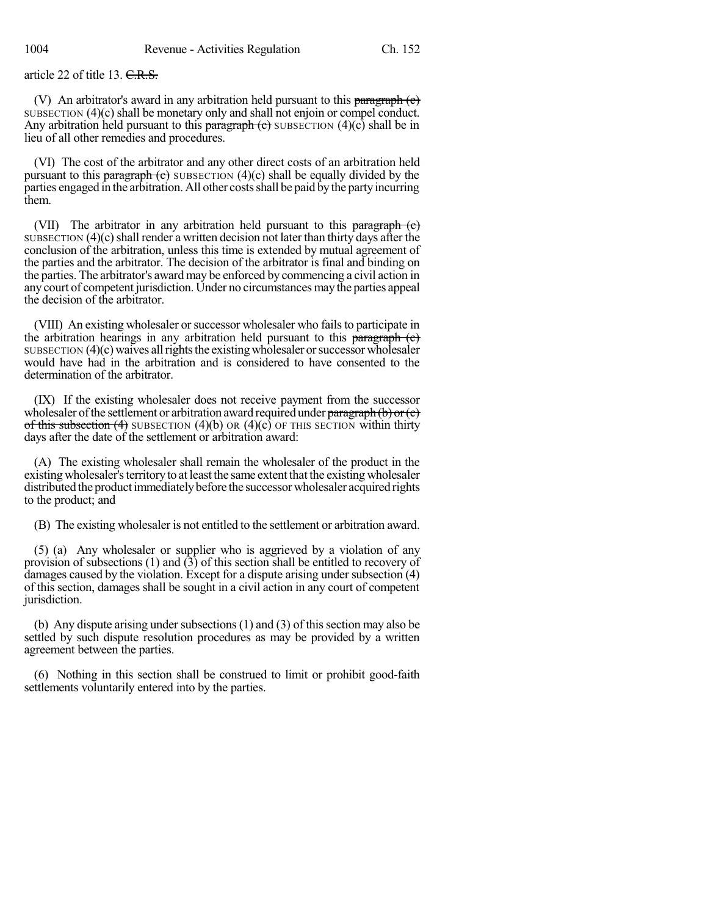article 22 of title 13. C.R.S.

(V) An arbitrator's award in any arbitration held pursuant to this paragraph  $(e)$ SUBSECTION (4)(c) shall be monetary only and shall not enjoin or compel conduct. Any arbitration held pursuant to this paragraph  $\left($ c $\right)$  subsection (4)(c) shall be in lieu of all other remedies and procedures.

(VI) The cost of the arbitrator and any other direct costs of an arbitration held pursuant to this paragraph  $(e)$  SUBSECTION  $(4)(c)$  shall be equally divided by the parties engaged in the arbitration. All other costs shall be paid by the party incurring them.

(VII) The arbitrator in any arbitration held pursuant to this paragraph  $(e)$ SUBSECTION  $(4)(c)$  shall render a written decision not later than thirty days after the conclusion of the arbitration, unless this time is extended by mutual agreement of the parties and the arbitrator. The decision of the arbitrator is final and binding on the parties. The arbitrator's award may be enforced by commencing a civil action in any court of competent jurisdiction. Under no circumstances may the parties appeal the decision of the arbitrator.

(VIII) An existing wholesaler or successor wholesaler who fails to participate in the arbitration hearings in any arbitration held pursuant to this  $\frac{\partial}{\partial x}$  $SUBSECTION (4)(c)$  waives all rights the existing wholesaler or successor wholesaler would have had in the arbitration and is considered to have consented to the determination of the arbitrator.

(IX) If the existing wholesaler does not receive payment from the successor wholesaler of the settlement or arbitration award required under  $\frac{\text{parameter of the set}}{\text{error of the set}}$ of this subsection  $(4)$  SUBSECTION  $(4)(b)$  OR  $(4)(c)$  OF THIS SECTION within thirty days after the date of the settlement or arbitration award:

(A) The existing wholesaler shall remain the wholesaler of the product in the existing wholesaler's territory to at least the same extent that the existing wholesaler distributed the productimmediatelybefore the successor wholesaler acquired rights to the product; and

(B) The existing wholesaler is not entitled to the settlement or arbitration award.

(5) (a) Any wholesaler or supplier who is aggrieved by a violation of any provision of subsections  $(1)$  and  $(3)$  of this section shall be entitled to recovery of damages caused by the violation. Except for a dispute arising under subsection (4) of this section, damages shall be sought in a civil action in any court of competent jurisdiction.

(b) Any dispute arising under subsections  $(1)$  and  $(3)$  of this section may also be settled by such dispute resolution procedures as may be provided by a written agreement between the parties.

(6) Nothing in this section shall be construed to limit or prohibit good-faith settlements voluntarily entered into by the parties.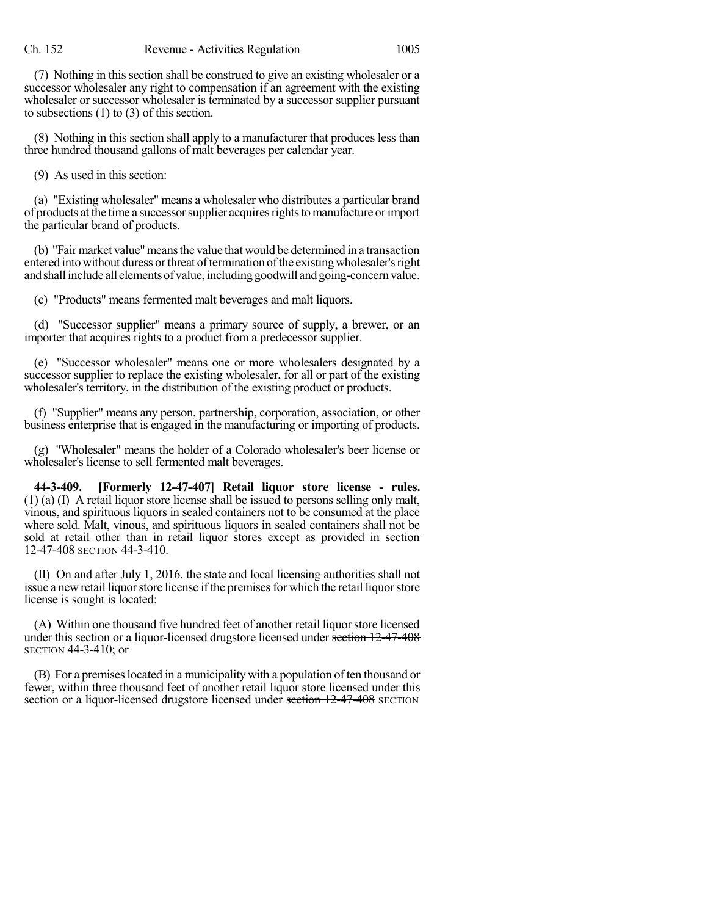(7) Nothing in this section shall be construed to give an existing wholesaler or a successor wholesaler any right to compensation if an agreement with the existing wholesaler or successor wholesaler is terminated by a successor supplier pursuant to subsections (1) to (3) of this section.

(8) Nothing in this section shall apply to a manufacturer that produces less than three hundred thousand gallons of malt beverages per calendar year.

(9) As used in this section:

(a) "Existing wholesaler" means a wholesaler who distributes a particular brand of products at the time a successorsupplier acquiresrightstomanufacture orimport the particular brand of products.

(b) "Fairmarket value"meansthe value that would be determined in a transaction entered into without duress or threat of termination of the existing wholesaler's right and shall include all elements of value, including goodwill and going-concern value.

(c) "Products" means fermented malt beverages and malt liquors.

(d) "Successor supplier" means a primary source of supply, a brewer, or an importer that acquires rights to a product from a predecessor supplier.

(e) "Successor wholesaler" means one or more wholesalers designated by a successor supplier to replace the existing wholesaler, for all or part of the existing wholesaler's territory, in the distribution of the existing product or products.

(f) "Supplier" means any person, partnership, corporation, association, or other business enterprise that is engaged in the manufacturing or importing of products.

(g) "Wholesaler" means the holder of a Colorado wholesaler's beer license or wholesaler's license to sell fermented malt beverages.

**44-3-409. [Formerly 12-47-407] Retail liquor store license - rules.** (1) (a) (I) A retail liquor store license shall be issued to persons selling only malt, vinous, and spirituous liquors in sealed containers not to be consumed at the place where sold. Malt, vinous, and spirituous liquors in sealed containers shall not be sold at retail other than in retail liquor stores except as provided in section **12-47-408** SECTION 44-3-410.

(II) On and after July 1, 2016, the state and local licensing authorities shall not issue a new retail liquor store license if the premises for which the retail liquor store license is sought is located:

(A) Within one thousand five hundred feet of another retail liquorstore licensed under this section or a liquor-licensed drugstore licensed under section 12-47-408 SECTION 44-3-410; or

(B) For a premises located in a municipality with a population of ten thousand or fewer, within three thousand feet of another retail liquor store licensed under this section or a liquor-licensed drugstore licensed under section 12-47-408 SECTION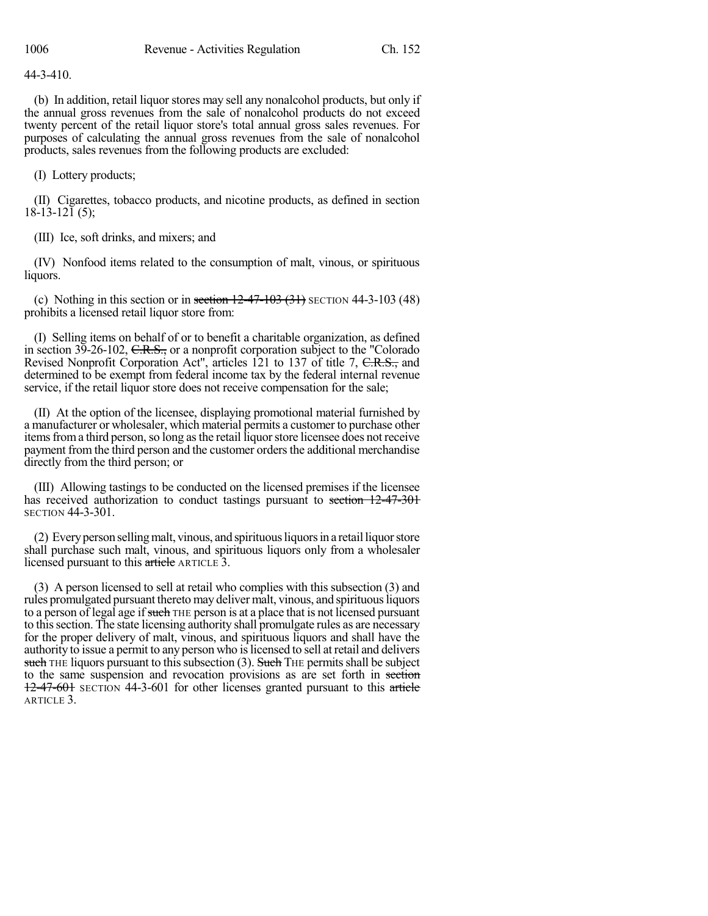44-3-410.

(b) In addition, retail liquor stores may sell any nonalcohol products, but only if the annual gross revenues from the sale of nonalcohol products do not exceed twenty percent of the retail liquor store's total annual gross sales revenues. For purposes of calculating the annual gross revenues from the sale of nonalcohol products, sales revenues from the following products are excluded:

(I) Lottery products;

(II) Cigarettes, tobacco products, and nicotine products, as defined in section 18-13-121 (5);

(III) Ice, soft drinks, and mixers; and

(IV) Nonfood items related to the consumption of malt, vinous, or spirituous liquors.

(c) Nothing in this section or in section  $12-47-103$  (31) SECTION 44-3-103 (48) prohibits a licensed retail liquor store from:

(I) Selling items on behalf of or to benefit a charitable organization, as defined in section  $3\overline{9}$ -26-102, C.R.S., or a nonprofit corporation subject to the "Colorado" Revised Nonprofit Corporation Act", articles 121 to 137 of title 7, C.R.S., and determined to be exempt from federal income tax by the federal internal revenue service, if the retail liquor store does not receive compensation for the sale;

(II) At the option of the licensee, displaying promotional material furnished by a manufacturer or wholesaler, which material permits a customer to purchase other items from a third person, so long as the retail liquor store licensee does not receive payment from the third person and the customer orders the additional merchandise directly from the third person; or

(III) Allowing tastings to be conducted on the licensed premises if the licensee has received authorization to conduct tastings pursuant to section 12-47-301 SECTION 44-3-301.

(2) Everyperson sellingmalt, vinous, and spirituousliquorsin a retailliquorstore shall purchase such malt, vinous, and spirituous liquors only from a wholesaler licensed pursuant to this article ARTICLE 3.

(3) A person licensed to sell at retail who complies with this subsection (3) and rules promulgated pursuant thereto may deliver malt, vinous, and spirituousliquors to a person of legal age if such THE person is at a place that is not licensed pursuant to thissection. The state licensing authority shall promulgate rules as are necessary for the proper delivery of malt, vinous, and spirituous liquors and shall have the authority to issue a permit to any person who islicensed to sell at retail and delivers such THE liquors pursuant to this subsection  $(3)$ . Such THE permits shall be subject to the same suspension and revocation provisions as are set forth in section 12-47-601 SECTION 44-3-601 for other licenses granted pursuant to this article ARTICLE 3.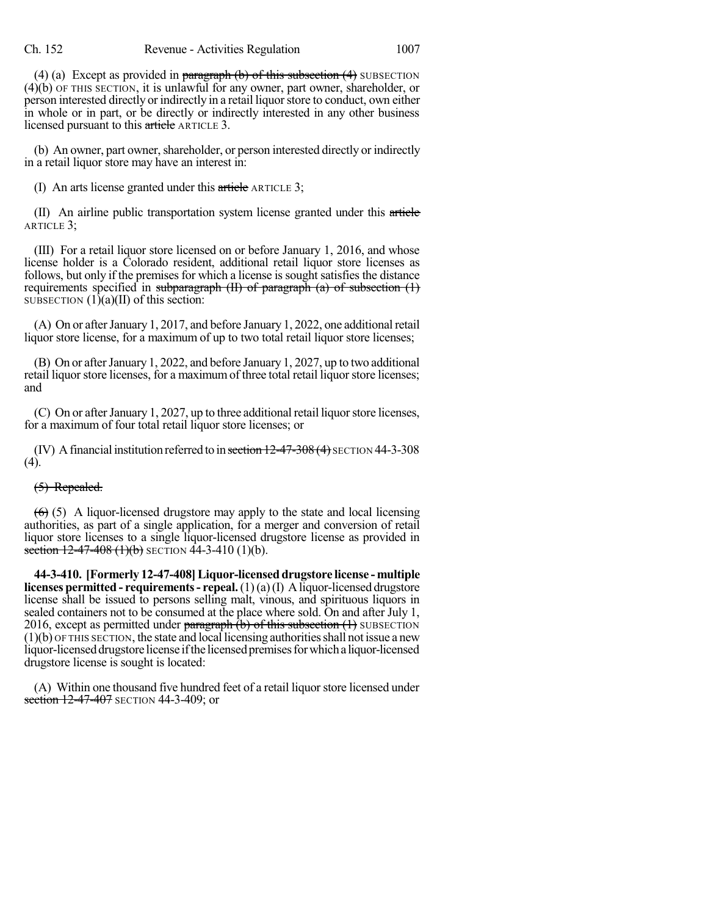(4) (a) Except as provided in paragraph  $(b)$  of this subsection  $(4)$  SUBSECTION (4)(b) OF THIS SECTION, it is unlawful for any owner, part owner, shareholder, or person interested directly or indirectly in a retail liquor store to conduct, own either in whole or in part, or be directly or indirectly interested in any other business licensed pursuant to this article ARTICLE 3.

(b) An owner, part owner, shareholder, or person interested directly or indirectly in a retail liquor store may have an interest in:

(I) An arts license granted under this article ARTICLE 3;

(II) An airline public transportation system license granted under this article ARTICLE 3;

(III) For a retail liquor store licensed on or before January 1, 2016, and whose license holder is a Colorado resident, additional retail liquor store licenses as follows, but only if the premises for which a license is sought satisfies the distance requirements specified in subparagraph  $(H)$  of paragraph  $(a)$  of subsection  $(1)$ SUBSECTION  $(1)(a)(II)$  of this section:

(A) On or after January 1, 2017, and before January 1, 2022, one additional retail liquor store license, for a maximum of up to two total retail liquor store licenses;

(B) On or after January 1, 2022, and before January 1, 2027, up to two additional retail liquor store licenses, for a maximum of three total retail liquor store licenses; and

(C) On or after January 1, 2027, up to three additional retail liquor store licenses, for a maximum of four total retail liquor store licenses; or

(IV) A financial institution referred to in section  $12-47-308(4)$  SECTION 44-3-308 (4).

# (5) Repealed.

 $(6)$  (5) A liquor-licensed drugstore may apply to the state and local licensing authorities, as part of a single application, for a merger and conversion of retail liquor store licenses to a single liquor-licensed drugstore license as provided in section 12-47-408  $(1)(b)$  SECTION 44-3-410  $(1)(b)$ .

**44-3-410. [Formerly 12-47-408]Liquor-licensed drugstore license - multiple licenses permitted - requirements- repeal.**(1)(a)(I) Aliquor-licensed drugstore license shall be issued to persons selling malt, vinous, and spirituous liquors in sealed containers not to be consumed at the place where sold. On and after July 1, 2016, except as permitted under paragraph  $(b)$  of this subsection  $(1)$  SUBSECTION  $(1)(b)$  OF THIS SECTION, the state and local licensing authorities shall not issue a new liquor-licensed drugstore license if the licensed premises for which a liquor-licensed drugstore license is sought is located:

(A) Within one thousand five hundred feet of a retail liquor store licensed under section 12-47-407 SECTION 44-3-409; or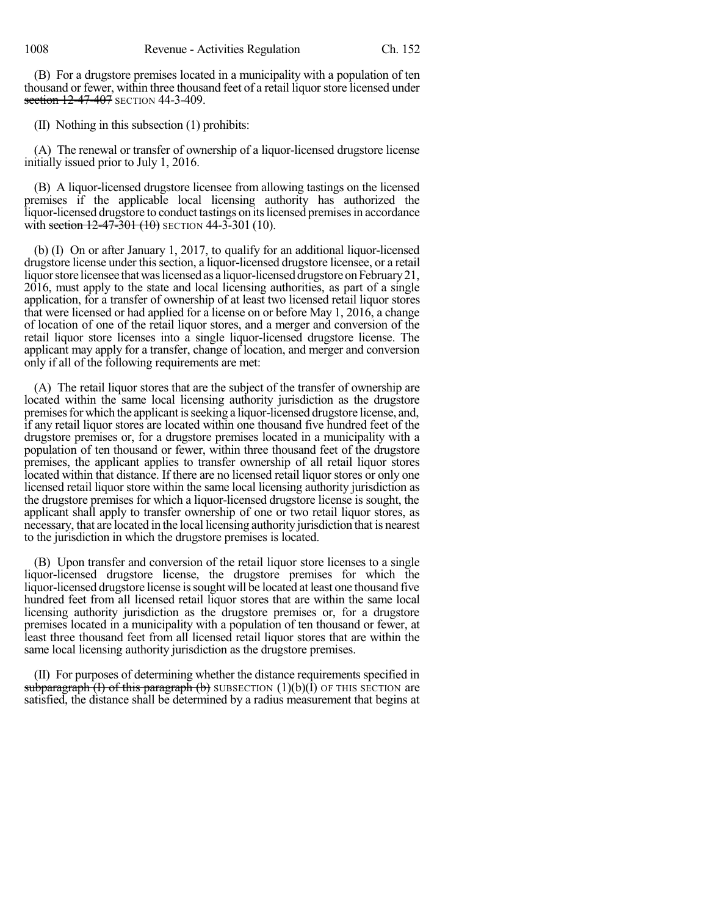(B) For a drugstore premises located in a municipality with a population of ten thousand or fewer, within three thousand feet of a retail liquor store licensed under section 12-47-407 SECTION 44-3-409.

(II) Nothing in this subsection (1) prohibits:

(A) The renewal or transfer of ownership of a liquor-licensed drugstore license initially issued prior to July 1, 2016.

(B) A liquor-licensed drugstore licensee from allowing tastings on the licensed premises if the applicable local licensing authority has authorized the liquor-licensed drugstore to conduct tastings on itslicensed premisesin accordance with section  $12-47-301$  (10) SECTION 44-3-301 (10).

(b) (I) On or after January 1, 2017, to qualify for an additional liquor-licensed drugstore license under thissection, a liquor-licensed drugstore licensee, or a retail liquor store licensee that was licensed as a liquor-licensed drugstore on February 21, 2016, must apply to the state and local licensing authorities, as part of a single application, for a transfer of ownership of at least two licensed retail liquor stores that were licensed or had applied for a license on or before May 1, 2016, a change of location of one of the retail liquor stores, and a merger and conversion of the retail liquor store licenses into a single liquor-licensed drugstore license. The applicant may apply for a transfer, change of location, and merger and conversion only if all of the following requirements are met:

(A) The retail liquor stores that are the subject of the transfer of ownership are located within the same local licensing authority jurisdiction as the drugstore premises for which the applicant is seeking a liquor-licensed drugstore license, and, if any retail liquor stores are located within one thousand five hundred feet of the drugstore premises or, for a drugstore premises located in a municipality with a population of ten thousand or fewer, within three thousand feet of the drugstore premises, the applicant applies to transfer ownership of all retail liquor stores located within that distance. If there are no licensed retail liquor stores or only one licensed retail liquor store within the same local licensing authority jurisdiction as the drugstore premises for which a liquor-licensed drugstore license is sought, the applicant shall apply to transfer ownership of one or two retail liquor stores, as necessary, that are located in the local licensing authority jurisdiction that is nearest to the jurisdiction in which the drugstore premises is located.

(B) Upon transfer and conversion of the retail liquor store licenses to a single liquor-licensed drugstore license, the drugstore premises for which the liquor-licensed drugstore license issought will be located at least one thousand five hundred feet from all licensed retail liquor stores that are within the same local licensing authority jurisdiction as the drugstore premises or, for a drugstore premises located in a municipality with a population of ten thousand or fewer, at least three thousand feet from all licensed retail liquor stores that are within the same local licensing authority jurisdiction as the drugstore premises.

(II) For purposes of determining whether the distance requirements specified in subparagraph (I) of this paragraph (b) SUBSECTION  $(1)(b)(\tilde{I})$  OF THIS SECTION are satisfied, the distance shall be determined by a radius measurement that begins at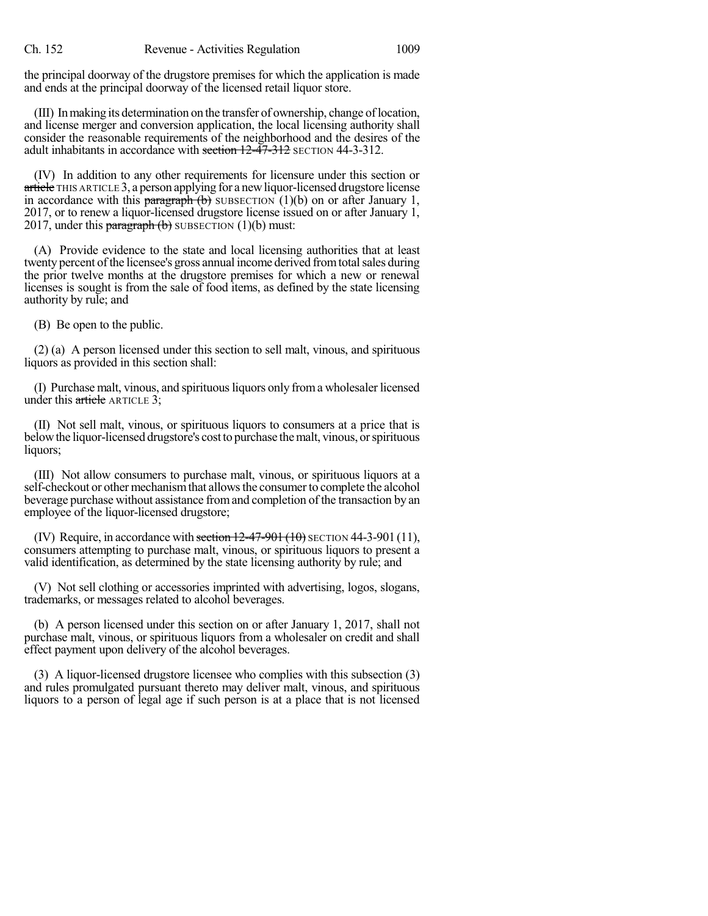the principal doorway of the drugstore premises for which the application is made and ends at the principal doorway of the licensed retail liquor store.

(III) Inmaking its determination on the transfer of ownership, change oflocation, and license merger and conversion application, the local licensing authority shall consider the reasonable requirements of the neighborhood and the desires of the adult inhabitants in accordance with section  $12-47-312$  SECTION 44-3-312.

(IV) In addition to any other requirements for licensure under this section or article THIS ARTICLE 3, a person applying for a new liquor-licensed drugstore license in accordance with this paragraph  $(b)$  SUBSECTION (1)(b) on or after January 1, 2017, or to renew a liquor-licensed drugstore license issued on or after January 1, 2017, under this **paragraph** (b) SUBSECTION (1)(b) must:

(A) Provide evidence to the state and local licensing authorities that at least twenty percent of the licensee's gross annual income derived from total sales during the prior twelve months at the drugstore premises for which a new or renewal licenses is sought is from the sale of food items, as defined by the state licensing authority by rule; and

(B) Be open to the public.

(2) (a) A person licensed under this section to sell malt, vinous, and spirituous liquors as provided in this section shall:

(I) Purchase malt, vinous, and spirituousliquors only froma wholesaler licensed under this article ARTICLE 3;

(II) Not sell malt, vinous, or spirituous liquors to consumers at a price that is below the liquor-licensed drugstore's cost to purchase the malt, vinous, or spirituous liquors;

(III) Not allow consumers to purchase malt, vinous, or spirituous liquors at a self-checkout or other mechanismthat allowsthe consumerto complete the alcohol beverage purchase without assistance fromand completion of the transaction by an employee of the liquor-licensed drugstore;

(IV) Require, in accordance with section  $12-47-901$  (10) SECTION 44-3-901 (11), consumers attempting to purchase malt, vinous, or spirituous liquors to present a valid identification, as determined by the state licensing authority by rule; and

(V) Not sell clothing or accessories imprinted with advertising, logos, slogans, trademarks, or messages related to alcohol beverages.

(b) A person licensed under this section on or after January 1, 2017, shall not purchase malt, vinous, or spirituous liquors from a wholesaler on credit and shall effect payment upon delivery of the alcohol beverages.

(3) A liquor-licensed drugstore licensee who complies with this subsection (3) and rules promulgated pursuant thereto may deliver malt, vinous, and spirituous liquors to a person of legal age if such person is at a place that is not licensed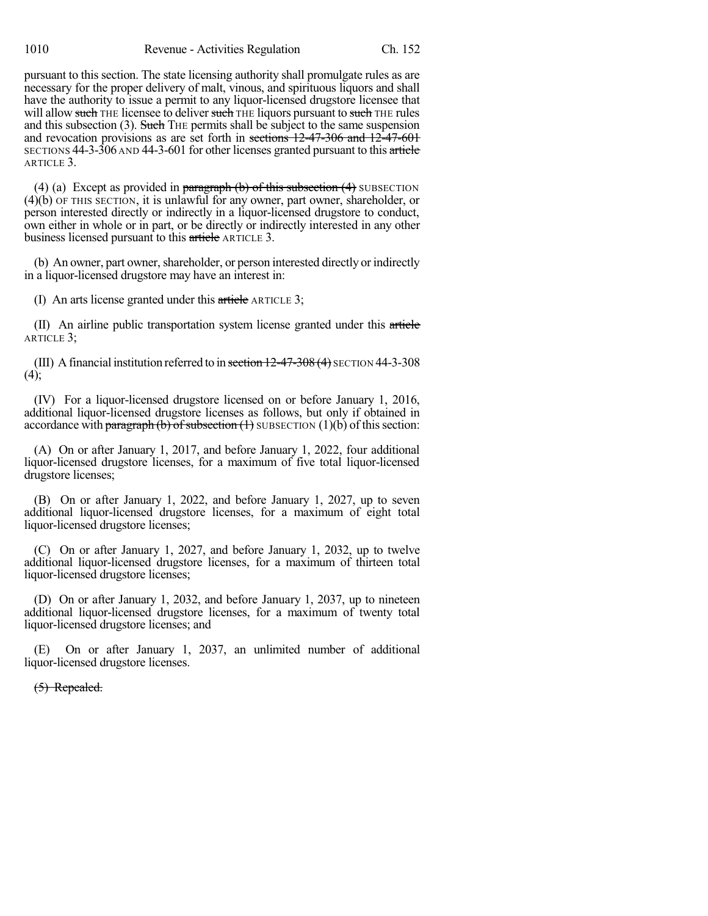pursuant to this section. The state licensing authority shall promulgate rules as are necessary for the proper delivery of malt, vinous, and spirituous liquors and shall have the authority to issue a permit to any liquor-licensed drugstore licensee that will allow such THE licensee to deliver such THE liquors pursuant to such THE rules and this subsection  $(3)$ . Such THE permits shall be subject to the same suspension and revocation provisions as are set forth in sections 12-47-306 and 12-47-601 SECTIONS 44-3-306 AND 44-3-601 for other licenses granted pursuant to this article ARTICLE 3.

(4) (a) Except as provided in paragraph  $(b)$  of this subsection  $(4)$  SUBSECTION (4)(b) OF THIS SECTION, it is unlawful for any owner, part owner, shareholder, or person interested directly or indirectly in a liquor-licensed drugstore to conduct, own either in whole or in part, or be directly or indirectly interested in any other business licensed pursuant to this article ARTICLE 3.

(b) An owner, part owner, shareholder, or person interested directly or indirectly in a liquor-licensed drugstore may have an interest in:

(I) An arts license granted under this article ARTICLE 3;

(II) An airline public transportation system license granted under this article ARTICLE 3;

(III) A financial institution referred to in section  $12-47-308(4)$  SECTION 44-3-308  $(4)$ ;

(IV) For a liquor-licensed drugstore licensed on or before January 1, 2016, additional liquor-licensed drugstore licenses as follows, but only if obtained in accordance with paragraph (b) of subsection  $(1)$  SUBSECTION  $(1)(b)$  of this section:

(A) On or after January 1, 2017, and before January 1, 2022, four additional liquor-licensed drugstore licenses, for a maximum of five total liquor-licensed drugstore licenses;

(B) On or after January 1, 2022, and before January 1, 2027, up to seven additional liquor-licensed drugstore licenses, for a maximum of eight total liquor-licensed drugstore licenses;

(C) On or after January 1, 2027, and before January 1, 2032, up to twelve additional liquor-licensed drugstore licenses, for a maximum of thirteen total liquor-licensed drugstore licenses;

(D) On or after January 1, 2032, and before January 1, 2037, up to nineteen additional liquor-licensed drugstore licenses, for a maximum of twenty total liquor-licensed drugstore licenses; and

(E) On or after January 1, 2037, an unlimited number of additional liquor-licensed drugstore licenses.

(5) Repealed.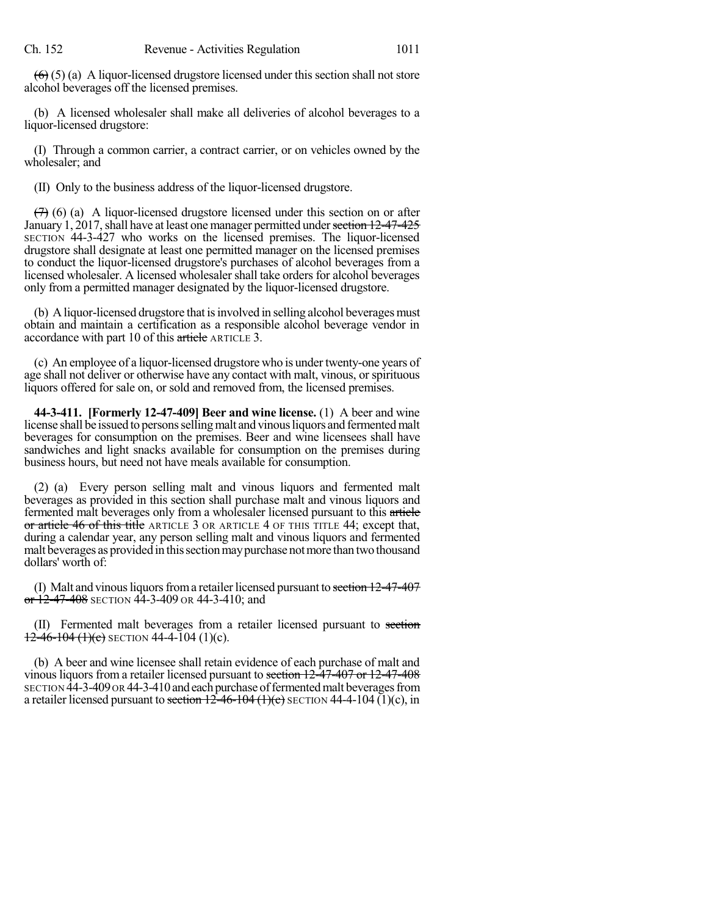$(6)$  (5) (a) A liquor-licensed drugstore licensed under this section shall not store alcohol beverages off the licensed premises.

(b) A licensed wholesaler shall make all deliveries of alcohol beverages to a liquor-licensed drugstore:

(I) Through a common carrier, a contract carrier, or on vehicles owned by the wholesaler; and

(II) Only to the business address of the liquor-licensed drugstore.

 $(7)$  (6) (a) A liquor-licensed drugstore licensed under this section on or after January 1, 2017, shall have at least one manager permitted under section 12-47-425 SECTION 44-3-427 who works on the licensed premises. The liquor-licensed drugstore shall designate at least one permitted manager on the licensed premises to conduct the liquor-licensed drugstore's purchases of alcohol beverages from a licensed wholesaler. A licensed wholesaler shall take orders for alcohol beverages only from a permitted manager designated by the liquor-licensed drugstore.

(b) A liquor-licensed drugstore that isinvolved in selling alcohol beverages must obtain and maintain a certification as a responsible alcohol beverage vendor in accordance with part 10 of this article ARTICLE 3.

(c) An employee of a liquor-licensed drugstore who is under twenty-one years of age shall not deliver or otherwise have any contact with malt, vinous, or spirituous liquors offered for sale on, or sold and removed from, the licensed premises.

**44-3-411. [Formerly 12-47-409] Beer and wine license.** (1) A beer and wine license shall be issued to persons selling malt and vinous liquors and fermented malt beverages for consumption on the premises. Beer and wine licensees shall have sandwiches and light snacks available for consumption on the premises during business hours, but need not have meals available for consumption.

(2) (a) Every person selling malt and vinous liquors and fermented malt beverages as provided in this section shall purchase malt and vinous liquors and fermented malt beverages only from a wholesaler licensed pursuant to this article or article 46 of this title ARTICLE 3 OR ARTICLE 4 OF THIS TITLE 44; except that, during a calendar year, any person selling malt and vinous liquors and fermented malt beverages as provided in this section may purchase not more than two thousand dollars' worth of:

(I) Malt and vinous liquors from a retailer licensed pursuant to section  $12-47-407$ or  $12-47-408$  SECTION 44-3-409 OR 44-3-410; and

(II) Fermented malt beverages from a retailer licensed pursuant to section  $12-46-104$  (1)(c) SECTION 44-4-104 (1)(c).

(b) A beer and wine licensee shall retain evidence of each purchase of malt and vinous liquors from a retailer licensed pursuant to section 12-47-407 or 12-47-408 SECTION 44-3-409 OR 44-3-410 and each purchase of fermented malt beverages from a retailer licensed pursuant to section  $12\text{-}46\text{-}104 \text{ (1)(c)}$  SECTION 44-4-104 (1)(c), in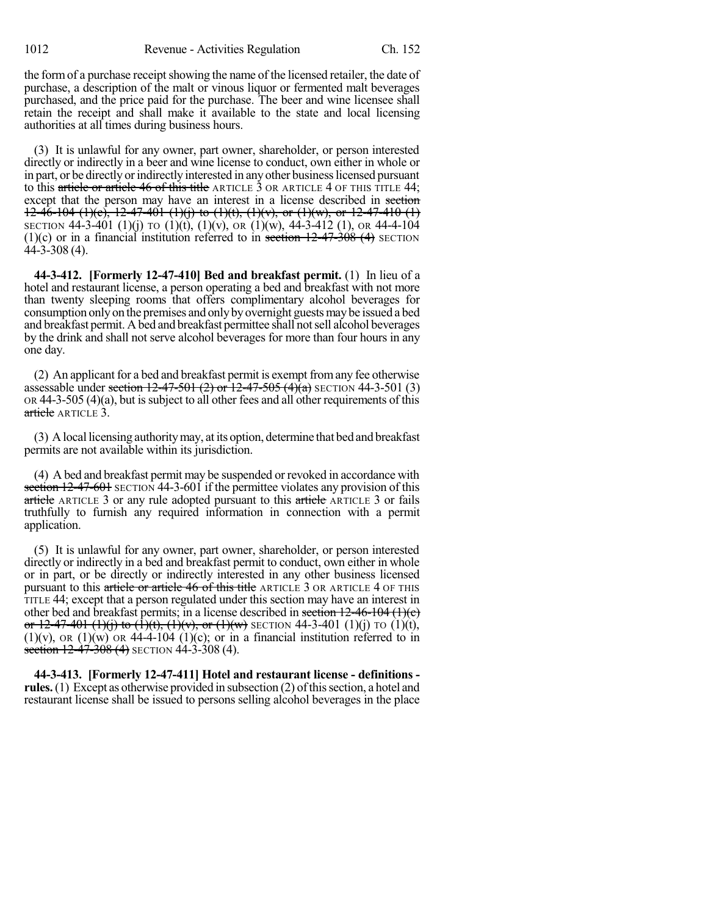the form of a purchase receipt showing the name of the licensed retailer, the date of purchase, a description of the malt or vinous liquor or fermented malt beverages purchased, and the price paid for the purchase. The beer and wine licensee shall retain the receipt and shall make it available to the state and local licensing authorities at all times during business hours.

(3) It is unlawful for any owner, part owner, shareholder, or person interested directly or indirectly in a beer and wine license to conduct, own either in whole or in part, or be directly or indirectly interested in any other business licensed pursuant to this article or article 46 of this title ARTICLE 3 OR ARTICLE 4 OF THIS TITLE 44; except that the person may have an interest in a license described in section 12-46-104 (1)(c), 12-47-401 (1)(j) to (1)(t), (1)(v), or (1)(w), or 12-47-410 (1) SECTION 44-3-401 (1)(j) TO (1)(t), (1)(v), OR (1)(w), 44-3-412 (1), OR 44-4-104 (1)(c) or in a financial institution referred to in section  $12-47-308$  (4) SECTION 44-3-308 (4).

**44-3-412. [Formerly 12-47-410] Bed and breakfast permit.** (1) In lieu of a hotel and restaurant license, a person operating a bed and breakfast with not more than twenty sleeping rooms that offers complimentary alcohol beverages for consumption only on the premises and only by overnight guests may be issued a bed and breakfast permit. Abed and breakfast permittee shall notsell alcohol beverages by the drink and shall not serve alcohol beverages for more than four hours in any one day.

(2) An applicant for a bed and breakfast permit is exempt fromany fee otherwise assessable under section  $12-47-501$  (2) or  $12-47-505$  (4)(a) SECTION 44-3-501 (3)  $OR 44-3-505 (4)(a)$ , but is subject to all other fees and all other requirements of this article ARTICLE 3.

(3) Alocal licensing authoritymay, at its option, determine that bed and breakfast permits are not available within its jurisdiction.

(4) A bed and breakfast permit may be suspended or revoked in accordance with section 12-47-601 SECTION 44-3-601 if the permittee violates any provision of this article ARTICLE 3 or any rule adopted pursuant to this article ARTICLE 3 or fails truthfully to furnish any required information in connection with a permit application.

(5) It is unlawful for any owner, part owner, shareholder, or person interested directly or indirectly in a bed and breakfast permit to conduct, own either in whole or in part, or be directly or indirectly interested in any other business licensed pursuant to this article or article 46 of this title ARTICLE 3 OR ARTICLE 4 OF THIS TITLE 44; except that a person regulated under this section may have an interest in other bed and breakfast permits; in a license described in section  $12-46-104$  (1)(e) or 12-47-401 (1)(i) to (1)(t), (1)(v), or (1)(w) SECTION 44-3-401 (1)(i) TO (1)(t),  $(1)(v)$ , OR  $(1)(w)$  OR 44-4-104  $(1)(c)$ ; or in a financial institution referred to in section  $12-47-308$  (4) SECTION 44-3-308 (4).

**44-3-413. [Formerly 12-47-411] Hotel and restaurant license - definitions**  rules. (1) Except as otherwise provided in subsection (2) of this section, a hotel and restaurant license shall be issued to persons selling alcohol beverages in the place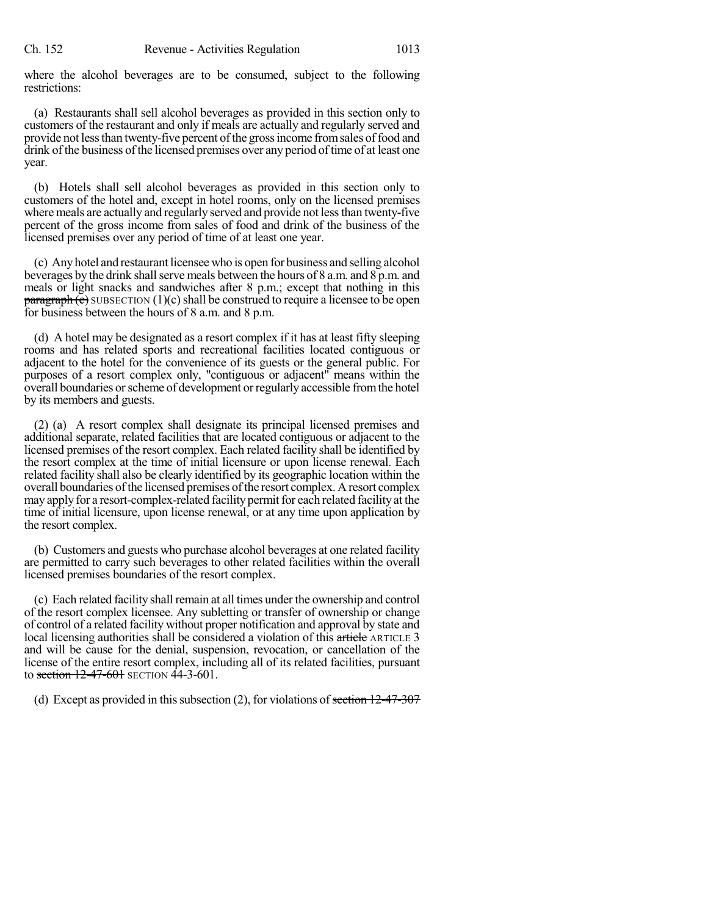where the alcohol beverages are to be consumed, subject to the following restrictions:

(a) Restaurants shall sell alcohol beverages as provided in this section only to customers of the restaurant and only if meals are actually and regularly served and provide not less than twenty-five percent of the gross income from sales of food and drink of the business of the licensed premises over any period of time of at least one year.

(b) Hotels shall sell alcohol beverages as provided in this section only to customers of the hotel and, except in hotel rooms, only on the licensed premises where meals are actually and regularly served and provide not less than twenty-five percent of the gross income from sales of food and drink of the business of the licensed premises over any period of time of at least one year.

(c) Anyhotel and restaurant licensee who is open for business and selling alcohol beverages by the drink shall serve meals between the hours of 8 a.m. and 8 p.m. and meals or light snacks and sandwiches after 8 p.m.; except that nothing in this  $\frac{\text{parameter of}}{\text{parameter of}}$  subsection (1)(c) shall be construed to require a licensee to be open for business between the hours of 8 a.m. and 8 p.m.

(d) A hotel may be designated as a resort complex if it has at least fifty sleeping rooms and has related sports and recreational facilities located contiguous or adjacent to the hotel for the convenience of its guests or the general public. For purposes of a resort complex only, "contiguous or adjacent" means within the overall boundaries or scheme of development or regularly accessible from the hotel by its members and guests.

(2) (a) A resort complex shall designate its principal licensed premises and additional separate, related facilities that are located contiguous or adjacent to the licensed premises of the resort complex. Each related facility shall be identified by the resort complex at the time of initial licensure or upon license renewal. Each related facility shall also be clearly identified by its geographic location within the overall boundaries ofthe licensed premises ofthe resort complex. Aresort complex may apply for a resort-complex-related facility permit for each related facility at the time of initial licensure, upon license renewal, or at any time upon application by the resort complex.

(b) Customers and guests who purchase alcohol beverages at one related facility are permitted to carry such beverages to other related facilities within the overall licensed premises boundaries of the resort complex.

(c) Each related facility shall remain at all times under the ownership and control of the resort complex licensee. Any subletting or transfer of ownership or change of control of a related facility without proper notification and approval by state and local licensing authorities shall be considered a violation of this article ARTICLE 3 and will be cause for the denial, suspension, revocation, or cancellation of the license of the entire resort complex, including all of its related facilities, pursuant to section 12-47-601 SECTION 44-3-601.

(d) Except as provided in this subsection (2), for violations of section  $12-47-307$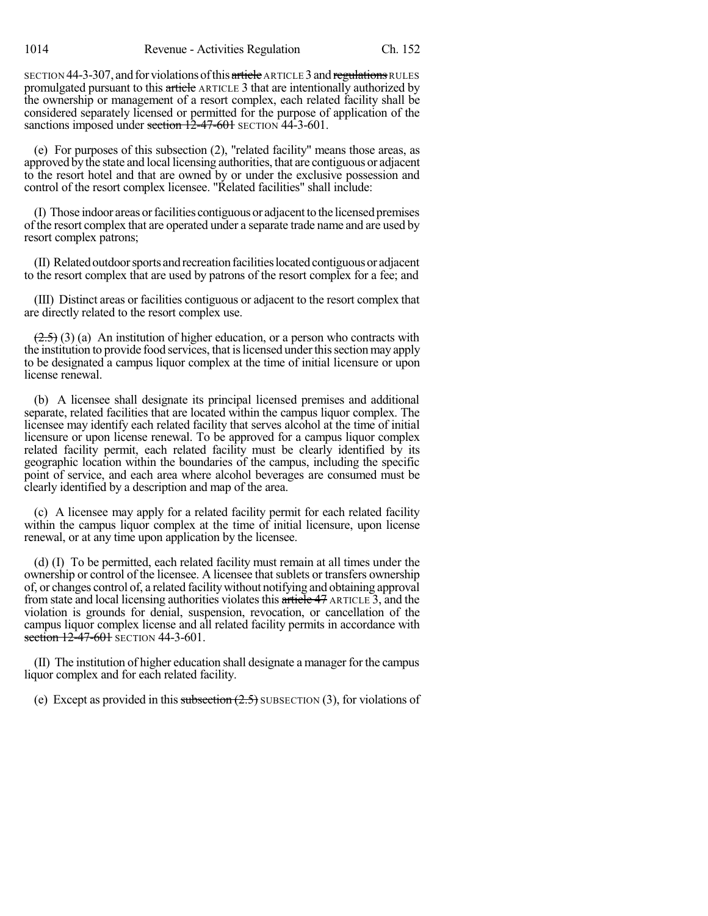SECTION 44-3-307, and for violations of this article ARTICLE 3 and regulations RULES promulgated pursuant to this article ARTICLE 3 that are intentionally authorized by the ownership or management of a resort complex, each related facility shall be considered separately licensed or permitted for the purpose of application of the sanctions imposed under section 12-47-601 SECTION 44-3-601.

(e) For purposes of this subsection (2), "related facility" means those areas, as approved bythe state and local licensing authorities, that are contiguous or adjacent to the resort hotel and that are owned by or under the exclusive possession and control of the resort complex licensee. "Related facilities" shall include:

(I) Those indoor areas orfacilities contiguousor adjacentto the licensed premises of the resort complex that are operated under a separate trade name and are used by resort complex patrons;

(II) Relatedoutdoorsports andrecreationfacilitieslocatedcontiguousor adjacent to the resort complex that are used by patrons of the resort complex for a fee; and

(III) Distinct areas or facilities contiguous or adjacent to the resort complex that are directly related to the resort complex use.

 $(2.5)$  (3) (a) An institution of higher education, or a person who contracts with the institution to provide food services, that is licensed under this section may apply to be designated a campus liquor complex at the time of initial licensure or upon license renewal.

(b) A licensee shall designate its principal licensed premises and additional separate, related facilities that are located within the campus liquor complex. The licensee may identify each related facility that serves alcohol at the time of initial licensure or upon license renewal. To be approved for a campus liquor complex related facility permit, each related facility must be clearly identified by its geographic location within the boundaries of the campus, including the specific point of service, and each area where alcohol beverages are consumed must be clearly identified by a description and map of the area.

(c) A licensee may apply for a related facility permit for each related facility within the campus liquor complex at the time of initial licensure, upon license renewal, or at any time upon application by the licensee.

(d) (I) To be permitted, each related facility must remain at all times under the ownership or control of the licensee. A licensee that sublets or transfers ownership of, or changes control of, a related facilitywithout notifying and obtaining approval from state and local licensing authorities violatesthis article 47 ARTICLE 3, and the violation is grounds for denial, suspension, revocation, or cancellation of the campus liquor complex license and all related facility permits in accordance with section 12-47-601 SECTION 44-3-601.

(II) The institution of higher education shall designate a manager forthe campus liquor complex and for each related facility.

(e) Except as provided in this subsection  $(2.5)$  SUBSECTION (3), for violations of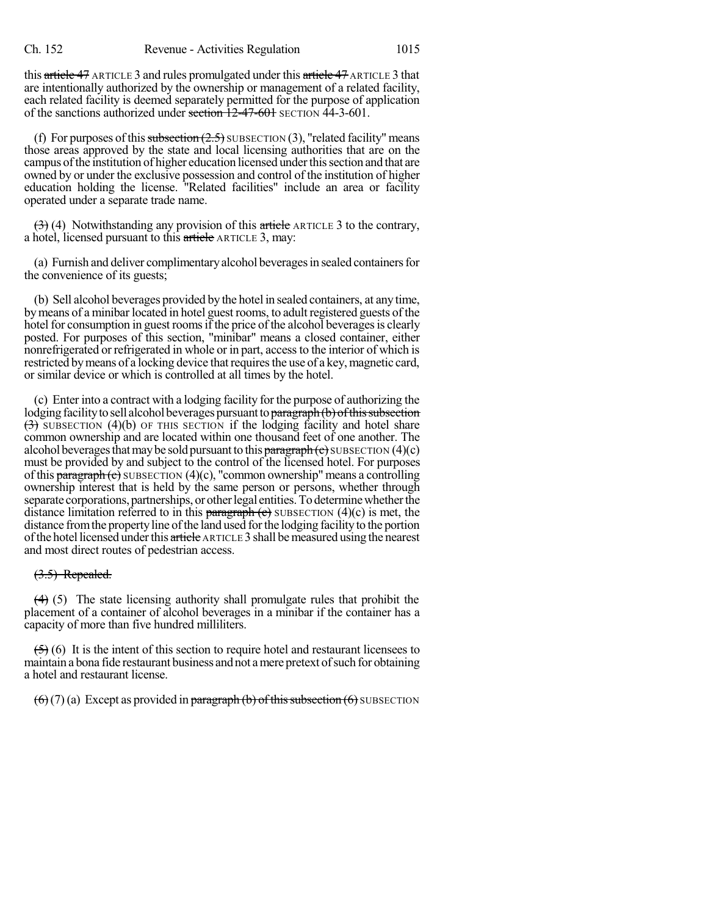this article 47 ARTICLE 3 and rules promulgated under this article 47 ARTICLE 3 that are intentionally authorized by the ownership or management of a related facility, each related facility is deemed separately permitted for the purpose of application of the sanctions authorized under section  $\overline{12-47-601}$  SECTION  $\overline{44-3-601}$ .

(f) For purposes of this subsection  $(2.5)$  SUBSECTION (3), "related facility" means those areas approved by the state and local licensing authorities that are on the campus of the institution of higher education licensed under this section and that are owned by or under the exclusive possession and control of the institution of higher education holding the license. "Related facilities" include an area or facility operated under a separate trade name.

 $(3)$  (4) Notwithstanding any provision of this article ARTICLE 3 to the contrary, a hotel, licensed pursuant to this article ARTICLE 3, may:

(a) Furnish and deliver complimentaryalcohol beveragesin sealed containersfor the convenience of its guests;

(b) Sell alcohol beverages provided by the hotel in sealed containers, at any time, by means of a minibar located in hotel guest rooms, to adult registered guests of the hotel for consumption in guest rooms if the price of the alcohol beverages is clearly posted. For purposes of this section, "minibar" means a closed container, either nonrefrigerated or refrigerated in whole or in part, accessto the interior of which is restricted by means of a locking device that requires the use of a key, magnetic card, or similar device or which is controlled at all times by the hotel.

(c) Enter into a contract with a lodging facility for the purpose of authorizing the lodging facility to sell alcohol beverages pursuant to paragraph (b) of this subsection  $(3)$  SUBSECTION (4)(b) OF THIS SECTION if the lodging facility and hotel share common ownership and are located within one thousand feet of one another. The alcohol beverages that may be sold pursuant to this  $\frac{b^2}{2}$  paragraph (c) SUBSECTION (4)(c) must be provided by and subject to the control of the licensed hotel. For purposes of this  $\frac{\text{parameter of}}{\text{mean}}$  SUBSECTION (4)(c), "common ownership" means a controlling ownership interest that is held by the same person or persons, whether through separate corporations, partnerships, or other legal entities. To determine whether the distance limitation referred to in this paragraph  $(e)$  SUBSECTION  $(4)(c)$  is met, the distance fromthe propertyline ofthe land used forthe lodging facilityto the portion of the hotel licensed under this article ARTICLE 3 shall be measured using the nearest and most direct routes of pedestrian access.

#### (3.5) Repealed.

 $(4)$  (5) The state licensing authority shall promulgate rules that prohibit the placement of a container of alcohol beverages in a minibar if the container has a capacity of more than five hundred milliliters.

 $(5)$  (6) It is the intent of this section to require hotel and restaurant licensees to maintain a bona fide restaurant business and not a mere pretext of such for obtaining a hotel and restaurant license.

 $(6)(7)(a)$  Except as provided in paragraph (b) of this subsection  $(6)$  SUBSECTION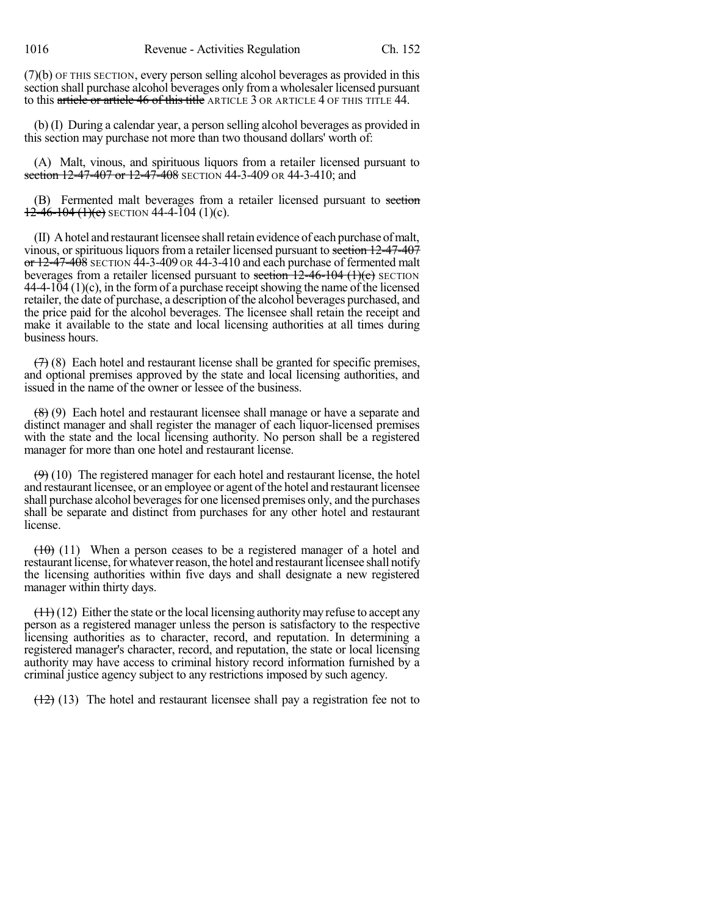(7)(b) OF THIS SECTION, every person selling alcohol beverages as provided in this section shall purchase alcohol beverages only from a wholesaler licensed pursuant to this article or article 46 of this title ARTICLE 3 OR ARTICLE 4 OF THIS TITLE 44.

(b) (I) During a calendar year, a person selling alcohol beverages as provided in this section may purchase not more than two thousand dollars' worth of:

(A) Malt, vinous, and spirituous liquors from a retailer licensed pursuant to section 12-47-407 or 12-47-408 SECTION 44-3-409 OR 44-3-410; and

(B) Fermented malt beverages from a retailer licensed pursuant to section  $12-46-104(1)(c)$  SECTION 44-4-104 (1)(c).

(II) Ahotel and restaurant licensee shallretain evidence of each purchase ofmalt, vinous, or spirituous liquors from a retailer licensed pursuant to section 12-47-407  $\sigma$  12-47-408 SECTION 44-3-409 OR 44-3-410 and each purchase of fermented malt beverages from a retailer licensed pursuant to section  $12-46-104$  (1)(c) SECTION  $44-4-104$  (1)(c), in the form of a purchase receipt showing the name of the licensed retailer, the date of purchase, a description of the alcohol beverages purchased, and the price paid for the alcohol beverages. The licensee shall retain the receipt and make it available to the state and local licensing authorities at all times during business hours.

 $(7)$  (8) Each hotel and restaurant license shall be granted for specific premises, and optional premises approved by the state and local licensing authorities, and issued in the name of the owner or lessee of the business.

(8) (9) Each hotel and restaurant licensee shall manage or have a separate and distinct manager and shall register the manager of each liquor-licensed premises with the state and the local licensing authority. No person shall be a registered manager for more than one hotel and restaurant license.

 $(9)$  (10) The registered manager for each hotel and restaurant license, the hotel and restaurant licensee, or an employee or agent of the hotel and restaurant licensee shall purchase alcohol beverages for one licensed premises only, and the purchases shall be separate and distinct from purchases for any other hotel and restaurant license.

 $(10)$  (11) When a person ceases to be a registered manager of a hotel and restaurant license, for whatever reason, the hotel and restaurant licensee shall notify the licensing authorities within five days and shall designate a new registered manager within thirty days.

 $(11)(12)$  Either the state or the local licensing authority may refuse to accept any person as a registered manager unless the person is satisfactory to the respective licensing authorities as to character, record, and reputation. In determining a registered manager's character, record, and reputation, the state or local licensing authority may have access to criminal history record information furnished by a criminal justice agency subject to any restrictions imposed by such agency.

 $(12)$  (13) The hotel and restaurant licensee shall pay a registration fee not to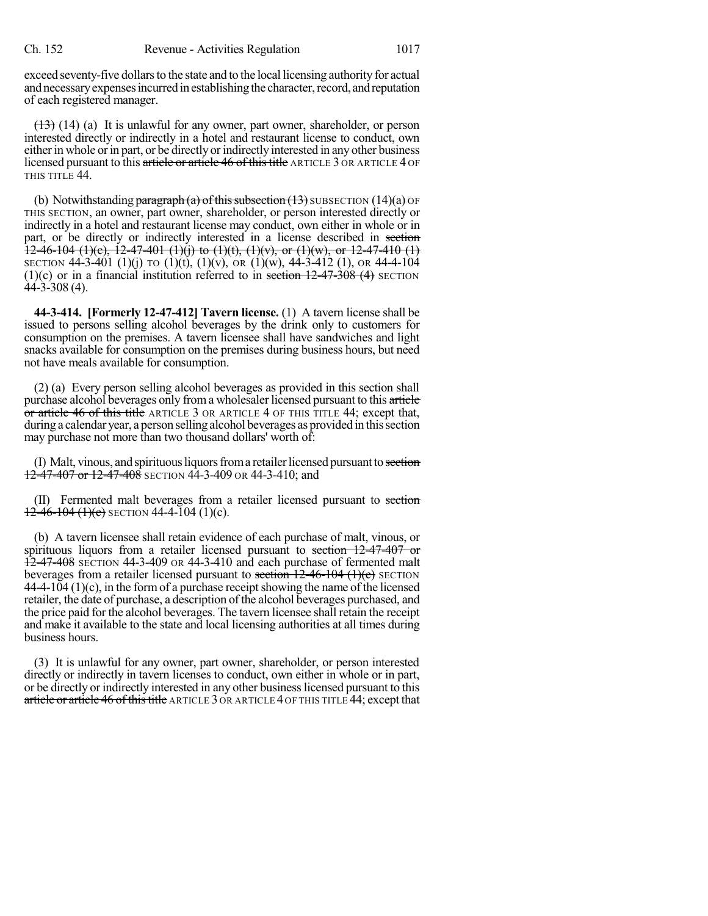exceed seventy-five dollars to the state and to the local licensing authority for actual and necessary expenses incurred in establishing the character, record, and reputation of each registered manager.

 $(13)$  (14) (a) It is unlawful for any owner, part owner, shareholder, or person interested directly or indirectly in a hotel and restaurant license to conduct, own either in whole or in part, or be directly or indirectly interested in any other business licensed pursuant to this article or article 46 of this title ARTICLE 3 OR ARTICLE 4 OF THIS TITLE 44.

(b) Notwithstanding paragraph (a) of this subsection  $(13)$  SUBSECTION  $(14)(a)$  OF THIS SECTION, an owner, part owner, shareholder, or person interested directly or indirectly in a hotel and restaurant license may conduct, own either in whole or in part, or be directly or indirectly interested in a license described in section  $12-46-104$  (1)(c),  $12-47-401$  (1)(j) to (1)(t), (1)(v), or (1)(w), or 12-47-410 (1) SECTION 44-3-401 (1)(j) TO (1)(t), (1)(v), OR (1)(w), 44-3-412 (1), OR 44-4-104 (1)(c) or in a financial institution referred to in section  $12-47-308$  (4) SECTION  $44 - 3 - 308(4)$ .

**44-3-414. [Formerly 12-47-412] Tavern license.** (1) A tavern license shall be issued to persons selling alcohol beverages by the drink only to customers for consumption on the premises. A tavern licensee shall have sandwiches and light snacks available for consumption on the premises during business hours, but need not have meals available for consumption.

(2) (a) Every person selling alcohol beverages as provided in this section shall purchase alcohol beverages only from a wholesaler licensed pursuant to this article or article 46 of this title ARTICLE 3 OR ARTICLE 4 OF THIS TITLE 44; except that, during a calendar year, a person selling alcohol beverages as provided in this section may purchase not more than two thousand dollars' worth of:

(I) Malt, vinous, and spirituous liquors from a retailer licensed pursuant to section 12-47-407 or 12-47-408 SECTION 44-3-409 OR 44-3-410; and

(II) Fermented malt beverages from a retailer licensed pursuant to section  $12-46-104$  (1)(c) SECTION 44-4-104 (1)(c).

(b) A tavern licensee shall retain evidence of each purchase of malt, vinous, or spirituous liquors from a retailer licensed pursuant to section 12-47-407 or  $12-47-408$  SECTION 44-3-409 OR 44-3-410 and each purchase of fermented malt beverages from a retailer licensed pursuant to section  $12-46-104$  (1)(c) SECTION  $44-4-104$  (1)(c), in the form of a purchase receipt showing the name of the licensed retailer, the date of purchase, a description of the alcohol beverages purchased, and the price paid for the alcohol beverages. The tavern licensee shall retain the receipt and make it available to the state and local licensing authorities at all times during business hours.

(3) It is unlawful for any owner, part owner, shareholder, or person interested directly or indirectly in tavern licenses to conduct, own either in whole or in part, or be directly or indirectly interested in any other businesslicensed pursuant to this article or article 46 of this title ARTICLE 3 OR ARTICLE 4 OF THIS TITLE 44; except that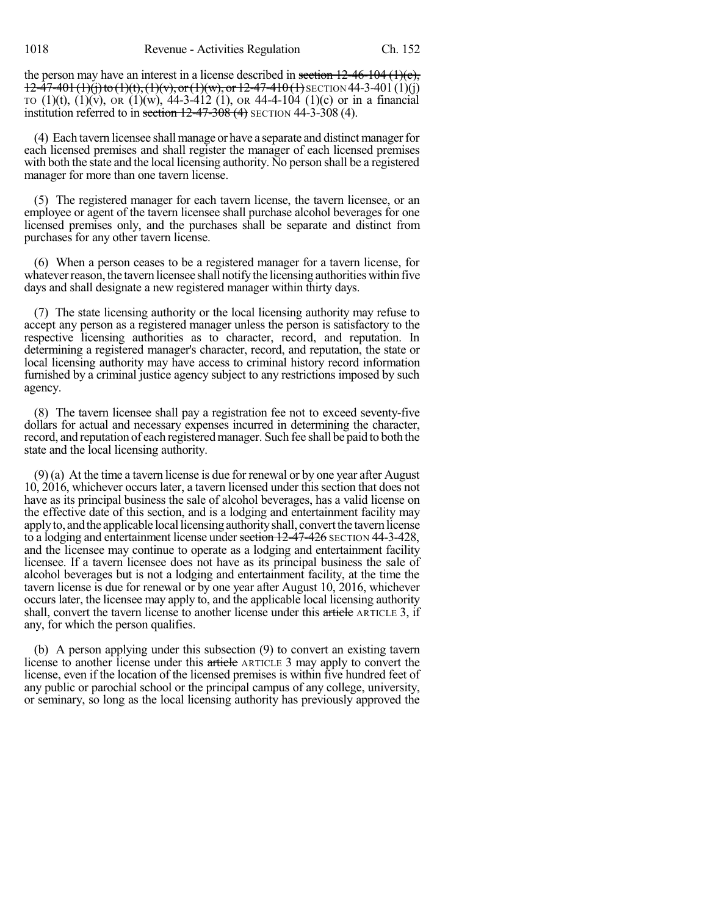1018 Revenue - Activities Regulation Ch. 152

the person may have an interest in a license described in section  $12-46-104$  (1)(c),  $12-47-401(1)(i)$  to  $(1)(t)$ ,  $(1)(v)$ , or  $(1)(w)$ , or  $12-47-410(1)$  SECTION 44-3-401 $(1)(i)$ TO  $(1)(t)$ ,  $(1)(v)$ , OR  $(1)(w)$ , 44-3-412  $(1)$ , OR 44-4-104  $(1)(c)$  or in a financial institution referred to in section  $12-47-308$  (4) SECTION 44-3-308 (4).

(4) Each tavern licensee shall manage or have a separate and distinct manager for each licensed premises and shall register the manager of each licensed premises with both the state and the local licensing authority. No person shall be a registered manager for more than one tavern license.

(5) The registered manager for each tavern license, the tavern licensee, or an employee or agent of the tavern licensee shall purchase alcohol beverages for one licensed premises only, and the purchases shall be separate and distinct from purchases for any other tavern license.

(6) When a person ceases to be a registered manager for a tavern license, for whatever reason, the tavern licensee shall notify the licensing authorities within five days and shall designate a new registered manager within thirty days.

(7) The state licensing authority or the local licensing authority may refuse to accept any person as a registered manager unless the person is satisfactory to the respective licensing authorities as to character, record, and reputation. In determining a registered manager's character, record, and reputation, the state or local licensing authority may have access to criminal history record information furnished by a criminal justice agency subject to any restrictions imposed by such agency.

(8) The tavern licensee shall pay a registration fee not to exceed seventy-five dollars for actual and necessary expenses incurred in determining the character, record, and reputation of each registeredmanager. Such fee shall be paid to both the state and the local licensing authority.

(9) (a) At the time a tavern license is due for renewal or by one year after August 10, 2016, whichever occurs later, a tavern licensed under this section that does not have as its principal business the sale of alcohol beverages, has a valid license on the effective date of this section, and is a lodging and entertainment facility may applyto, andthe applicable locallicensingauthorityshall, convertthe tavern license to a lodging and entertainment license under section 12-47-426 SECTION 44-3-428, and the licensee may continue to operate as a lodging and entertainment facility licensee. If a tavern licensee does not have as its principal business the sale of alcohol beverages but is not a lodging and entertainment facility, at the time the tavern license is due for renewal or by one year after August 10, 2016, whichever occurs later, the licensee may apply to, and the applicable local licensing authority shall, convert the tavern license to another license under this article ARTICLE 3, if any, for which the person qualifies.

(b) A person applying under this subsection (9) to convert an existing tavern license to another license under this article ARTICLE 3 may apply to convert the license, even if the location of the licensed premises is within five hundred feet of any public or parochial school or the principal campus of any college, university, or seminary, so long as the local licensing authority has previously approved the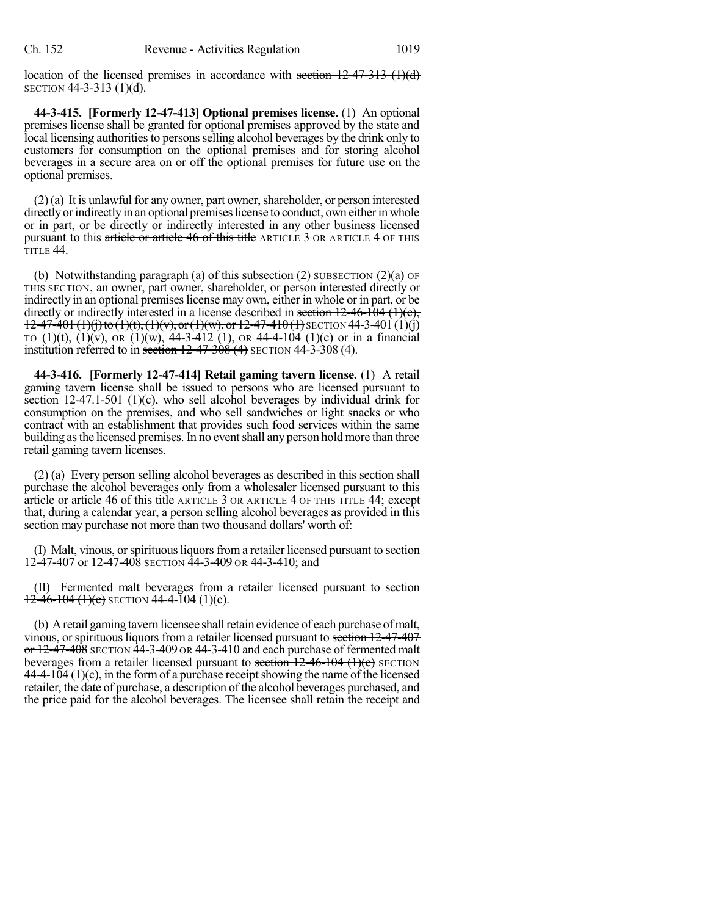location of the licensed premises in accordance with section  $12-47-313$  (1)(d) SECTION 44-3-313 (1)(d).

**44-3-415. [Formerly 12-47-413] Optional premises license.** (1) An optional premises license shall be granted for optional premises approved by the state and local licensing authorities to persons selling alcohol beverages by the drink only to customers for consumption on the optional premises and for storing alcohol beverages in a secure area on or off the optional premises for future use on the optional premises.

 $(2)$ (a) It is unlawful for any owner, part owner, shareholder, or person interested directly or indirectly in an optional premises license to conduct, own either in whole or in part, or be directly or indirectly interested in any other business licensed pursuant to this article or article 46 of this title ARTICLE 3 OR ARTICLE 4 OF THIS TITLE 44.

(b) Notwithstanding paragraph (a) of this subsection  $(2)$  SUBSECTION  $(2)(a)$  OF THIS SECTION, an owner, part owner, shareholder, or person interested directly or indirectly in an optional premises license may own, either in whole or in part, or be directly or indirectly interested in a license described in section  $12-46-104$  (1)(c),  $12-47-401(1)(i)$  to  $(1)(t)$ ,  $(1)(v)$ , or  $(1)(w)$ , or  $12-47-410(1)$  SECTION 44-3-401 $(1)(i)$ TO  $(1)(t)$ ,  $(1)(v)$ , OR  $(1)(w)$ , 44-3-412  $(1)$ , OR 44-4-104  $(1)(c)$  or in a financial institution referred to in section  $12-47-308(4)$  SECTION  $44-3-308(4)$ .

**44-3-416. [Formerly 12-47-414] Retail gaming tavern license.** (1) A retail gaming tavern license shall be issued to persons who are licensed pursuant to section 12-47.1-501 (1)(c), who sell alcohol beverages by individual drink for consumption on the premises, and who sell sandwiches or light snacks or who contract with an establishment that provides such food services within the same building as the licensed premises. In no event shall any person hold more than three retail gaming tavern licenses.

(2) (a) Every person selling alcohol beverages as described in this section shall purchase the alcohol beverages only from a wholesaler licensed pursuant to this article or article 46 of this title ARTICLE 3 OR ARTICLE 4 OF THIS TITLE 44; except that, during a calendar year, a person selling alcohol beverages as provided in this section may purchase not more than two thousand dollars' worth of:

(I) Malt, vinous, or spirituous liquors from a retailer licensed pursuant to section  $12-47-407$  or  $12-47-408$  SECTION  $44-3-409$  OR  $44-3-410$ ; and

(II) Fermented malt beverages from a retailer licensed pursuant to section  $12-46-104(1)(e)$  SECTION 44-4-104 (1)(c).

(b) Aretail gaming tavern licensee shallretain evidence of each purchase ofmalt, vinous, or spirituous liquors from a retailer licensed pursuant to section 12-47-407  $\sigma$  12-47-408 SECTION 44-3-409 OR 44-3-410 and each purchase of fermented malt beverages from a retailer licensed pursuant to section  $12-46-104$  (1)(e) SECTION  $44-4-104(1)(c)$ , in the form of a purchase receipt showing the name of the licensed retailer, the date of purchase, a description of the alcohol beverages purchased, and the price paid for the alcohol beverages. The licensee shall retain the receipt and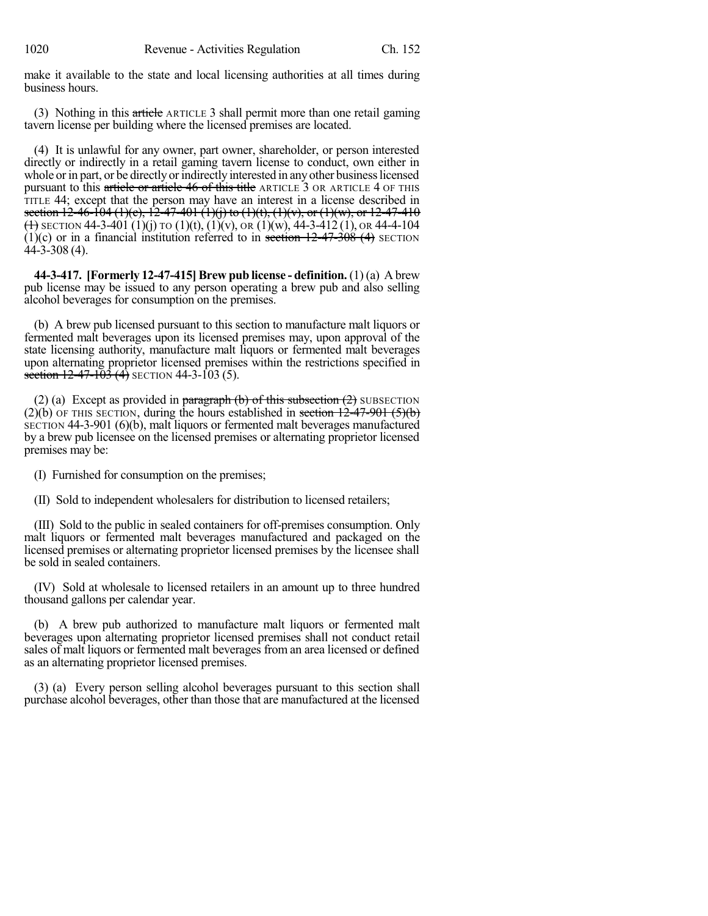make it available to the state and local licensing authorities at all times during business hours.

(3) Nothing in this article ARTICLE 3 shall permit more than one retail gaming tavern license per building where the licensed premises are located.

(4) It is unlawful for any owner, part owner, shareholder, or person interested directly or indirectly in a retail gaming tavern license to conduct, own either in whole or in part, or be directly or indirectly interested in any other business licensed pursuant to this article or article 46 of this title ARTICLE 3 OR ARTICLE 4 OF THIS TITLE 44; except that the person may have an interest in a license described in section  $12-46-104$  (1)(c),  $12-47-401$  (1)(j) to (1)(t), (1)(v), or (1)(w), or 12-47-410 (1) SECTION 44-3-401 (1)(j) TO (1)(t), (1)(v), OR (1)(w), 44-3-412 (1), OR 44-4-104 (1)(c) or in a financial institution referred to in section  $12-47-308$  (4) SECTION 44-3-308 (4).

**44-3-417. [Formerly 12-47-415]Brew pub license - definition.** (1) (a) A brew pub license may be issued to any person operating a brew pub and also selling alcohol beverages for consumption on the premises.

(b) A brew pub licensed pursuant to this section to manufacture malt liquors or fermented malt beverages upon its licensed premises may, upon approval of the state licensing authority, manufacture malt liquors or fermented malt beverages upon alternating proprietor licensed premises within the restrictions specified in section  $12-47-103$  (4) SECTION 44-3-103 (5).

(2) (a) Except as provided in paragraph  $(b)$  of this subsection  $(2)$  SUBSECTION  $(2)(b)$  OF THIS SECTION, during the hours established in section  $12-47-901$  (5)(b) SECTION 44-3-901 (6)(b), malt liquors or fermented malt beverages manufactured by a brew pub licensee on the licensed premises or alternating proprietor licensed premises may be:

(I) Furnished for consumption on the premises;

(II) Sold to independent wholesalers for distribution to licensed retailers;

(III) Sold to the public in sealed containers for off-premises consumption. Only malt liquors or fermented malt beverages manufactured and packaged on the licensed premises or alternating proprietor licensed premises by the licensee shall be sold in sealed containers.

(IV) Sold at wholesale to licensed retailers in an amount up to three hundred thousand gallons per calendar year.

(b) A brew pub authorized to manufacture malt liquors or fermented malt beverages upon alternating proprietor licensed premises shall not conduct retail sales of malt liquors or fermented malt beverages from an area licensed or defined as an alternating proprietor licensed premises.

(3) (a) Every person selling alcohol beverages pursuant to this section shall purchase alcohol beverages, other than those that are manufactured at the licensed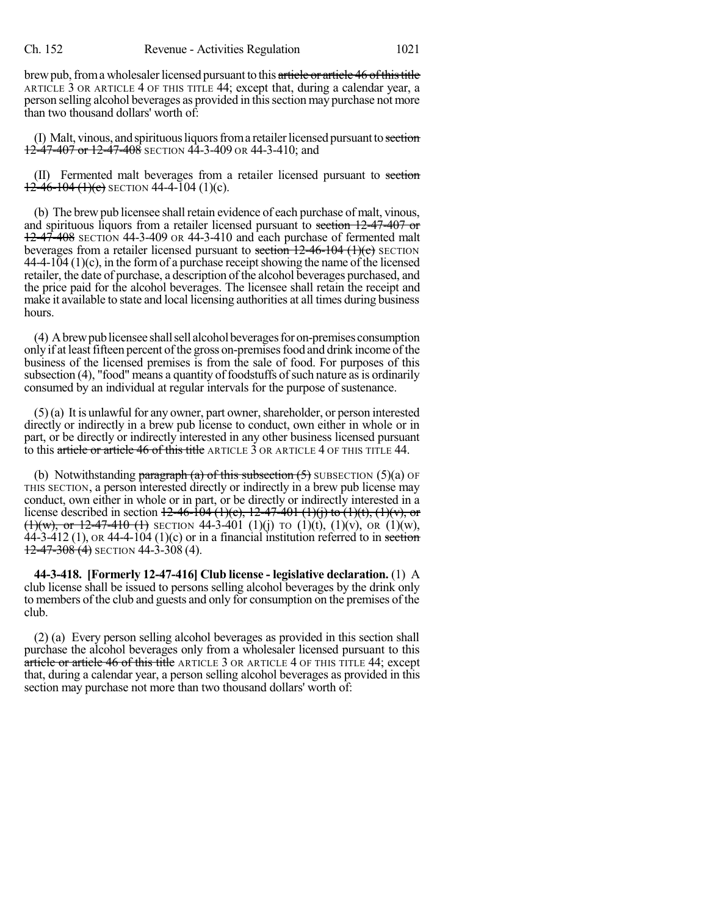brew pub, from a wholesaler licensed pursuant to this article or article 46 of this title ARTICLE 3 OR ARTICLE 4 OF THIS TITLE 44; except that, during a calendar year, a person selling alcohol beverages as provided in thissection may purchase not more than two thousand dollars' worth of:

(I) Malt, vinous, and spirituous liquors from a retailer licensed pursuant to section  $12-47-407$  or  $12-47-408$  SECTION 44-3-409 OR 44-3-410; and

(II) Fermented malt beverages from a retailer licensed pursuant to section  $12-46-104$  (1)(c) SECTION 44-4-104 (1)(c).

(b) The brewpub licensee shall retain evidence of each purchase of malt, vinous, and spirituous liquors from a retailer licensed pursuant to section 12-47-407 or 12-47-408 SECTION 44-3-409 OR 44-3-410 and each purchase of fermented malt beverages from a retailer licensed pursuant to section  $12-46-104$  (1)(c) SECTION  $44-4-104(1)(c)$ , in the form of a purchase receipt showing the name of the licensed retailer, the date of purchase, a description of the alcohol beverages purchased, and the price paid for the alcohol beverages. The licensee shall retain the receipt and make it available to state and local licensing authorities at all times during business hours.

(4) A brew publicensee shall sell alcohol beverages for on-premises consumption only if at least fifteen percent of the gross on-premises food and drink income of the business of the licensed premises is from the sale of food. For purposes of this subsection  $(4)$ , "food" means a quantity of foodstuffs of such nature as is ordinarily consumed by an individual at regular intervals for the purpose of sustenance.

 $(5)(a)$  It is unlawful for any owner, part owner, shareholder, or person interested directly or indirectly in a brew pub license to conduct, own either in whole or in part, or be directly or indirectly interested in any other business licensed pursuant to this article or article 46 of this title ARTICLE 3 OR ARTICLE 4 OF THIS TITLE 44.

(b) Notwithstanding paragraph (a) of this subsection  $(5)$  SUBSECTION  $(5)(a)$  OF THIS SECTION, a person interested directly or indirectly in a brew pub license may conduct, own either in whole or in part, or be directly or indirectly interested in a license described in section  $12-46-104 (1)(c)$ ,  $12-47-401 (1)(i)$  to  $(1)(t)$ ,  $(1)(v)$ , or  $(1)(w)$ , or 12-47-410 (1) SECTION 44-3-401 (1)(j) TO (1)(t), (1)(v), OR (1)(w), 44-3-412 (1), OR 44-4-104 (1)(c) or in a financial institution referred to in section  $12-47-308(4)$  SECTION 44-3-308 (4).

**44-3-418. [Formerly 12-47-416] Club license - legislative declaration.** (1) A club license shall be issued to persons selling alcohol beverages by the drink only to members of the club and guests and only for consumption on the premises of the club.

(2) (a) Every person selling alcohol beverages as provided in this section shall purchase the alcohol beverages only from a wholesaler licensed pursuant to this article or article 46 of this title ARTICLE 3 OR ARTICLE 4 OF THIS TITLE 44; except that, during a calendar year, a person selling alcohol beverages as provided in this section may purchase not more than two thousand dollars' worth of: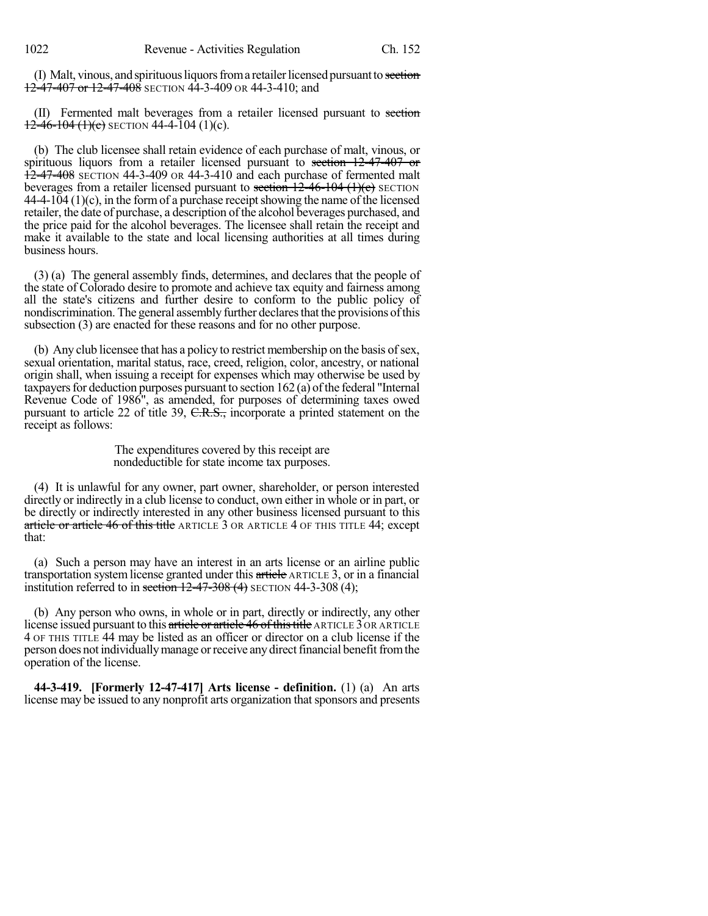(I) Malt, vinous, and spirituous liquors from a retailer licensed pursuant to section  $12-47-407$  or  $12-47-408$  SECTION 44-3-409 OR 44-3-410; and

(II) Fermented malt beverages from a retailer licensed pursuant to section  $12-46-104$  (1)(c) SECTION 44-4-104 (1)(c).

(b) The club licensee shall retain evidence of each purchase of malt, vinous, or spirituous liquors from a retailer licensed pursuant to section 12-47-407 or 12-47-408 SECTION 44-3-409 OR 44-3-410 and each purchase of fermented malt beverages from a retailer licensed pursuant to section  $12-46-104$  (1)(c) SECTION  $44-4-104(1)(c)$ , in the form of a purchase receipt showing the name of the licensed retailer, the date of purchase, a description of the alcohol beverages purchased, and the price paid for the alcohol beverages. The licensee shall retain the receipt and make it available to the state and local licensing authorities at all times during business hours.

(3) (a) The general assembly finds, determines, and declares that the people of the state of Colorado desire to promote and achieve tax equity and fairness among all the state's citizens and further desire to conform to the public policy of nondiscrimination. The general assembly further declares that the provisions of this subsection (3) are enacted for these reasons and for no other purpose.

(b) Any club licensee that has a policy to restrict membership on the basis of sex, sexual orientation, marital status, race, creed, religion, color, ancestry, or national origin shall, when issuing a receipt for expenses which may otherwise be used by taxpayers for deduction purposes pursuant to section  $162$  (a) of the federal "Internal Revenue Code of 1986", as amended, for purposes of determining taxes owed pursuant to article 22 of title 39, C.R.S., incorporate a printed statement on the receipt as follows:

> The expenditures covered by this receipt are nondeductible for state income tax purposes.

(4) It is unlawful for any owner, part owner, shareholder, or person interested directly or indirectly in a club license to conduct, own either in whole or in part, or be directly or indirectly interested in any other business licensed pursuant to this article or article 46 of this title ARTICLE 3 OR ARTICLE 4 OF THIS TITLE 44; except that:

(a) Such a person may have an interest in an arts license or an airline public transportation system license granted under this article ARTICLE 3, or in a financial institution referred to in section  $12-47-308$  (4) SECTION 44-3-308 (4);

(b) Any person who owns, in whole or in part, directly or indirectly, any other license issued pursuant to this article or article 46 of this title ARTICLE 3 OR ARTICLE 4 OF THIS TITLE 44 may be listed as an officer or director on a club license if the person does not individually manage or receive any direct financial benefit from the operation of the license.

**44-3-419. [Formerly 12-47-417] Arts license - definition.** (1) (a) An arts license may be issued to any nonprofit arts organization that sponsors and presents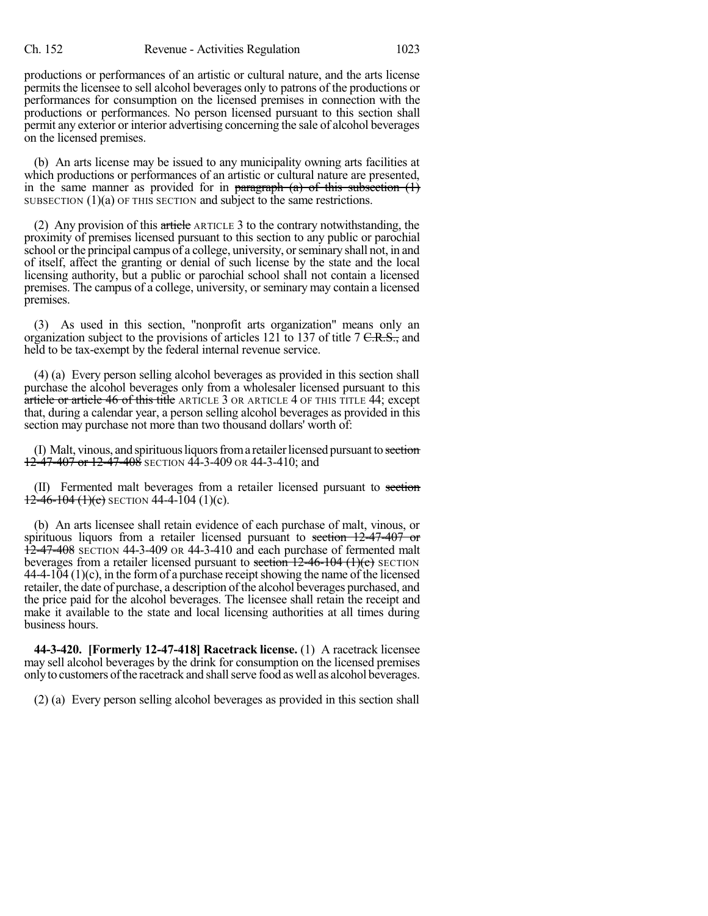productions or performances of an artistic or cultural nature, and the arts license permits the licensee to sell alcohol beverages only to patrons of the productions or performances for consumption on the licensed premises in connection with the productions or performances. No person licensed pursuant to this section shall permit any exterior or interior advertising concerning the sale of alcohol beverages on the licensed premises.

(b) An arts license may be issued to any municipality owning arts facilities at which productions or performances of an artistic or cultural nature are presented, in the same manner as provided for in paragraph  $(a)$  of this subsection  $(1)$ SUBSECTION (1)(a) OF THIS SECTION and subject to the same restrictions.

(2) Any provision of this article ARTICLE 3 to the contrary notwithstanding, the proximity of premises licensed pursuant to this section to any public or parochial school or the principal campus of a college, university, or seminary shall not, in and of itself, affect the granting or denial of such license by the state and the local licensing authority, but a public or parochial school shall not contain a licensed premises. The campus of a college, university, or seminary may contain a licensed premises.

(3) As used in this section, "nonprofit arts organization" means only an organization subject to the provisions of articles 121 to 137 of title  $7 \text{ C.R.S.}$ , and held to be tax-exempt by the federal internal revenue service.

(4) (a) Every person selling alcohol beverages as provided in this section shall purchase the alcohol beverages only from a wholesaler licensed pursuant to this article or article 46 of this title ARTICLE 3 OR ARTICLE 4 OF THIS TITLE 44; except that, during a calendar year, a person selling alcohol beverages as provided in this section may purchase not more than two thousand dollars' worth of:

(I) Malt, vinous, and spirituous liquors from a retailer licensed pursuant to section  $12-47-407$  or  $12-47-408$  SECTION 44-3-409 OR 44-3-410; and

(II) Fermented malt beverages from a retailer licensed pursuant to section  $12$ -46-104 (1)(c) section 44-4-104 (1)(c).

(b) An arts licensee shall retain evidence of each purchase of malt, vinous, or spirituous liquors from a retailer licensed pursuant to section 12-47-407 or **12-47-408** SECTION 44-3-409 OR 44-3-410 and each purchase of fermented malt beverages from a retailer licensed pursuant to section  $12-46-104$  (1)(c) SECTION  $44-4-104(1)(c)$ , in the form of a purchase receipt showing the name of the licensed retailer, the date of purchase, a description of the alcohol beverages purchased, and the price paid for the alcohol beverages. The licensee shall retain the receipt and make it available to the state and local licensing authorities at all times during business hours.

**44-3-420. [Formerly 12-47-418] Racetrack license.** (1) A racetrack licensee may sell alcohol beverages by the drink for consumption on the licensed premises onlyto customers ofthe racetrack and shallserve food as well as alcohol beverages.

(2) (a) Every person selling alcohol beverages as provided in this section shall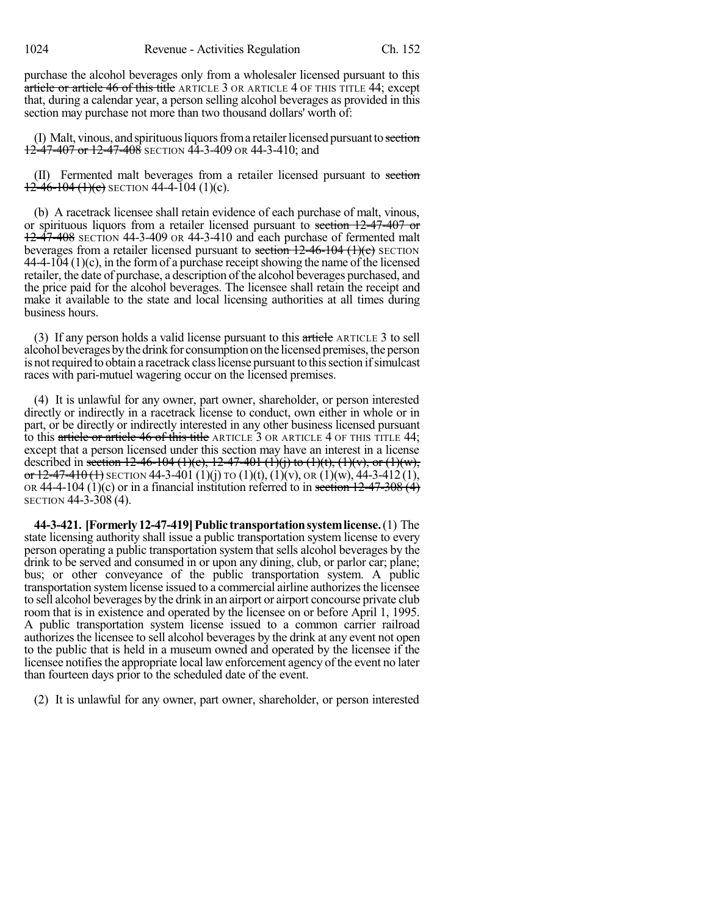1024 Revenue - Activities Regulation Ch. 152

purchase the alcohol beverages only from a wholesaler licensed pursuant to this article or article 46 of this title ARTICLE 3 OR ARTICLE 4 OF THIS TITLE 44; except that, during a calendar year, a person selling alcohol beverages as provided in this section may purchase not more than two thousand dollars' worth of:

(I) Malt, vinous, and spirituous liquors from a retailer licensed pursuant to section  $12-47-407$  or  $12-47-408$  SECTION 44-3-409 OR 44-3-410; and

(II) Fermented malt beverages from a retailer licensed pursuant to section  $12-46-104$  (1)(c) SECTION 44-4-104 (1)(c).

(b) A racetrack licensee shall retain evidence of each purchase of malt, vinous, or spirituous liquors from a retailer licensed pursuant to section 12-47-407 or 12-47-408 SECTION 44-3-409 OR 44-3-410 and each purchase of fermented malt beverages from a retailer licensed pursuant to section  $12-46-104$  (1)(c) SECTION  $44-4-104(1)(c)$ , in the form of a purchase receipt showing the name of the licensed retailer, the date of purchase, a description of the alcohol beverages purchased, and the price paid for the alcohol beverages. The licensee shall retain the receipt and make it available to the state and local licensing authorities at all times during business hours.

(3) If any person holds a valid license pursuant to this  $\pi$  article ARTICLE 3 to sell alcohol beverages by the drink for consumption on the licensed premises, the person is not required to obtain a racetrack class license pursuant to this section if simulcast races with pari-mutuel wagering occur on the licensed premises.

(4) It is unlawful for any owner, part owner, shareholder, or person interested directly or indirectly in a racetrack license to conduct, own either in whole or in part, or be directly or indirectly interested in any other business licensed pursuant to this article or article 46 of this title ARTICLE 3 OR ARTICLE 4 OF THIS TITLE 44; except that a person licensed under this section may have an interest in a license described in section 12-46-104 (1)(c), 12-47-401 (1)(j) to (1)(t), (1)(v), or (1)(w), or  $12-47-410(1)$  SECTION 44-3-401 (1)(j) TO (1)(t), (1)(v), OR (1)(w), 44-3-412(1), OR 44-4-104 (1)(c) or in a financial institution referred to in section  $12-47-308(4)$ SECTION 44-3-308 (4).

**44-3-421. [Formerly12-47-419]Public transportationsystemlicense.**(1) The state licensing authority shall issue a public transportation system license to every person operating a public transportation system that sells alcohol beverages by the drink to be served and consumed in or upon any dining, club, or parlor car; plane; bus; or other conveyance of the public transportation system. A public transportation system license issued to a commercial airline authorizes the licensee to sell alcohol beverages by the drink in an airport or airport concourse private club room that is in existence and operated by the licensee on or before April 1, 1995. A public transportation system license issued to a common carrier railroad authorizes the licensee to sell alcohol beverages by the drink at any event not open to the public that is held in a museum owned and operated by the licensee if the licensee notifies the appropriate local law enforcement agency of the event no later than fourteen days prior to the scheduled date of the event.

(2) It is unlawful for any owner, part owner, shareholder, or person interested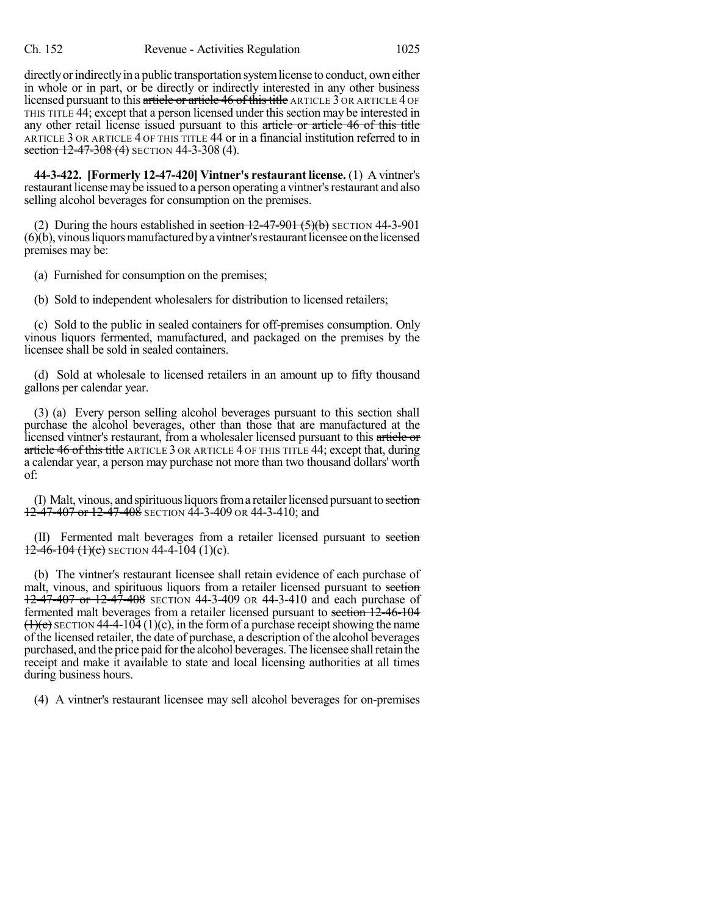directly or indirectly in a public transportation system license to conduct, own either in whole or in part, or be directly or indirectly interested in any other business licensed pursuant to this article or article 46 of this title ARTICLE 3 OR ARTICLE 4 OF THIS TITLE 44; except that a person licensed under thissection may be interested in any other retail license issued pursuant to this article or article 46 of this title ARTICLE 3 OR ARTICLE 4 OF THIS TITLE 44 or in a financial institution referred to in section  $12-47-308$  (4) SECTION 44-3-308 (4).

**44-3-422. [Formerly 12-47-420] Vintner's restaurant license.** (1) A vintner's restaurant license may be issued to a person operating a vintner's restaurant and also selling alcohol beverages for consumption on the premises.

(2) During the hours established in section  $12-47-901$  (5)(b) SECTION 44-3-901  $(6)(b)$ , vinous liquors manufactured by a vintner's restaurant licensee on the licensed premises may be:

(a) Furnished for consumption on the premises;

(b) Sold to independent wholesalers for distribution to licensed retailers;

(c) Sold to the public in sealed containers for off-premises consumption. Only vinous liquors fermented, manufactured, and packaged on the premises by the licensee shall be sold in sealed containers.

(d) Sold at wholesale to licensed retailers in an amount up to fifty thousand gallons per calendar year.

(3) (a) Every person selling alcohol beverages pursuant to this section shall purchase the alcohol beverages, other than those that are manufactured at the licensed vintner's restaurant, from a wholesaler licensed pursuant to this article or article 46 of this title ARTICLE 3 OR ARTICLE 4 OF THIS TITLE 44; except that, during a calendar year, a person may purchase not more than two thousand dollars' worth of:

(I) Malt, vinous, and spirituous liquors from a retailer licensed pursuant to section  $12-47-407$  or  $12-47-408$  SECTION 44-3-409 OR 44-3-410; and

(II) Fermented malt beverages from a retailer licensed pursuant to section  $12-46-104(1)(e)$  SECTION 44-4-104 (1)(c).

(b) The vintner's restaurant licensee shall retain evidence of each purchase of malt, vinous, and spirituous liquors from a retailer licensed pursuant to section 12-47-407 or 12-47-408 SECTION 44-3-409 OR 44-3-410 and each purchase of fermented malt beverages from a retailer licensed pursuant to section 12-46-104  $(1)(c)$  SECTION 44-4-104 (1)(c), in the form of a purchase receipt showing the name of the licensed retailer, the date of purchase, a description of the alcohol beverages purchased, and the price paid forthe alcohol beverages. The licensee shallretain the receipt and make it available to state and local licensing authorities at all times during business hours.

(4) A vintner's restaurant licensee may sell alcohol beverages for on-premises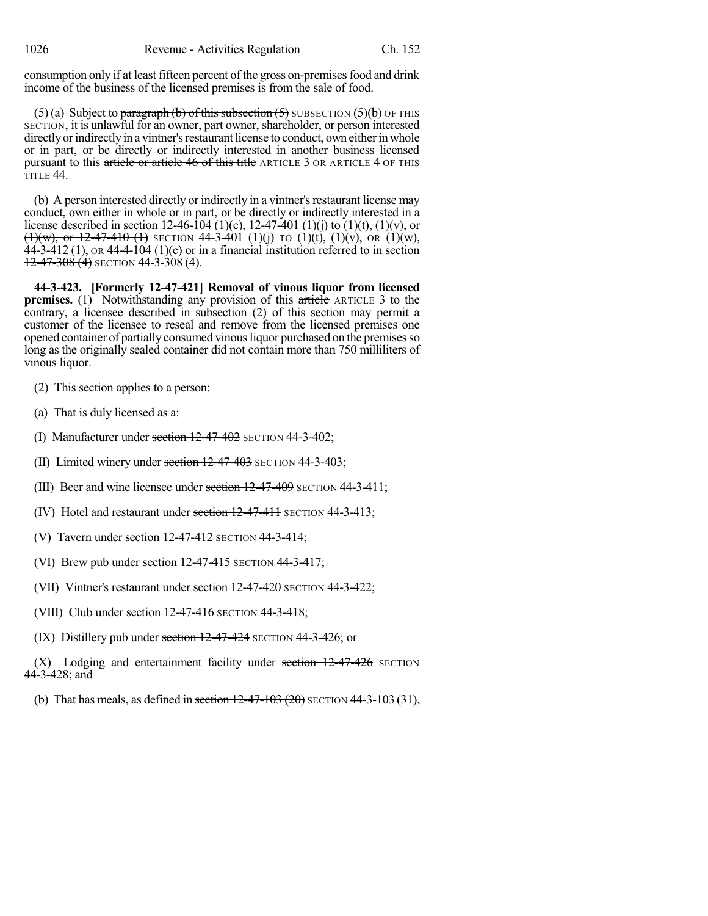consumption only if at least fifteen percent of the gross on-premises food and drink income of the business of the licensed premises is from the sale of food.

(5) (a) Subject to paragraph (b) of this subsection  $(5)$  SUBSECTION  $(5)(b)$  OF THIS SECTION, it is unlawful for an owner, part owner, shareholder, or person interested directly or indirectly in a vintner's restaurant license to conduct, own either in whole or in part, or be directly or indirectly interested in another business licensed pursuant to this article or article 46 of this title ARTICLE 3 OR ARTICLE 4 OF THIS TITLE 44.

(b) A person interested directly or indirectly in a vintner's restaurant license may conduct, own either in whole or in part, or be directly or indirectly interested in a license described in section 12-46-104 (1)(e), 12-47-401 (1)(j) to (1)(t), (1)(v), or (1)(w), or 12-47-410 (1) SECTION 44-3-401 (1)(j) TO (1)(t), (1)(v), OR (1)(w),  $44-3-412$  (1), OR 44-4-104 (1)(c) or in a financial institution referred to in section  $12-47-308(4)$  SECTION 44-3-308 (4).

**44-3-423. [Formerly 12-47-421] Removal of vinous liquor from licensed premises.** (1) Notwithstanding any provision of this article ARTICLE 3 to the contrary, a licensee described in subsection (2) of this section may permit a customer of the licensee to reseal and remove from the licensed premises one opened container of partially consumed vinous liquor purchased on the premises so long as the originally sealed container did not contain more than 750 milliliters of vinous liquor.

- (2) This section applies to a person:
- (a) That is duly licensed as a:
- (I) Manufacturer under section 12-47-402 SECTION 44-3-402;
- (II) Limited winery under section  $12-47-403$  SECTION 44-3-403;
- (III) Beer and wine licensee under section  $12-47-409$  SECTION 44-3-411;
- (IV) Hotel and restaurant under section  $12-47-411$  SECTION 44-3-413;
- (V) Tavern under section  $12-47-412$  SECTION 44-3-414;
- (VI) Brew pub under section  $12-47-415$  SECTION 44-3-417;
- (VII) Vintner's restaurant under section  $12-47-420$  SECTION 44-3-422;
- (VIII) Club under section  $12-47-416$  SECTION 44-3-418;
- (IX) Distillery pub under section  $12-47-424$  SECTION 44-3-426; or

 $(X)$  Lodging and entertainment facility under section  $12-47-426$  SECTION 44-3-428; and

(b) That has meals, as defined in section  $12-47-103(20)$  SECTION 44-3-103 (31),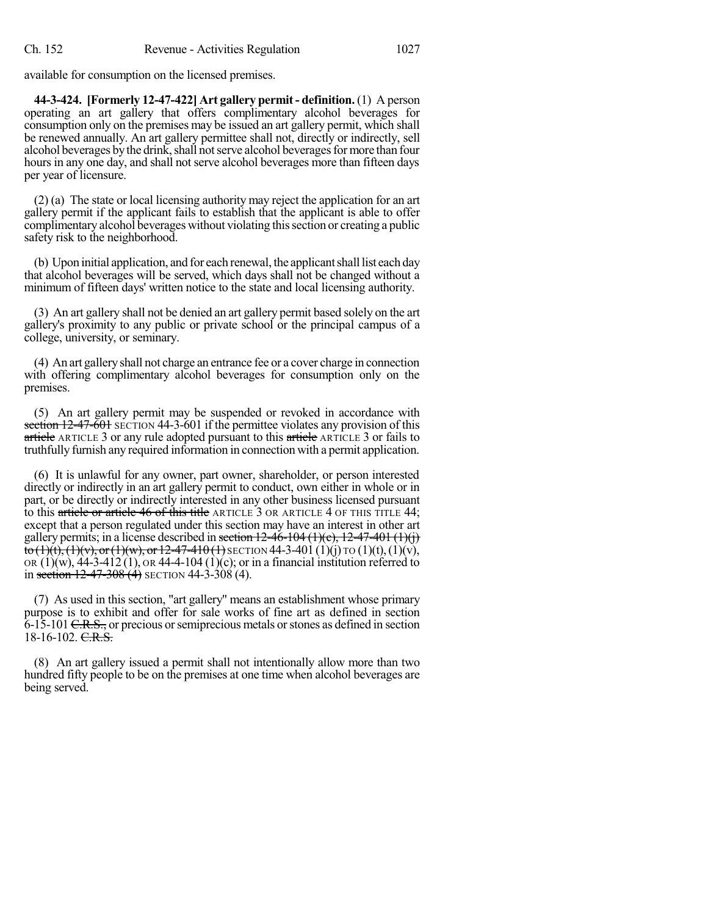available for consumption on the licensed premises.

**44-3-424. [Formerly 12-47-422] Art gallery permit - definition.** (1) A person operating an art gallery that offers complimentary alcohol beverages for consumption only on the premises may be issued an art gallery permit, which shall be renewed annually. An art gallery permittee shall not, directly or indirectly, sell alcohol beverages by the drink, shall not serve alcohol beverages for more than four hours in any one day, and shall not serve alcohol beverages more than fifteen days per year of licensure.

(2) (a) The state or local licensing authority may reject the application for an art gallery permit if the applicant fails to establish that the applicant is able to offer complimentary alcohol beverages without violating thissection or creating a public safety risk to the neighborhood.

(b) Upon initial application, and for each renewal, the applicant shall list each day that alcohol beverages will be served, which days shall not be changed without a minimum of fifteen days' written notice to the state and local licensing authority.

(3) An art gallery shall not be denied an art gallery permit based solely on the art gallery's proximity to any public or private school or the principal campus of a college, university, or seminary.

(4) An art galleryshall not charge an entrance fee or a cover charge in connection with offering complimentary alcohol beverages for consumption only on the premises.

(5) An art gallery permit may be suspended or revoked in accordance with section 12-47-601 SECTION 44-3-601 if the permittee violates any provision of this article ARTICLE 3 or any rule adopted pursuant to this article ARTICLE 3 or fails to truthfully furnish any required information in connection with a permit application.

(6) It is unlawful for any owner, part owner, shareholder, or person interested directly or indirectly in an art gallery permit to conduct, own either in whole or in part, or be directly or indirectly interested in any other business licensed pursuant to this article or article 46 of this title ARTICLE 3 OR ARTICLE 4 OF THIS TITLE 44; except that a person regulated under this section may have an interest in other art gallery permits; in a license described in section  $12-46-104 \cdot (1)(e)$ ,  $12-47-401 \cdot (1)(j)$ to  $(1)(t)$ ,  $(1)(v)$ , or  $(1)(w)$ , or  $12-47-410(1)$  SECTION 44-3-401  $(1)(j)$  TO  $(1)(t)$ ,  $(1)(v)$ , OR  $(1)(w)$ ,  $44-3-412(1)$ , OR  $44-4-104(1)(c)$ ; or in a financial institution referred to in section  $12-47-308(4)$  SECTION 44-3-308 (4).

(7) As used in this section, "art gallery" means an establishment whose primary purpose is to exhibit and offer for sale works of fine art as defined in section 6-15-101 C.R.S., or precious orsemiprecious metals orstones as defined in section  $18-16-102.$  C.R.S.

(8) An art gallery issued a permit shall not intentionally allow more than two hundred fifty people to be on the premises at one time when alcohol beverages are being served.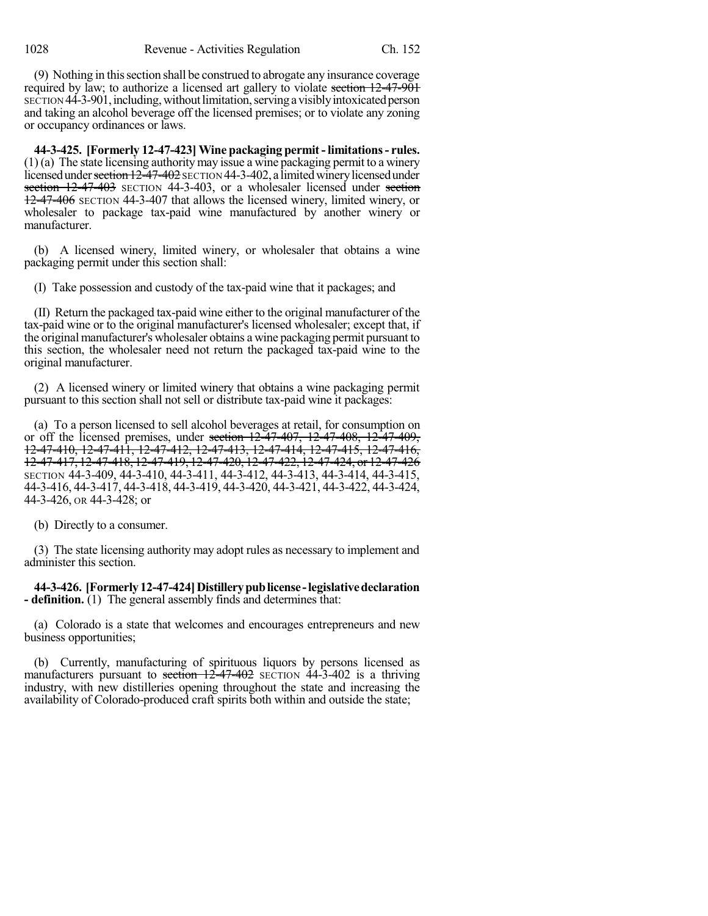(9) Nothing in thissection shall be construed to abrogate any insurance coverage required by law; to authorize a licensed art gallery to violate section 12-47-901 SECTION 44-3-901, including, without limitation, serving a visibly intoxicated person and taking an alcohol beverage off the licensed premises; or to violate any zoning or occupancy ordinances or laws.

**44-3-425. [Formerly 12-47-423] Wine packaging permit-limitations- rules.** (1) (a) The state licensing authority may issue a wine packaging permit to a winery licensed under section 12-47-402 SECTION 44-3-402, a limited winery licensed under section 12-47-403 SECTION 44-3-403, or a wholesaler licensed under section 12-47-406 SECTION 44-3-407 that allows the licensed winery, limited winery, or wholesaler to package tax-paid wine manufactured by another winery or manufacturer.

(b) A licensed winery, limited winery, or wholesaler that obtains a wine packaging permit under this section shall:

(I) Take possession and custody of the tax-paid wine that it packages; and

(II) Return the packaged tax-paid wine either to the original manufacturer of the tax-paid wine or to the original manufacturer's licensed wholesaler; except that, if the original manufacturer's wholesaler obtains a wine packaging permit pursuant to this section, the wholesaler need not return the packaged tax-paid wine to the original manufacturer.

(2) A licensed winery or limited winery that obtains a wine packaging permit pursuant to this section shall not sell or distribute tax-paid wine it packages:

(a) To a person licensed to sell alcohol beverages at retail, for consumption on or off the licensed premises, under section  $12\overline{47}$ -407,  $12\overline{47}$ -408,  $12\overline{47}$ -409, 12-47-410, 12-47-411, 12-47-412, 12-47-413, 12-47-414, 12-47-415, 12-47-416, 12-47-417, 12-47-418, 12-47-419, 12-47-420, 12-47-422, 12-47-424, or 12-47-426 SECTION 44-3-409, 44-3-410, 44-3-411, 44-3-412, 44-3-413, 44-3-414, 44-3-415, 44-3-416, 44-3-417, 44-3-418, 44-3-419, 44-3-420, 44-3-421, 44-3-422, 44-3-424, 44-3-426, OR 44-3-428; or

(b) Directly to a consumer.

(3) The state licensing authority may adopt rules as necessary to implement and administer this section.

**44-3-426. [Formerly12-47-424]Distillerypublicense -legislativedeclaration - definition.** (1) The general assembly finds and determines that:

(a) Colorado is a state that welcomes and encourages entrepreneurs and new business opportunities;

(b) Currently, manufacturing of spirituous liquors by persons licensed as manufacturers pursuant to section  $12-47-402$  SECTION  $44-3-402$  is a thriving industry, with new distilleries opening throughout the state and increasing the availability of Colorado-produced craft spirits both within and outside the state;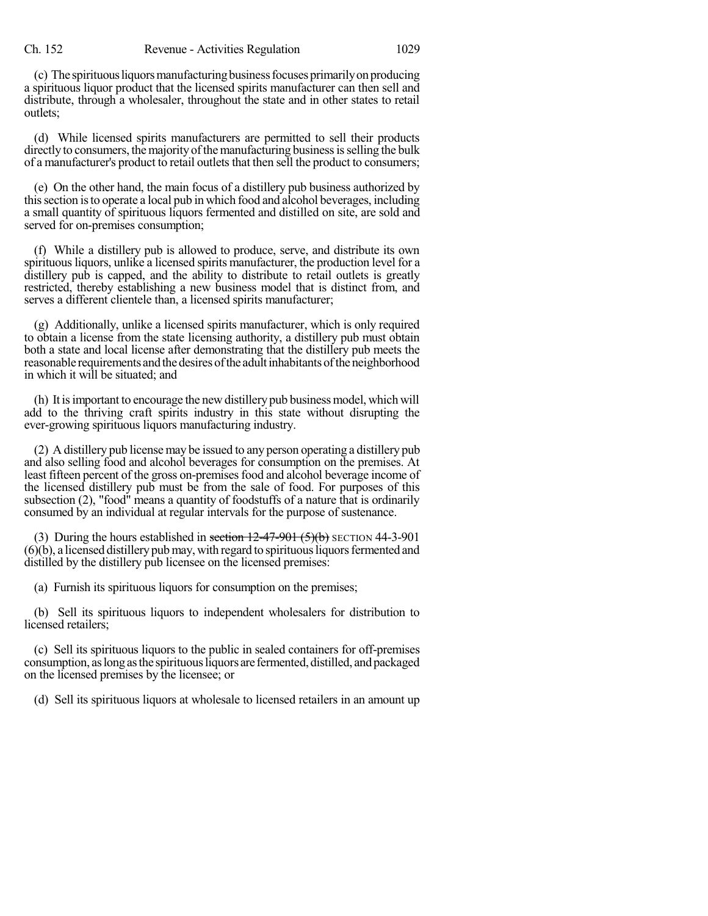(c) The spirituousliquorsmanufacturingbusinessfocusesprimarilyonproducing a spirituous liquor product that the licensed spirits manufacturer can then sell and distribute, through a wholesaler, throughout the state and in other states to retail outlets;

(d) While licensed spirits manufacturers are permitted to sell their products directly to consumers, the majority of the manufacturing business is selling the bulk of a manufacturer's product to retail outlets that then sell the product to consumers;

(e) On the other hand, the main focus of a distillery pub business authorized by thissection isto operate a local pub in which food and alcohol beverages, including a small quantity of spirituous liquors fermented and distilled on site, are sold and served for on-premises consumption;

(f) While a distillery pub is allowed to produce, serve, and distribute its own spirituous liquors, unlike a licensed spirits manufacturer, the production level for a distillery pub is capped, and the ability to distribute to retail outlets is greatly restricted, thereby establishing a new business model that is distinct from, and serves a different clientele than, a licensed spirits manufacturer;

(g) Additionally, unlike a licensed spirits manufacturer, which is only required to obtain a license from the state licensing authority, a distillery pub must obtain both a state and local license after demonstrating that the distillery pub meets the reasonable requirements and the desires of the adultinhabitants of the neighborhood in which it will be situated; and

(h) It is important to encourage the new distillery pub business model, which will add to the thriving craft spirits industry in this state without disrupting the ever-growing spirituous liquors manufacturing industry.

(2) A distillery pub license may be issued to any person operating a distillery pub and also selling food and alcohol beverages for consumption on the premises. At least fifteen percent of the gross on-premises food and alcohol beverage income of the licensed distillery pub must be from the sale of food. For purposes of this subsection (2), "food" means a quantity of foodstuffs of a nature that is ordinarily consumed by an individual at regular intervals for the purpose of sustenance.

(3) During the hours established in section  $12-47-901$  (5)(b) SECTION 44-3-901  $(6)(b)$ , a licensed distillery pub may, with regard to spirituous liquors fermented and distilled by the distillery pub licensee on the licensed premises:

(a) Furnish its spirituous liquors for consumption on the premises;

(b) Sell its spirituous liquors to independent wholesalers for distribution to licensed retailers;

(c) Sell its spirituous liquors to the public in sealed containers for off-premises consumption, aslongasthe spirituousliquors are fermented, distilled, andpackaged on the licensed premises by the licensee; or

(d) Sell its spirituous liquors at wholesale to licensed retailers in an amount up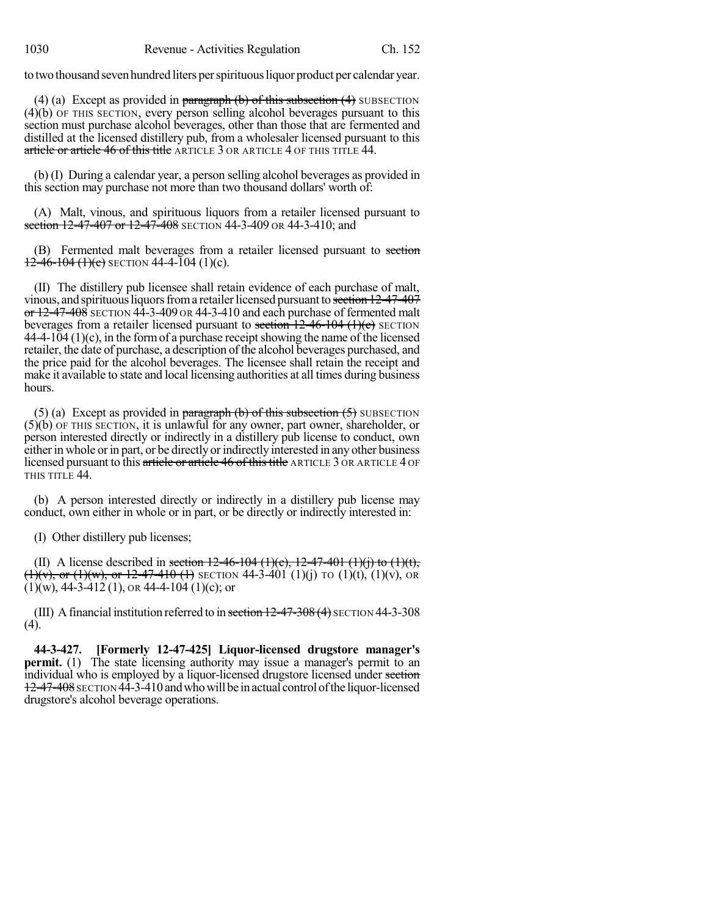to two thousand seven hundred liters per spirituous liquor product per calendar year.

(4) (a) Except as provided in  $\frac{1}{2}$  paragraph (b) of this subsection (4) SUBSECTION (4)(b) OF THIS SECTION, every person selling alcohol beverages pursuant to this section must purchase alcohol beverages, other than those that are fermented and distilled at the licensed distillery pub, from a wholesaler licensed pursuant to this article or article 46 of this title ARTICLE 3 OR ARTICLE 4 OF THIS TITLE 44.

(b) (I) During a calendar year, a person selling alcohol beverages as provided in this section may purchase not more than two thousand dollars' worth of:

(A) Malt, vinous, and spirituous liquors from a retailer licensed pursuant to section 12-47-407 or 12-47-408 SECTION 44-3-409 OR 44-3-410; and

(B) Fermented malt beverages from a retailer licensed pursuant to section  $12-46-104$  (1)(c) SECTION 44-4-104 (1)(c).

(II) The distillery pub licensee shall retain evidence of each purchase of malt, vinous, and spirituous liquors from a retailer licensed pursuant to section 12-47-407  $\sigma$  12-47-408 SECTION 44-3-409 OR 44-3-410 and each purchase of fermented malt beverages from a retailer licensed pursuant to section  $12-46-104$  (1)(c) SECTION  $44-4-104$  (1)(c), in the form of a purchase receipt showing the name of the licensed retailer, the date of purchase, a description of the alcohol beverages purchased, and the price paid for the alcohol beverages. The licensee shall retain the receipt and make it available to state and local licensing authorities at all times during business hours.

(5) (a) Except as provided in paragraph  $(b)$  of this subsection  $(5)$  SUBSECTION (5)(b) OF THIS SECTION, it is unlawful for any owner, part owner, shareholder, or person interested directly or indirectly in a distillery pub license to conduct, own either in whole or in part, or be directly or indirectly interested in any other business licensed pursuant to this article or article 46 of this title ARTICLE 3 OR ARTICLE 4 OF THIS TITLE 44.

(b) A person interested directly or indirectly in a distillery pub license may conduct, own either in whole or in part, or be directly or indirectly interested in:

(I) Other distillery pub licenses;

(II) A license described in section  $12-46-104$  (1)(c),  $12-47-401$  (1)(j) to (1)(t),  $(1)(v)$ , or  $(1)(w)$ , or  $12-47-410$  (1) SECTION 44-3-401 (1)(i) TO (1)(t), (1)(v), OR  $(1)(w)$ , 44-3-412 (1), or 44-4-104 (1)(c); or

(III) A financial institution referred to in section  $12-47-308(4)$  SECTION 44-3-308 (4).

**44-3-427. [Formerly 12-47-425] Liquor-licensed drugstore manager's permit.** (1) The state licensing authority may issue a manager's permit to an individual who is employed by a liquor-licensed drugstore licensed under section 12-47-408 SECTION 44-3-410 and who will be in actual control of the liquor-licensed drugstore's alcohol beverage operations.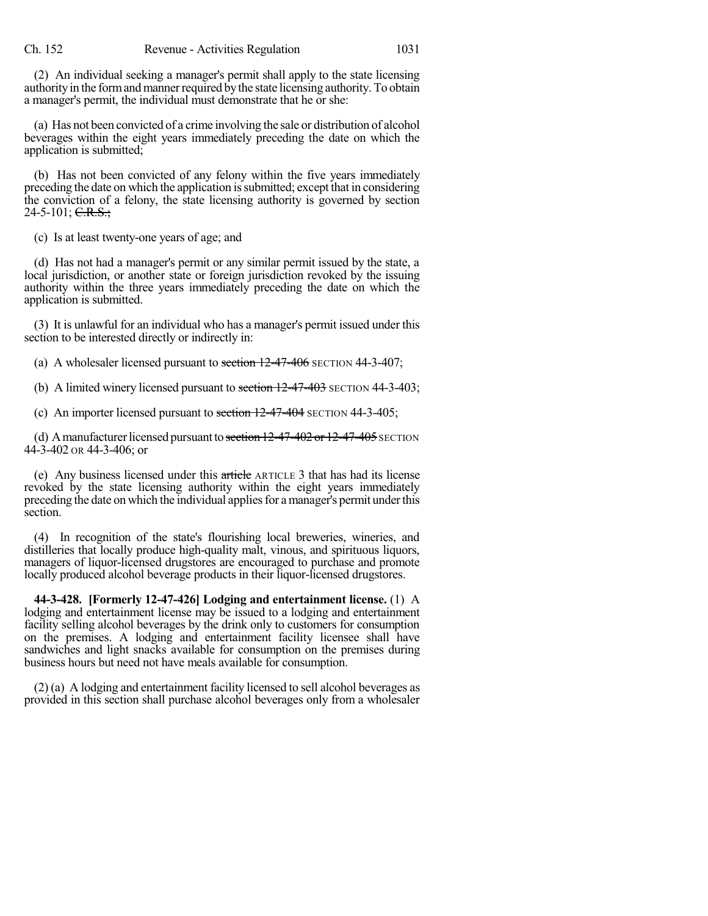(2) An individual seeking a manager's permit shall apply to the state licensing authority in the form and manner required by the state licensing authority. To obtain a manager's permit, the individual must demonstrate that he or she:

(a) Has not been convicted of a crime involving the sale or distribution of alcohol beverages within the eight years immediately preceding the date on which the application is submitted;

(b) Has not been convicted of any felony within the five years immediately preceding the date on which the application issubmitted; except that in considering the conviction of a felony, the state licensing authority is governed by section  $24-5-101$ ; C.R.S.;

(c) Is at least twenty-one years of age; and

(d) Has not had a manager's permit or any similar permit issued by the state, a local jurisdiction, or another state or foreign jurisdiction revoked by the issuing authority within the three years immediately preceding the date on which the application is submitted.

(3) It is unlawful for an individual who has a manager's permit issued under this section to be interested directly or indirectly in:

(a) A wholesaler licensed pursuant to section  $12-47-406$  SECTION 44-3-407;

(b) A limited winery licensed pursuant to section  $12-47-403$  SECTION 44-3-403;

(c) An importer licensed pursuant to section 12-47-404 SECTION 44-3-405;

(d) A manufacturer licensed pursuant to section  $12-47-402$  or  $12-47-405$  SECTION 44-3-402 OR 44-3-406; or

(e) Any business licensed under this article ARTICLE 3 that has had its license revoked by the state licensing authority within the eight years immediately preceding the date on which the individual applies for a manager's permit under this section.

(4) In recognition of the state's flourishing local breweries, wineries, and distilleries that locally produce high-quality malt, vinous, and spirituous liquors, managers of liquor-licensed drugstores are encouraged to purchase and promote locally produced alcohol beverage products in their liquor-licensed drugstores.

**44-3-428. [Formerly 12-47-426] Lodging and entertainment license.** (1) A lodging and entertainment license may be issued to a lodging and entertainment facility selling alcohol beverages by the drink only to customers for consumption on the premises. A lodging and entertainment facility licensee shall have sandwiches and light snacks available for consumption on the premises during business hours but need not have meals available for consumption.

(2) (a) A lodging and entertainment facility licensed to sell alcohol beverages as provided in this section shall purchase alcohol beverages only from a wholesaler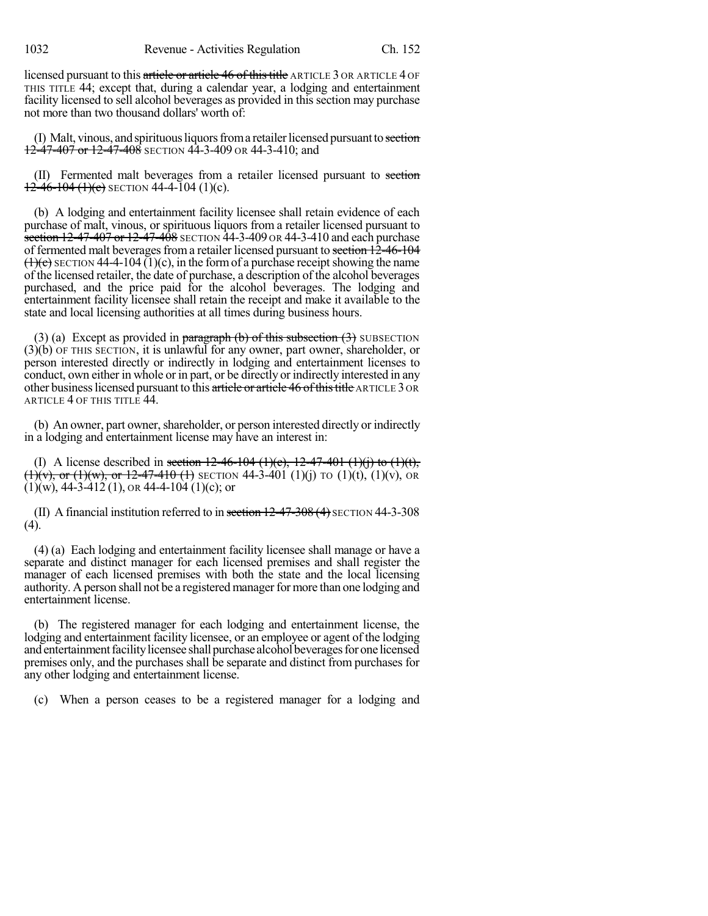1032 Revenue - Activities Regulation Ch. 152

licensed pursuant to this article or article 46 of this title ARTICLE 3 OR ARTICLE 4 OF THIS TITLE 44; except that, during a calendar year, a lodging and entertainment facility licensed to sell alcohol beverages as provided in this section may purchase not more than two thousand dollars' worth of:

(I) Malt, vinous, and spirituous liquors from a retailer licensed pursuant to section  $12-47-407$  or  $12-47-408$  SECTION 44-3-409 OR 44-3-410; and

(II) Fermented malt beverages from a retailer licensed pursuant to section  $12-46-104(1)(c)$  SECTION 44-4-104 (1)(c).

(b) A lodging and entertainment facility licensee shall retain evidence of each purchase of malt, vinous, or spirituous liquors from a retailer licensed pursuant to section 12-47-407 or 12-47-408 SECTION 44-3-409 OR 44-3-410 and each purchase of fermented malt beverages from a retailer licensed pursuant to section 12-46-104  $(1)(c)$  SECTION 44-4-104 (1)(c), in the form of a purchase receipt showing the name of the licensed retailer, the date of purchase, a description of the alcohol beverages purchased, and the price paid for the alcohol beverages. The lodging and entertainment facility licensee shall retain the receipt and make it available to the state and local licensing authorities at all times during business hours.

(3) (a) Except as provided in paragraph (b) of this subsection  $(3)$  SUBSECTION (3)(b) OF THIS SECTION, it is unlawful for any owner, part owner, shareholder, or person interested directly or indirectly in lodging and entertainment licenses to conduct, own either in whole or in part, or be directly or indirectly interested in any other business licensed pursuant to this article or article 46 of this title ARTICLE 3 OR ARTICLE 4 OF THIS TITLE 44.

(b) An owner, part owner, shareholder, or person interested directly or indirectly in a lodging and entertainment license may have an interest in:

(I) A license described in section  $12-46-104$  (1)(c),  $12-47-401$  (1)(j) to (1)(t),  $(1)(v)$ , or  $(1)(w)$ , or  $12-47-410$  (1) SECTION 44-3-401 (1)(j) TO (1)(t), (1)(v), OR  $(1)(w)$ , 44-3-412 (1), or 44-4-104 (1)(c); or

(II) A financial institution referred to in section  $12-47-308$  (4) SECTION 44-3-308 (4).

(4) (a) Each lodging and entertainment facility licensee shall manage or have a separate and distinct manager for each licensed premises and shall register the manager of each licensed premises with both the state and the local licensing authority. A person shall not be a registered manager for more than one lodging and entertainment license.

(b) The registered manager for each lodging and entertainment license, the lodging and entertainment facility licensee, or an employee or agent of the lodging and entertainment facility licensee shall purchase alcohol beverages for one licensed premises only, and the purchases shall be separate and distinct from purchases for any other lodging and entertainment license.

(c) When a person ceases to be a registered manager for a lodging and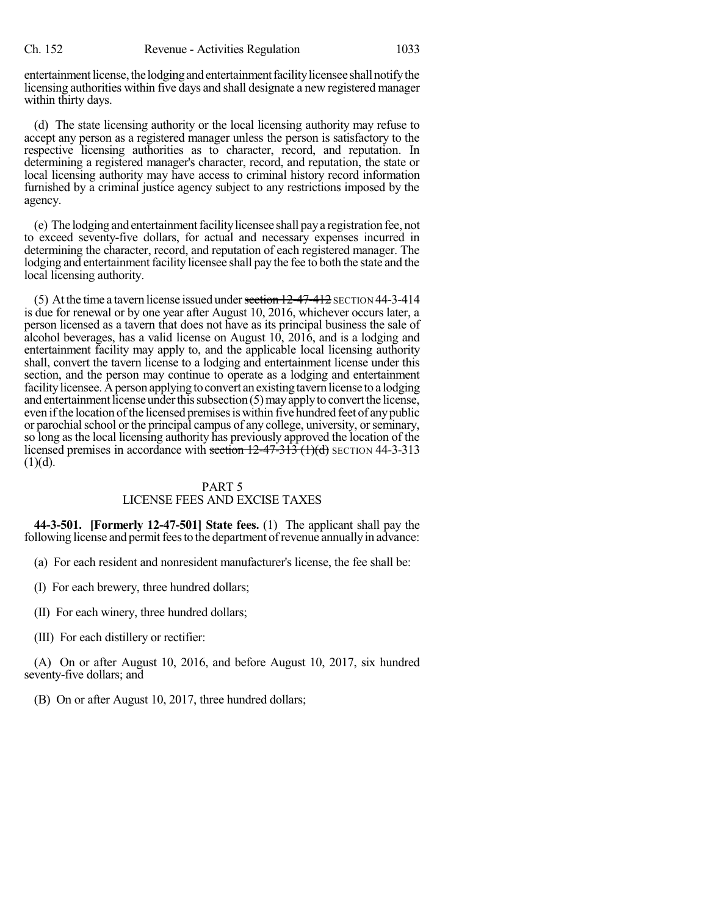entertainment license, the lodging and entertainment facility licensee shall notify the licensing authorities within five days and shall designate a new registered manager within thirty days.

(d) The state licensing authority or the local licensing authority may refuse to accept any person as a registered manager unless the person is satisfactory to the respective licensing authorities as to character, record, and reputation. In determining a registered manager's character, record, and reputation, the state or local licensing authority may have access to criminal history record information furnished by a criminal justice agency subject to any restrictions imposed by the agency.

(e) The lodging and entertainmentfacilitylicensee shall paya registration fee, not to exceed seventy-five dollars, for actual and necessary expenses incurred in determining the character, record, and reputation of each registered manager. The lodging and entertainment facility licensee shall pay the fee to both the state and the local licensing authority.

(5) At the time a tavern license issued under section  $12-47-412$  SECTION 44-3-414 is due for renewal or by one year after August 10, 2016, whichever occurs later, a person licensed as a tavern that does not have as its principal business the sale of alcohol beverages, has a valid license on August 10, 2016, and is a lodging and entertainment facility may apply to, and the applicable local licensing authority shall, convert the tavern license to a lodging and entertainment license under this section, and the person may continue to operate as a lodging and entertainment facility licensee. A person applying to convert an existing tavern license to a lodging and entertainment license under this subsection  $(5)$  may apply to convert the license, even if the location of the licensed premises is within five hundred feet of any public or parochial school or the principal campus of any college, university, or seminary, so long as the local licensing authority has previously approved the location of the licensed premises in accordance with section  $12-47-313$  (1)(d) SECTION 44-3-313  $(1)(d)$ .

### PART 5 LICENSE FEES AND EXCISE TAXES

**44-3-501. [Formerly 12-47-501] State fees.** (1) The applicant shall pay the following license and permit fees to the department of revenue annually in advance:

(a) For each resident and nonresident manufacturer's license, the fee shall be:

(I) For each brewery, three hundred dollars;

(II) For each winery, three hundred dollars;

(III) For each distillery or rectifier:

(A) On or after August 10, 2016, and before August 10, 2017, six hundred seventy-five dollars; and

(B) On or after August 10, 2017, three hundred dollars;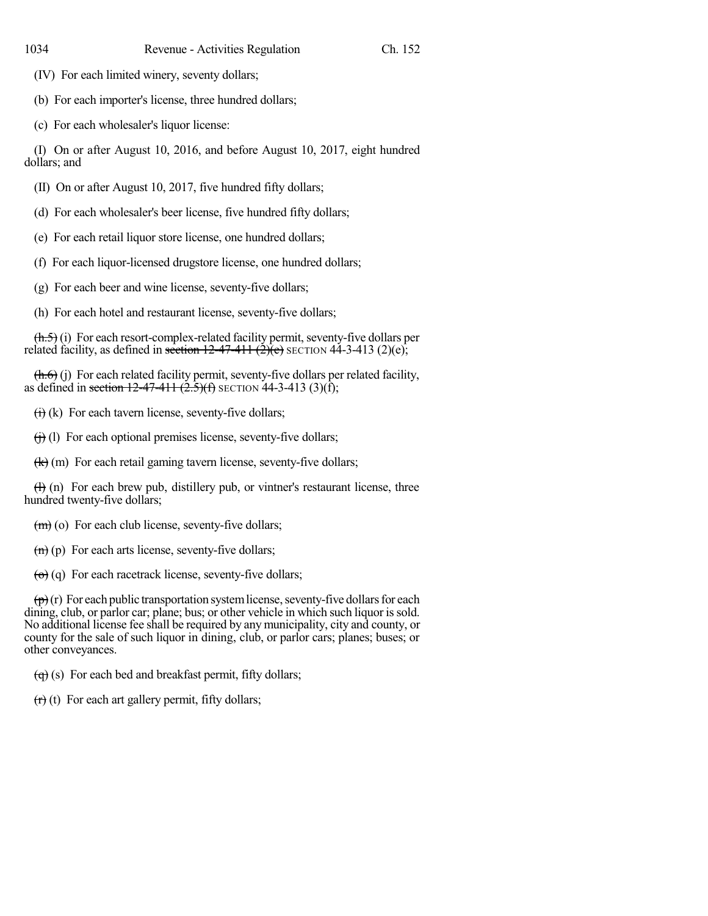(IV) For each limited winery, seventy dollars;

(b) For each importer's license, three hundred dollars;

(c) For each wholesaler's liquor license:

(I) On or after August 10, 2016, and before August 10, 2017, eight hundred dollars; and

(II) On or after August 10, 2017, five hundred fifty dollars;

(d) For each wholesaler's beer license, five hundred fifty dollars;

(e) For each retail liquor store license, one hundred dollars;

(f) For each liquor-licensed drugstore license, one hundred dollars;

(g) For each beer and wine license, seventy-five dollars;

(h) For each hotel and restaurant license, seventy-five dollars;

 $(\text{h.5})$  (i) For each resort-complex-related facility permit, seventy-five dollars per related facility, as defined in section  $12-47-411$   $(2)(e)$ ;  $(2)(e)$ ;

 $(h.6)$  (j) For each related facility permit, seventy-five dollars per related facility, as defined in section  $12-47-411$   $(2.5)(f)$  SECTION 44-3-413 (3)(f);

 $\overrightarrow{(i)}$  (k) For each tavern license, seventy-five dollars;

 $(i)$  (l) For each optional premises license, seventy-five dollars;

 $(k)$  (m) For each retail gaming tavern license, seventy-five dollars;

 $(H)$  (n) For each brew pub, distillery pub, or vintner's restaurant license, three hundred twenty-five dollars;

 $(m)$  (o) For each club license, seventy-five dollars;

 $(n)$  (p) For each arts license, seventy-five dollars;

 $\left(\theta\right)$  (q) For each racetrack license, seventy-five dollars;

 $(\vec{p})(r)$  For each public transportation system license, seventy-five dollars for each dining, club, or parlor car; plane; bus; or other vehicle in which such liquor is sold. No additional license fee shall be required by any municipality, city and county, or county for the sale of such liquor in dining, club, or parlor cars; planes; buses; or other conveyances.

 $\left(\overline{q}\right)$  (s) For each bed and breakfast permit, fifty dollars;

 $(r)(t)$  For each art gallery permit, fifty dollars;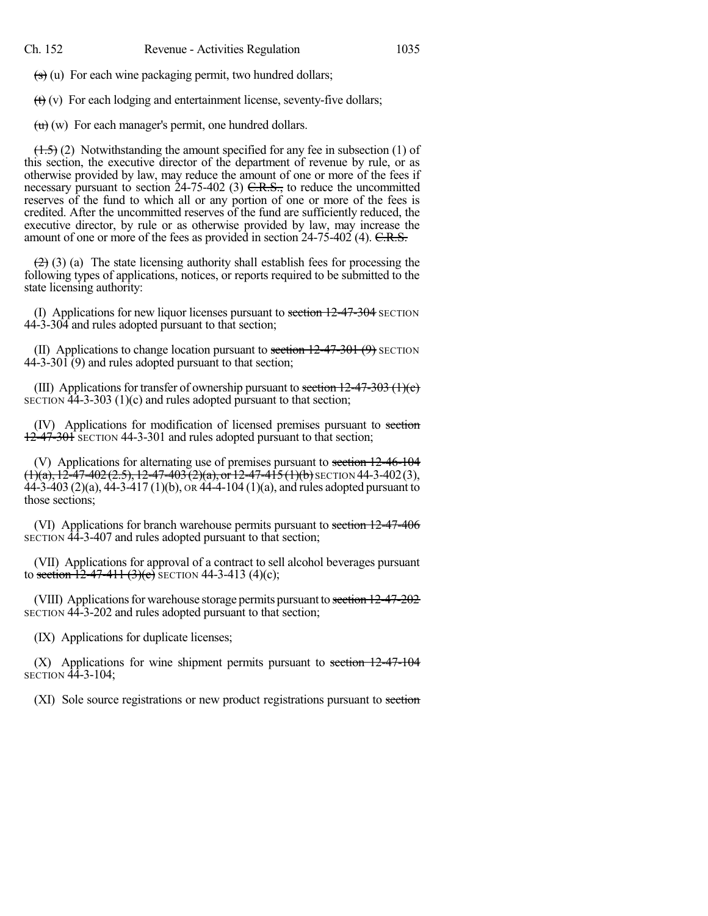$\left( \mathbf{s} \right)$  (u) For each wine packaging permit, two hundred dollars;

 $(t)$  (v) For each lodging and entertainment license, seventy-five dollars;

 $\overline{(u)}$  (w) For each manager's permit, one hundred dollars.

 $(1.5)$  (2) Notwithstanding the amount specified for any fee in subsection (1) of this section, the executive director of the department of revenue by rule, or as otherwise provided by law, may reduce the amount of one or more of the fees if necessary pursuant to section  $24-75-402$  (3)  $C.R.S.,$  to reduce the uncommitted reserves of the fund to which all or any portion of one or more of the fees is credited. After the uncommitted reserves of the fund are sufficiently reduced, the executive director, by rule or as otherwise provided by law, may increase the amount of one or more of the fees as provided in section 24-75-402 (4). C.R.S.

 $(2)$  (3) (a) The state licensing authority shall establish fees for processing the following types of applications, notices, or reports required to be submitted to the state licensing authority:

(I) Applications for new liquor licenses pursuant to section  $12-47-304$  SECTION 44-3-304 and rules adopted pursuant to that section;

(II) Applications to change location pursuant to section  $12-47-301$  (9) SECTION 44-3-301 (9) and rules adopted pursuant to that section;

(III) Applications for transfer of ownership pursuant to section  $12-47-303$  (1)(c) SECTION  $\overline{44}$ -3-303 (1)(c) and rules adopted pursuant to that section;

(IV) Applications for modification of licensed premises pursuant to section 12-47-301 SECTION 44-3-301 and rules adopted pursuant to that section;

(V) Applications for alternating use of premises pursuant to section 12-46-104  $\overline{(1)}$ (a), 12-47-402(2.5), 12-47-403(2)(a), or 12-47-415(1)(b) SECTION 44-3-402(3),  $44-3-403$  (2)(a),  $44-3-417$  (1)(b), or  $44-4-104$  (1)(a), and rules adopted pursuant to those sections;

(VI) Applications for branch warehouse permits pursuant to section 12-47-406 SECTION 44-3-407 and rules adopted pursuant to that section;

(VII) Applications for approval of a contract to sell alcohol beverages pursuant to section  $12-47-411$  (3)(c) SECTION 44-3-413 (4)(c);

(VIII) Applications for warehouse storage permits pursuant to section 12-47-202 SECTION 44-3-202 and rules adopted pursuant to that section;

(IX) Applications for duplicate licenses;

 $(X)$  Applications for wine shipment permits pursuant to section  $12-47-104$ SECTION 44-3-104;

(XI) Sole source registrations or new product registrations pursuant to section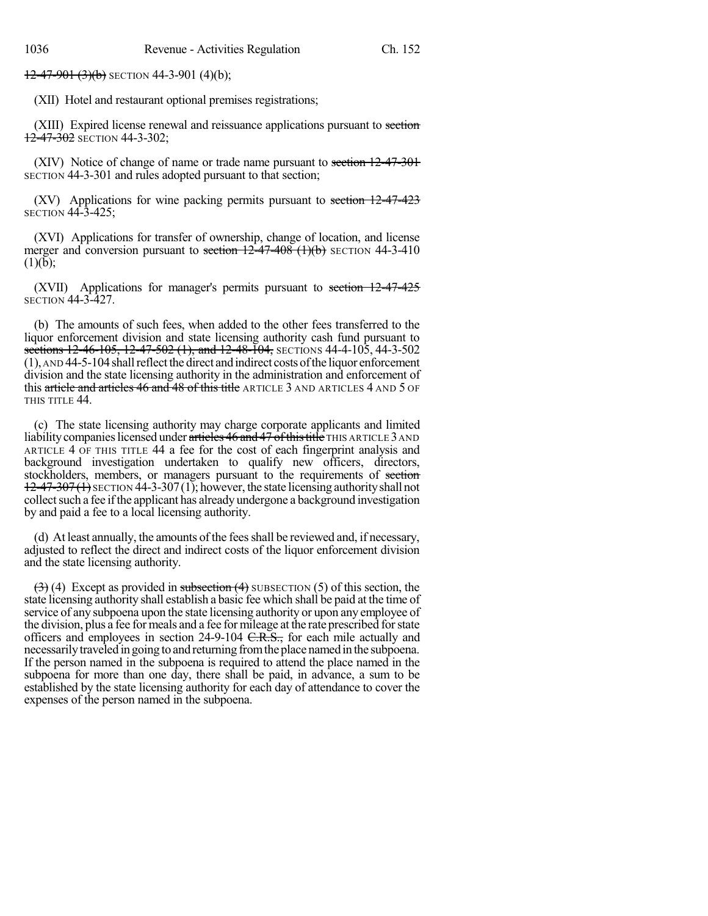$12-47-901(3)(b)$  SECTION 44-3-901 (4)(b);

(XII) Hotel and restaurant optional premises registrations;

(XIII) Expired license renewal and reissuance applications pursuant to section 12-47-302 SECTION 44-3-302;

(XIV) Notice of change of name or trade name pursuant to section 12-47-301 SECTION 44-3-301 and rules adopted pursuant to that section;

(XV) Applications for wine packing permits pursuant to section 12-47-423 SECTION 44-3-425;

(XVI) Applications for transfer of ownership, change of location, and license merger and conversion pursuant to section  $12-47-408$  (1)(b) SECTION 44-3-410  $(1)(b)$ :

(XVII) Applications for manager's permits pursuant to section 12-47-425 SECTION 44-3-427.

(b) The amounts of such fees, when added to the other fees transferred to the liquor enforcement division and state licensing authority cash fund pursuant to sections 12-46-105, 12-47-502 (1), and 12-48-104, SECTIONS 44-4-105, 44-3-502  $(1)$ , AND 44-5-104 shall reflect the direct and indirect costs of the liquor enforcement division and the state licensing authority in the administration and enforcement of this article and articles 46 and 48 of this title ARTICLE 3 AND ARTICLES 4 AND 5 OF THIS TITLE 44.

(c) The state licensing authority may charge corporate applicants and limited liability companies licensed under articles 46 and 47 of this title THIS ARTICLE 3 AND ARTICLE 4 OF THIS TITLE 44 a fee for the cost of each fingerprint analysis and background investigation undertaken to qualify new officers, directors, stockholders, members, or managers pursuant to the requirements of section  $12-47-307(1)$  SECTION 44-3-307(1); however, the state licensing authority shall not collect such a fee if the applicant has already undergone a background investigation by and paid a fee to a local licensing authority.

(d) At least annually, the amounts of the fees shall be reviewed and, if necessary, adjusted to reflect the direct and indirect costs of the liquor enforcement division and the state licensing authority.

 $(3)$  (4) Except as provided in subsection (4) SUBSECTION (5) of this section, the state licensing authority shall establish a basic fee which shall be paid at the time of service of any subpoena upon the state licensing authority or upon any employee of the division, plus a fee for meals and a fee for mileage at the rate prescribed forstate officers and employees in section  $24-9-104$  C.R.S., for each mile actually and necessarilytraveled in going to and returning fromthe place namedin the subpoena. If the person named in the subpoena is required to attend the place named in the subpoena for more than one day, there shall be paid, in advance, a sum to be established by the state licensing authority for each day of attendance to cover the expenses of the person named in the subpoena.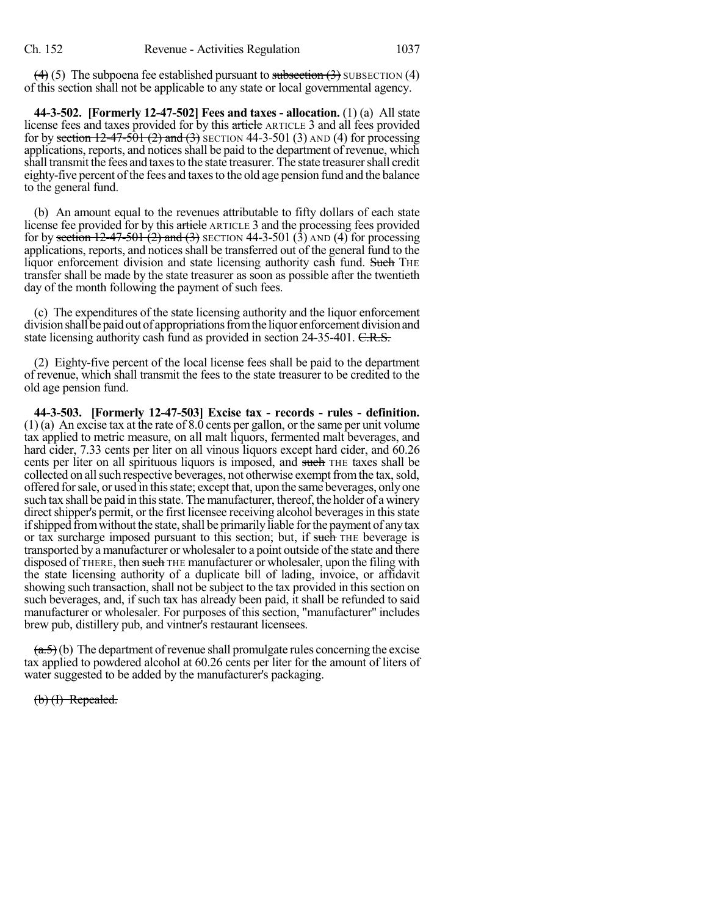$\left(\frac{4}{3}\right)$  (5) The subpoena fee established pursuant to subsection  $\left(\frac{3}{2}\right)$  SUBSECTION (4) of this section shall not be applicable to any state or local governmental agency.

**44-3-502. [Formerly 12-47-502] Fees and taxes - allocation.** (1) (a) All state license fees and taxes provided for by this article ARTICLE 3 and all fees provided for by section  $12-47-501$  (2) and (3) SECTION 44-3-501 (3) AND (4) for processing applications, reports, and notices shall be paid to the department of revenue, which shall transmit the fees and taxes to the state treasurer. The state treasurer shall credit eighty-five percent of the fees and taxes to the old age pension fund and the balance to the general fund.

(b) An amount equal to the revenues attributable to fifty dollars of each state license fee provided for by this article ARTICLE 3 and the processing fees provided for by section  $12-47-501$  (2) and (3) SECTION 44-3-501 (3) AND (4) for processing applications, reports, and notices shall be transferred out of the general fund to the liquor enforcement division and state licensing authority cash fund. Such THE transfer shall be made by the state treasurer as soon as possible after the twentieth day of the month following the payment of such fees.

(c) The expenditures of the state licensing authority and the liquor enforcement division shall be paid out of appropriations from the liquor enforcement division and state licensing authority cash fund as provided in section 24-35-401. C.R.S.

(2) Eighty-five percent of the local license fees shall be paid to the department of revenue, which shall transmit the fees to the state treasurer to be credited to the old age pension fund.

**44-3-503. [Formerly 12-47-503] Excise tax - records - rules - definition.** (1) (a) An excise tax at the rate of 8.0 cents per gallon, or the same per unit volume tax applied to metric measure, on all malt liquors, fermented malt beverages, and hard cider, 7.33 cents per liter on all vinous liquors except hard cider, and 60.26 cents per liter on all spirituous liquors is imposed, and such THE taxes shall be collected on all such respective beverages, not otherwise exempt from the tax, sold, offered forsale, or used in thisstate; except that, upon the same beverages, onlyone such tax shall be paid in this state. The manufacturer, thereof, the holder of a winery direct shipper's permit, or the first licensee receiving alcohol beverages in this state if shipped from without the state, shall be primarily liable for the payment of any tax or tax surcharge imposed pursuant to this section; but, if such THE beverage is transported by a manufacturer or wholesaler to a point outside of the state and there disposed of THERE, then such THE manufacturer or wholesaler, upon the filing with the state licensing authority of a duplicate bill of lading, invoice, or affidavit showing such transaction, shall not be subject to the tax provided in this section on such beverages, and, if such tax has already been paid, it shall be refunded to said manufacturer or wholesaler. For purposes of this section, "manufacturer" includes brew pub, distillery pub, and vintner's restaurant licensees.

 $(a.5)$  (b) The department of revenue shall promulgate rules concerning the excise tax applied to powdered alcohol at 60.26 cents per liter for the amount of liters of water suggested to be added by the manufacturer's packaging.

(b) (I) Repealed.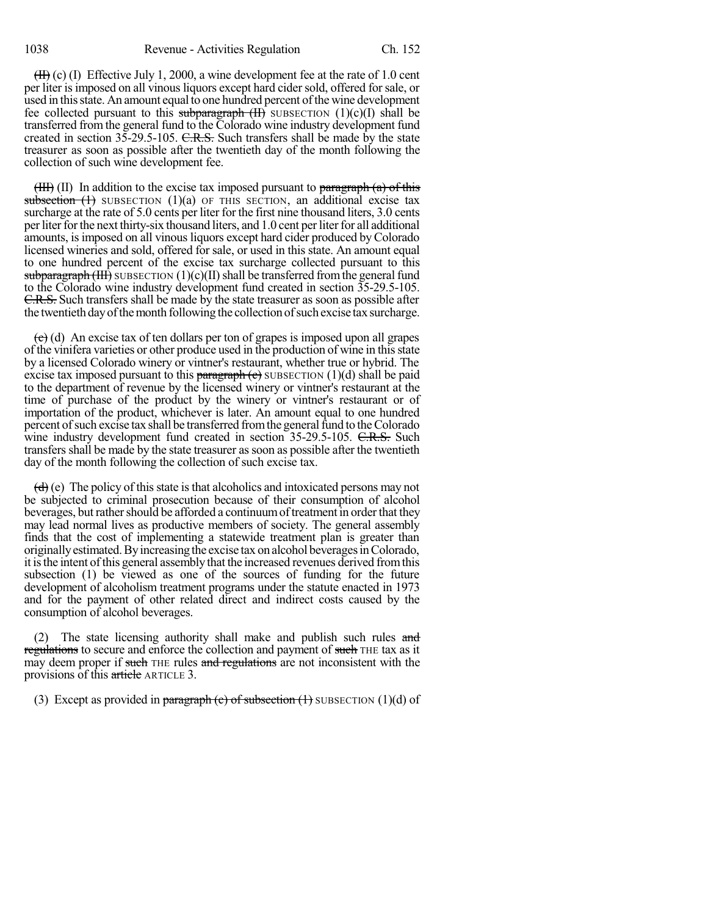$(H)$  (c) (I) Effective July 1, 2000, a wine development fee at the rate of 1.0 cent per liter isimposed on all vinousliquors except hard cidersold, offered forsale, or used in this state. An amount equal to one hundred percent of the wine development fee collected pursuant to this subparagraph  $(H)$  SUBSECTION  $(1)(c)(I)$  shall be transferred from the general fund to the Colorado wine industry development fund created in section  $35-29.5-105$ . C.R.S. Such transfers shall be made by the state treasurer as soon as possible after the twentieth day of the month following the collection of such wine development fee.

 $(HH)$  (II) In addition to the excise tax imposed pursuant to paragraph (a) of this subsection  $(1)$  SUBSECTION  $(1)(a)$  OF THIS SECTION, an additional excise tax surcharge at the rate of 5.0 cents per liter for the first nine thousand liters, 3.0 cents perliterforthe next thirty-six thousand liters, and 1.0 cent perliterfor all additional amounts, isimposed on all vinous liquors except hard cider produced byColorado licensed wineries and sold, offered for sale, or used in this state. An amount equal to one hundred percent of the excise tax surcharge collected pursuant to this subparagraph (III) SUBSECTION  $(1)(c)(II)$  shall be transferred from the general fund to the Colorado wine industry development fund created in section 35-29.5-105. C.R.S. Such transfers shall be made by the state treasurer as soon as possible after the twentieth day of the month following the collection of such excise tax surcharge.

 $\left(\frac{c}{c}\right)$  (d) An excise tax of ten dollars per ton of grapes is imposed upon all grapes of the vinifera varieties or other produce used in the production of wine in thisstate by a licensed Colorado winery or vintner's restaurant, whether true or hybrid. The excise tax imposed pursuant to this paragraph  $(e)$  SUBSECTION (1)(d) shall be paid to the department of revenue by the licensed winery or vintner's restaurant at the time of purchase of the product by the winery or vintner's restaurant or of importation of the product, whichever is later. An amount equal to one hundred percent of such excise tax shall be transferred from the general fund to the Colorado wine industry development fund created in section 35-29.5-105. C.R.S. Such transfers shall be made by the state treasurer assoon as possible after the twentieth day of the month following the collection of such excise tax.

 $\left(\frac{d}{d}\right)$  (e) The policy of this state is that alcoholics and intoxicated persons may not be subjected to criminal prosecution because of their consumption of alcohol beverages, but rather should be afforded a continuum of treatment in order that they may lead normal lives as productive members of society. The general assembly finds that the cost of implementing a statewide treatment plan is greater than originallyestimated.Byincreasing the excise tax on alcohol beveragesinColorado, it is the intent of this general assembly that the increased revenues derived from this subsection (1) be viewed as one of the sources of funding for the future development of alcoholism treatment programs under the statute enacted in 1973 and for the payment of other related direct and indirect costs caused by the consumption of alcohol beverages.

(2) The state licensing authority shall make and publish such rules and regulations to secure and enforce the collection and payment of such THE tax as it may deem proper if such THE rules and regulations are not inconsistent with the provisions of this article ARTICLE 3.

(3) Except as provided in paragraph (c) of subsection  $(1)$  SUBSECTION  $(1)(d)$  of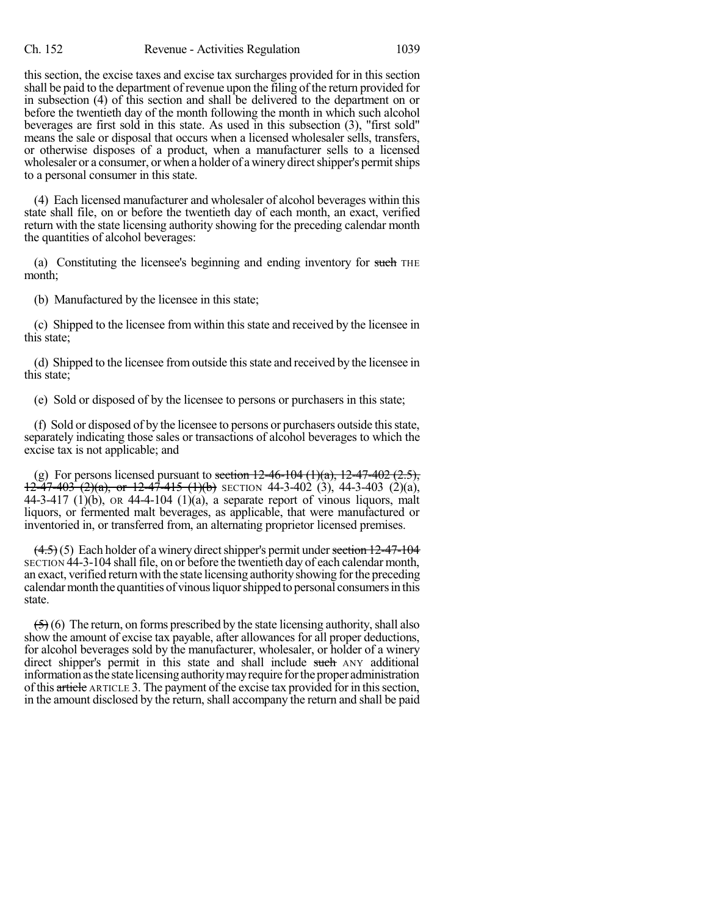this section, the excise taxes and excise tax surcharges provided for in this section shall be paid to the department of revenue upon the filing of the return provided for in subsection (4) of this section and shall be delivered to the department on or before the twentieth day of the month following the month in which such alcohol beverages are first sold in this state. As used in this subsection (3), "first sold" means the sale or disposal that occurs when a licensed wholesaler sells, transfers, or otherwise disposes of a product, when a manufacturer sells to a licensed wholesaler or a consumer, or when a holder of a winery direct shipper's permit ships to a personal consumer in this state.

(4) Each licensed manufacturer and wholesaler of alcohol beverages within this state shall file, on or before the twentieth day of each month, an exact, verified return with the state licensing authority showing for the preceding calendar month the quantities of alcohol beverages:

(a) Constituting the licensee's beginning and ending inventory for such THE month;

(b) Manufactured by the licensee in this state;

(c) Shipped to the licensee from within this state and received by the licensee in this state;

(d) Shipped to the licensee from outside this state and received by the licensee in this state;

(e) Sold or disposed of by the licensee to persons or purchasers in this state;

(f) Sold or disposed of by the licensee to persons or purchasers outside thisstate, separately indicating those sales or transactions of alcohol beverages to which the excise tax is not applicable; and

(g) For persons licensed pursuant to section  $12-46-104$   $(1)(a)$ ,  $12-47-402$   $(2.5)$ ,  $12-47-403$  (2)(a), or  $12-47-415$  (1)(b) SECTION 44-3-402 (3), 44-3-403 (2)(a), 44-3-417 (1)(b), OR 44-4-104 (1)(a), a separate report of vinous liquors, malt liquors, or fermented malt beverages, as applicable, that were manufactured or inventoried in, or transferred from, an alternating proprietor licensed premises.

 $(4.5)(5)$  Each holder of a winery direct shipper's permit under section 12-47-104 SECTION 44-3-104 shall file, on or before the twentieth day of each calendar month, an exact, verified return with the state licensing authorityshowing forthe preceding calendar month the quantities of vinous liquor shipped to personal consumers in this state.

 $(5)$  (6) The return, on forms prescribed by the state licensing authority, shall also show the amount of excise tax payable, after allowances for all proper deductions, for alcohol beverages sold by the manufacturer, wholesaler, or holder of a winery direct shipper's permit in this state and shall include such ANY additional information as the state licensing authority may require for the proper administration of this article ARTICLE 3. The payment of the excise tax provided for in this section, in the amount disclosed by the return, shall accompany the return and shall be paid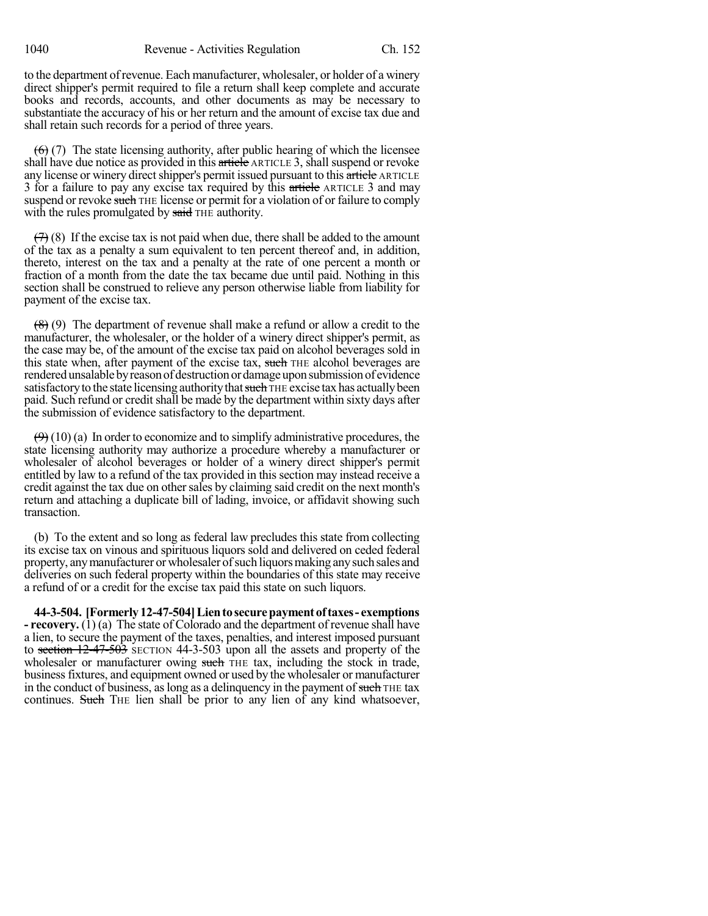to the department of revenue. Each manufacturer, wholesaler, or holder of a winery direct shipper's permit required to file a return shall keep complete and accurate books and records, accounts, and other documents as may be necessary to substantiate the accuracy of his or her return and the amount of excise tax due and shall retain such records for a period of three years.

 $(6)$  (7) The state licensing authority, after public hearing of which the licensee shall have due notice as provided in this article ARTICLE 3, shall suspend or revoke any license or winery direct shipper's permit issued pursuant to this article ARTICLE 3 for a failure to pay any excise tax required by this article ARTICLE 3 and may suspend or revoke such THE license or permit for a violation of or failure to comply with the rules promulgated by said THE authority.

 $(7)$  (8) If the excise tax is not paid when due, there shall be added to the amount of the tax as a penalty a sum equivalent to ten percent thereof and, in addition, thereto, interest on the tax and a penalty at the rate of one percent a month or fraction of a month from the date the tax became due until paid. Nothing in this section shall be construed to relieve any person otherwise liable from liability for payment of the excise tax.

(8) (9) The department of revenue shall make a refund or allow a credit to the manufacturer, the wholesaler, or the holder of a winery direct shipper's permit, as the case may be, of the amount of the excise tax paid on alcohol beverages sold in this state when, after payment of the excise tax, such THE alcohol beverages are rendered unsalable by reason of destruction or damage upon submission of evidence satisfactory to the state licensing authority that such THE excise tax has actually been paid. Such refund or credit shall be made by the department within sixty days after the submission of evidence satisfactory to the department.

 $(9)$  (10) (a) In order to economize and to simplify administrative procedures, the state licensing authority may authorize a procedure whereby a manufacturer or wholesaler of alcohol beverages or holder of a winery direct shipper's permit entitled by law to a refund of the tax provided in this section may instead receive a credit against the tax due on othersales by claiming said credit on the next month's return and attaching a duplicate bill of lading, invoice, or affidavit showing such transaction.

(b) To the extent and so long as federal law precludes this state from collecting its excise tax on vinous and spirituous liquors sold and delivered on ceded federal property, any manufacturer or wholesaler of such liquors making any such sales and deliveries on such federal property within the boundaries of this state may receive a refund of or a credit for the excise tax paid this state on such liquors.

**44-3-504. [Formerly12-47-504]Lientosecurepayment oftaxes- exemptions - recovery.** (1) (a) The state of Colorado and the department of revenue shall have a lien, to secure the payment of the taxes, penalties, and interest imposed pursuant to section 12-47-503 SECTION 44-3-503 upon all the assets and property of the wholesaler or manufacturer owing such THE tax, including the stock in trade, businessfixtures, and equipment owned or used by the wholesaler or manufacturer in the conduct of business, as long as a delinquency in the payment of such THE tax continues. Such THE lien shall be prior to any lien of any kind whatsoever,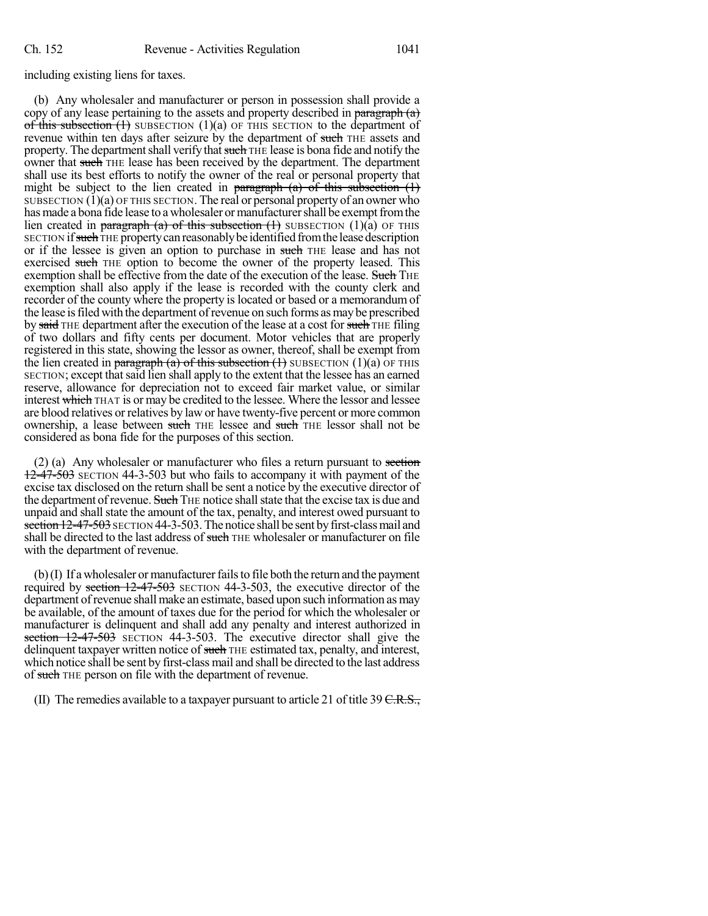## including existing liens for taxes.

(b) Any wholesaler and manufacturer or person in possession shall provide a copy of any lease pertaining to the assets and property described in paragraph  $(a)$ of this subsection  $(1)$  SUBSECTION  $(1)(a)$  OF THIS SECTION to the department of revenue within ten days after seizure by the department of such THE assets and property. The department shall verify that such THE lease is bona fide and notify the owner that such THE lease has been received by the department. The department shall use its best efforts to notify the owner of the real or personal property that might be subject to the lien created in paragraph  $(a)$  of this subsection  $(1)$ SUBSECTION  $(1)(a)$  OF THIS SECTION. The real or personal property of an owner who has made a bona fide lease to a wholesaler or manufacturer shall be exempt from the lien created in paragraph (a) of this subsection  $(1)$  SUBSECTION  $(1)(a)$  OF THIS SECTION if such THE property can reasonably be identified from the lease description or if the lessee is given an option to purchase in such THE lease and has not exercised such THE option to become the owner of the property leased. This exemption shall be effective from the date of the execution of the lease. Such THE exemption shall also apply if the lease is recorded with the county clerk and recorder of the county where the property is located or based or a memorandum of the lease is filed with the department of revenue on such forms as may be prescribed by said THE department after the execution of the lease at a cost for such THE filing of two dollars and fifty cents per document. Motor vehicles that are properly registered in this state, showing the lessor as owner, thereof, shall be exempt from the lien created in paragraph (a) of this subsection  $(1)$  SUBSECTION  $(1)(a)$  OF THIS SECTION; except that said lien shall apply to the extent that the lessee has an earned reserve, allowance for depreciation not to exceed fair market value, or similar interest which THAT is or may be credited to the lessee. Where the lessor and lessee are blood relatives or relatives by law or have twenty-five percent or more common ownership, a lease between such THE lessee and such THE lessor shall not be considered as bona fide for the purposes of this section.

 $(2)$  (a) Any wholesaler or manufacturer who files a return pursuant to section 12-47-503 SECTION 44-3-503 but who fails to accompany it with payment of the excise tax disclosed on the return shall be sent a notice by the executive director of the department of revenue. Such THE notice shall state that the excise tax is due and unpaid and shallstate the amount of the tax, penalty, and interest owed pursuant to section 12-47-503 SECTION 44-3-503. The notice shall be sent by first-class mail and shall be directed to the last address of such THE wholesaler or manufacturer on file with the department of revenue.

 $(b)$  (I) If a wholesaler or manufacturer fails to file both the return and the payment required by section  $12-47-503$  SECTION 44-3-503, the executive director of the department of revenue shall make an estimate, based upon such information as may be available, of the amount of taxes due for the period for which the wholesaler or manufacturer is delinquent and shall add any penalty and interest authorized in section 12-47-503 SECTION 44-3-503. The executive director shall give the delinquent taxpayer written notice of such THE estimated tax, penalty, and interest, which notice shall be sent by first-class mail and shall be directed to the last address of such THE person on file with the department of revenue.

(II) The remedies available to a taxpayer pursuant to article 21 of title 39  $C.R.S.,$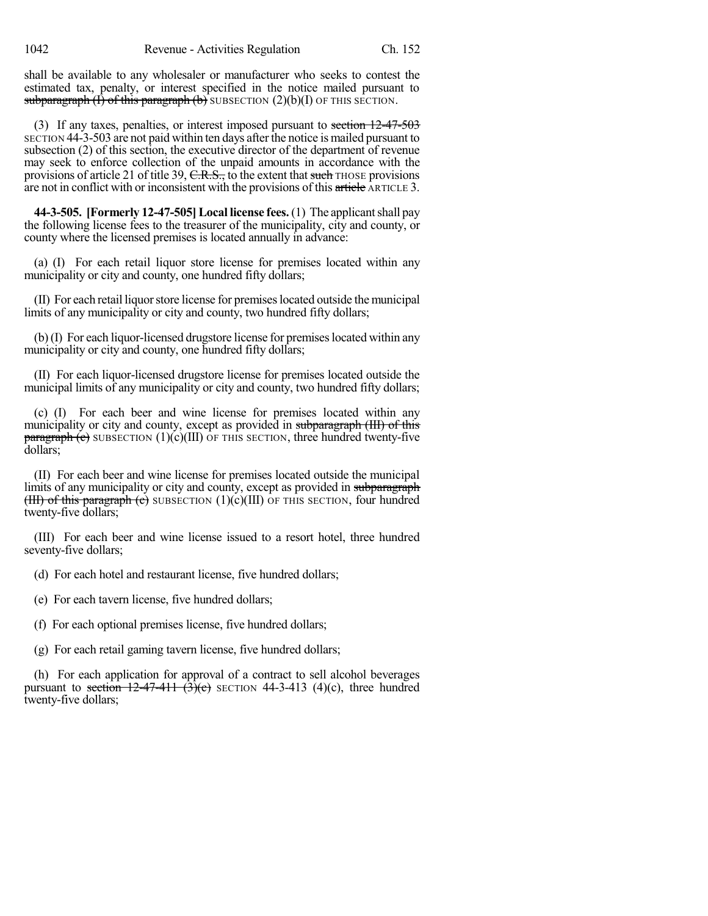shall be available to any wholesaler or manufacturer who seeks to contest the estimated tax, penalty, or interest specified in the notice mailed pursuant to subparagraph  $(I)$  of this paragraph  $(b)$  SUBSECTION  $(2)(b)(I)$  OF THIS SECTION.

(3) If any taxes, penalties, or interest imposed pursuant to section 12-47-503 SECTION 44-3-503 are not paid within ten days after the notice is mailed pursuant to subsection (2) of this section, the executive director of the department of revenue may seek to enforce collection of the unpaid amounts in accordance with the provisions of article 21 of title 39,  $C.R.S.,$  to the extent that such THOSE provisions are not in conflict with or inconsistent with the provisions of this article ARTICLE 3.

**44-3-505. [Formerly 12-47-505]Local license fees.**(1) The applicantshall pay the following license fees to the treasurer of the municipality, city and county, or county where the licensed premises is located annually in advance:

(a) (I) For each retail liquor store license for premises located within any municipality or city and county, one hundred fifty dollars;

(II) For each retail liquor store license for premises located outside the municipal limits of any municipality or city and county, two hundred fifty dollars;

(b)(I) For each liquor-licensed drugstore license for premises located within any municipality or city and county, one hundred fifty dollars;

(II) For each liquor-licensed drugstore license for premises located outside the municipal limits of any municipality or city and county, two hundred fifty dollars;

(c) (I) For each beer and wine license for premises located within any municipality or city and county, except as provided in subparagraph (III) of this  $\frac{\text{pargraph (c)}}{\text{warg}(\text{c})}$  SUBSECTION (1)(c)(III) OF THIS SECTION, three hundred twenty-five dollars;

(II) For each beer and wine license for premises located outside the municipal limits of any municipality or city and county, except as provided in subparagraph (III) of this paragraph (c) SUBSECTION  $(1)(c)(III)$  OF THIS SECTION, four hundred twenty-five dollars;

(III) For each beer and wine license issued to a resort hotel, three hundred seventy-five dollars;

(d) For each hotel and restaurant license, five hundred dollars;

(e) For each tavern license, five hundred dollars;

(f) For each optional premises license, five hundred dollars;

(g) For each retail gaming tavern license, five hundred dollars;

(h) For each application for approval of a contract to sell alcohol beverages pursuant to section  $12-47-411$   $(3)(c)$  SECTION 44-3-413 (4)(c), three hundred twenty-five dollars;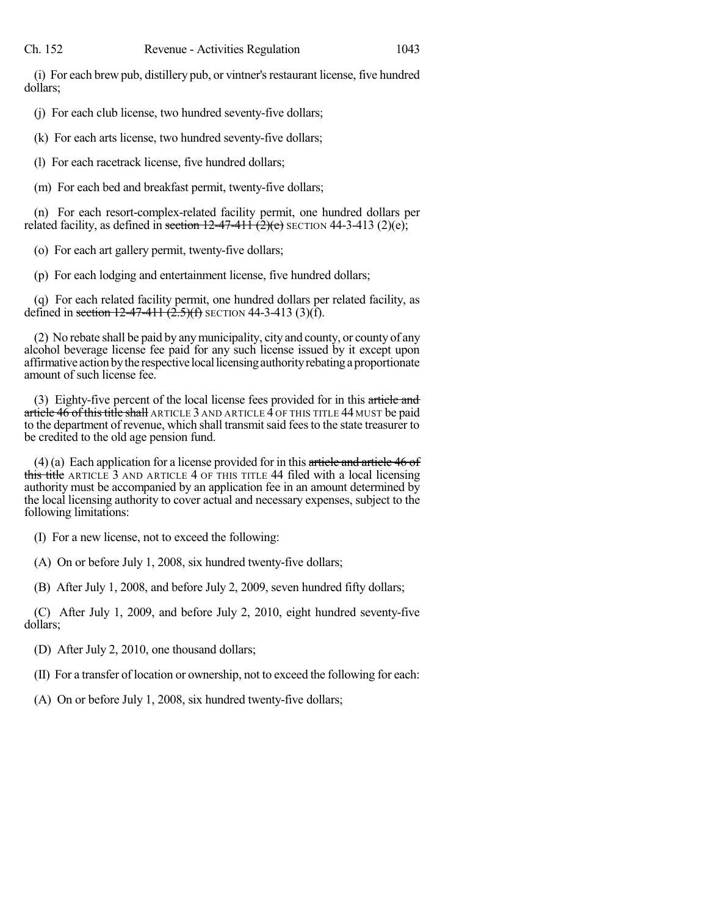(i) For each brew pub, distillery pub, or vintner'srestaurant license, five hundred dollars;

(j) For each club license, two hundred seventy-five dollars;

(k) For each arts license, two hundred seventy-five dollars;

(l) For each racetrack license, five hundred dollars;

(m) For each bed and breakfast permit, twenty-five dollars;

(n) For each resort-complex-related facility permit, one hundred dollars per related facility, as defined in section  $12-47-411$   $(2)(e)$  SECTION 44-3-413 (2)(e);

(o) For each art gallery permit, twenty-five dollars;

(p) For each lodging and entertainment license, five hundred dollars;

(q) For each related facility permit, one hundred dollars per related facility, as defined in section  $12-47-411$   $(2.5)(f)$  SECTION 44-3-413 (3)(f).

(2) No rebate shall be paid by anymunicipality, city and county, or county of any alcohol beverage license fee paid for any such license issued by it except upon affirmative action by the respective local licensing authority rebating a proportionate amount of such license fee.

(3) Eighty-five percent of the local license fees provided for in this article and article  $46$  of this title shall ARTICLE 3 AND ARTICLE  $4$  OF THIS TITLE  $44$  MUST be paid to the department of revenue, which shall transmitsaid feesto the state treasurer to be credited to the old age pension fund.

 $(4)$  (a) Each application for a license provided for in this article and article 46 of this title ARTICLE 3 AND ARTICLE 4 OF THIS TITLE 44 filed with a local licensing authority must be accompanied by an application fee in an amount determined by the local licensing authority to cover actual and necessary expenses, subject to the following limitations:

(I) For a new license, not to exceed the following:

(A) On or before July 1, 2008, six hundred twenty-five dollars;

(B) After July 1, 2008, and before July 2, 2009, seven hundred fifty dollars;

(C) After July 1, 2009, and before July 2, 2010, eight hundred seventy-five dollars;

(D) After July 2, 2010, one thousand dollars;

(II) For a transfer of location or ownership, not to exceed the following for each:

(A) On or before July 1, 2008, six hundred twenty-five dollars;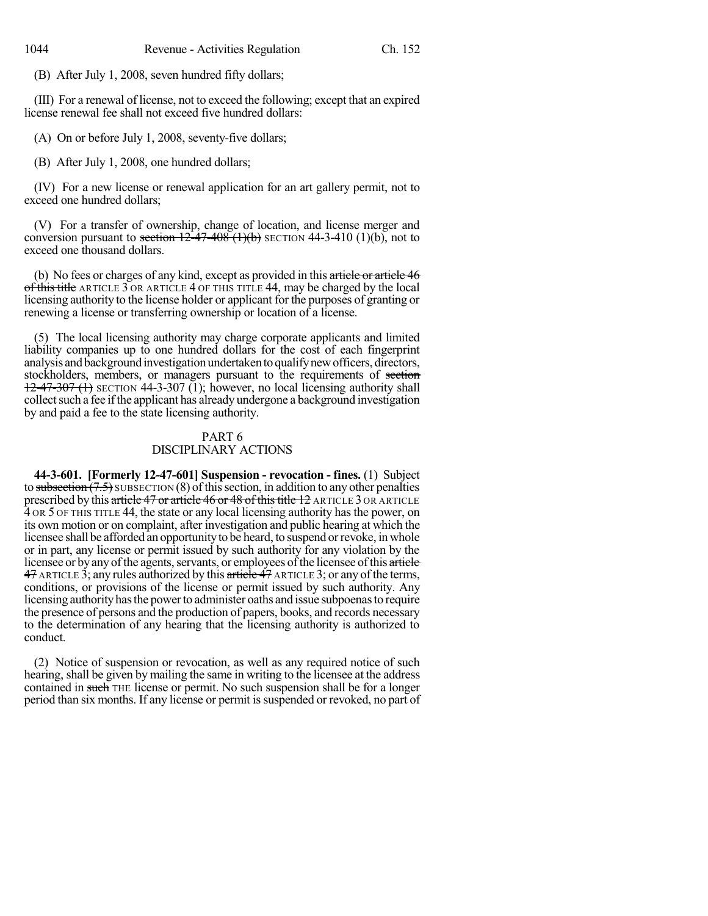(B) After July 1, 2008, seven hundred fifty dollars;

(III) For a renewal of license, not to exceed the following; except that an expired license renewal fee shall not exceed five hundred dollars:

(A) On or before July 1, 2008, seventy-five dollars;

(B) After July 1, 2008, one hundred dollars;

(IV) For a new license or renewal application for an art gallery permit, not to exceed one hundred dollars;

(V) For a transfer of ownership, change of location, and license merger and conversion pursuant to section  $12-47-408$  (1)(b) SECTION 44-3-410 (1)(b), not to exceed one thousand dollars.

(b) No fees or charges of any kind, except as provided in this article or article 46 of this title ARTICLE  $\overline{3}$  OR ARTICLE  $\overline{4}$  OF THIS TITLE 44, may be charged by the local licensing authority to the license holder or applicant for the purposes of granting or renewing a license or transferring ownership or location of a license.

(5) The local licensing authority may charge corporate applicants and limited liability companies up to one hundred dollars for the cost of each fingerprint analysis and background investigation undertaken to qualify new officers, directors, stockholders, members, or managers pursuant to the requirements of section  $12-47-307$  (1) SECTION 44-3-307 (1); however, no local licensing authority shall collect such a fee if the applicant has already undergone a background investigation by and paid a fee to the state licensing authority.

## PART 6 DISCIPLINARY ACTIONS

**44-3-601. [Formerly 12-47-601] Suspension - revocation - fines.** (1) Subject to subsection  $(7.5)$  SUBSECTION  $(8)$  of this section, in addition to any other penalties prescribed by this article 47 or article 46 or 48 of this title 12 ARTICLE 3 OR ARTICLE 4 OR 5 OF THIS TITLE 44, the state or any local licensing authority has the power, on its own motion or on complaint, after investigation and public hearing at which the licensee shall be afforded an opportunity to be heard, to suspend or revoke, in whole or in part, any license or permit issued by such authority for any violation by the licensee or by any of the agents, servants, or employees of the licensee of this article  $47$  ARTICLE 3; any rules authorized by this article  $47$  ARTICLE 3; or any of the terms, conditions, or provisions of the license or permit issued by such authority. Any licensing authority has the power to administer oaths and issue subpoenas to require the presence of persons and the production of papers, books, and records necessary to the determination of any hearing that the licensing authority is authorized to conduct.

(2) Notice of suspension or revocation, as well as any required notice of such hearing, shall be given by mailing the same in writing to the licensee at the address contained in such THE license or permit. No such suspension shall be for a longer period than six months. If any license or permit is suspended or revoked, no part of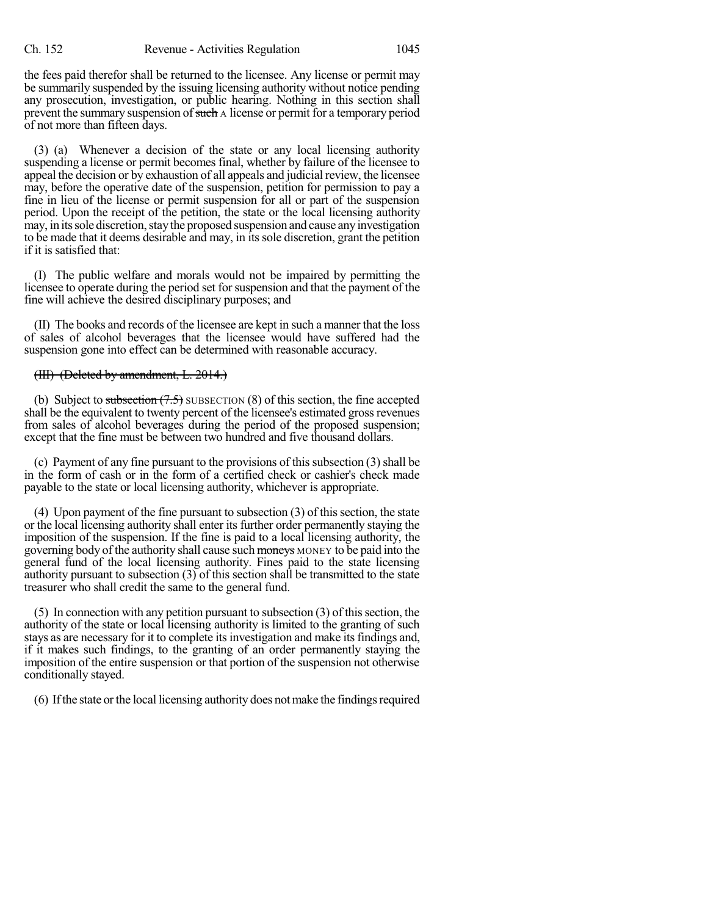the fees paid therefor shall be returned to the licensee. Any license or permit may be summarily suspended by the issuing licensing authority without notice pending any prosecution, investigation, or public hearing. Nothing in this section shall prevent the summary suspension of such A license or permit for a temporary period of not more than fifteen days.

(3) (a) Whenever a decision of the state or any local licensing authority suspending a license or permit becomes final, whether by failure of the licensee to appeal the decision or by exhaustion of all appeals and judicial review, the licensee may, before the operative date of the suspension, petition for permission to pay a fine in lieu of the license or permit suspension for all or part of the suspension period. Upon the receipt of the petition, the state or the local licensing authority may, in its sole discretion, stay the proposed suspension and cause any investigation to be made that it deems desirable and may, in itssole discretion, grant the petition if it is satisfied that:

(I) The public welfare and morals would not be impaired by permitting the licensee to operate during the period set for suspension and that the payment of the fine will achieve the desired disciplinary purposes; and

(II) The books and records of the licensee are kept in such a manner that the loss of sales of alcohol beverages that the licensee would have suffered had the suspension gone into effect can be determined with reasonable accuracy.

### (III) (Deleted by amendment, L. 2014.)

(b) Subject to subsection  $(7.5)$  SUBSECTION  $(8)$  of this section, the fine accepted shall be the equivalent to twenty percent of the licensee's estimated gross revenues from sales of alcohol beverages during the period of the proposed suspension; except that the fine must be between two hundred and five thousand dollars.

(c) Payment of any fine pursuant to the provisions of this subsection  $(3)$  shall be in the form of cash or in the form of a certified check or cashier's check made payable to the state or local licensing authority, whichever is appropriate.

 $(4)$  Upon payment of the fine pursuant to subsection  $(3)$  of this section, the state or the local licensing authority shall enter its further order permanently staying the imposition of the suspension. If the fine is paid to a local licensing authority, the governing body of the authority shall cause such moneys MONEY to be paid into the general fund of the local licensing authority. Fines paid to the state licensing authority pursuant to subsection (3) of this section shall be transmitted to the state treasurer who shall credit the same to the general fund.

(5) In connection with any petition pursuant to subsection  $(3)$  of this section, the authority of the state or local licensing authority is limited to the granting of such stays as are necessary for it to complete itsinvestigation and make itsfindings and, if it makes such findings, to the granting of an order permanently staying the imposition of the entire suspension or that portion of the suspension not otherwise conditionally stayed.

(6) Ifthe state orthe local licensing authority does notmake the findingsrequired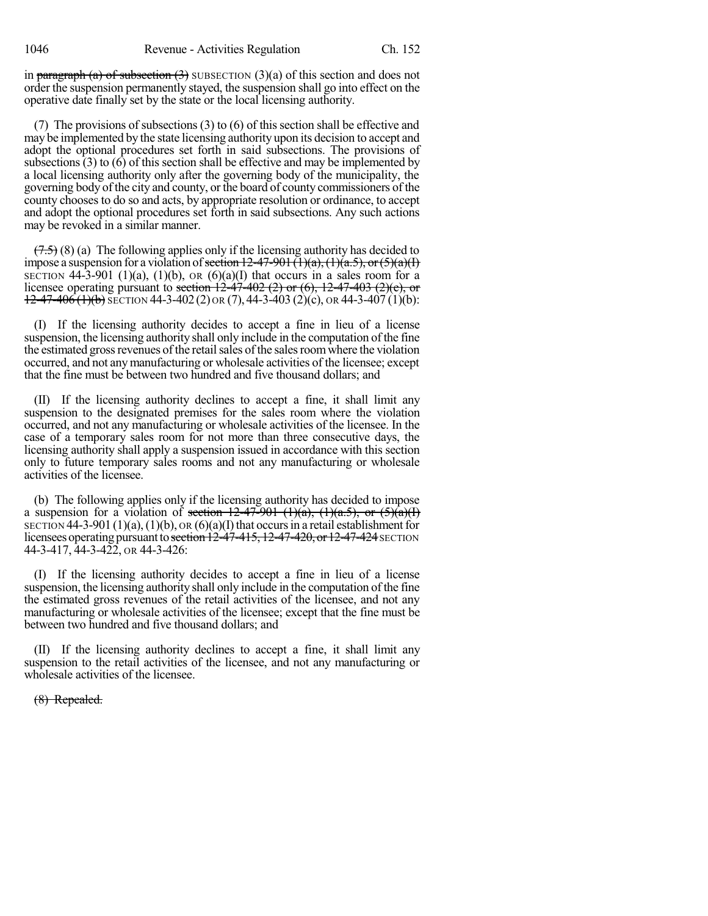in paragraph (a) of subsection  $(3)$  SUBSECTION  $(3)(a)$  of this section and does not order the suspension permanently stayed, the suspension shall go into effect on the operative date finally set by the state or the local licensing authority.

(7) The provisions of subsections (3) to (6) of this section shall be effective and may be implemented by the state licensing authority upon its decision to accept and adopt the optional procedures set forth in said subsections. The provisions of subsections  $(3)$  to  $(6)$  of this section shall be effective and may be implemented by a local licensing authority only after the governing body of the municipality, the governing body ofthe city and county, or the board of county commissioners of the county chooses to do so and acts, by appropriate resolution or ordinance, to accept and adopt the optional procedures set forth in said subsections. Any such actions may be revoked in a similar manner.

 $(7.5)$  (8) (a) The following applies only if the licensing authority has decided to impose a suspension for a violation of section 12-47-901 (1)(a), (1)(a.5), or (5)(a)(I) SECTION  $44-3-901$  (1)(a), (1)(b), OR (6)(a)(I) that occurs in a sales room for a licensee operating pursuant to section  $12-47-402$  (2) or (6),  $12-47-403$  (2)(e), or  $12-47-406(1)(b)$  SECTION 44-3-402 (2) OR (7), 44-3-403 (2)(c), OR 44-3-407 (1)(b):

(I) If the licensing authority decides to accept a fine in lieu of a license suspension, the licensing authority shall only include in the computation of the fine the estimated gross revenues of the retail sales of the sales room where the violation occurred, and not any manufacturing or wholesale activities of the licensee; except that the fine must be between two hundred and five thousand dollars; and

(II) If the licensing authority declines to accept a fine, it shall limit any suspension to the designated premises for the sales room where the violation occurred, and not any manufacturing or wholesale activities of the licensee. In the case of a temporary sales room for not more than three consecutive days, the licensing authority shall apply a suspension issued in accordance with this section only to future temporary sales rooms and not any manufacturing or wholesale activities of the licensee.

(b) The following applies only if the licensing authority has decided to impose a suspension for a violation of section  $12-47-901$  (1)(a), (1)(a.5), or (5)(a)(I) SECTION 44-3-901 (1)(a), (1)(b), OR (6)(a)(I) that occurs in a retail establishment for licensees operating pursuant to section 12-47-415, 12-47-420, or 12-47-424 SECTION 44-3-417, 44-3-422, OR 44-3-426:

(I) If the licensing authority decides to accept a fine in lieu of a license suspension, the licensing authority shall only include in the computation of the fine the estimated gross revenues of the retail activities of the licensee, and not any manufacturing or wholesale activities of the licensee; except that the fine must be between two hundred and five thousand dollars; and

(II) If the licensing authority declines to accept a fine, it shall limit any suspension to the retail activities of the licensee, and not any manufacturing or wholesale activities of the licensee.

(8) Repealed.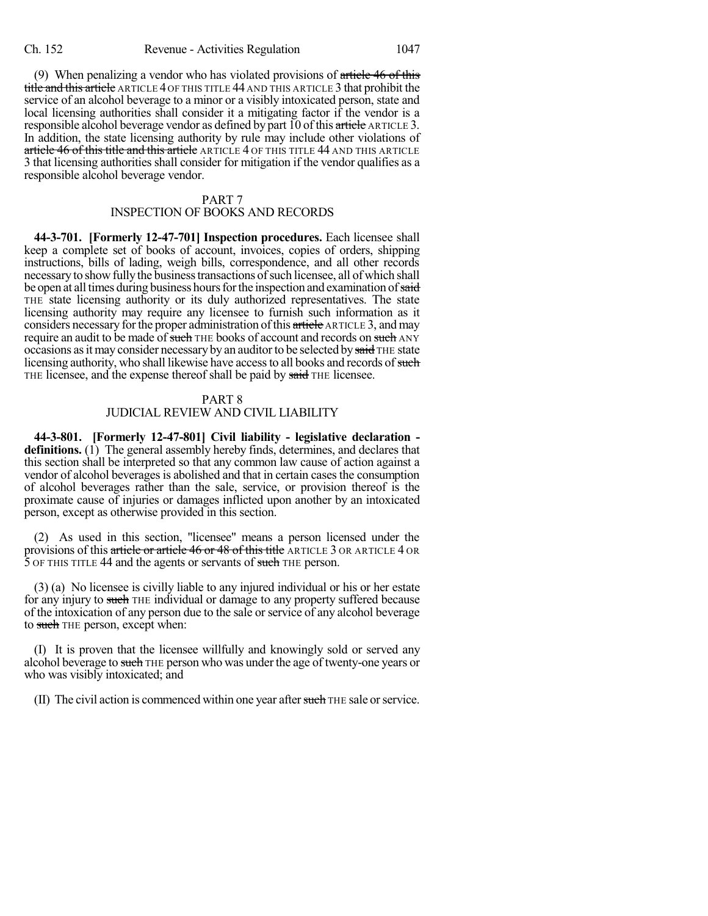(9) When penalizing a vendor who has violated provisions of  $\alpha$  article 46 of this title and this article ARTICLE 4 OF THIS TITLE 44 AND THIS ARTICLE 3 that prohibit the service of an alcohol beverage to a minor or a visibly intoxicated person, state and local licensing authorities shall consider it a mitigating factor if the vendor is a responsible alcohol beverage vendor as defined by part 10 of this article ARTICLE 3. In addition, the state licensing authority by rule may include other violations of article 46 of this title and this article ARTICLE 4 OF THIS TITLE 44 AND THIS ARTICLE 3 that licensing authorities shall consider for mitigation if the vendor qualifies as a responsible alcohol beverage vendor.

# PART 7

## INSPECTION OF BOOKS AND RECORDS

**44-3-701. [Formerly 12-47-701] Inspection procedures.** Each licensee shall keep a complete set of books of account, invoices, copies of orders, shipping instructions, bills of lading, weigh bills, correspondence, and all other records necessary to show fully the business transactions of such licensee, all of which shall be open at all times during business hours for the inspection and examination of said THE state licensing authority or its duly authorized representatives. The state licensing authority may require any licensee to furnish such information as it considers necessary for the proper administration of this article ARTICLE 3, and may require an audit to be made of such THE books of account and records on such ANY occasions as it may consider necessary by an auditor to be selected by said THE state licensing authority, who shall likewise have access to all books and records of such THE licensee, and the expense thereof shall be paid by said THE licensee.

### PART 8 JUDICIAL REVIEW AND CIVIL LIABILITY

**44-3-801. [Formerly 12-47-801] Civil liability - legislative declaration definitions.** (1) The general assembly hereby finds, determines, and declares that this section shall be interpreted so that any common law cause of action against a vendor of alcohol beverages is abolished and that in certain cases the consumption of alcohol beverages rather than the sale, service, or provision thereof is the proximate cause of injuries or damages inflicted upon another by an intoxicated person, except as otherwise provided in this section.

(2) As used in this section, "licensee" means a person licensed under the provisions of this article or article 46 or 48 of this title ARTICLE 3 OR ARTICLE 4 OR 5 OF THIS TITLE 44 and the agents or servants of such THE person.

(3) (a) No licensee is civilly liable to any injured individual or his or her estate for any injury to such THE individual or damage to any property suffered because of the intoxication of any person due to the sale orservice of any alcohol beverage to such THE person, except when:

(I) It is proven that the licensee willfully and knowingly sold or served any alcohol beverage to such THE person who was under the age of twenty-one years or who was visibly intoxicated; and

(II) The civil action is commenced within one year after such THE sale or service.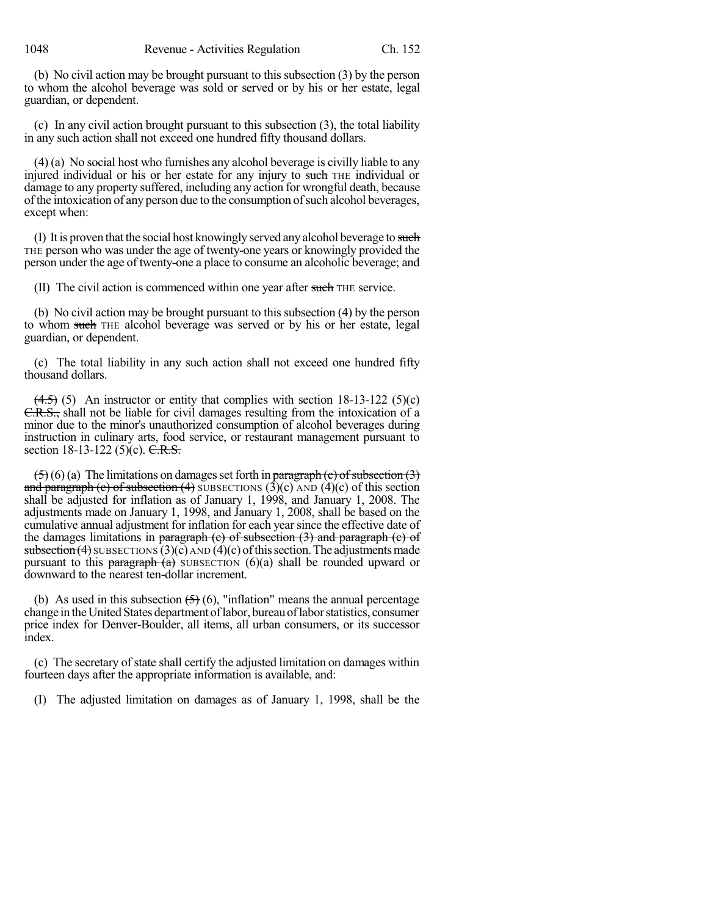(b) No civil action may be brought pursuant to this subsection (3) by the person to whom the alcohol beverage was sold or served or by his or her estate, legal guardian, or dependent.

(c) In any civil action brought pursuant to this subsection (3), the total liability in any such action shall not exceed one hundred fifty thousand dollars.

(4) (a) No social host who furnishes any alcohol beverage is civilly liable to any injured individual or his or her estate for any injury to such THE individual or damage to any property suffered, including any action for wrongful death, because of the intoxication of any person due to the consumption of such alcohol beverages, except when:

(I) It is proven that the social host knowingly served any alcohol beverage to such THE person who was under the age of twenty-one years or knowingly provided the person under the age of twenty-one a place to consume an alcoholic beverage; and

(II) The civil action is commenced within one year after such THE service.

(b) No civil action may be brought pursuant to this subsection (4) by the person to whom such THE alcohol beverage was served or by his or her estate, legal guardian, or dependent.

(c) The total liability in any such action shall not exceed one hundred fifty thousand dollars.

 $(4.5)$  (5) An instructor or entity that complies with section 18-13-122 (5)(c) C.R.S., shall not be liable for civil damages resulting from the intoxication of a minor due to the minor's unauthorized consumption of alcohol beverages during instruction in culinary arts, food service, or restaurant management pursuant to section 18-13-122 (5)(c).  $C.R.S.$ 

 $(5)(6)$  (a) The limitations on damages set forth in paragraph (c) of subsection (3) and paragraph (c) of subsection (4) SUBSECTIONS (3)(c) AND (4)(c) of this section shall be adjusted for inflation as of January 1, 1998, and January 1, 2008. The adjustments made on January 1, 1998, and January 1, 2008, shall be based on the cumulative annual adjustment for inflation for each yearsince the effective date of the damages limitations in paragraph  $(e)$  of subsection  $(3)$  and paragraph  $(e)$  of subsection  $(4)$  SUBSECTIONS  $(3)(c)$  AND  $(4)(c)$  of this section. The adjustments made pursuant to this paragraph  $(a)$  SUBSECTION  $(6)(a)$  shall be rounded upward or downward to the nearest ten-dollar increment.

(b) As used in this subsection  $(5)(6)$ , "inflation" means the annual percentage change in theUnitedStates department oflabor, bureauoflaborstatistics, consumer price index for Denver-Boulder, all items, all urban consumers, or its successor index.

(c) The secretary of state shall certify the adjusted limitation on damages within fourteen days after the appropriate information is available, and:

(I) The adjusted limitation on damages as of January 1, 1998, shall be the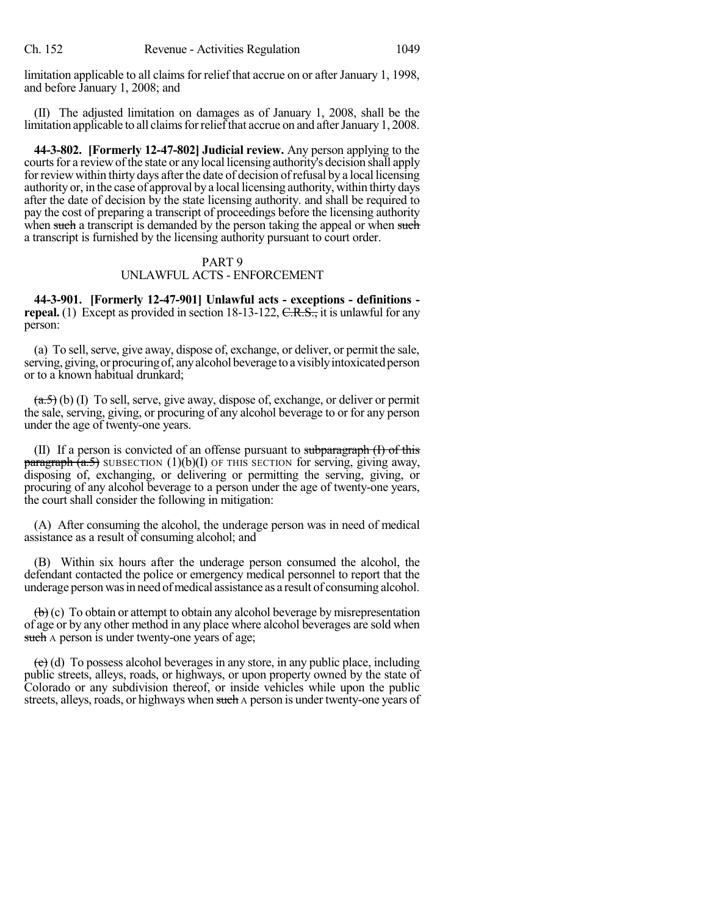limitation applicable to all claims for relief that accrue on or after January 1, 1998, and before January 1, 2008; and

(II) The adjusted limitation on damages as of January 1, 2008, shall be the limitation applicable to all claims for relief that accrue on and after January 1, 2008.

**44-3-802. [Formerly 12-47-802] Judicial review.** Any person applying to the courts for a review of the state or any local licensing authority's decision shall apply for review within thirty days after the date of decision of refusal by a local licensing authority or, in the case of approval by a local licensing authority, within thirty days after the date of decision by the state licensing authority. and shall be required to pay the cost of preparing a transcript of proceedings before the licensing authority when such a transcript is demanded by the person taking the appeal or when such a transcript is furnished by the licensing authority pursuant to court order.

## PART 9 UNLAWFUL ACTS - ENFORCEMENT

**44-3-901. [Formerly 12-47-901] Unlawful acts - exceptions - definitions repeal.** (1) Except as provided in section 18-13-122, C.R.S., it is unlawful for any person:

(a) To sell, serve, give away, dispose of, exchange, or deliver, or permit the sale, serving, giving, or procuring of, any alcohol beverage to a visibly intoxicated person or to a known habitual drunkard;

 $(a.5)$  (b) (I) To sell, serve, give away, dispose of, exchange, or deliver or permit the sale, serving, giving, or procuring of any alcohol beverage to or for any person under the age of twenty-one years.

(II) If a person is convicted of an offense pursuant to subparagraph  $(I)$  of this  $\frac{\pi}{2}$  paragraph  $(a.5)$  SUBSECTION (1)(b)(I) OF THIS SECTION for serving, giving away, disposing of, exchanging, or delivering or permitting the serving, giving, or procuring of any alcohol beverage to a person under the age of twenty-one years, the court shall consider the following in mitigation:

(A) After consuming the alcohol, the underage person was in need of medical assistance as a result of consuming alcohol; and

(B) Within six hours after the underage person consumed the alcohol, the defendant contacted the police or emergency medical personnel to report that the underage person was in need of medical assistance as a result of consuming alcohol.

 $\left(\mathbf{b}\right)$  (c) To obtain or attempt to obtain any alcohol beverage by misrepresentation of age or by any other method in any place where alcohol beverages are sold when such A person is under twenty-one years of age;

 $\left(\frac{e}{c}\right)$  (d) To possess alcohol beverages in any store, in any public place, including public streets, alleys, roads, or highways, or upon property owned by the state of Colorado or any subdivision thereof, or inside vehicles while upon the public streets, alleys, roads, or highways when such A person is under twenty-one years of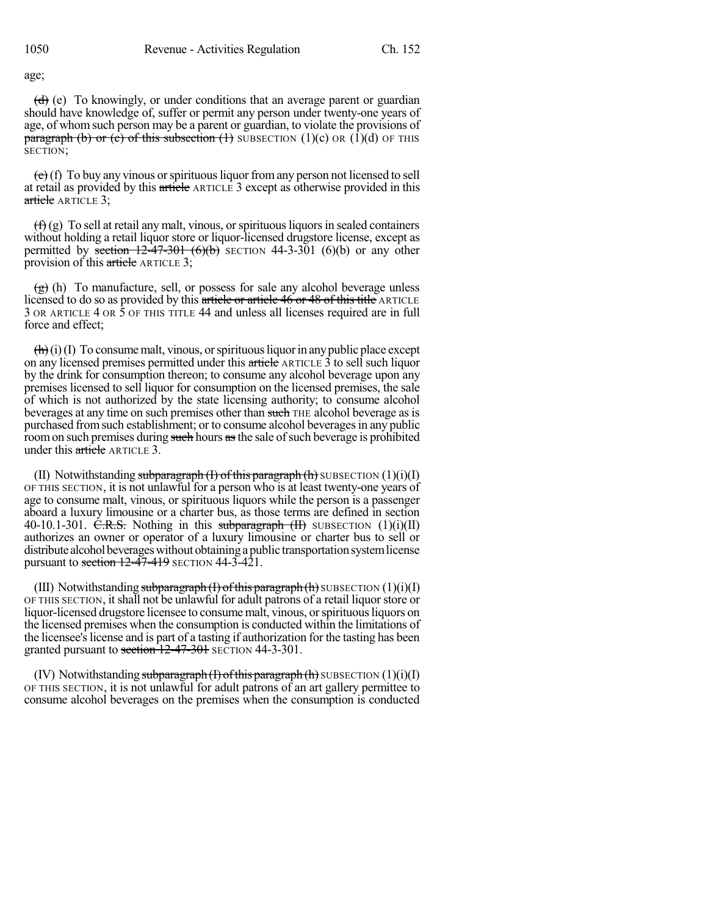age;

 $(d)$  (e) To knowingly, or under conditions that an average parent or guardian should have knowledge of, suffer or permit any person under twenty-one years of age, of whom such person may be a parent or guardian, to violate the provisions of paragraph (b) or (c) of this subsection  $(1)$  SUBSECTION  $(1)(c)$  OR  $(1)(d)$  OF THIS SECTION;

 $(e)$  (f) To buy any vinous or spirituous liquor from any person not licensed to sell at retail as provided by this article ARTICLE 3 except as otherwise provided in this article ARTICLE 3;

 $(f)$  (g) To sell at retail any malt, vinous, or spirituous liquors in sealed containers without holding a retail liquor store or liquor-licensed drugstore license, except as permitted by section  $12-47-301$  (6)(b) SECTION 44-3-301 (6)(b) or any other provision of this article ARTICLE 3;

 $\left(\frac{g}{g}\right)$  (h) To manufacture, sell, or possess for sale any alcohol beverage unless licensed to do so as provided by this article or article 46 or 48 of this title ARTICLE 3 OR ARTICLE 4 OR 5 OF THIS TITLE 44 and unless all licenses required are in full force and effect;

 $(\mathbf{h})(i)$  To consume malt, vinous, or spirituous liquor in any public place except on any licensed premises permitted under this article ARTICLE 3 to sell such liquor by the drink for consumption thereon; to consume any alcohol beverage upon any premises licensed to sell liquor for consumption on the licensed premises, the sale of which is not authorized by the state licensing authority; to consume alcohol beverages at any time on such premises other than such THE alcohol beverage as is purchased from such establishment; or to consume alcohol beverages in any public room on such premises during such hours as the sale of such beverage is prohibited under this article ARTICLE 3.

(II) Notwithstanding subparagraph  $(I)$  of this paragraph  $(h)$  SUBSECTION  $(1)(i)(I)$ OF THIS SECTION, it is not unlawful for a person who is at least twenty-one years of age to consume malt, vinous, or spirituous liquors while the person is a passenger aboard a luxury limousine or a charter bus, as those terms are defined in section 40-10.1-301. C.R.S. Nothing in this subparagraph  $(H)$  SUBSECTION  $(1)(i)(II)$ authorizes an owner or operator of a luxury limousine or charter bus to sell or distribute alcohol beverages without obtaining a public transportation system license pursuant to section  $12-47-419$  SECTION  $44-3-421$ .

(III) Notwithstanding subparagraph  $(I)$  of this paragraph  $(h)$  SUBSECTION  $(1)(i)(I)$ OF THIS SECTION, itshall not be unlawful for adult patrons of a retail liquorstore or liquor-licensed drugstore licensee to consume malt, vinous, orspirituousliquors on the licensed premises when the consumption is conducted within the limitations of the licensee's license and is part of a tasting if authorization for the tasting has been granted pursuant to section  $12-47-301$  SECTION 44-3-301.

(IV) Notwithstanding subparagraph  $(I)$  of this paragraph  $(h)$  SUBSECTION  $(1)(i)(I)$ OF THIS SECTION, it is not unlawful for adult patrons of an art gallery permittee to consume alcohol beverages on the premises when the consumption is conducted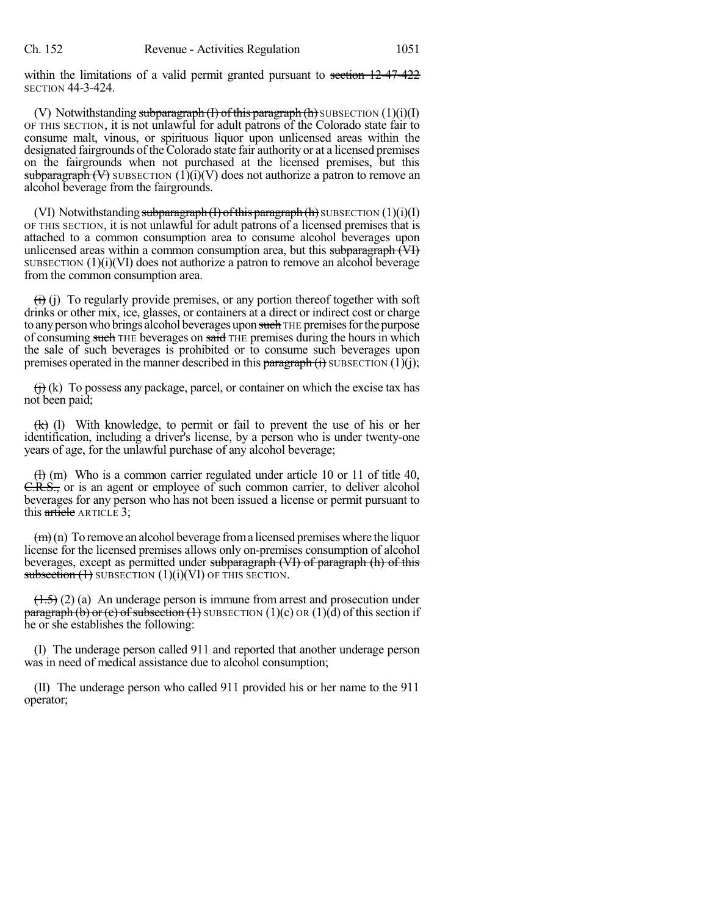within the limitations of a valid permit granted pursuant to section 12-47-422 SECTION 44-3-424.

(V) Notwithstanding subparagraph  $(H)$  of this paragraph  $(h)$  SUBSECTION  $(1)(i)(I)$ OF THIS SECTION, it is not unlawful for adult patrons of the Colorado state fair to consume malt, vinous, or spirituous liquor upon unlicensed areas within the designated fairgrounds of the Colorado state fair authority or at a licensed premises on the fairgrounds when not purchased at the licensed premises, but this subparagraph  $(V)$  SUBSECTION  $(1)(i)(V)$  does not authorize a patron to remove an alcohol beverage from the fairgrounds.

(VI) Notwithstanding subparagraph (I) of this paragraph (h) SUBSECTION  $(1)(i)(I)$ OF THIS SECTION, it is not unlawful for adult patrons of a licensed premises that is attached to a common consumption area to consume alcohol beverages upon unlicensed areas within a common consumption area, but this subparagraph (VI) SUBSECTION  $(1)(i)(V)$  does not authorize a patron to remove an alcohol beverage from the common consumption area.

 $\overrightarrow{(t)}$  (i) To regularly provide premises, or any portion thereof together with soft drinks or other mix, ice, glasses, or containers at a direct or indirect cost or charge to any person who brings alcohol beverages upon such THE premises for the purpose of consuming such THE beverages on said THE premises during the hours in which the sale of such beverages is prohibited or to consume such beverages upon premises operated in the manner described in this paragraph  $(i)$  SUBSECTION  $(1)(j)$ ;

 $(f<sub>i</sub>)$  (k) To possess any package, parcel, or container on which the excise tax has not been paid;

(k) (l) With knowledge, to permit or fail to prevent the use of his or her identification, including a driver's license, by a person who is under twenty-one years of age, for the unlawful purchase of any alcohol beverage;

 $(H)$  (m) Who is a common carrier regulated under article 10 or 11 of title 40, C.R.S., or is an agent or employee of such common carrier, to deliver alcohol beverages for any person who has not been issued a license or permit pursuant to this article ARTICLE 3;

 $(m)(n)$  To remove an alcohol beverage from a licensed premises where the liquor license for the licensed premises allows only on-premises consumption of alcohol beverages, except as permitted under subparagraph (VI) of paragraph (h) of this subsection  $(1)$  SUBSECTION  $(1)(i)(VI)$  OF THIS SECTION.

 $(1.5)$  (2) (a) An underage person is immune from arrest and prosecution under **paragraph (b) or (c) of subsection (1)** SUBSECTION (1)(c) OR (1)(d) of this section if he or she establishes the following:

(I) The underage person called 911 and reported that another underage person was in need of medical assistance due to alcohol consumption;

(II) The underage person who called 911 provided his or her name to the 911 operator;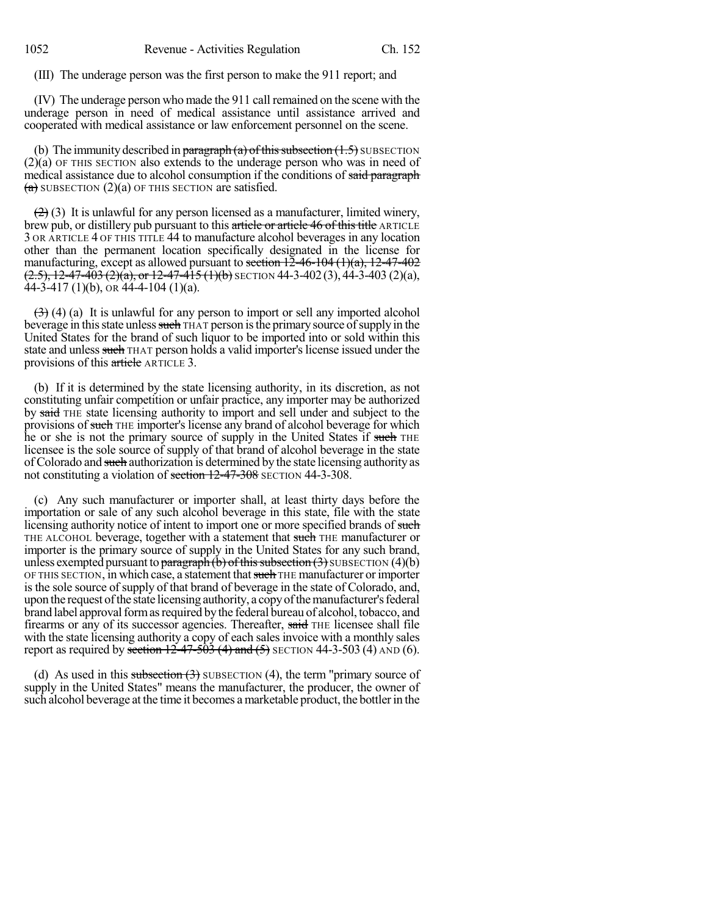(III) The underage person was the first person to make the 911 report; and

(IV) The underage person who made the 911 call remained on the scene with the underage person in need of medical assistance until assistance arrived and cooperated with medical assistance or law enforcement personnel on the scene.

(b) The immunity described in paragraph (a) of this subsection  $(1.5)$  SUBSECTION (2)(a) OF THIS SECTION also extends to the underage person who was in need of medical assistance due to alcohol consumption if the conditions of said paragraph  $(a)$  SUBSECTION  $(2)(a)$  OF THIS SECTION are satisfied.

 $(2)$  (3) It is unlawful for any person licensed as a manufacturer, limited winery, brew pub, or distillery pub pursuant to this article or article 46 of this title ARTICLE 3 OR ARTICLE 4 OF THIS TITLE 44 to manufacture alcohol beverages in any location other than the permanent location specifically designated in the license for manufacturing, except as allowed pursuant to section  $12-46-104$   $(1)(a)$ ,  $12-47-402$  $(2.5)$ , 12-47-403  $(2)$ (a), or 12-47-415  $(1)$ (b) SECTION 44-3-402 (3), 44-3-403 (2)(a),  $\hat{4}4 - \hat{3} - 417$  (1)(b), or  $\hat{4}4 - \hat{4} - 104$  (1)(a).

 $(3)$  (4) (a) It is unlawful for any person to import or sell any imported alcohol beverage in this state unless such THAT person is the primary source of supply in the United States for the brand of such liquor to be imported into or sold within this state and unless such THAT person holds a valid importer's license issued under the provisions of this article ARTICLE 3.

(b) If it is determined by the state licensing authority, in its discretion, as not constituting unfair competition or unfair practice, any importer may be authorized by said THE state licensing authority to import and sell under and subject to the provisions of such THE importer's license any brand of alcohol beverage for which he or she is not the primary source of supply in the United States if such THE licensee is the sole source of supply of that brand of alcohol beverage in the state of Colorado and such authorization is determined by the state licensing authority as not constituting a violation of section 12-47-308 SECTION 44-3-308.

(c) Any such manufacturer or importer shall, at least thirty days before the importation or sale of any such alcohol beverage in this state, file with the state licensing authority notice of intent to import one or more specified brands of such THE ALCOHOL beverage, together with a statement that such THE manufacturer or importer is the primary source of supply in the United States for any such brand, unless exempted pursuant to paragraph  $(b)$  of this subsection  $(3)$  SUBSECTION  $(4)(b)$ OF THIS SECTION, in which case, a statement that such THE manufacturer or importer is the sole source of supply of that brand of beverage in the state of Colorado, and, upon the request of the state licensing authority, a copy of the manufacturer's federal brand label approval form as required by the federal bureau of alcohol, tobacco, and firearms or any of its successor agencies. Thereafter, said THE licensee shall file with the state licensing authority a copy of each sales invoice with a monthly sales report as required by section  $12-47-503$  (4) and (5) SECTION 44-3-503 (4) AND (6).

(d) As used in this subsection  $(3)$  SUBSECTION  $(4)$ , the term "primary source of supply in the United States" means the manufacturer, the producer, the owner of such alcohol beverage at the time it becomes a marketable product, the bottler in the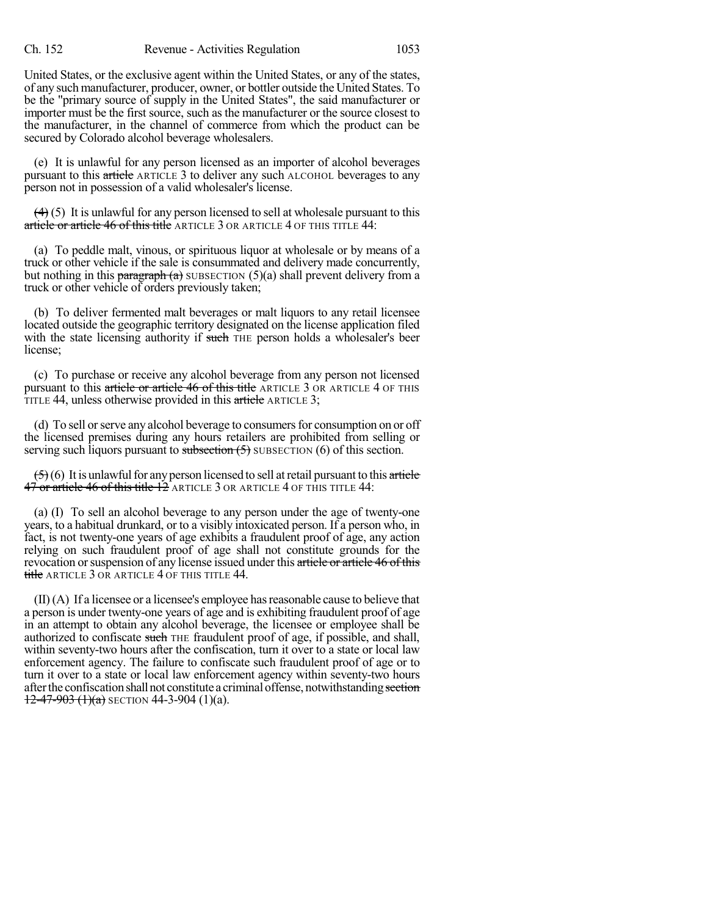United States, or the exclusive agent within the United States, or any of the states, of any such manufacturer, producer, owner, or bottler outside the United States. To be the "primary source of supply in the United States", the said manufacturer or importer must be the first source, such as the manufacturer or the source closest to the manufacturer, in the channel of commerce from which the product can be secured by Colorado alcohol beverage wholesalers.

(e) It is unlawful for any person licensed as an importer of alcohol beverages pursuant to this article ARTICLE 3 to deliver any such ALCOHOL beverages to any person not in possession of a valid wholesaler's license.

 $(4)$  (5) It is unlawful for any person licensed to sell at wholesale pursuant to this article or article 46 of this title ARTICLE 3 OR ARTICLE 4 OF THIS TITLE 44:

(a) To peddle malt, vinous, or spirituous liquor at wholesale or by means of a truck or other vehicle if the sale is consummated and delivery made concurrently, but nothing in this paragraph (a) SUBSECTION (5)(a) shall prevent delivery from a truck or other vehicle of orders previously taken;

(b) To deliver fermented malt beverages or malt liquors to any retail licensee located outside the geographic territory designated on the license application filed with the state licensing authority if such THE person holds a wholesaler's beer license;

(c) To purchase or receive any alcohol beverage from any person not licensed pursuant to this article or article 46 of this title ARTICLE 3 OR ARTICLE 4 OF THIS TITLE 44, unless otherwise provided in this article ARTICLE 3;

(d) To sell or serve any alcohol beverage to consumers for consumption on or off the licensed premises during any hours retailers are prohibited from selling or serving such liquors pursuant to subsection  $(5)$  SUBSECTION  $(6)$  of this section.

 $(5)(6)$  It is unlawful for any person licensed to sell at retail pursuant to this article 47 or article 46 of this title 12 ARTICLE 3 OR ARTICLE 4 OF THIS TITLE 44:

(a) (I) To sell an alcohol beverage to any person under the age of twenty-one years, to a habitual drunkard, or to a visibly intoxicated person. If a person who, in fact, is not twenty-one years of age exhibits a fraudulent proof of age, any action relying on such fraudulent proof of age shall not constitute grounds for the revocation or suspension of any license issued under this article or article 46 of this title ARTICLE 3 OR ARTICLE 4 OF THIS TITLE 44.

 $(II)(A)$  If a licensee or a licensee's employee has reasonable cause to believe that a person is under twenty-one years of age and is exhibiting fraudulent proof of age in an attempt to obtain any alcohol beverage, the licensee or employee shall be authorized to confiscate such THE fraudulent proof of age, if possible, and shall, within seventy-two hours after the confiscation, turn it over to a state or local law enforcement agency. The failure to confiscate such fraudulent proof of age or to turn it over to a state or local law enforcement agency within seventy-two hours after the confiscation shall not constitute a criminal offense, notwithstanding section  $12-47-903$   $(1)(a)$  SECTION 44-3-904  $(1)(a)$ .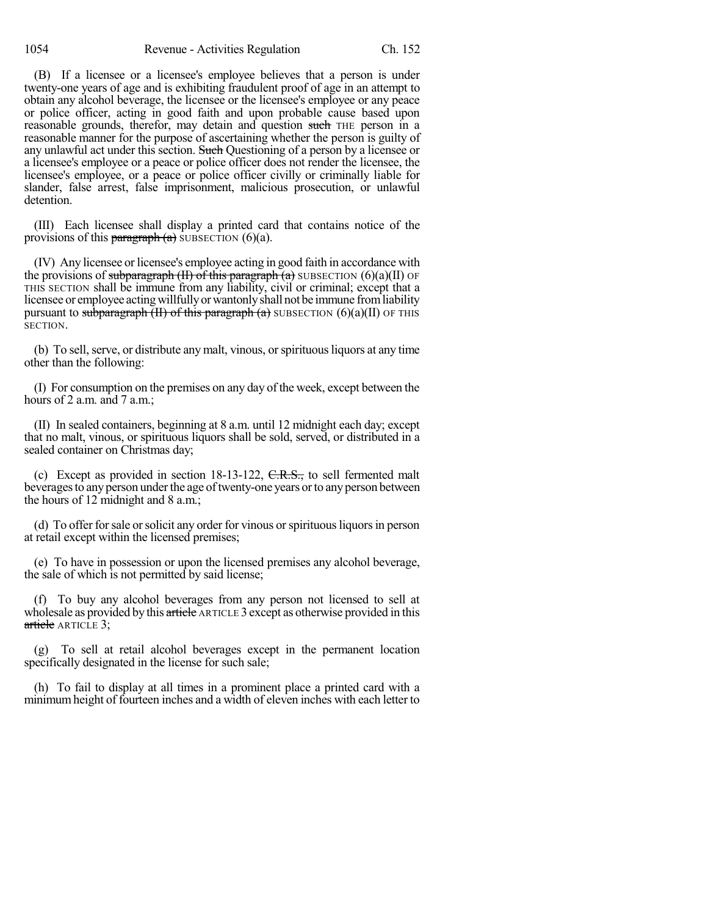(B) If a licensee or a licensee's employee believes that a person is under twenty-one years of age and is exhibiting fraudulent proof of age in an attempt to obtain any alcohol beverage, the licensee or the licensee's employee or any peace or police officer, acting in good faith and upon probable cause based upon reasonable grounds, therefor, may detain and question such THE person in a reasonable manner for the purpose of ascertaining whether the person is guilty of any unlawful act under this section. Such Questioning of a person by a licensee or a licensee's employee or a peace or police officer does not render the licensee, the licensee's employee, or a peace or police officer civilly or criminally liable for slander, false arrest, false imprisonment, malicious prosecution, or unlawful detention.

(III) Each licensee shall display a printed card that contains notice of the provisions of this **paragraph** (a) SUBSECTION (6)(a).

(IV) Any licensee or licensee's employee acting in good faith in accordance with the provisions of subparagraph (II) of this paragraph  $(a)$  SUBSECTION (6)(a)(II) OF THIS SECTION shall be immune from any liability, civil or criminal; except that a licensee or employee acting willfully or wantonly shall not be immune from liability pursuant to subparagraph (II) of this paragraph (a) SUBSECTION (6)(a)(II) OF THIS SECTION.

(b) To sell, serve, or distribute any malt, vinous, or spirituous liquors at any time other than the following:

(I) For consumption on the premises on any day of the week, except between the hours of 2 a.m. and 7 a.m.;

(II) In sealed containers, beginning at 8 a.m. until 12 midnight each day; except that no malt, vinous, or spirituous liquors shall be sold, served, or distributed in a sealed container on Christmas day;

(c) Except as provided in section 18-13-122, C.R.S., to sell fermented malt beveragesto anyperson underthe age oftwenty-one years orto anyperson between the hours of 12 midnight and 8 a.m.;

(d) To offer for sale or solicit any order for vinous or spirituous liquors in person at retail except within the licensed premises;

(e) To have in possession or upon the licensed premises any alcohol beverage, the sale of which is not permitted by said license;

(f) To buy any alcohol beverages from any person not licensed to sell at wholesale as provided by this article ARTICLE 3 except as otherwise provided in this article ARTICLE 3;

(g) To sell at retail alcohol beverages except in the permanent location specifically designated in the license for such sale;

(h) To fail to display at all times in a prominent place a printed card with a minimumheight of fourteen inches and a width of eleven inches with each letter to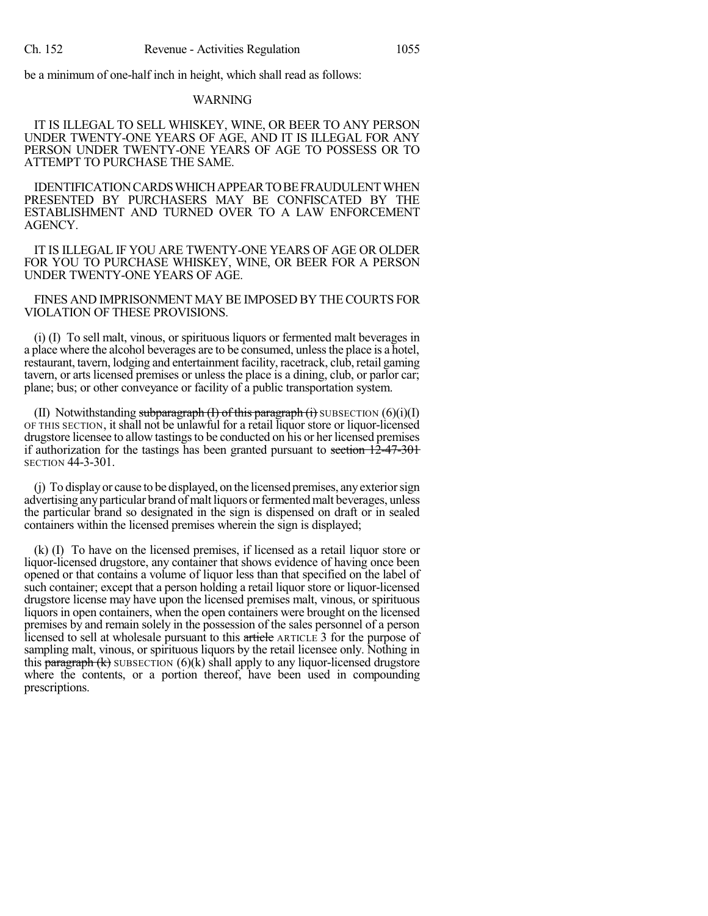be a minimum of one-half inch in height, which shall read as follows:

#### WARNING

IT IS ILLEGAL TO SELL WHISKEY, WINE, OR BEER TO ANY PERSON UNDER TWENTY-ONE YEARS OF AGE, AND IT IS ILLEGAL FOR ANY PERSON UNDER TWENTY-ONE YEARS OF AGE TO POSSESS OR TO ATTEMPT TO PURCHASE THE SAME.

IDENTIFICATION CARDS WHICH APPEAR TO BE FRAUDULENT WHEN PRESENTED BY PURCHASERS MAY BE CONFISCATED BY THE ESTABLISHMENT AND TURNED OVER TO A LAW ENFORCEMENT AGENCY.

IT IS ILLEGAL IF YOU ARE TWENTY-ONE YEARS OF AGE OR OLDER FOR YOU TO PURCHASE WHISKEY, WINE, OR BEER FOR A PERSON UNDER TWENTY-ONE YEARS OF AGE.

FINES AND IMPRISONMENT MAY BE IMPOSED BY THECOURTS FOR VIOLATION OF THESE PROVISIONS.

(i) (I) To sell malt, vinous, or spirituous liquors or fermented malt beverages in a place where the alcohol beverages are to be consumed, unlessthe place is a hotel, restaurant, tavern, lodging and entertainment facility, racetrack, club, retail gaming tavern, or arts licensed premises or unless the place is a dining, club, or parlor car; plane; bus; or other conveyance or facility of a public transportation system.

(II) Notwithstanding subparagraph  $(I)$  of this paragraph  $(i)$  SUBSECTION  $(6)(i)(I)$ OF THIS SECTION, it shall not be unlawful for a retail liquor store or liquor-licensed drugstore licensee to allow tastings to be conducted on his or her licensed premises if authorization for the tastings has been granted pursuant to section  $12-47-301$ SECTION 44-3-301.

(j) To displayor cause to be displayed, on the licensed premises, anyexteriorsign advertising any particular brand of malt liquors or fermented malt beverages, unless the particular brand so designated in the sign is dispensed on draft or in sealed containers within the licensed premises wherein the sign is displayed;

(k) (I) To have on the licensed premises, if licensed as a retail liquor store or liquor-licensed drugstore, any container that shows evidence of having once been opened or that contains a volume of liquor less than that specified on the label of such container; except that a person holding a retail liquor store or liquor-licensed drugstore license may have upon the licensed premises malt, vinous, or spirituous liquors in open containers, when the open containers were brought on the licensed premises by and remain solely in the possession of the sales personnel of a person licensed to sell at wholesale pursuant to this article ARTICLE 3 for the purpose of sampling malt, vinous, or spirituous liquors by the retail licensee only. Nothing in this paragraph  $(k)$  SUBSECTION  $(6)(k)$  shall apply to any liquor-licensed drugstore where the contents, or a portion thereof, have been used in compounding prescriptions.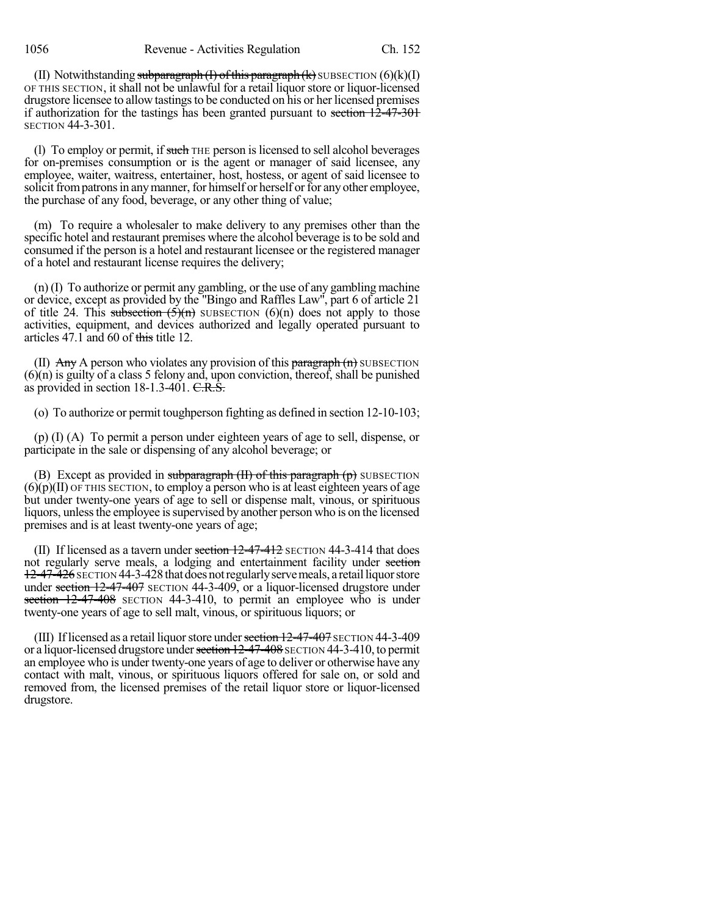(II) Notwithstanding subparagraph  $(I)$  of this paragraph  $(k)$  SUBSECTION  $(6)(k)(I)$ OF THIS SECTION, it shall not be unlawful for a retail liquor store or liquor-licensed drugstore licensee to allow tastings to be conducted on his or her licensed premises if authorization for the tastings has been granted pursuant to section 12-47-301 SECTION 44-3-301.

(1) To employ or permit, if such THE person is licensed to sell alcohol beverages for on-premises consumption or is the agent or manager of said licensee, any employee, waiter, waitress, entertainer, host, hostess, or agent of said licensee to solicit from patrons in any manner, for himself or herself or for any other employee, the purchase of any food, beverage, or any other thing of value;

(m) To require a wholesaler to make delivery to any premises other than the specific hotel and restaurant premises where the alcohol beverage isto be sold and consumed if the person is a hotel and restaurant licensee or the registered manager of a hotel and restaurant license requires the delivery;

(n) (I) To authorize or permit any gambling, or the use of any gambling machine or device, except as provided by the "Bingo and Raffles Law", part 6 of article 21 of title 24. This subsection  $(5)(n)$  SUBSECTION  $(6)(n)$  does not apply to those activities, equipment, and devices authorized and legally operated pursuant to articles 47.1 and 60 of this title 12.

(II)  $\Delta$ ny A person who violates any provision of this paragraph  $(n)$  SUBSECTION  $(6)(n)$  is guilty of a class 5 felony and, upon conviction, thereof, shall be punished as provided in section 18-1.3-401. C.R.S.

(o) To authorize or permit toughperson fighting as defined in section 12-10-103;

(p) (I) (A) To permit a person under eighteen years of age to sell, dispense, or participate in the sale or dispensing of any alcohol beverage; or

(B) Except as provided in subparagraph  $(H)$  of this paragraph  $(p)$  SUBSECTION  $(6)(p)(II)$  OF THIS SECTION, to employ a person who is at least eighteen years of age but under twenty-one years of age to sell or dispense malt, vinous, or spirituous liquors, unless the employee is supervised by another person who is on the licensed premises and is at least twenty-one years of age;

(II) If licensed as a tavern under section  $12-47-412$  SECTION 44-3-414 that does not regularly serve meals, a lodging and entertainment facility under section 12-47-426 SECTION 44-3-428 that does not regularly serve meals, a retail liquor store under section 12-47-407 SECTION 44-3-409, or a liquor-licensed drugstore under section 12-47-408 SECTION 44-3-410, to permit an employee who is under twenty-one years of age to sell malt, vinous, or spirituous liquors; or

(III) If licensed as a retail liquor store under section  $12-47-407$  SECTION  $44-3-409$ or a liquor-licensed drugstore under section 12-47-408 SECTION 44-3-410, to permit an employee who is under twenty-one years of age to deliver or otherwise have any contact with malt, vinous, or spirituous liquors offered for sale on, or sold and removed from, the licensed premises of the retail liquor store or liquor-licensed drugstore.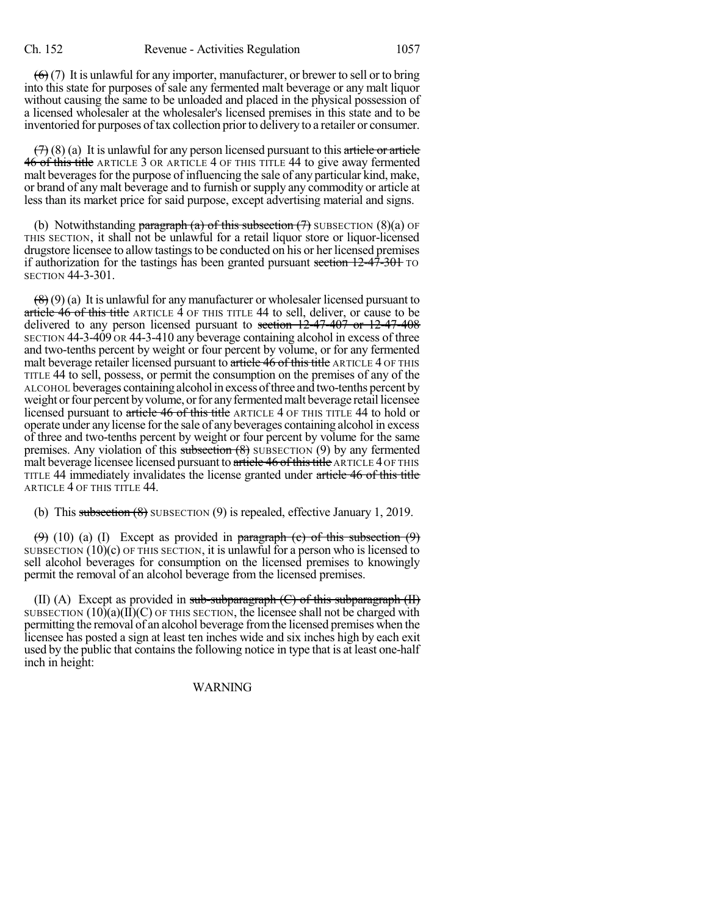$(6)$  (7) It is unlawful for any importer, manufacturer, or brewer to sell or to bring into this state for purposes of sale any fermented malt beverage or any malt liquor without causing the same to be unloaded and placed in the physical possession of a licensed wholesaler at the wholesaler's licensed premises in this state and to be inventoried for purposes of tax collection prior to delivery to a retailer or consumer.

 $(7)$  (8) (a) It is unlawful for any person licensed pursuant to this article or article 46 of this title ARTICLE 3 OR ARTICLE 4 OF THIS TITLE 44 to give away fermented malt beverages for the purpose of influencing the sale of any particular kind, make, or brand of any malt beverage and to furnish or supply any commodity or article at less than its market price for said purpose, except advertising material and signs.

(b) Notwithstanding paragraph (a) of this subsection  $(7)$  SUBSECTION  $(8)(a)$  OF THIS SECTION, it shall not be unlawful for a retail liquor store or liquor-licensed drugstore licensee to allow tastingsto be conducted on his or her licensed premises if authorization for the tastings has been granted pursuant section  $12-47-301$  TO SECTION 44-3-301.

 $\left(\frac{8}{6}\right)$  (9) (a) It is unlawful for any manufacturer or wholesaler licensed pursuant to article 46 of this title ARTICLE 4 OF THIS TITLE 44 to sell, deliver, or cause to be delivered to any person licensed pursuant to section 12-47-407 or 12-47-408 SECTION 44-3-409 OR 44-3-410 any beverage containing alcohol in excess of three and two-tenths percent by weight or four percent by volume, or for any fermented malt beverage retailer licensed pursuant to article 46 of this title ARTICLE 4 OF THIS TITLE 44 to sell, possess, or permit the consumption on the premises of any of the ALCOHOL beverages containing alcoholin excess ofthree and two-tenths percent by weight or four percent by volume, or for any fermented malt beverage retail licensee licensed pursuant to article 46 of this title ARTICLE 4 OF THIS TITLE 44 to hold or operate under any license forthe sale of any beverages containing alcohol in excess of three and two-tenths percent by weight or four percent by volume for the same premises. Any violation of this subsection  $(8)$  SUBSECTION  $(9)$  by any fermented malt beverage licensee licensed pursuant to article 46 of this title ARTICLE 4 OF THIS TITLE 44 immediately invalidates the license granted under article 46 of this title ARTICLE 4 OF THIS TITLE 44.

(b) This subsection  $(8)$  SUBSECTION  $(9)$  is repealed, effective January 1, 2019.

 $(9)$  (10) (a) (I) Except as provided in paragraph (c) of this subsection  $(9)$ SUBSECTION (10)(c) OF THIS SECTION, it is unlawful for a person who is licensed to sell alcohol beverages for consumption on the licensed premises to knowingly permit the removal of an alcohol beverage from the licensed premises.

(II) (A) Except as provided in sub-subparagraph  $(C)$  of this subparagraph  $(H)$ SUBSECTION  $(10)(a)(II)(C)$  OF THIS SECTION, the licensee shall not be charged with permitting the removal of an alcohol beverage fromthe licensed premises when the licensee has posted a sign at least ten inches wide and six inches high by each exit used by the public that contains the following notice in type that is at least one-half inch in height:

WARNING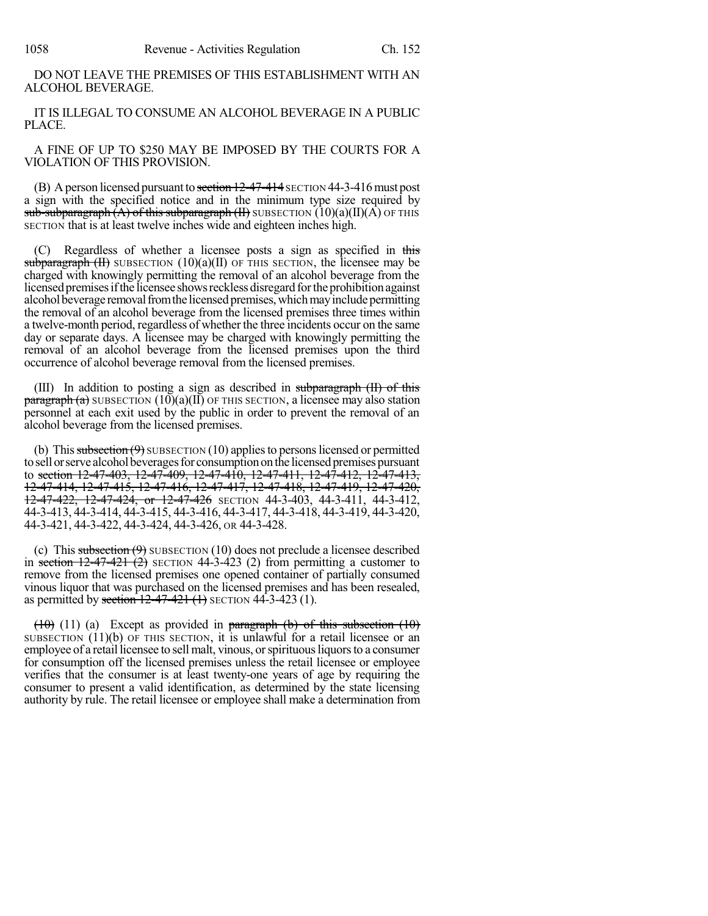DO NOT LEAVE THE PREMISES OF THIS ESTABLISHMENT WITH AN ALCOHOL BEVERAGE.

IT IS ILLEGAL TO CONSUME AN ALCOHOL BEVERAGE IN A PUBLIC PLACE.

A FINE OF UP TO \$250 MAY BE IMPOSED BY THE COURTS FOR A VIOLATION OF THIS PROVISION.

(B) A person licensed pursuant to section  $12-47-414$  SECTION 44-3-416 must post a sign with the specified notice and in the minimum type size required by sub-subparagraph  $(A)$  of this subparagraph  $(H)$  SUBSECTION  $(10)(a)(II)(A)$  OF THIS SECTION that is at least twelve inches wide and eighteen inches high.

(C) Regardless of whether a licensee posts a sign as specified in this subparagraph  $(H)$  SUBSECTION  $(10)(a)(H)$  OF THIS SECTION, the licensee may be charged with knowingly permitting the removal of an alcohol beverage from the licensed premises if the licensee shows reckless disregard for the prohibition against alcohol beverage removal from the licensed premises, which may include permitting the removal of an alcohol beverage from the licensed premises three times within a twelve-month period, regardless of whether the three incidents occur on the same day or separate days. A licensee may be charged with knowingly permitting the removal of an alcohol beverage from the licensed premises upon the third occurrence of alcohol beverage removal from the licensed premises.

(III) In addition to posting a sign as described in subparagraph  $(H)$  of this  $\frac{\text{pargraph (a)}}{\text{supplement (b)}}$  SUBSECTION  $(10)(a)(II)$  OF THIS SECTION, a licensee may also station personnel at each exit used by the public in order to prevent the removal of an alcohol beverage from the licensed premises.

(b) This subsection  $(9)$  SUBSECTION (10) applies to persons licensed or permitted to sell or serve alcohol beverages for consumption on the licensed premises pursuant to section 12-47-403, 12-47-409, 12-47-410, 12-47-411, 12-47-412, 12-47-413, 12-47-414, 12-47-415, 12-47-416, 12-47-417, 12-47-418, 12-47-419, 12-47-420, 12-47-422, 12-47-424, or 12-47-426 SECTION 44-3-403, 44-3-411, 44-3-412, 44-3-413, 44-3-414, 44-3-415, 44-3-416, 44-3-417, 44-3-418, 44-3-419, 44-3-420, 44-3-421, 44-3-422, 44-3-424, 44-3-426, OR 44-3-428.

(c) This subsection  $(9)$  SUBSECTION (10) does not preclude a licensee described in section  $12-47-421$  (2) SECTION 44-3-423 (2) from permitting a customer to remove from the licensed premises one opened container of partially consumed vinous liquor that was purchased on the licensed premises and has been resealed, as permitted by section  $12-47-421$  (1) SECTION 44-3-423 (1).

 $(10)$  (11) (a) Except as provided in paragraph (b) of this subsection (10) SUBSECTION  $(11)(b)$  OF THIS SECTION, it is unlawful for a retail licensee or an employee of a retail licensee to sell malt, vinous, or spirituous liquors to a consumer for consumption off the licensed premises unless the retail licensee or employee verifies that the consumer is at least twenty-one years of age by requiring the consumer to present a valid identification, as determined by the state licensing authority by rule. The retail licensee or employee shall make a determination from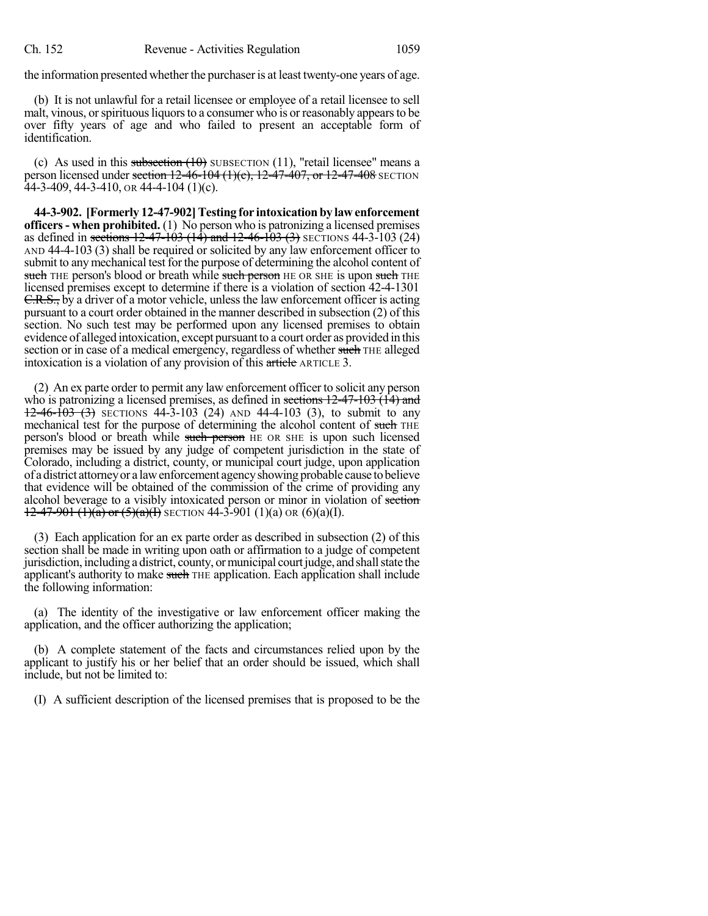the information presented whether the purchaser is at least twenty-one years of age.

(b) It is not unlawful for a retail licensee or employee of a retail licensee to sell malt, vinous, or spirituous liquors to a consumer who is or reasonably appears to be over fifty years of age and who failed to present an acceptable form of identification.

(c) As used in this subsection  $(10)$  SUBSECTION  $(11)$ , "retail licensee" means a person licensed under section  $12-46-104$  (1)(e),  $12-47-407$ , or  $12-47-408$  SECTION  $44-3-409$ , 44-3-410, or 44-4-104 (1)(c).

**44-3-902. [Formerly 12-47-902]Testing for intoxicationby lawenforcement officers- when prohibited.** (1) No person who is patronizing a licensed premises as defined in sections  $12-47-103$  ( $14$ ) and  $12-46-103$  ( $3$ ) SECTIONS 44-3-103 (24) AND 44-4-103 (3) shall be required or solicited by any law enforcement officer to submit to any mechanical test for the purpose of determining the alcohol content of such THE person's blood or breath while such person HE OR SHE is upon such THE licensed premises except to determine if there is a violation of section 42-4-1301 C.R.S., by a driver of a motor vehicle, unless the law enforcement officer is acting pursuant to a court order obtained in the manner described in subsection (2) of this section. No such test may be performed upon any licensed premises to obtain evidence of alleged intoxication, except pursuant to a court order as provided in this section or in case of a medical emergency, regardless of whether such THE alleged intoxication is a violation of any provision of this article ARTICLE 3.

(2) An ex parte order to permit any law enforcement officer to solicit any person who is patronizing a licensed premises, as defined in sections  $12-47-103$  (14) and  $12-46-103$  (3) SECTIONS 44-3-103 (24) AND 44-4-103 (3), to submit to any mechanical test for the purpose of determining the alcohol content of such THE person's blood or breath while such person HE OR SHE is upon such licensed premises may be issued by any judge of competent jurisdiction in the state of Colorado, including a district, county, or municipal court judge, upon application of adistrict attorneyor a lawenforcement agencyshowing probable cause tobelieve that evidence will be obtained of the commission of the crime of providing any alcohol beverage to a visibly intoxicated person or minor in violation of section  $12-47-901$  (1)(a) or (5)(a)(I) SECTION 44-3-901 (1)(a) OR (6)(a)(I).

(3) Each application for an ex parte order as described in subsection (2) of this section shall be made in writing upon oath or affirmation to a judge of competent jurisdiction, including a district, county, or municipal court judge, and shall state the applicant's authority to make such THE application. Each application shall include the following information:

(a) The identity of the investigative or law enforcement officer making the application, and the officer authorizing the application;

(b) A complete statement of the facts and circumstances relied upon by the applicant to justify his or her belief that an order should be issued, which shall include, but not be limited to:

(I) A sufficient description of the licensed premises that is proposed to be the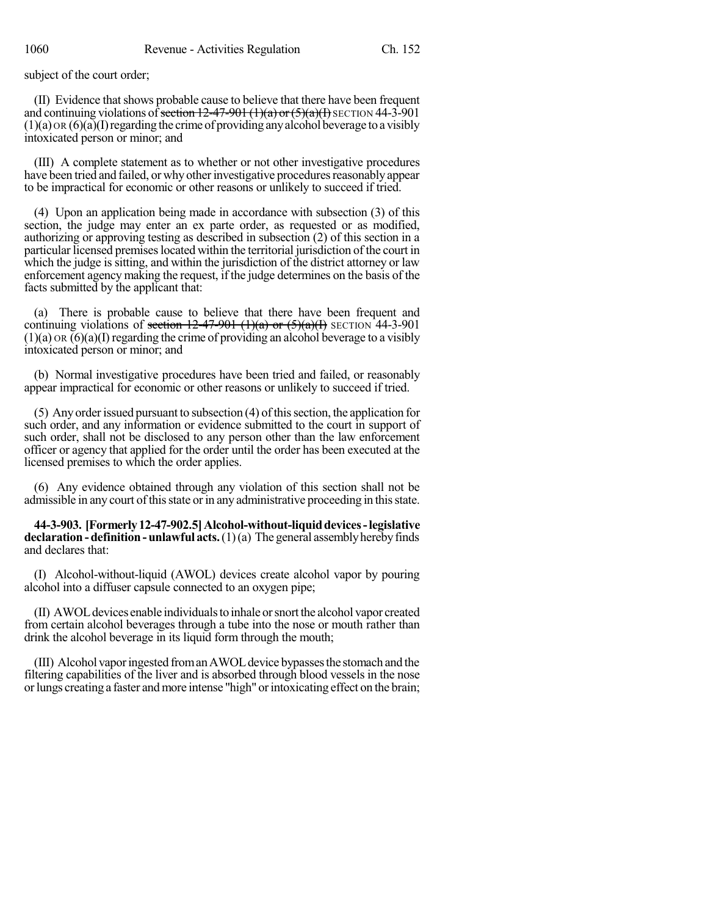subject of the court order;

(II) Evidence thatshows probable cause to believe that there have been frequent and continuing violations of section  $12-47-901$  (1)(a) or  $(5)(a)$ (I) SECTION 44-3-901  $(1)(a)$  OR  $(6)(a)$  (I) regarding the crime of providing any alcohol beverage to a visibly intoxicated person or minor; and

(III) A complete statement as to whether or not other investigative procedures have been tried and failed, or why other investigative procedures reasonably appear to be impractical for economic or other reasons or unlikely to succeed if tried.

(4) Upon an application being made in accordance with subsection (3) of this section, the judge may enter an ex parte order, as requested or as modified, authorizing or approving testing as described in subsection (2) of this section in a particular licensed premiseslocated within the territorial jurisdiction of the court in which the judge is sitting, and within the jurisdiction of the district attorney or law enforcement agency making the request, if the judge determines on the basis of the facts submitted by the applicant that:

(a) There is probable cause to believe that there have been frequent and continuing violations of section  $12-47-901$  (1)(a) or  $(5)(a)(1)$  SECTION 44-3-901  $(1)(a)$  OR  $(6)(a)(I)$  regarding the crime of providing an alcohol beverage to a visibly intoxicated person or minor; and

(b) Normal investigative procedures have been tried and failed, or reasonably appear impractical for economic or other reasons or unlikely to succeed if tried.

 $(5)$  Any order issued pursuant to subsection  $(4)$  of this section, the application for such order, and any information or evidence submitted to the court in support of such order, shall not be disclosed to any person other than the law enforcement officer or agency that applied for the order until the order has been executed at the licensed premises to which the order applies.

(6) Any evidence obtained through any violation of this section shall not be admissible in any court of this state or in any administrative proceeding in this state.

**44-3-903. [Formerly12-47-902.5]Alcohol-without-liquiddevices-legislative declaration-definition-unlawful acts.**(1)(a) The general assemblyherebyfinds and declares that:

(I) Alcohol-without-liquid (AWOL) devices create alcohol vapor by pouring alcohol into a diffuser capsule connected to an oxygen pipe;

(II) AWOLdevices enable individualsto inhale orsnortthe alcohol vapor created from certain alcohol beverages through a tube into the nose or mouth rather than drink the alcohol beverage in its liquid form through the mouth;

(III) Alcohol vaporingested fromanAWOLdevice bypassesthe stomach and the filtering capabilities of the liver and is absorbed through blood vessels in the nose or lungs creating a faster and more intense "high" or intoxicating effect on the brain;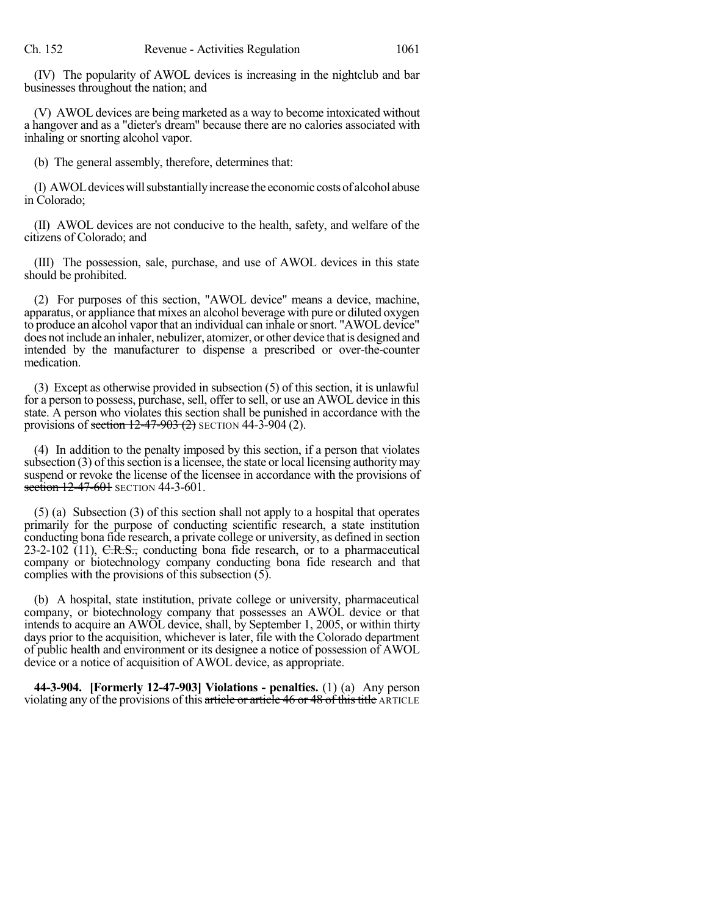(IV) The popularity of AWOL devices is increasing in the nightclub and bar businesses throughout the nation; and

(V) AWOL devices are being marketed as a way to become intoxicated without a hangover and as a "dieter's dream" because there are no calories associated with inhaling or snorting alcohol vapor.

(b) The general assembly, therefore, determines that:

(I) AWOLdeviceswillsubstantiallyincrease the economic costsof alcohol abuse in Colorado;

(II) AWOL devices are not conducive to the health, safety, and welfare of the citizens of Colorado; and

(III) The possession, sale, purchase, and use of AWOL devices in this state should be prohibited.

(2) For purposes of this section, "AWOL device" means a device, machine, apparatus, or appliance that mixes an alcohol beverage with pure or diluted oxygen to produce an alcohol vapor that an individual can inhale orsnort. "AWOLdevice" does not include an inhaler, nebulizer, atomizer, or other device that is designed and intended by the manufacturer to dispense a prescribed or over-the-counter medication.

(3) Except as otherwise provided in subsection (5) of this section, it is unlawful for a person to possess, purchase, sell, offer to sell, or use an AWOL device in this state. A person who violates this section shall be punished in accordance with the provisions of section  $12-47-903(2)$  SECTION  $44-3-904(2)$ .

(4) In addition to the penalty imposed by this section, if a person that violates subsection  $(3)$  of this section is a licensee, the state or local licensing authority may suspend or revoke the license of the licensee in accordance with the provisions of section 12-47-601 SECTION 44-3-601.

(5) (a) Subsection (3) of this section shall not apply to a hospital that operates primarily for the purpose of conducting scientific research, a state institution conducting bona fide research, a private college or university, as defined in section  $23-2-102$  (11), C.R.S., conducting bona fide research, or to a pharmaceutical company or biotechnology company conducting bona fide research and that complies with the provisions of this subsection (5).

(b) A hospital, state institution, private college or university, pharmaceutical company, or biotechnology company that possesses an AWOL device or that intends to acquire an AWOL device, shall, by September 1, 2005, or within thirty days prior to the acquisition, whichever is later, file with the Colorado department of public health and environment or its designee a notice of possession of AWOL device or a notice of acquisition of AWOL device, as appropriate.

**44-3-904. [Formerly 12-47-903] Violations - penalties.** (1) (a) Any person violating any of the provisions of this article or article 46 or 48 of this title ARTICLE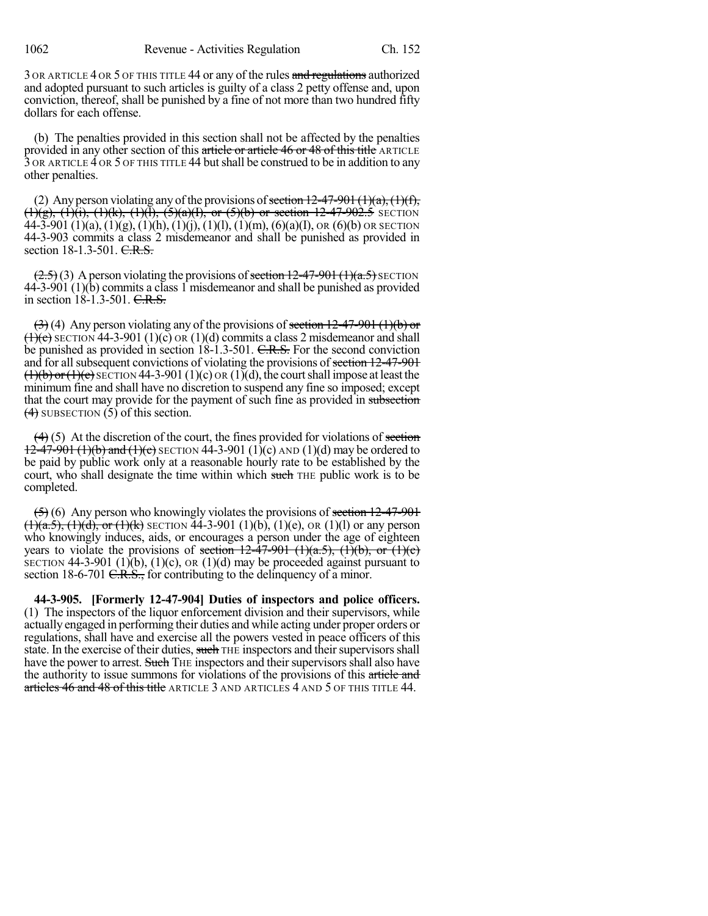3 OR ARTICLE 4 OR 5 OF THIS TITLE 44 or any of the rules and regulations authorized and adopted pursuant to such articles is guilty of a class 2 petty offense and, upon conviction, thereof, shall be punished by a fine of not more than two hundred fifty dollars for each offense.

(b) The penalties provided in this section shall not be affected by the penalties provided in any other section of this article or article 46 or 48 of this title ARTICLE 3 OR ARTICLE 4 OR 5 OF THIS TITLE 44 butshall be construed to be in addition to any other penalties.

(2) Any person violating any of the provisions of section  $12-47-901$  (1)(a), (1)(f),  $(1)(g)$ ,  $(1)(i)$ ,  $(1)(k)$ ,  $(1)(l)$ ,  $(5)(a)(l)$ , or  $(5)(b)$  or section 12-47-902.5 SECTION 44-3-901 (1)(a), (1)(g), (1)(h), (1)(j), (1)(l), (1)(m), (6)(a)(I), OR (6)(b) OR SECTION 44-3-903 commits a class 2 misdemeanor and shall be punished as provided in section 18-1.3-501. C.R.S.

 $(2.5)(3)$  A person violating the provisions of section 12-47-901 (1)(a.5) SECTION  $44-3-901(1)(b)$  commits a class 1 misdemeanor and shall be punished as provided in section 18-1.3-501. C.R.S.

 $(3)$  (4) Any person violating any of the provisions of section 12-47-901 (1)(b) or  $(1)(c)$  SECTION 44-3-901 (1)(c) OR (1)(d) commits a class 2 misdemeanor and shall be punished as provided in section 18-1.3-501. C.R.S. For the second conviction and for all subsequent convictions of violating the provisions of section  $12-47-901$  $(1)(b)$  or  $(1)(c)$  SECTION 44-3-901 (1)(c) OR (1)(d), the court shall impose at least the minimum fine and shall have no discretion to suspend any fine so imposed; except that the court may provide for the payment of such fine as provided in subsection  $(4)$  SUBSECTION  $(5)$  of this section.

 $(4)$  (5) At the discretion of the court, the fines provided for violations of section  $12-47-901$  (1)(b) and (1)(c) SECTION 44-3-901 (1)(c) AND (1)(d) may be ordered to be paid by public work only at a reasonable hourly rate to be established by the court, who shall designate the time within which such THE public work is to be completed.

 $(5)$  (6) Any person who knowingly violates the provisions of section 12-47-901  $(1)(a.5)$ ,  $(1)(d)$ , or  $(1)(k)$  SECTION 44-3-901 (1)(b), (1)(e), OR (1)(l) or any person who knowingly induces, aids, or encourages a person under the age of eighteen years to violate the provisions of section  $12-47-901$  (1)(a.5), (1)(b), or (1)(e) SECTION 44-3-901 (1)(b), (1)(c), OR (1)(d) may be proceeded against pursuant to section 18-6-701 <del>C.R.S.,</del> for contributing to the delinquency of a minor.

**44-3-905. [Formerly 12-47-904] Duties of inspectors and police officers.** (1) The inspectors of the liquor enforcement division and their supervisors, while actually engaged in performing their duties and while acting under proper orders or regulations, shall have and exercise all the powers vested in peace officers of this state. In the exercise of their duties, such THE inspectors and their supervisors shall have the power to arrest. Such THE inspectors and their supervisors shall also have the authority to issue summons for violations of the provisions of this article and articles 46 and 48 of this title ARTICLE 3 AND ARTICLES 4 AND 5 OF THIS TITLE 44.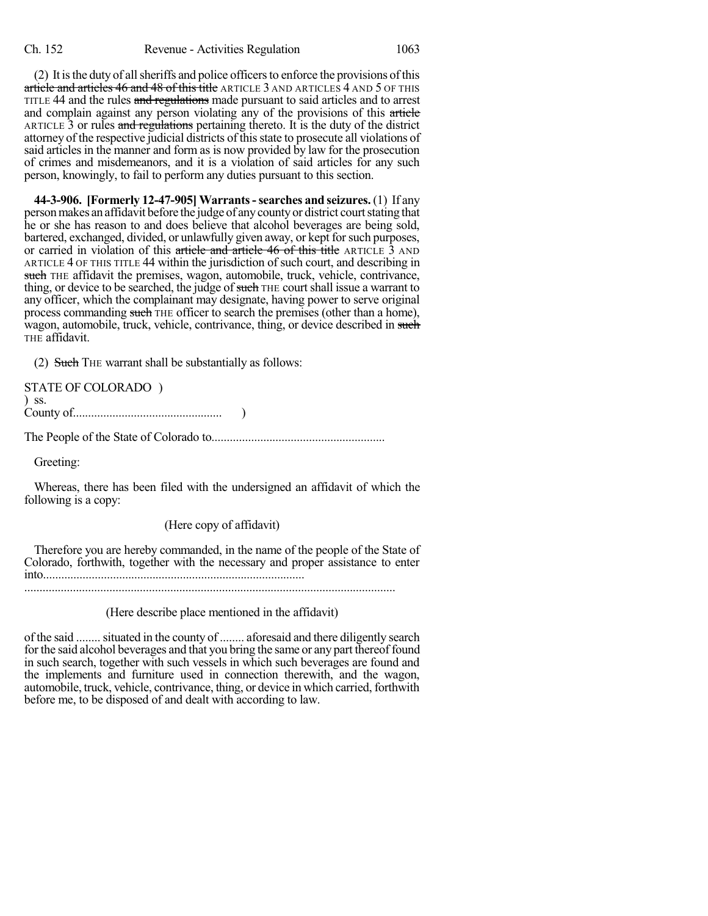(2) It is the duty of all sheriffs and police officers to enforce the provisions of this article and articles 46 and 48 of this title ARTICLE 3 AND ARTICLES 4 AND 5 OF THIS TITLE 44 and the rules and regulations made pursuant to said articles and to arrest and complain against any person violating any of the provisions of this article ARTICLE 3 or rules and regulations pertaining thereto. It is the duty of the district attorney of the respective judicial districts of this state to prosecute all violations of said articles in the manner and form as is now provided by law for the prosecution of crimes and misdemeanors, and it is a violation of said articles for any such person, knowingly, to fail to perform any duties pursuant to this section.

**44-3-906. [Formerly 12-47-905] Warrants-searches and seizures.** (1) If any person makes an affidavit before the judge of any county or district court stating that he or she has reason to and does believe that alcohol beverages are being sold, bartered, exchanged, divided, or unlawfully given away, or kept for such purposes, or carried in violation of this article and article 46 of this title ARTICLE 3 AND ARTICLE 4 OF THIS TITLE 44 within the jurisdiction of such court, and describing in such THE affidavit the premises, wagon, automobile, truck, vehicle, contrivance, thing, or device to be searched, the judge of such THE court shall issue a warrant to any officer, which the complainant may designate, having power to serve original process commanding such THE officer to search the premises (other than a home), wagon, automobile, truck, vehicle, contrivance, thing, or device described in such THE affidavit.

(2) Such THE warrant shall be substantially as follows:

| <b>STATE OF COLORADO</b> |  |
|--------------------------|--|
| $)$ SS.                  |  |
|                          |  |

The People of the State of Colorado to.........................................................

Greeting:

Whereas, there has been filed with the undersigned an affidavit of which the following is a copy:

(Here copy of affidavit)

Therefore you are hereby commanded, in the name of the people of the State of Colorado, forthwith, together with the necessary and proper assistance to enter into...................................................................................... ..........................................................................................................................

(Here describe place mentioned in the affidavit)

of the said ........situated in the county of........ aforesaid and there diligently search for the said alcohol beverages and that you bring the same or any part thereof found in such search, together with such vessels in which such beverages are found and the implements and furniture used in connection therewith, and the wagon, automobile, truck, vehicle, contrivance, thing, or device in which carried, forthwith before me, to be disposed of and dealt with according to law.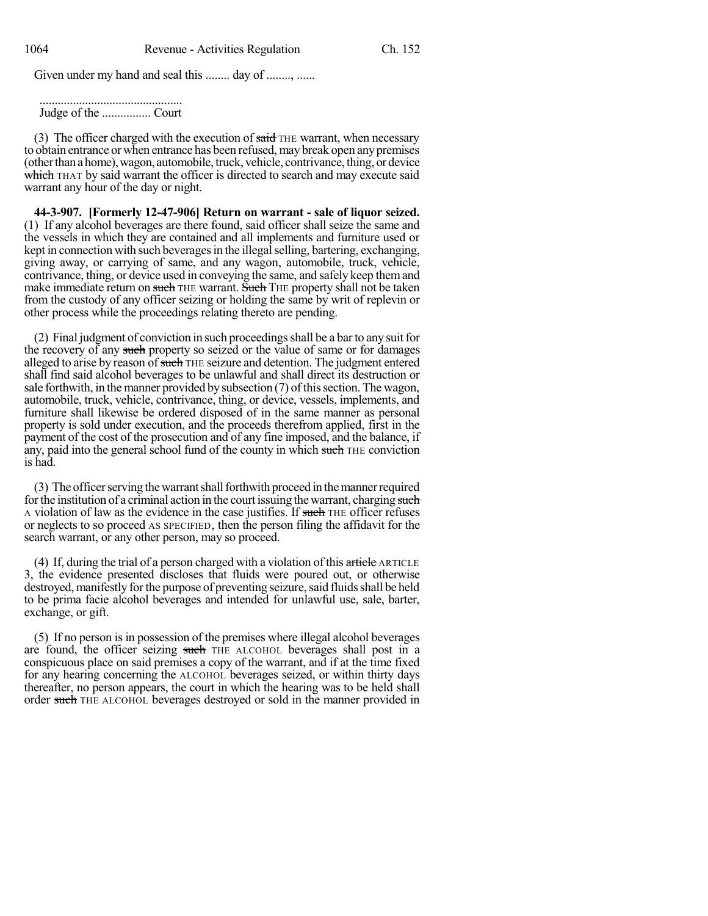Given under my hand and seal this ........ day of ........, ......

............................................... Judge of the ................ Court

(3) The officer charged with the execution of said THE warrant, when necessary to obtain entrance or when entrance has been refused, may break open anypremises (other than a home), wagon, automobile, truck, vehicle, contrivance, thing, or device which THAT by said warrant the officer is directed to search and may execute said warrant any hour of the day or night.

**44-3-907. [Formerly 12-47-906] Return on warrant - sale of liquor seized.** (1) If any alcohol beverages are there found, said officer shall seize the same and the vessels in which they are contained and all implements and furniture used or kept in connection with such beverages in the illegal selling, bartering, exchanging, giving away, or carrying of same, and any wagon, automobile, truck, vehicle, contrivance, thing, or device used in conveying the same, and safely keep themand make immediate return on such THE warrant. Such THE property shall not be taken from the custody of any officer seizing or holding the same by writ of replevin or other process while the proceedings relating thereto are pending.

(2) Final judgment of conviction in such proceedings shall be a bar to any suit for the recovery of any such property so seized or the value of same or for damages alleged to arise by reason of such THE seizure and detention. The judgment entered shall find said alcohol beverages to be unlawful and shall direct its destruction or sale forthwith, in the manner provided by subsection  $(7)$  of this section. The wagon, automobile, truck, vehicle, contrivance, thing, or device, vessels, implements, and furniture shall likewise be ordered disposed of in the same manner as personal property is sold under execution, and the proceeds therefrom applied, first in the payment of the cost of the prosecution and of any fine imposed, and the balance, if any, paid into the general school fund of the county in which such THE conviction is had.

(3) The officer serving the warrant shall forthwith proceed in the manner required for the institution of a criminal action in the court issuing the warrant, charging such A violation of law as the evidence in the case justifies. If such THE officer refuses or neglects to so proceed AS SPECIFIED, then the person filing the affidavit for the search warrant, or any other person, may so proceed.

(4) If, during the trial of a person charged with a violation of this  $\pi$ rticle ARTICLE 3, the evidence presented discloses that fluids were poured out, or otherwise destroyed, manifestly for the purpose of preventing seizure, said fluids shall be held to be prima facie alcohol beverages and intended for unlawful use, sale, barter, exchange, or gift.

(5) If no person is in possession of the premises where illegal alcohol beverages are found, the officer seizing such THE ALCOHOL beverages shall post in a conspicuous place on said premises a copy of the warrant, and if at the time fixed for any hearing concerning the ALCOHOL beverages seized, or within thirty days thereafter, no person appears, the court in which the hearing was to be held shall order such THE ALCOHOL beverages destroyed or sold in the manner provided in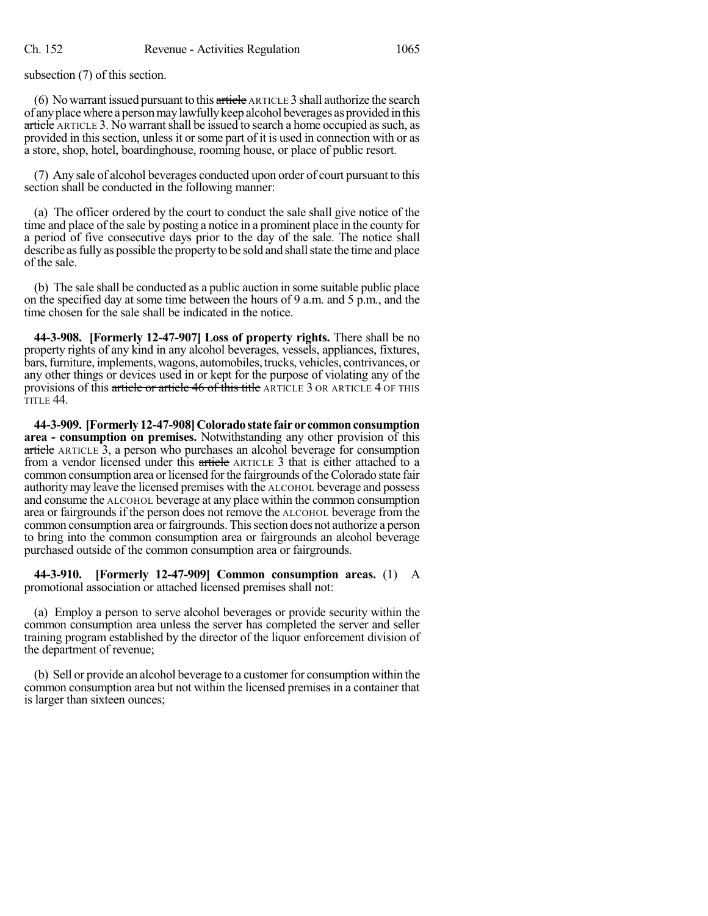subsection (7) of this section.

(6) No warrant issued pursuant to this  $\frac{a}{x}$  article ARTICLE 3 shall authorize the search of anyplacewhere a personmaylawfullykeep alcohol beverages as provided in this article ARTICLE 3. No warrant shall be issued to search a home occupied as such, as provided in this section, unless it orsome part of it is used in connection with or as a store, shop, hotel, boardinghouse, rooming house, or place of public resort.

(7) Any sale of alcohol beverages conducted upon order of court pursuant to this section shall be conducted in the following manner:

(a) The officer ordered by the court to conduct the sale shall give notice of the time and place of the sale by posting a notice in a prominent place in the county for a period of five consecutive days prior to the day of the sale. The notice shall describe as fully as possible the property to be sold and shall state the time and place of the sale.

(b) The sale shall be conducted as a public auction in some suitable public place on the specified day at some time between the hours of 9 a.m. and 5 p.m., and the time chosen for the sale shall be indicated in the notice.

**44-3-908. [Formerly 12-47-907] Loss of property rights.** There shall be no property rights of any kind in any alcohol beverages, vessels, appliances, fixtures, bars,furniture, implements,wagons, automobiles,trucks, vehicles, contrivances, or any other things or devices used in or kept for the purpose of violating any of the provisions of this article or article 46 of this title ARTICLE 3 OR ARTICLE 4 OF THIS TITLE 44.

**44-3-909. [Formerly12-47-908]Coloradostate fairorcommonconsumption area - consumption on premises.** Notwithstanding any other provision of this article ARTICLE 3, a person who purchases an alcohol beverage for consumption from a vendor licensed under this article ARTICLE 3 that is either attached to a common consumption area or licensed for the fairgrounds of the Colorado state fair authoritymay leave the licensed premises with the ALCOHOL beverage and possess and consume the ALCOHOL beverage at any place within the common consumption area or fairgrounds if the person does not remove the ALCOHOL beverage from the common consumption area orfairgrounds. Thissection does not authorize a person to bring into the common consumption area or fairgrounds an alcohol beverage purchased outside of the common consumption area or fairgrounds.

**44-3-910. [Formerly 12-47-909] Common consumption areas.** (1) A promotional association or attached licensed premises shall not:

(a) Employ a person to serve alcohol beverages or provide security within the common consumption area unless the server has completed the server and seller training program established by the director of the liquor enforcement division of the department of revenue;

(b) Sell or provide an alcohol beverage to a customer for consumption within the common consumption area but not within the licensed premises in a container that is larger than sixteen ounces;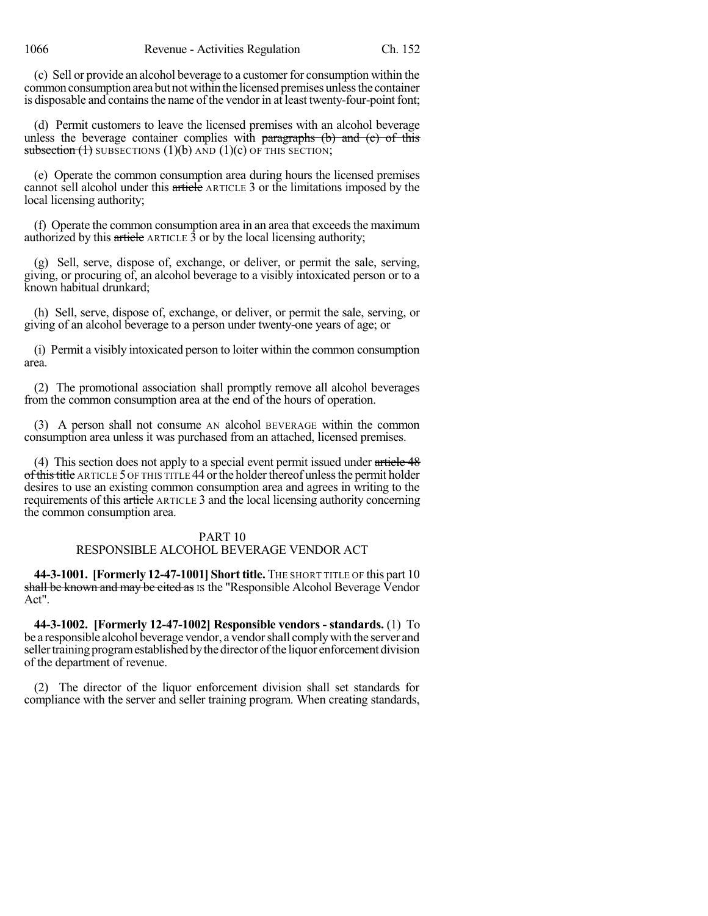(c) Sell or provide an alcohol beverage to a customer for consumption within the common consumption area but not within the licensed premises unless the container is disposable and contains the name of the vendor in at least twenty-four-point font;

(d) Permit customers to leave the licensed premises with an alcohol beverage unless the beverage container complies with paragraphs  $(b)$  and  $(c)$  of this subsection  $(1)$  SUBSECTIONS  $(1)(b)$  AND  $(1)(c)$  OF THIS SECTION;

(e) Operate the common consumption area during hours the licensed premises cannot sell alcohol under this article ARTICLE 3 or the limitations imposed by the local licensing authority;

 $(f)$  Operate the common consumption area in an area that exceeds the maximum authorized by this article ARTICLE 3 or by the local licensing authority;

(g) Sell, serve, dispose of, exchange, or deliver, or permit the sale, serving, giving, or procuring of, an alcohol beverage to a visibly intoxicated person or to a known habitual drunkard;

(h) Sell, serve, dispose of, exchange, or deliver, or permit the sale, serving, or giving of an alcohol beverage to a person under twenty-one years of age; or

(i) Permit a visibly intoxicated person to loiter within the common consumption area.

(2) The promotional association shall promptly remove all alcohol beverages from the common consumption area at the end of the hours of operation.

(3) A person shall not consume AN alcohol BEVERAGE within the common consumption area unless it was purchased from an attached, licensed premises.

(4) This section does not apply to a special event permit issued under article 48 of this title ARTICLE 5 OF THIS TITLE 44 or the holder thereof unless the permit holder desires to use an existing common consumption area and agrees in writing to the requirements of this article ARTICLE 3 and the local licensing authority concerning the common consumption area.

#### PART 10

# RESPONSIBLE ALCOHOL BEVERAGE VENDOR ACT

**44-3-1001. [Formerly 12-47-1001] Short title.** THE SHORT TITLE OF this part 10 shall be known and may be cited as IS the "Responsible Alcohol Beverage Vendor" Act".

**44-3-1002. [Formerly 12-47-1002] Responsible vendors - standards.** (1) To be a responsible alcohol beverage vendor, a vendorshall complywith the server and seller training program established by the director of the liquor enforcement division of the department of revenue.

(2) The director of the liquor enforcement division shall set standards for compliance with the server and seller training program. When creating standards,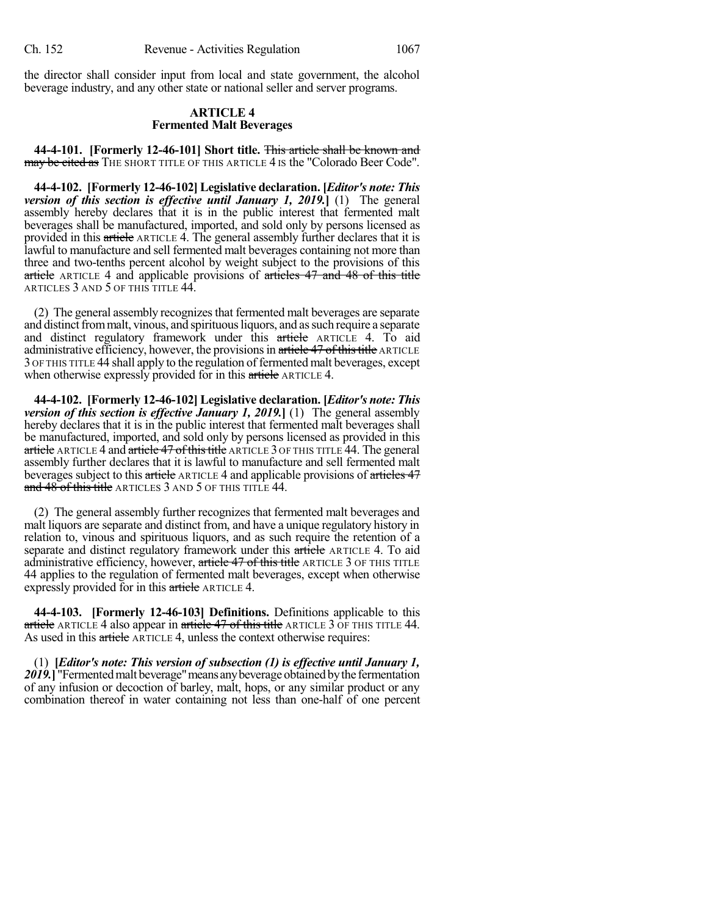the director shall consider input from local and state government, the alcohol beverage industry, and any other state or national seller and server programs.

#### **ARTICLE 4 Fermented Malt Beverages**

**44-4-101. [Formerly 12-46-101] Short title.** This article shall be known and may be cited as THE SHORT TITLE OF THIS ARTICLE 4 IS the "Colorado Beer Code".

**44-4-102. [Formerly 12-46-102] Legislative declaration. [***Editor's note: This version of this section is effective until January 1, 2019.***]** (1) The general assembly hereby declares that it is in the public interest that fermented malt beverages shall be manufactured, imported, and sold only by persons licensed as provided in this article ARTICLE 4. The general assembly further declares that it is lawful to manufacture and sell fermented malt beverages containing not more than three and two-tenths percent alcohol by weight subject to the provisions of this article ARTICLE 4 and applicable provisions of articles 47 and 48 of this title ARTICLES 3 AND 5 OF THIS TITLE 44.

(2) The general assembly recognizes that fermented malt beverages are separate and distinct from malt, vinous, and spirituous liquors, and as such require a separate and distinct regulatory framework under this article ARTICLE 4. To aid administrative efficiency, however, the provisions in article 47 of this title ARTICLE 3 OF THIS TITLE 44 shall apply to the regulation of fermented malt beverages, except when otherwise expressly provided for in this article ARTICLE 4.

**44-4-102. [Formerly 12-46-102] Legislative declaration. [***Editor's note: This version of this section is effective January 1, 2019.***]** (1) The general assembly hereby declares that it is in the public interest that fermented malt beverages shall be manufactured, imported, and sold only by persons licensed as provided in this article ARTICLE 4 and article 47 of this title ARTICLE 3 OF THIS TITLE 44. The general assembly further declares that it is lawful to manufacture and sell fermented malt beverages subject to this article ARTICLE 4 and applicable provisions of articles 47 and 48 of this title ARTICLES 3 AND 5 OF THIS TITLE 44.

(2) The general assembly further recognizes that fermented malt beverages and malt liquors are separate and distinct from, and have a unique regulatory history in relation to, vinous and spirituous liquors, and as such require the retention of a separate and distinct regulatory framework under this article ARTICLE 4. To aid administrative efficiency, however, article 47 of this title ARTICLE 3 OF THIS TITLE 44 applies to the regulation of fermented malt beverages, except when otherwise expressly provided for in this article ARTICLE 4.

**44-4-103. [Formerly 12-46-103] Definitions.** Definitions applicable to this article ARTICLE 4 also appear in article 47 of this title ARTICLE 3 OF THIS TITLE 44. As used in this article ARTICLE 4, unless the context otherwise requires:

(1) **[***Editor's note: This version of subsection (1) is effective until January 1,* 2019.<sup>T</sup> "Fermented malt beverage" means any beverage obtained by the fermentation of any infusion or decoction of barley, malt, hops, or any similar product or any combination thereof in water containing not less than one-half of one percent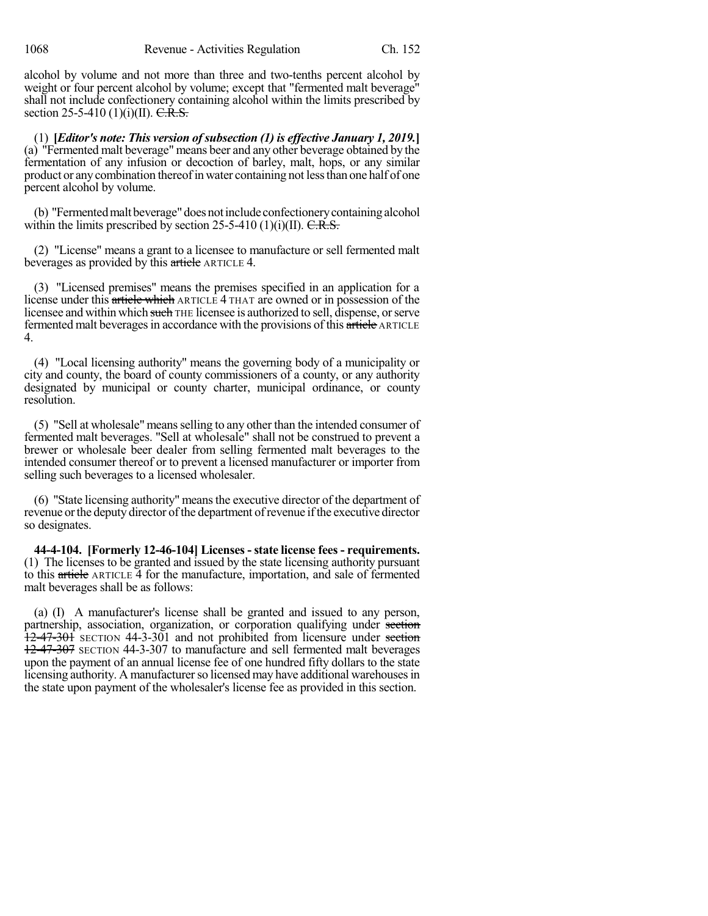alcohol by volume and not more than three and two-tenths percent alcohol by weight or four percent alcohol by volume; except that "fermented malt beverage" shall not include confectionery containing alcohol within the limits prescribed by section 25-5-410 (1)(i)(II).  $C.R.S.$ 

(1) **[***Editor's note: This version ofsubsection (1) is effective January 1, 2019.***]** (a) "Fermented malt beverage" means beer and any other beverage obtained by the fermentation of any infusion or decoction of barley, malt, hops, or any similar product or anycombination thereofin water containing not lessthan one half of one percent alcohol by volume.

(b) "Fermentedmalt beverage" doesnotinclude confectionerycontainingalcohol within the limits prescribed by section 25-5-410 (1)(i)(II).  $C.R.S.$ 

(2) "License" means a grant to a licensee to manufacture or sell fermented malt beverages as provided by this article ARTICLE 4.

(3) "Licensed premises" means the premises specified in an application for a license under this article which ARTICLE 4 THAT are owned or in possession of the licensee and within which such THE licensee is authorized to sell, dispense, orserve fermented malt beverages in accordance with the provisions of this article ARTICLE 4.

(4) "Local licensing authority" means the governing body of a municipality or city and county, the board of county commissioners of a county, or any authority designated by municipal or county charter, municipal ordinance, or county resolution.

(5) "Sell at wholesale" meansselling to any other than the intended consumer of fermented malt beverages. "Sell at wholesale" shall not be construed to prevent a brewer or wholesale beer dealer from selling fermented malt beverages to the intended consumer thereof or to prevent a licensed manufacturer or importer from selling such beverages to a licensed wholesaler.

(6) "State licensing authority" meansthe executive director of the department of revenue or the deputy director of the department of revenue if the executive director so designates.

**44-4-104. [Formerly 12-46-104] Licenses -state license fees - requirements.** (1) The licenses to be granted and issued by the state licensing authority pursuant to this article ARTICLE 4 for the manufacture, importation, and sale of fermented malt beverages shall be as follows:

(a) (I) A manufacturer's license shall be granted and issued to any person, partnership, association, organization, or corporation qualifying under section 12-47-301 SECTION 44-3-301 and not prohibited from licensure under section 12-47-307 SECTION 44-3-307 to manufacture and sell fermented malt beverages upon the payment of an annual license fee of one hundred fifty dollars to the state licensing authority. A manufacturer so licensed may have additional warehouses in the state upon payment of the wholesaler's license fee as provided in this section.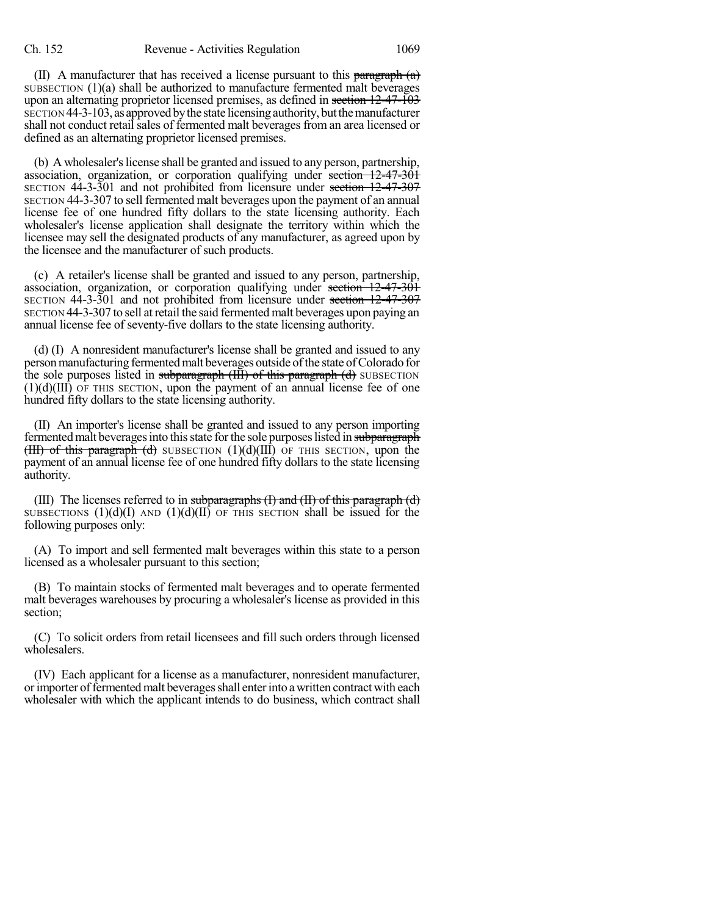(II) A manufacturer that has received a license pursuant to this paragraph  $(a)$ SUBSECTION (1)(a) shall be authorized to manufacture fermented malt beverages upon an alternating proprietor licensed premises, as defined in section 12-47-103 SECTION 44-3-103, as approved by the state licensing authority, but the manufacturer shall not conduct retail sales of fermented malt beverages from an area licensed or defined as an alternating proprietor licensed premises.

(b) A wholesaler's license shall be granted and issued to any person, partnership, association, organization, or corporation qualifying under section 12-47-301 SECTION 44-3-301 and not prohibited from licensure under section 12-47-307 SECTION 44-3-307 to sell fermented malt beverages upon the payment of an annual license fee of one hundred fifty dollars to the state licensing authority. Each wholesaler's license application shall designate the territory within which the licensee may sell the designated products of any manufacturer, as agreed upon by the licensee and the manufacturer of such products.

(c) A retailer's license shall be granted and issued to any person, partnership, association, organization, or corporation qualifying under section 12-47-301 SECTION 44-3-301 and not prohibited from licensure under section 12-47-307 SECTION 44-3-307 to sell atretail the said fermented malt beverages upon paying an annual license fee of seventy-five dollars to the state licensing authority.

(d) (I) A nonresident manufacturer's license shall be granted and issued to any personmanufacturing fermentedmalt beverages outside ofthe state ofColorado for the sole purposes listed in subparagraph (III) of this paragraph (d) SUBSECTION  $(1)(d)(III)$  OF THIS SECTION, upon the payment of an annual license fee of one hundred fifty dollars to the state licensing authority.

(II) An importer's license shall be granted and issued to any person importing fermented malt beverages into this state for the sole purposes listed in subparagraph  $(HH)$  of this paragraph (d) SUBSECTION  $(1)(d)(III)$  OF THIS SECTION, upon the payment of an annual license fee of one hundred fifty dollars to the state licensing authority.

(III) The licenses referred to in subparagraphs  $(I)$  and  $(II)$  of this paragraph  $(d)$ SUBSECTIONS  $(1)(d)(I)$  AND  $(1)(d)(II)$  OF THIS SECTION shall be issued for the following purposes only:

(A) To import and sell fermented malt beverages within this state to a person licensed as a wholesaler pursuant to this section;

(B) To maintain stocks of fermented malt beverages and to operate fermented malt beverages warehouses by procuring a wholesaler's license as provided in this section;

(C) To solicit orders from retail licensees and fill such orders through licensed wholesalers.

(IV) Each applicant for a license as a manufacturer, nonresident manufacturer, or importer of fermented malt beverages shall enter into a written contract with each wholesaler with which the applicant intends to do business, which contract shall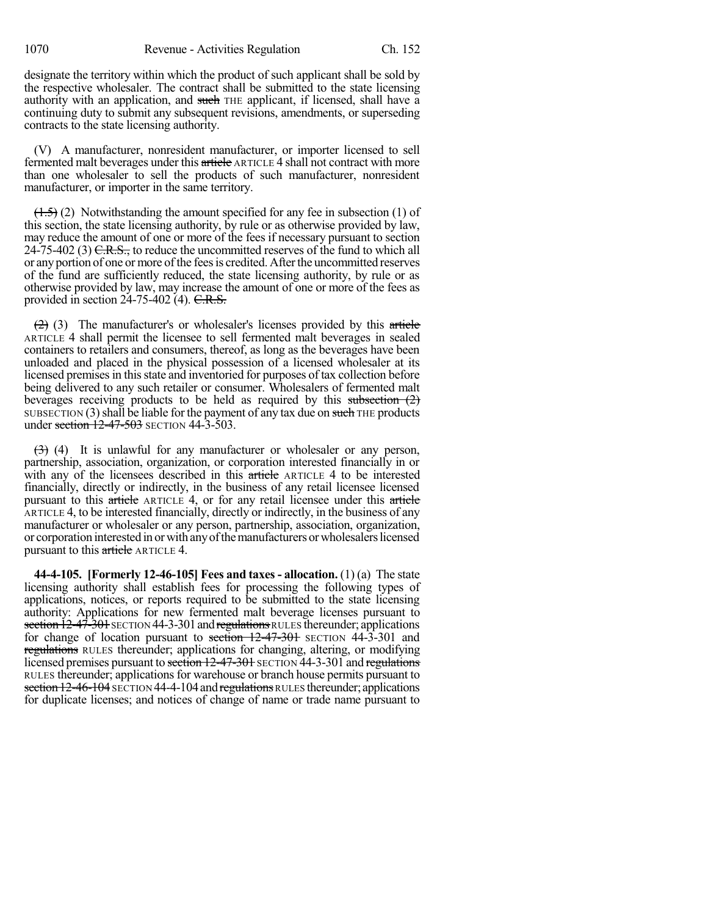designate the territory within which the product of such applicant shall be sold by the respective wholesaler. The contract shall be submitted to the state licensing authority with an application, and such THE applicant, if licensed, shall have a continuing duty to submit any subsequent revisions, amendments, or superseding contracts to the state licensing authority.

(V) A manufacturer, nonresident manufacturer, or importer licensed to sell fermented malt beverages under this article ARTICLE 4 shall not contract with more than one wholesaler to sell the products of such manufacturer, nonresident manufacturer, or importer in the same territory.

 $(1.5)$  (2) Notwithstanding the amount specified for any fee in subsection (1) of this section, the state licensing authority, by rule or as otherwise provided by law, may reduce the amount of one or more of the fees if necessary pursuant to section 24-75-402 (3)  $C.R.S.,$  to reduce the uncommitted reserves of the fund to which all or any portion of one or more of the fees is credited. After the uncommitted reserves of the fund are sufficiently reduced, the state licensing authority, by rule or as otherwise provided by law, may increase the amount of one or more of the fees as provided in section  $24-75-402$  (4). C.R.S.

 $(2)$  (3) The manufacturer's or wholesaler's licenses provided by this article ARTICLE 4 shall permit the licensee to sell fermented malt beverages in sealed containers to retailers and consumers, thereof, as long as the beverages have been unloaded and placed in the physical possession of a licensed wholesaler at its licensed premises in this state and inventoried for purposes of tax collection before being delivered to any such retailer or consumer. Wholesalers of fermented malt beverages receiving products to be held as required by this subsection  $(2)$ SUBSECTION (3) shall be liable for the payment of any tax due on such THE products under section 12-47-503 SECTION 44-3-503.

 $(3)$  (4) It is unlawful for any manufacturer or wholesaler or any person, partnership, association, organization, or corporation interested financially in or with any of the licensees described in this article ARTICLE 4 to be interested financially, directly or indirectly, in the business of any retail licensee licensed pursuant to this article ARTICLE 4, or for any retail licensee under this article ARTICLE 4, to be interested financially, directly or indirectly, in the business of any manufacturer or wholesaler or any person, partnership, association, organization, or corporation interested in or with any of the manufacturers or wholesalers licensed pursuant to this article ARTICLE 4.

**44-4-105. [Formerly 12-46-105] Fees and taxes- allocation.** (1) (a) The state licensing authority shall establish fees for processing the following types of applications, notices, or reports required to be submitted to the state licensing authority: Applications for new fermented malt beverage licenses pursuant to section  $12-47-301$  SECTION  $44-3-301$  and regulations RULES thereunder; applications for change of location pursuant to section  $12-47-301$  SECTION 44-3-301 and regulations RULES thereunder; applications for changing, altering, or modifying licensed premises pursuant to section 12-47-301 SECTION 44-3-301 and regulations RULES thereunder; applicationsfor warehouse or branch house permits pursuant to section 12-46-104 SECTION 44-4-104 and regulations RULES thereunder; applications for duplicate licenses; and notices of change of name or trade name pursuant to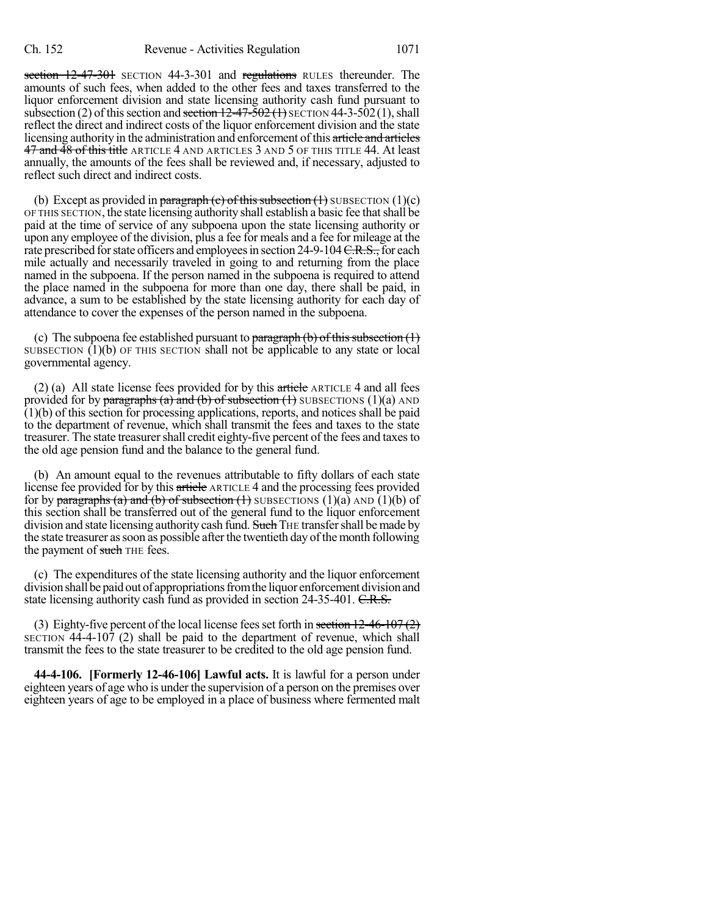section 12-47-301 SECTION 44-3-301 and regulations RULES thereunder. The amounts of such fees, when added to the other fees and taxes transferred to the liquor enforcement division and state licensing authority cash fund pursuant to subsection (2) of this section and section  $12-47-502$  (1) SECTION 44-3-502 (1), shall reflect the direct and indirect costs of the liquor enforcement division and the state licensing authority in the administration and enforcement of this article and articles 47 and 48 of this title ARTICLE 4 AND ARTICLES 3 AND 5 OF THIS TITLE 44. At least annually, the amounts of the fees shall be reviewed and, if necessary, adjusted to reflect such direct and indirect costs.

(b) Except as provided in paragraph (c) of this subsection  $(1)$  SUBSECTION  $(1)(c)$ OF THIS SECTION, the state licensing authority shall establish a basic fee thatshall be paid at the time of service of any subpoena upon the state licensing authority or upon any employee of the division, plus a fee for meals and a fee for mileage at the rate prescribed for state officers and employees in section 24-9-104 C.R.S., for each mile actually and necessarily traveled in going to and returning from the place named in the subpoena. If the person named in the subpoena is required to attend the place named in the subpoena for more than one day, there shall be paid, in advance, a sum to be established by the state licensing authority for each day of attendance to cover the expenses of the person named in the subpoena.

(c) The subpoena fee established pursuant to paragraph  $(b)$  of this subsection  $(1)$ SUBSECTION  $(1)(b)$  OF THIS SECTION shall not be applicable to any state or local governmental agency.

(2) (a) All state license fees provided for by this article  $\alpha$  ARTICLE 4 and all fees provided for by paragraphs (a) and (b) of subsection (1) SUBSECTIONS (1)(a) AND  $(1)(b)$  of this section for processing applications, reports, and notices shall be paid to the department of revenue, which shall transmit the fees and taxes to the state treasurer. The state treasurer shall credit eighty-five percent of the fees and taxes to the old age pension fund and the balance to the general fund.

(b) An amount equal to the revenues attributable to fifty dollars of each state license fee provided for by this article ARTICLE 4 and the processing fees provided for by paragraphs (a) and (b) of subsection (1) SUBSECTIONS (1)(a) AND (1)(b) of this section shall be transferred out of the general fund to the liquor enforcement division and state licensing authority cash fund. Such THE transfer shall be made by the state treasurer as soon as possible after the twentieth day of the month following the payment of such THE fees.

(c) The expenditures of the state licensing authority and the liquor enforcement divisionshall bepaidout of appropriationsfromthe liquor enforcement divisionand state licensing authority cash fund as provided in section 24-35-401. C.R.S.

(3) Eighty-five percent of the local license fees set forth in section  $12\text{-}46\text{-}107(2)$ SECTION 44-4-107 (2) shall be paid to the department of revenue, which shall transmit the fees to the state treasurer to be credited to the old age pension fund.

**44-4-106. [Formerly 12-46-106] Lawful acts.** It is lawful for a person under eighteen years of age who is under the supervision of a person on the premises over eighteen years of age to be employed in a place of business where fermented malt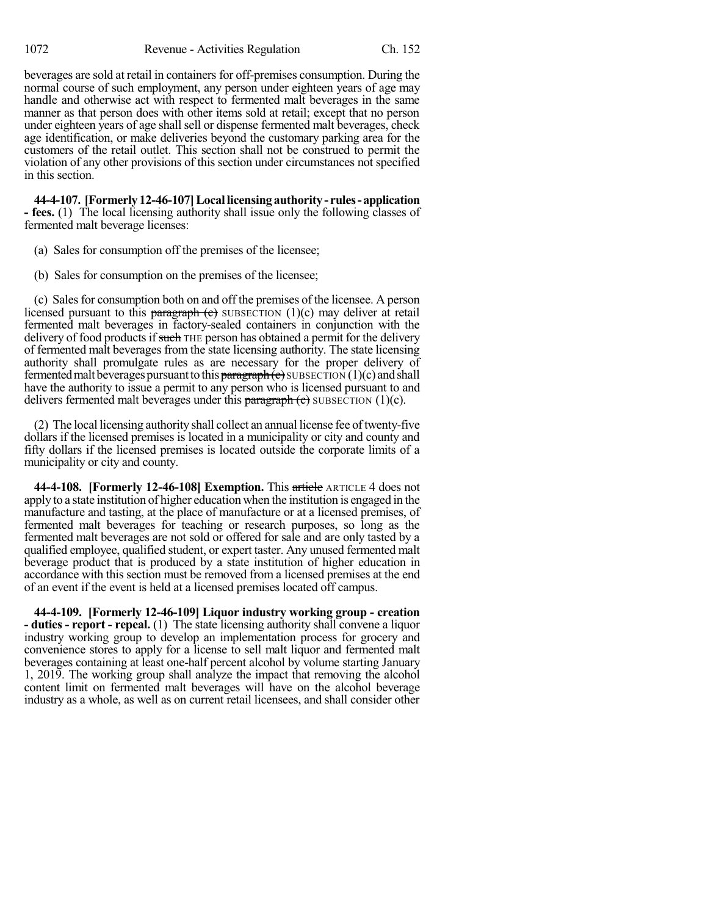beverages are sold at retail in containers for off-premises consumption. During the normal course of such employment, any person under eighteen years of age may handle and otherwise act with respect to fermented malt beverages in the same manner as that person does with other items sold at retail; except that no person under eighteen years of age shall sell or dispense fermented malt beverages, check age identification, or make deliveries beyond the customary parking area for the customers of the retail outlet. This section shall not be construed to permit the violation of any other provisions of this section under circumstances not specified in this section.

**44-4-107. [Formerly12-46-107]Locallicensingauthority- rules-application - fees.** (1) The local licensing authority shall issue only the following classes of fermented malt beverage licenses:

- (a) Sales for consumption off the premises of the licensee;
- (b) Sales for consumption on the premises of the licensee;

(c) Salesfor consumption both on and off the premises of the licensee. A person licensed pursuant to this paragraph  $(e)$  SUBSECTION  $(1)(c)$  may deliver at retail fermented malt beverages in factory-sealed containers in conjunction with the delivery of food products if such THE person has obtained a permit for the delivery of fermented malt beverages from the state licensing authority. The state licensing authority shall promulgate rules as are necessary for the proper delivery of fermented malt beverages pursuant to this  $\frac{1}{2}$  paragraph(c) SUBSECTION (1)(c) and shall have the authority to issue a permit to any person who is licensed pursuant to and delivers fermented malt beverages under this paragraph  $(e)$  SUBSECTION (1)(c).

(2) The local licensing authority shall collect an annual license fee oftwenty-five dollars if the licensed premises is located in a municipality or city and county and fifty dollars if the licensed premises is located outside the corporate limits of a municipality or city and county.

**44-4-108. [Formerly 12-46-108] Exemption.** This article ARTICLE 4 does not apply to a state institution of higher education when the institution is engaged in the manufacture and tasting, at the place of manufacture or at a licensed premises, of fermented malt beverages for teaching or research purposes, so long as the fermented malt beverages are not sold or offered for sale and are only tasted by a qualified employee, qualified student, or expert taster. Any unused fermented malt beverage product that is produced by a state institution of higher education in accordance with this section must be removed from a licensed premises at the end of an event if the event is held at a licensed premises located off campus.

**44-4-109. [Formerly 12-46-109] Liquor industry working group - creation - duties - report - repeal.** (1) The state licensing authority shall convene a liquor industry working group to develop an implementation process for grocery and convenience stores to apply for a license to sell malt liquor and fermented malt beverages containing at least one-half percent alcohol by volume starting January 1, 2019. The working group shall analyze the impact that removing the alcohol content limit on fermented malt beverages will have on the alcohol beverage industry as a whole, as well as on current retail licensees, and shall consider other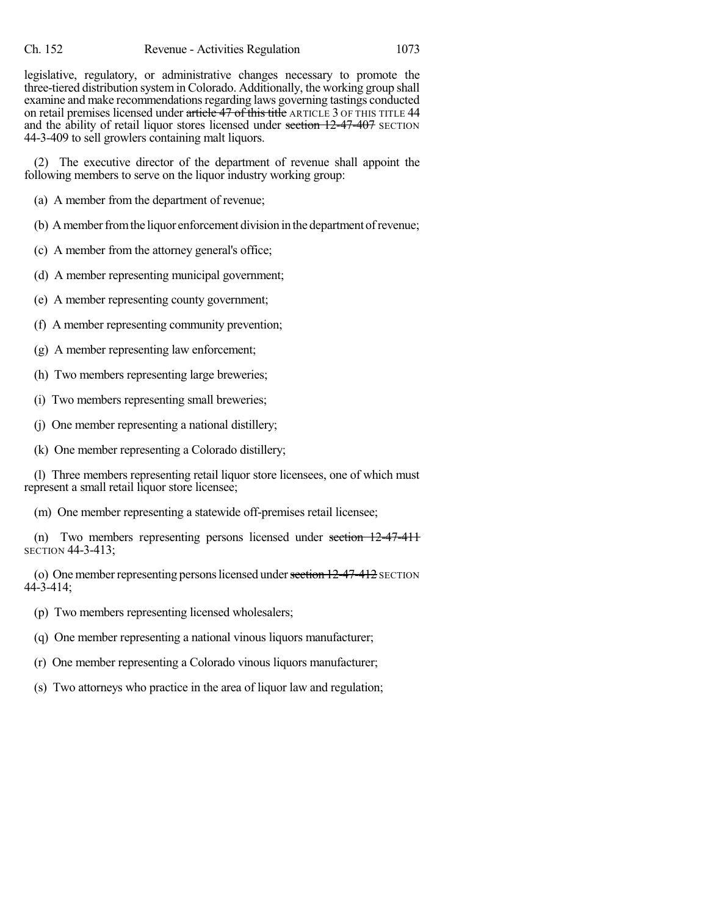legislative, regulatory, or administrative changes necessary to promote the three-tiered distribution systemin Colorado. Additionally, the working group shall examine and make recommendations regarding laws governing tastings conducted on retail premises licensed under article 47 of this title ARTICLE 3 OF THIS TITLE 44 and the ability of retail liquor stores licensed under section  $12-47-407$  SECTION 44-3-409 to sell growlers containing malt liquors.

(2) The executive director of the department of revenue shall appoint the following members to serve on the liquor industry working group:

(a) A member from the department of revenue;

- (b) A member from the liquor enforcement division in the department of revenue;
- (c) A member from the attorney general's office;
- (d) A member representing municipal government;
- (e) A member representing county government;
- (f) A member representing community prevention;
- (g) A member representing law enforcement;
- (h) Two members representing large breweries;
- (i) Two members representing small breweries;
- (j) One member representing a national distillery;
- (k) One member representing a Colorado distillery;

(l) Three members representing retail liquor store licensees, one of which must represent a small retail liquor store licensee;

(m) One member representing a statewide off-premises retail licensee;

(n) Two members representing persons licensed under section 12-47-411 SECTION 44-3-413;

(o) One member representing persons licensed under section  $12-47-412$  SECTION 44-3-414;

- (p) Two members representing licensed wholesalers;
- (q) One member representing a national vinous liquors manufacturer;
- (r) One member representing a Colorado vinous liquors manufacturer;
- (s) Two attorneys who practice in the area of liquor law and regulation;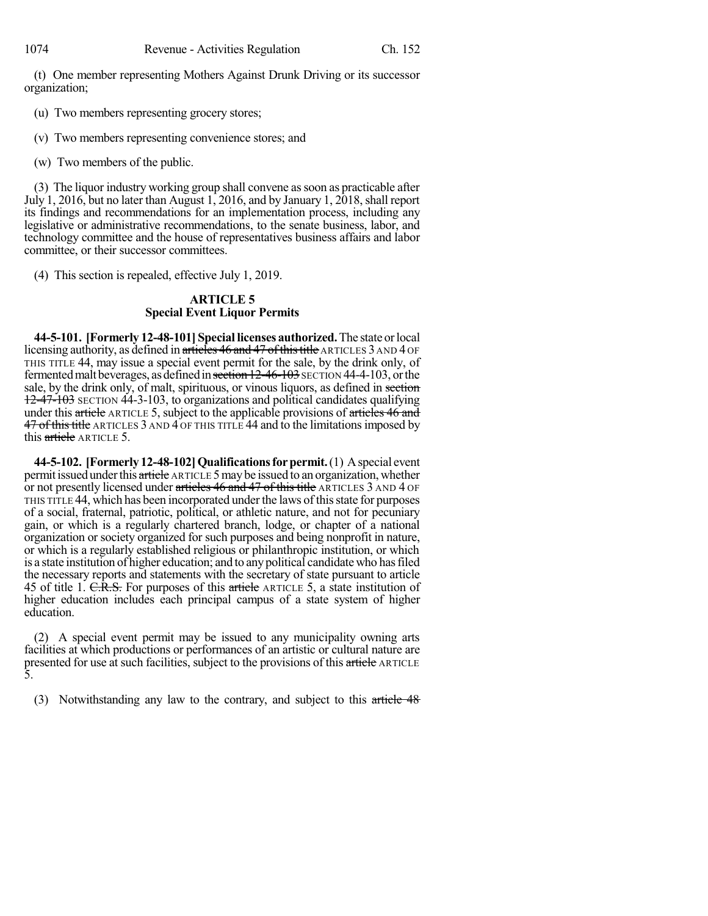(t) One member representing Mothers Against Drunk Driving or its successor organization;

(u) Two members representing grocery stores;

(v) Two members representing convenience stores; and

(w) Two members of the public.

(3) The liquor industry working group shall convene assoon as practicable after July 1, 2016, but no later than August 1, 2016, and by January 1,  $2018$ , shall report its findings and recommendations for an implementation process, including any legislative or administrative recommendations, to the senate business, labor, and technology committee and the house of representatives business affairs and labor committee, or their successor committees.

(4) This section is repealed, effective July 1, 2019.

## **ARTICLE 5 Special Event Liquor Permits**

**44-5-101. [Formerly 12-48-101] Special licenses authorized.**The state orlocal licensing authority, as defined in articles 46 and 47 of this title ARTICLES 3 AND 4 OF THIS TITLE 44, may issue a special event permit for the sale, by the drink only, of fermented malt beverages, as defined in section 12-46-103 SECTION 44-4-103, or the sale, by the drink only, of malt, spirituous, or vinous liquors, as defined in section 12-47-103 SECTION 44-3-103, to organizations and political candidates qualifying under this article ARTICLE 5, subject to the applicable provisions of articles 46 and 47 of this title ARTICLES 3 AND 4 OF THIS TITLE 44 and to the limitations imposed by this article ARTICLE 5.

**44-5-102. [Formerly 12-48-102]Qualificationsforpermit.**(1) Aspecial event permit issued under this article ARTICLE 5 may be issued to an organization, whether or not presently licensed under articles 46 and 47 of this title ARTICLES 3 AND 4 OF THIS TITLE 44, which has been incorporated under the laws of thisstate for purposes of a social, fraternal, patriotic, political, or athletic nature, and not for pecuniary gain, or which is a regularly chartered branch, lodge, or chapter of a national organization or society organized for such purposes and being nonprofit in nature, or which is a regularly established religious or philanthropic institution, or which is a state institution of higher education; and to anypolitical candidate who hasfiled the necessary reports and statements with the secretary of state pursuant to article 45 of title 1. C.R.S. For purposes of this article ARTICLE 5, a state institution of higher education includes each principal campus of a state system of higher education.

(2) A special event permit may be issued to any municipality owning arts facilities at which productions or performances of an artistic or cultural nature are presented for use at such facilities, subject to the provisions of this article ARTICLE 5.

(3) Notwithstanding any law to the contrary, and subject to this article 48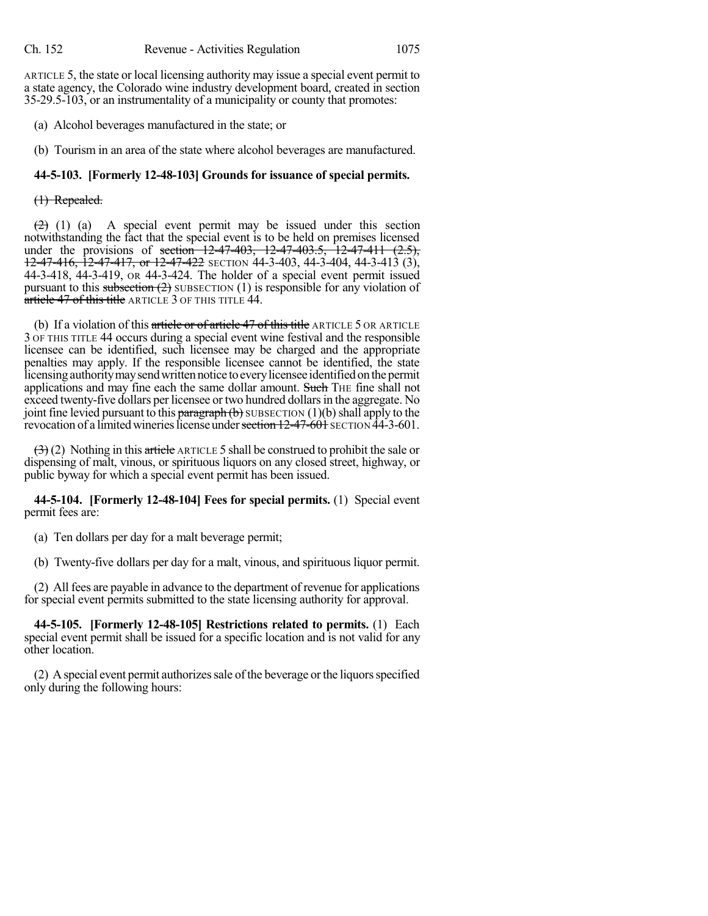ARTICLE 5, the state or local licensing authority may issue a special event permit to a state agency, the Colorado wine industry development board, created in section 35-29.5-103, or an instrumentality of a municipality or county that promotes:

(a) Alcohol beverages manufactured in the state; or

(b) Tourism in an area of the state where alcohol beverages are manufactured.

## **44-5-103. [Formerly 12-48-103] Grounds for issuance of special permits.**

### (1) Repealed.

 $\left(2\right)$  (1) (a) A special event permit may be issued under this section notwithstanding the fact that the special event is to be held on premises licensed under the provisions of <del>section 12-47-403, 12-47-403.5, 12-47-411 (2.5),</del> 12-47-416, 12-47-417, or 12-47-422 SECTION 44-3-403, 44-3-404, 44-3-413 (3), 44-3-418, 44-3-419, OR 44-3-424. The holder of a special event permit issued pursuant to this subsection  $(2)$  SUBSECTION  $(1)$  is responsible for any violation of article 47 of this title ARTICLE 3 OF THIS TITLE 44.

(b) If a violation of this article or of article  $47$  of this title ARTICLE  $5$  OR ARTICLE 3 OF THIS TITLE 44 occurs during a special event wine festival and the responsible licensee can be identified, such licensee may be charged and the appropriate penalties may apply. If the responsible licensee cannot be identified, the state licensing authority may send written notice to every licensee identified on the permit applications and may fine each the same dollar amount. Such THE fine shall not exceed twenty-five dollars per licensee or two hundred dollars in the aggregate. No joint fine levied pursuant to this paragraph  $(b)$  SUBSECTION  $(1)(b)$  shall apply to the revocation of a limited wineries license under section 12-47-601 SECTION 44-3-601.

 $(3)$  (2) Nothing in this article ARTICLE 5 shall be construed to prohibit the sale or dispensing of malt, vinous, or spirituous liquors on any closed street, highway, or public byway for which a special event permit has been issued.

**44-5-104. [Formerly 12-48-104] Fees for special permits.** (1) Special event permit fees are:

(a) Ten dollars per day for a malt beverage permit;

(b) Twenty-five dollars per day for a malt, vinous, and spirituous liquor permit.

(2) All fees are payable in advance to the department of revenue for applications for special event permits submitted to the state licensing authority for approval.

**44-5-105. [Formerly 12-48-105] Restrictions related to permits.** (1) Each special event permit shall be issued for a specific location and is not valid for any other location.

 $(2)$  A special event permit authorizes sale of the beverage or the liquors specified only during the following hours: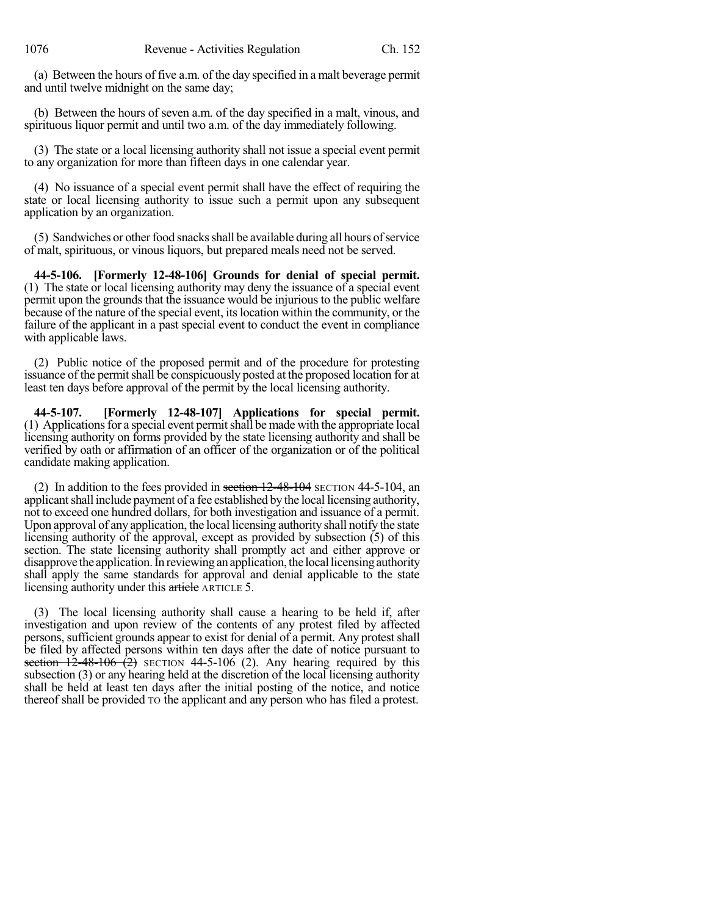(a) Between the hours of five a.m. of the day specified in a malt beverage permit and until twelve midnight on the same day;

(b) Between the hours of seven a.m. of the day specified in a malt, vinous, and spirituous liquor permit and until two a.m. of the day immediately following.

(3) The state or a local licensing authority shall not issue a special event permit to any organization for more than fifteen days in one calendar year.

(4) No issuance of a special event permit shall have the effect of requiring the state or local licensing authority to issue such a permit upon any subsequent application by an organization.

(5) Sandwiches or otherfood snacksshall be available during all hours ofservice of malt, spirituous, or vinous liquors, but prepared meals need not be served.

**44-5-106. [Formerly 12-48-106] Grounds for denial of special permit.** (1) The state or local licensing authority may deny the issuance of a special event permit upon the grounds that the issuance would be injurious to the public welfare because of the nature of the special event, itslocation within the community, or the failure of the applicant in a past special event to conduct the event in compliance with applicable laws.

(2) Public notice of the proposed permit and of the procedure for protesting issuance of the permit shall be conspicuously posted at the proposed location for at least ten days before approval of the permit by the local licensing authority.

**44-5-107. [Formerly 12-48-107] Applications for special permit.** (1) Applicationsfor a special event permitshall be made with the appropriate local licensing authority on forms provided by the state licensing authority and shall be verified by oath or affirmation of an officer of the organization or of the political candidate making application.

(2) In addition to the fees provided in section  $12-48-104$  SECTION 44-5-104, an applicant shall include payment of a fee established by the local licensing authority, not to exceed one hundred dollars, for both investigation and issuance of a permit. Upon approval of any application, the local licensing authority shall notify the state licensing authority of the approval, except as provided by subsection (5) of this section. The state licensing authority shall promptly act and either approve or disapprove the application. In reviewing an application, the local licensing authority shall apply the same standards for approval and denial applicable to the state licensing authority under this article ARTICLE 5.

(3) The local licensing authority shall cause a hearing to be held if, after investigation and upon review of the contents of any protest filed by affected persons, sufficient grounds appear to exist for denial of a permit. Any protestshall be filed by affected persons within ten days after the date of notice pursuant to section  $12-48-106$   $(2)$  SECTION 44-5-106 (2). Any hearing required by this subsection (3) or any hearing held at the discretion of the local licensing authority shall be held at least ten days after the initial posting of the notice, and notice thereof shall be provided TO the applicant and any person who has filed a protest.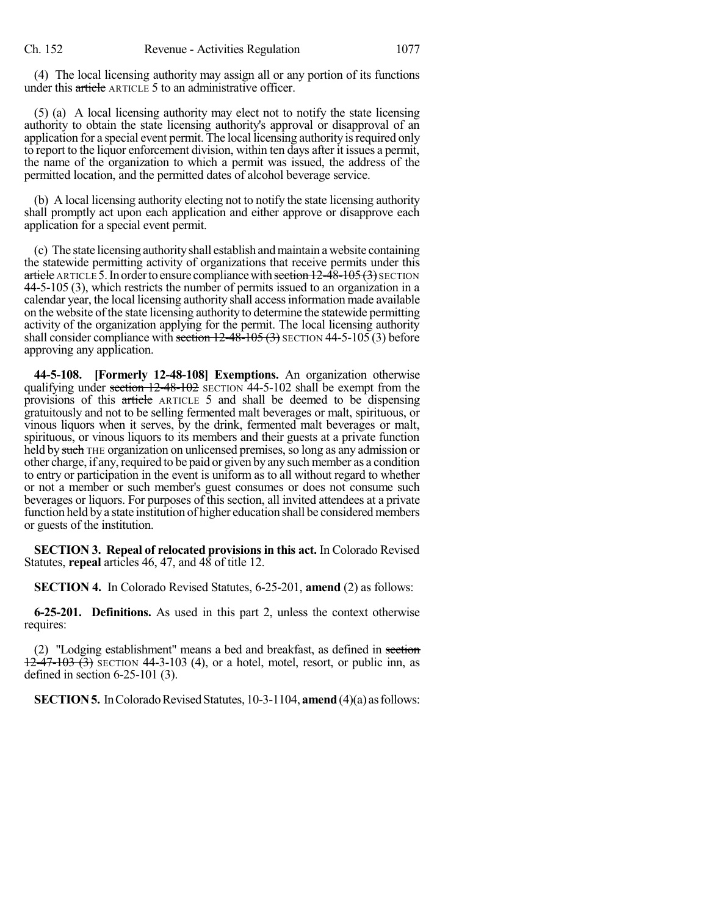(4) The local licensing authority may assign all or any portion of its functions under this article ARTICLE 5 to an administrative officer.

(5) (a) A local licensing authority may elect not to notify the state licensing authority to obtain the state licensing authority's approval or disapproval of an application for a special event permit. The local licensing authority is required only to report to the liquor enforcement division, within ten days after it issues a permit, the name of the organization to which a permit was issued, the address of the permitted location, and the permitted dates of alcohol beverage service.

(b) A local licensing authority electing not to notify the state licensing authority shall promptly act upon each application and either approve or disapprove each application for a special event permit.

(c) The state licensing authorityshall establish andmaintain a website containing the statewide permitting activity of organizations that receive permits under this article ARTICLE 5. In order to ensure compliance with section  $12-48-105(3)$  SECTION 44-5-105 (3), which restricts the number of permits issued to an organization in a calendar year, the local licensing authority shall accessinformation made available on the website of the state licensing authority to determine the statewide permitting activity of the organization applying for the permit. The local licensing authority shall consider compliance with section  $12-48-105(3)$  SECTION 44-5-105 (3) before approving any application.

**44-5-108. [Formerly 12-48-108] Exemptions.** An organization otherwise qualifying under section  $12-48-102$  SECTION  $44-5-102$  shall be exempt from the provisions of this article ARTICLE 5 and shall be deemed to be dispensing gratuitously and not to be selling fermented malt beverages or malt, spirituous, or vinous liquors when it serves, by the drink, fermented malt beverages or malt, spirituous, or vinous liquors to its members and their guests at a private function held by such THE organization on unlicensed premises, so long as any admission or other charge, if any, required to be paid or given by any such member as a condition to entry or participation in the event is uniform as to all without regard to whether or not a member or such member's guest consumes or does not consume such beverages or liquors. For purposes of this section, all invited attendees at a private function held by a state institution of higher education shall be considered members or guests of the institution.

**SECTION 3. Repeal of relocated provisionsin this act.** In Colorado Revised Statutes, **repeal** articles 46, 47, and 48 of title 12.

**SECTION 4.** In Colorado Revised Statutes, 6-25-201, **amend** (2) as follows:

**6-25-201. Definitions.** As used in this part 2, unless the context otherwise requires:

(2) "Lodging establishment" means a bed and breakfast, as defined in section  $\overline{12-47-103}$   $\overline{(3)}$  SECTION 44-3-103 (4), or a hotel, motel, resort, or public inn, as defined in section 6-25-101 (3).

**SECTION 5.** In Colorado Revised Statutes, 10-3-1104, **amend** (4)(a) as follows: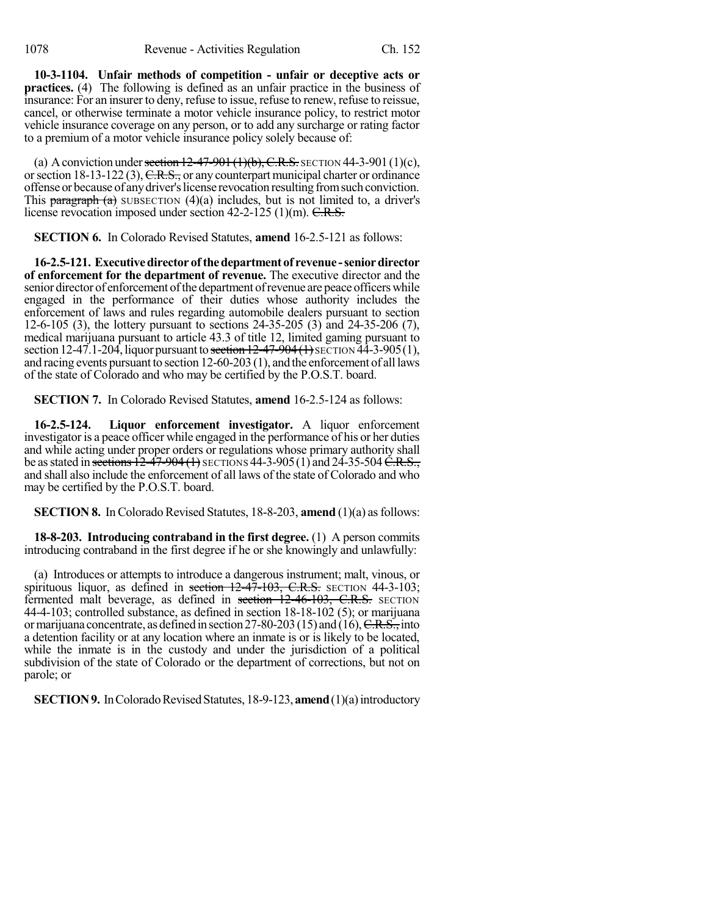**10-3-1104. Unfair methods of competition - unfair or deceptive acts or practices.** (4) The following is defined as an unfair practice in the business of insurance: For an insurer to deny, refuse to issue, refuse to renew, refuse to reissue, cancel, or otherwise terminate a motor vehicle insurance policy, to restrict motor vehicle insurance coverage on any person, or to add any surcharge or rating factor to a premium of a motor vehicle insurance policy solely because of:

(a) A conviction under section  $12-47-901(1)(b)$ , C.R.S. SECTION 44-3-901 (1)(c), or section 18-13-122 (3),  $C.R.S.,$  or any counterpart municipal charter or ordinance offense or because of anydriver'slicense revocation resulting fromsuch conviction. This paragraph  $(a)$  SUBSECTION  $(4)(a)$  includes, but is not limited to, a driver's license revocation imposed under section  $42-2-125$  (1)(m).  $C.R.S.$ 

**SECTION 6.** In Colorado Revised Statutes, **amend** 16-2.5-121 as follows:

**16-2.5-121. Executivedirector ofthedepartmentof revenue -seniordirector of enforcement for the department of revenue.** The executive director and the senior director of enforcement of the department of revenue are peace officers while engaged in the performance of their duties whose authority includes the enforcement of laws and rules regarding automobile dealers pursuant to section 12-6-105 (3), the lottery pursuant to sections 24-35-205 (3) and 24-35-206 (7), medical marijuana pursuant to article 43.3 of title 12, limited gaming pursuant to section 12-47.1-204, liquor pursuant to section  $12-47-904(1)$  SECTION  $\overline{44}$ -3-905(1), and racing events pursuant to section 12-60-203 (1), and the enforcement of all laws of the state of Colorado and who may be certified by the P.O.S.T. board.

**SECTION 7.** In Colorado Revised Statutes, **amend** 16-2.5-124 as follows:

**16-2.5-124. Liquor enforcement investigator.** A liquor enforcement investigator is a peace officer while engaged in the performance of his or her duties and while acting under proper orders or regulations whose primary authority shall be as stated in sections  $12-47-904$  (1) SECTIONS 44-3-905 (1) and 24-35-504 C.R.S., and shall also include the enforcement of all laws of the state of Colorado and who may be certified by the P.O.S.T. board.

**SECTION 8.** In Colorado Revised Statutes, 18-8-203, **amend** (1)(a) as follows:

**18-8-203. Introducing contraband in the first degree.** (1) A person commits introducing contraband in the first degree if he or she knowingly and unlawfully:

(a) Introduces or attempts to introduce a dangerous instrument; malt, vinous, or spirituous liquor, as defined in section  $12-47-103$ , C.R.S. SECTION  $44-3-103$ ; fermented malt beverage, as defined in section 12-46-103, C.R.S. SECTION 44-4-103; controlled substance, as defined in section 18-18-102 (5); or marijuana or marijuana concentrate, as defined in section 27-80-203 (15) and (16),  $C.R.S.,$  into a detention facility or at any location where an inmate is or is likely to be located, while the inmate is in the custody and under the jurisdiction of a political subdivision of the state of Colorado or the department of corrections, but not on parole; or

**SECTION 9.** In Colorado Revised Statutes, 18-9-123, **amend** (1)(a) introductory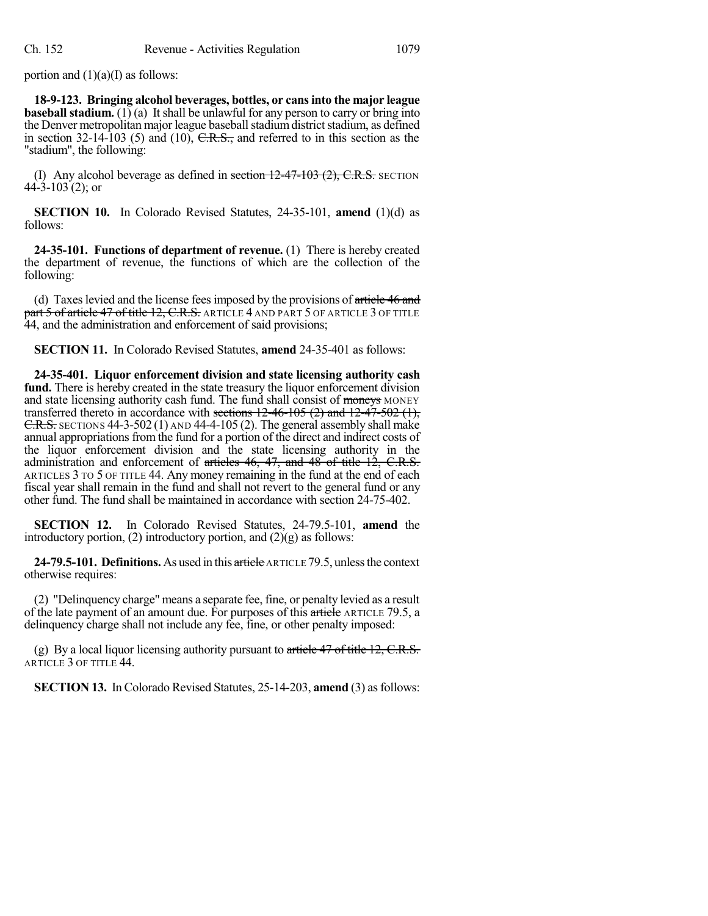portion and  $(1)(a)(I)$  as follows:

**18-9-123. Bringing alcohol beverages, bottles, or cansinto the major league baseball stadium.** (1) (a) It shall be unlawful for any person to carry or bring into the Denver metropolitan major league baseball stadium district stadium, as defined in section  $32-14-103$  (5) and (10), C.R.S., and referred to in this section as the "stadium", the following:

(I) Any alcohol beverage as defined in section  $12-47-103$   $(2)$ , C.R.S. SECTION 44-3-103 (2); or

**SECTION 10.** In Colorado Revised Statutes, 24-35-101, **amend** (1)(d) as follows:

**24-35-101. Functions of department of revenue.** (1) There is hereby created the department of revenue, the functions of which are the collection of the following:

(d) Taxes levied and the license fees imposed by the provisions of article 46 and part 5 of article 47 of title 12, C.R.S. ARTICLE 4 AND PART 5 OF ARTICLE 3 OF TITLE 44, and the administration and enforcement of said provisions;

**SECTION 11.** In Colorado Revised Statutes, **amend** 24-35-401 as follows:

**24-35-401. Liquor enforcement division and state licensing authority cash fund.** There is hereby created in the state treasury the liquor enforcement division and state licensing authority cash fund. The fund shall consist of moneys MONEY transferred thereto in accordance with sections  $12-46-105$  (2) and  $12-47-502$  (1), C.R.S. SECTIONS 44-3-502 (1) AND 44-4-105 (2). The general assembly shall make annual appropriations from the fund for a portion of the direct and indirect costs of the liquor enforcement division and the state licensing authority in the administration and enforcement of articles  $46$ ,  $47$ , and  $48$  of title  $12$ , C.R.S. ARTICLES 3 TO 5 OF TITLE 44. Any money remaining in the fund at the end of each fiscal year shall remain in the fund and shall not revert to the general fund or any other fund. The fund shall be maintained in accordance with section 24-75-402.

**SECTION 12.** In Colorado Revised Statutes, 24-79.5-101, **amend** the introductory portion, (2) introductory portion, and  $(2)(g)$  as follows:

**24-79.5-101. Definitions.** As used in this article ARTICLE 79.5, unlessthe context otherwise requires:

(2) "Delinquency charge" means a separate fee, fine, or penalty levied as a result of the late payment of an amount due. For purposes of this article ARTICLE 79.5, a delinquency charge shall not include any fee, fine, or other penalty imposed:

(g) By a local liquor licensing authority pursuant to article  $47$  of title 12, C.R.S. ARTICLE 3 OF TITLE 44.

**SECTION 13.** In Colorado Revised Statutes, 25-14-203, **amend** (3) as follows: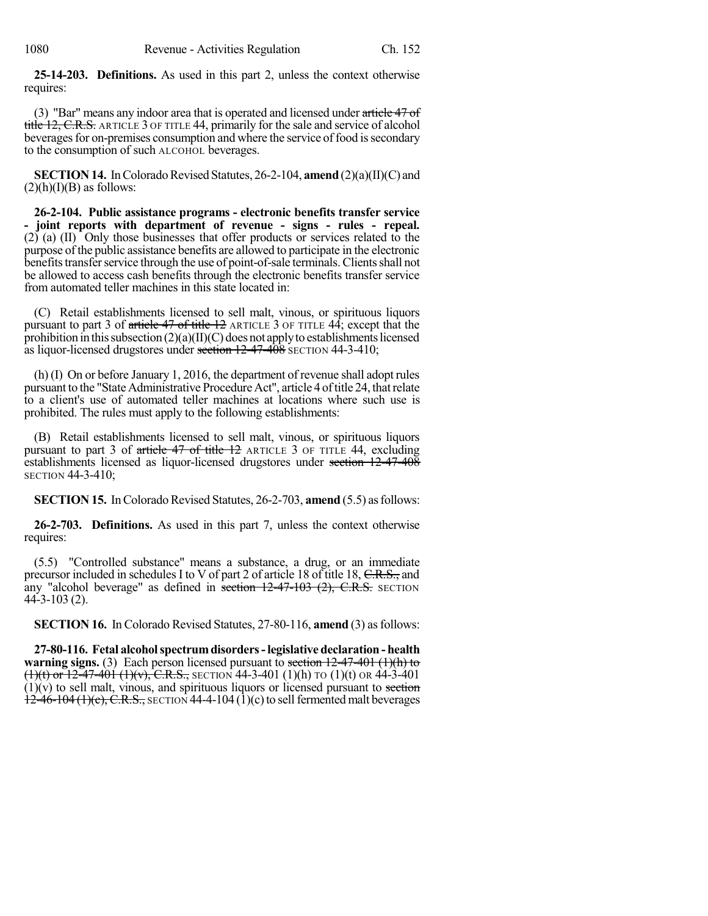**25-14-203. Definitions.** As used in this part 2, unless the context otherwise requires:

(3) "Bar" means any indoor area that is operated and licensed under article 47 of title 12, C.R.S. ARTICLE 3 OF TITLE 44, primarily for the sale and service of alcohol beverages for on-premises consumption and where the service of food is secondary to the consumption of such ALCOHOL beverages.

**SECTION 14.** In Colorado Revised Statutes, 26-2-104, **amend** (2)(a)(II)(C) and  $(2)(h)(I)(B)$  as follows:

**26-2-104. Public assistance programs - electronic benefits transfer service - joint reports with department of revenue - signs - rules - repeal.** (2) (a) (II) Only those businesses that offer products or services related to the purpose of the public assistance benefits are allowed to participate in the electronic benefits transfer service through the use of point-of-sale terminals. Clients shall not be allowed to access cash benefits through the electronic benefits transfer service from automated teller machines in this state located in:

(C) Retail establishments licensed to sell malt, vinous, or spirituous liquors pursuant to part 3 of article 47 of title 12 ARTICLE 3 OF TITLE 44; except that the prohibition in this subsection  $(2)(a)(II)(C)$  does not apply to establishments licensed as liquor-licensed drugstores under section  $12-47-408$  SECTION 44-3-410;

(h) (I) On or before January 1, 2016, the department of revenue shall adopt rules pursuant to the "State Administrative Procedure Act", article 4 of title 24, that relate to a client's use of automated teller machines at locations where such use is prohibited. The rules must apply to the following establishments:

(B) Retail establishments licensed to sell malt, vinous, or spirituous liquors pursuant to part 3 of article 47 of title 12 ARTICLE 3 OF TITLE 44, excluding establishments licensed as liquor-licensed drugstores under section 12-47-408 SECTION 44-3-410;

**SECTION 15.** In Colorado Revised Statutes, 26-2-703, **amend** (5.5) as follows:

**26-2-703. Definitions.** As used in this part 7, unless the context otherwise requires:

(5.5) "Controlled substance" means a substance, a drug, or an immediate precursor included in schedules I to V of part 2 of article 18 of title 18, C.R.S., and any "alcohol beverage" as defined in section  $12-47-103$  (2), C.R.S. SECTION  $44 - 3 - 103$  (2).

**SECTION 16.** In Colorado Revised Statutes, 27-80-116, **amend** (3) asfollows:

**27-80-116. Fetal alcoholspectrumdisorders-legislative declaration- health warning signs.** (3) Each person licensed pursuant to section 12-47-401 (1)(h) to  $(1)(t)$  or 12-47-401  $(1)(v)$ , C.R.S., SECTION 44-3-401 (1)(h) TO (1)(t) OR 44-3-401  $(1)(v)$  to sell malt, vinous, and spirituous liquors or licensed pursuant to section  $12-46-104(1)(c)$ , C.R.S., SECTION 44-4-104 (1)(c) to sell fermented malt beverages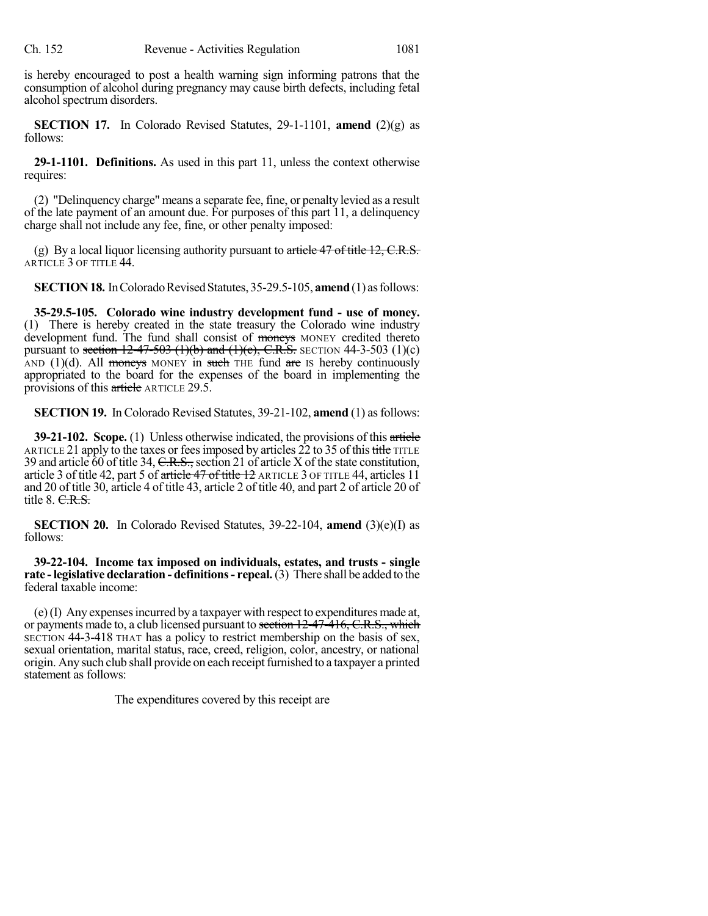is hereby encouraged to post a health warning sign informing patrons that the consumption of alcohol during pregnancy may cause birth defects, including fetal alcohol spectrum disorders.

**SECTION** 17. In Colorado Revised Statutes, 29-1-1101, **amend**  $(2)(g)$  as follows:

**29-1-1101. Definitions.** As used in this part 11, unless the context otherwise requires:

(2) "Delinquency charge" means a separate fee, fine, or penalty levied as a result of the late payment of an amount due. For purposes of this part 11, a delinquency charge shall not include any fee, fine, or other penalty imposed:

(g) By a local liquor licensing authority pursuant to article  $47$  of title 12, C.R.S. ARTICLE 3 OF TITLE 44.

**SECTION 18.** In Colorado Revised Statutes, 35-29.5-105, **amend** (1) as follows:

**35-29.5-105. Colorado wine industry development fund - use of money.** (1) There is hereby created in the state treasury the Colorado wine industry development fund. The fund shall consist of moneys MONEY credited thereto pursuant to section  $12-47-503$  (1)(b) and (1)(c), C.R.S. SECTION 44-3-503 (1)(c) AND (1)(d). All moneys MONEY in such THE fund are IS hereby continuously appropriated to the board for the expenses of the board in implementing the provisions of this article ARTICLE 29.5.

**SECTION 19.** In Colorado Revised Statutes, 39-21-102, **amend** (1) as follows:

**39-21-102. Scope.** (1) Unless otherwise indicated, the provisions of this article ARTICLE 21 apply to the taxes or fees imposed by articles  $\overline{22}$  to 35 of this title TITLE 39 and article 60 of title 34, C.R.S., section 21 of article X of the state constitution, article 3 of title 42, part 5 of article 47 of title 12 ARTICLE 3 OF TITLE 44, articles 11 and 20 of title 30, article 4 of title 43, article 2 of title 40, and part 2 of article 20 of title  $8. \text{C.R.S.}$ 

**SECTION 20.** In Colorado Revised Statutes, 39-22-104, **amend** (3)(e)(I) as follows:

**39-22-104. Income tax imposed on individuals, estates, and trusts - single rate -legislative declaration - definitions- repeal.**(3) There shall be added to the federal taxable income:

(e)(I) Any expensesincurred by a taxpayer with respect to expenditures made at, or payments made to, a club licensed pursuant to section 12-47-416, C.R.S., which SECTION 44-3-418 THAT has a policy to restrict membership on the basis of sex, sexual orientation, marital status, race, creed, religion, color, ancestry, or national origin. Any such club shall provide on each receipt furnished to a taxpayer a printed statement as follows:

The expenditures covered by this receipt are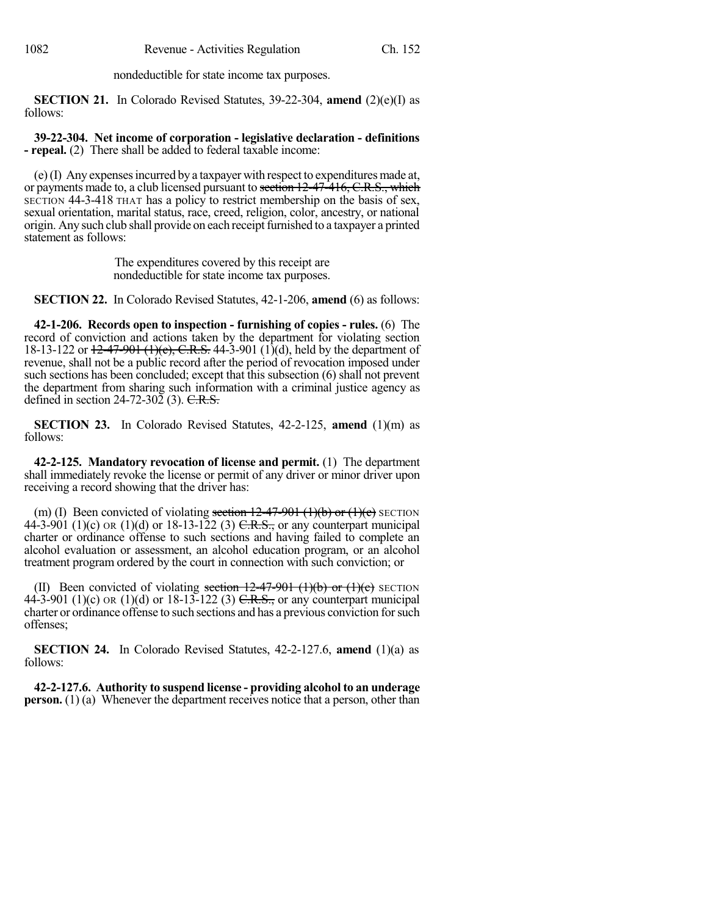nondeductible for state income tax purposes.

**SECTION 21.** In Colorado Revised Statutes, 39-22-304, **amend** (2)(e)(I) as follows:

**39-22-304. Net income of corporation - legislative declaration - definitions - repeal.** (2) There shall be added to federal taxable income:

(e)(I) Any expensesincurred by a taxpayer with respect to expenditures made at, or payments made to, a club licensed pursuant to section 12-47-416, C.R.S., which SECTION 44-3-418 THAT has a policy to restrict membership on the basis of sex, sexual orientation, marital status, race, creed, religion, color, ancestry, or national origin. Any such club shall provide on each receipt furnished to a taxpayer a printed statement as follows:

> The expenditures covered by this receipt are nondeductible for state income tax purposes.

**SECTION 22.** In Colorado Revised Statutes, 42-1-206, **amend** (6) as follows:

**42-1-206. Records open to inspection - furnishing of copies - rules.** (6) The record of conviction and actions taken by the department for violating section 18-13-122 or  $12-47-901$  (1)(e), C.R.S. 44-3-901 (1)(d), held by the department of revenue, shall not be a public record after the period of revocation imposed under such sections has been concluded; except that this subsection (6) shall not prevent the department from sharing such information with a criminal justice agency as defined in section  $24-72-30\overline{2}$  (3). C.R.S.

**SECTION 23.** In Colorado Revised Statutes, 42-2-125, **amend** (1)(m) as follows:

**42-2-125. Mandatory revocation of license and permit.** (1) The department shall immediately revoke the license or permit of any driver or minor driver upon receiving a record showing that the driver has:

(m) (I) Been convicted of violating section  $12-47-901$  (1)(b) or (1)(c) SECTION 44-3-901 (1)(c) OR (1)(d) or 18-13-122 (3) C.R.S., or any counterpart municipal charter or ordinance offense to such sections and having failed to complete an alcohol evaluation or assessment, an alcohol education program, or an alcohol treatment program ordered by the court in connection with such conviction; or

(II) Been convicted of violating section  $12-47-901$  (1)(b) or (1)(c) SECTION 44-3-901 (1)(c) OR (1)(d) or 18-13-122 (3)  $C.R.S.,$  or any counterpart municipal charter or ordinance offense to such sections and has a previous conviction forsuch offenses;

**SECTION 24.** In Colorado Revised Statutes, 42-2-127.6, **amend** (1)(a) as follows:

**42-2-127.6. Authority to suspend license - providing alcohol to an underage person.** (1) (a) Whenever the department receives notice that a person, other than